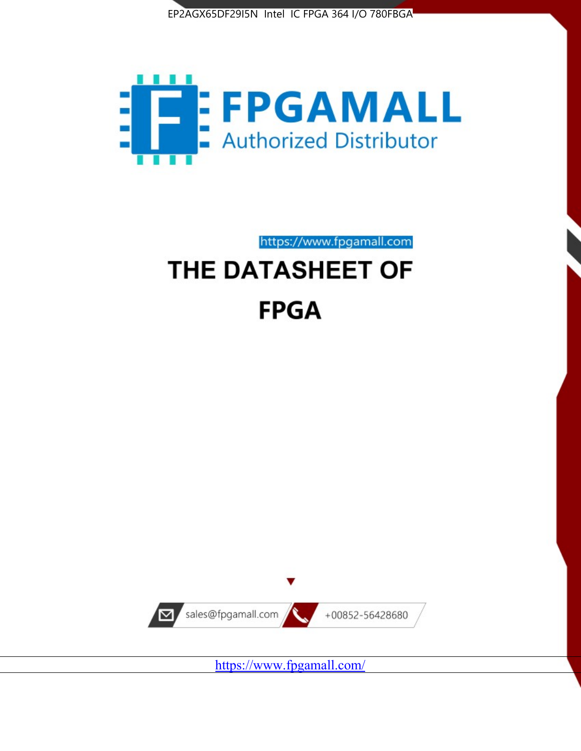



# https://www.fpgamall.com THE DATASHEET OF **FPGA**



<https://www.fpgamall.com/>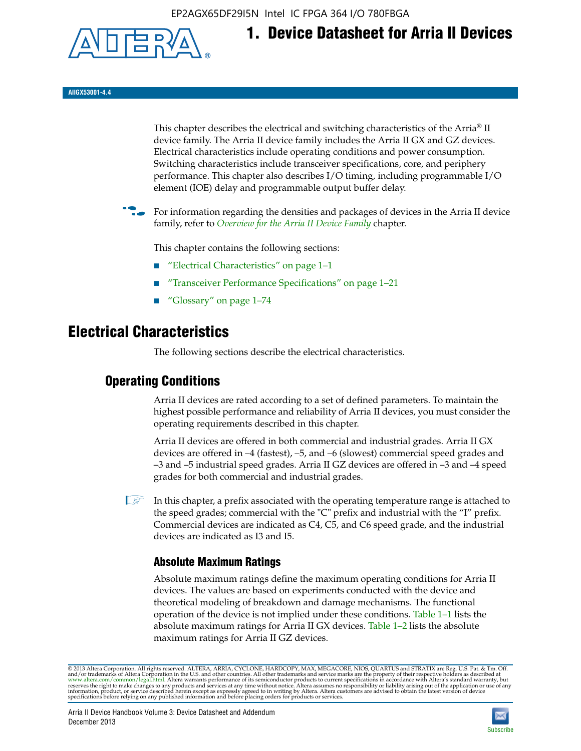EP2AGX65DF29I5N Intel IC FPGA 364 I/O 780FBGA



**AIIGX53001-4.4**

This chapter describes the electrical and switching characteristics of the Arria® II device family. The Arria II device family includes the Arria II GX and GZ devices. Electrical characteristics include operating conditions and power consumption. Switching characteristics include transceiver specifications, core, and periphery performance. This chapter also describes I/O timing, including programmable I/O element (IOE) delay and programmable output buffer delay.

**1. Device Datasheet for Arria II Devices**

For information regarding the densities and packages of devices in the Arria II device family, refer to *[Overview for the Arria II Device Family](http://www.altera.com/literature/hb/arria-ii-gx/aiigx_51001.pdf)* chapter.

This chapter contains the following sections:

- *"Electrical Characteristics"* on page 1–1
- "Transceiver Performance Specifications" on page 1–21
- "Glossary" on page 1–74

# **Electrical Characteristics**

The following sections describe the electrical characteristics.

# **Operating Conditions**

Arria II devices are rated according to a set of defined parameters. To maintain the highest possible performance and reliability of Arria II devices, you must consider the operating requirements described in this chapter.

Arria II devices are offered in both commercial and industrial grades. Arria II GX devices are offered in –4 (fastest), –5, and –6 (slowest) commercial speed grades and –3 and –5 industrial speed grades. Arria II GZ devices are offered in –3 and –4 speed grades for both commercial and industrial grades.

 $\Box$  In this chapter, a prefix associated with the operating temperature range is attached to the speed grades; commercial with the "C" prefix and industrial with the "I" prefix. Commercial devices are indicated as C4, C5, and C6 speed grade, and the industrial devices are indicated as I3 and I5.

# **Absolute Maximum Ratings**

Absolute maximum ratings define the maximum operating conditions for Arria II devices. The values are based on experiments conducted with the device and theoretical modeling of breakdown and damage mechanisms. The functional operation of the device is not implied under these conditions. Table 1–1 lists the absolute maximum ratings for Arria II GX devices. Table 1–2 lists the absolute maximum ratings for Arria II GZ devices.

© 2013 Altera Corporation. All rights reserved. ALTERA, ARRIA, CYCLONE, HARDCOPY, MAX, MEGACORE, NIOS, QUARTUS and STRATIX are Reg. U.S. Pat. & Tm. Off. [and/or trademarks of Altera Corporat](http://www.altera.com/common/legal.html)ion in the U.S. and other countri

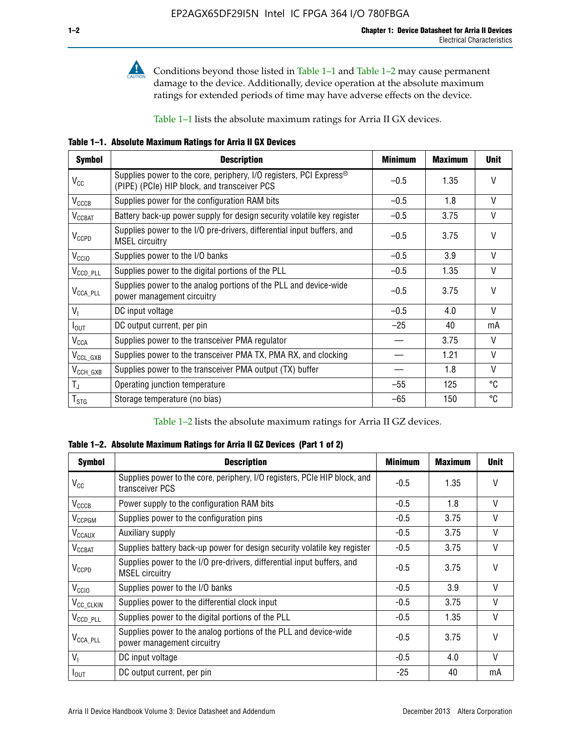

**Conditions beyond those listed in Table 1–1 and Table 1–2 may cause permanent** damage to the device. Additionally, device operation at the absolute maximum ratings for extended periods of time may have adverse effects on the device.

Table 1–1 lists the absolute maximum ratings for Arria II GX devices.

**Table 1–1. Absolute Maximum Ratings for Arria II GX Devices** 

| <b>Symbol</b>         | <b>Description</b>                                                                                                 | <b>Minimum</b> | <b>Maximum</b> | <b>Unit</b>  |
|-----------------------|--------------------------------------------------------------------------------------------------------------------|----------------|----------------|--------------|
| $V_{CC}$              | Supplies power to the core, periphery, I/O registers, PCI Express®<br>(PIPE) (PCIe) HIP block, and transceiver PCS | $-0.5$         | 1.35           | $\vee$       |
| $V_{CCCB}$            | Supplies power for the configuration RAM bits                                                                      | $-0.5$         | 1.8            | V            |
| $V_{\text{CCBAT}}$    | Battery back-up power supply for design security volatile key register                                             | $-0.5$         | 3.75           | V            |
| $V_{CCPD}$            | Supplies power to the I/O pre-drivers, differential input buffers, and<br><b>MSEL circuitry</b>                    | $-0.5$         | 3.75           | $\vee$       |
| V <sub>CCIO</sub>     | Supplies power to the I/O banks                                                                                    | $-0.5$         | 3.9            | $\mathsf{V}$ |
| $V_{\text{CCD\_PLL}}$ | Supplies power to the digital portions of the PLL                                                                  | $-0.5$         | 1.35           | V            |
| $V_{\text{CCA\_PLL}}$ | Supplies power to the analog portions of the PLL and device-wide<br>power management circuitry                     | $-0.5$         | 3.75           | $\mathsf{V}$ |
| $V_{1}$               | DC input voltage                                                                                                   | $-0.5$         | 4.0            | V            |
| $I_{\text{OUT}}$      | DC output current, per pin                                                                                         | $-25$          | 40             | mA           |
| $V_{\text{CCA}}$      | Supplies power to the transceiver PMA regulator                                                                    |                | 3.75           | V            |
| $V_{CCL_GXB}$         | Supplies power to the transceiver PMA TX, PMA RX, and clocking                                                     |                | 1.21           | $\vee$       |
| $V_{\text{CCH_GXB}}$  | Supplies power to the transceiver PMA output (TX) buffer                                                           |                | 1.8            | V            |
| $T_{\rm J}$           | Operating junction temperature                                                                                     | $-55$          | 125            | °C           |
| $T_{\tt STG}$         | Storage temperature (no bias)                                                                                      | -65            | 150            | ℃            |

Table 1–2 lists the absolute maximum ratings for Arria II GZ devices.

**Table 1–2. Absolute Maximum Ratings for Arria II GZ Devices (Part 1 of 2)**

| <b>Symbol</b>            | <b>Description</b>                                                                              | <b>Minimum</b> | <b>Maximum</b> | <b>Unit</b>  |
|--------------------------|-------------------------------------------------------------------------------------------------|----------------|----------------|--------------|
| $V_{CC}$                 | Supplies power to the core, periphery, I/O registers, PCIe HIP block, and<br>transceiver PCS    | -0.5           | 1.35           | $\mathsf{V}$ |
| $V_{CCCB}$               | Power supply to the configuration RAM bits                                                      | $-0.5$         | 1.8            | $\vee$       |
| V <sub>CCPGM</sub>       | Supplies power to the configuration pins                                                        | $-0.5$         | 3.75           | $\vee$       |
| <b>V<sub>CCAUX</sub></b> | Auxiliary supply                                                                                | $-0.5$         | 3.75           | $\vee$       |
| $V_{\text{CGBAT}}$       | Supplies battery back-up power for design security volatile key register                        | -0.5           | 3.75           | $\vee$       |
| $V_{CCPD}$               | Supplies power to the I/O pre-drivers, differential input buffers, and<br><b>MSEL circuitry</b> | -0.5           | 3.75           | $\mathsf{V}$ |
| V <sub>CCIO</sub>        | Supplies power to the I/O banks                                                                 | $-0.5$         | 3.9            | $\mathsf{V}$ |
| $V_{\rm CC\_CLKIN}$      | Supplies power to the differential clock input                                                  | $-0.5$         | 3.75           | $\vee$       |
| $V_{\text{CCD\_PLL}}$    | Supplies power to the digital portions of the PLL                                               | $-0.5$         | 1.35           | V            |
| $V_{\text{CCA\_PLL}}$    | Supplies power to the analog portions of the PLL and device-wide<br>power management circuitry  | $-0.5$         | 3.75           | $\mathsf{V}$ |
| V <sub>1</sub>           | DC input voltage                                                                                | $-0.5$         | 4.0            | $\vee$       |
| $I_{\text{OUT}}$         | DC output current, per pin                                                                      | $-25$          | 40             | mA           |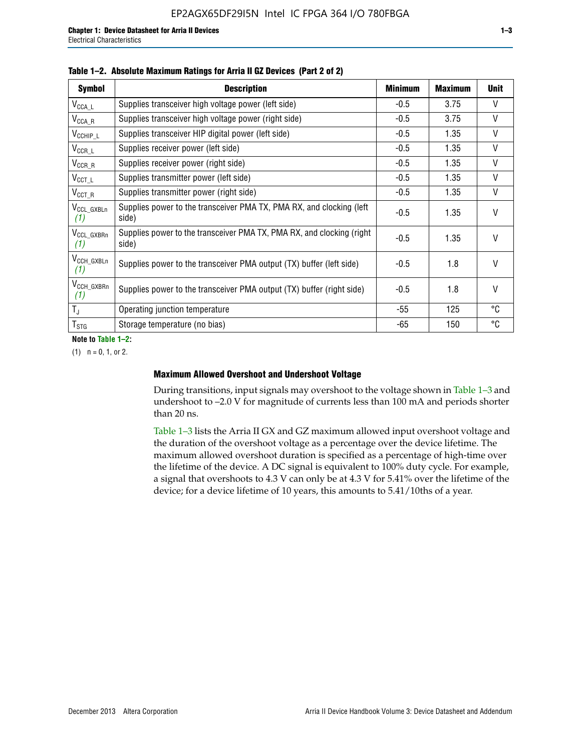| <b>Symbol</b>                 | <b>Description</b>                                                              | <b>Minimum</b> | <b>Maximum</b> | <b>Unit</b>  |
|-------------------------------|---------------------------------------------------------------------------------|----------------|----------------|--------------|
| $V_{\text{CCA}\_\text{L}}$    | Supplies transceiver high voltage power (left side)                             | $-0.5$         | 3.75           | V            |
| $V_{\text{CCA\_R}}$           | Supplies transceiver high voltage power (right side)                            | $-0.5$         | 3.75           | V            |
| $V_{CCHIP\_L}$                | Supplies transceiver HIP digital power (left side)                              | $-0.5$         | 1.35           | $\vee$       |
| $V_{CCR\_L}$                  | Supplies receiver power (left side)                                             | $-0.5$         | 1.35           | $\vee$       |
| $V_{CCR\_R}$                  | Supplies receiver power (right side)                                            | $-0.5$         | 1.35           | $\mathsf{V}$ |
| $V_{CCT\_L}$                  | Supplies transmitter power (left side)                                          | $-0.5$         | 1.35           | $\vee$       |
| $V_{CCT_R}$                   | Supplies transmitter power (right side)                                         | $-0.5$         | 1.35           | V            |
| V <sub>CCL</sub> GXBLn<br>(1) | Supplies power to the transceiver PMA TX, PMA RX, and clocking (left<br>side)   | $-0.5$         | 1.35           | $\vee$       |
| V <sub>CCL_GXBRn</sub><br>(1) | Supplies power to the transceiver PMA TX, PMA RX, and clocking (right)<br>side) | $-0.5$         | 1.35           | $\vee$       |
| V <sub>CCH_GXBLn</sub><br>(1) | Supplies power to the transceiver PMA output (TX) buffer (left side)            | -0.5           | 1.8            | $\mathsf{V}$ |
| V <sub>CCH_GXBRn</sub><br>(1) | Supplies power to the transceiver PMA output (TX) buffer (right side)           | -0.5           | 1.8            | $\mathsf{V}$ |
| $T_{\rm J}$                   | Operating junction temperature                                                  | -55            | 125            | °C           |
| $T_{\text{STG}}$              | Storage temperature (no bias)                                                   | -65            | 150            | ℃            |

**Note to Table 1–2:**

 $(1)$   $n = 0, 1,$  or 2.

### **Maximum Allowed Overshoot and Undershoot Voltage**

During transitions, input signals may overshoot to the voltage shown in Table 1–3 and undershoot to –2.0 V for magnitude of currents less than 100 mA and periods shorter than 20 ns.

Table 1–3 lists the Arria II GX and GZ maximum allowed input overshoot voltage and the duration of the overshoot voltage as a percentage over the device lifetime. The maximum allowed overshoot duration is specified as a percentage of high-time over the lifetime of the device. A DC signal is equivalent to 100% duty cycle. For example, a signal that overshoots to 4.3 V can only be at 4.3 V for 5.41% over the lifetime of the device; for a device lifetime of 10 years, this amounts to 5.41/10ths of a year.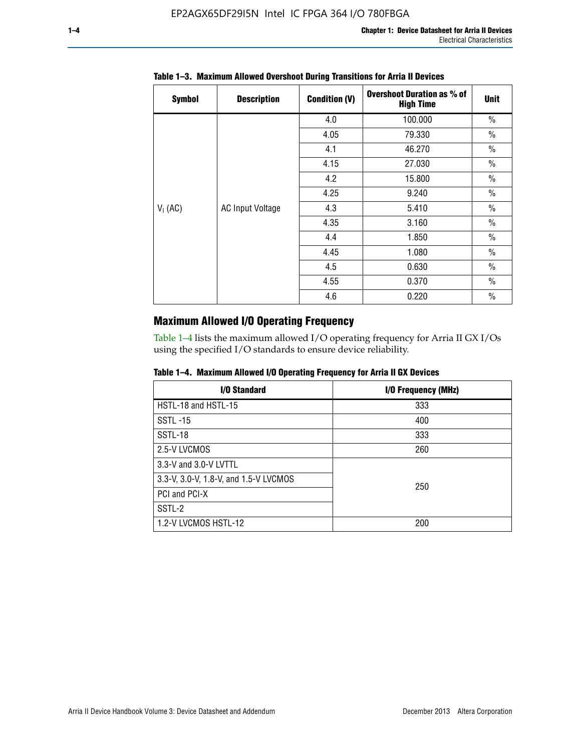| <b>Symbol</b> | <b>Description</b>      | <b>Condition (V)</b> | <b>Overshoot Duration as % of</b><br><b>High Time</b> | <b>Unit</b>   |
|---------------|-------------------------|----------------------|-------------------------------------------------------|---------------|
|               |                         | 4.0                  | 100.000                                               | $\frac{0}{0}$ |
|               |                         | 4.05                 | 79.330                                                | $\frac{0}{0}$ |
|               |                         | 4.1                  | 46.270                                                | $\frac{0}{0}$ |
|               |                         | 4.15                 | 27.030                                                | $\frac{0}{0}$ |
|               |                         | 4.2                  | 15.800                                                | $\frac{0}{0}$ |
|               |                         | 4.25                 | 9.240                                                 | $\frac{0}{0}$ |
| $V_1$ (AC)    | <b>AC Input Voltage</b> | 4.3                  | 5.410                                                 | $\frac{0}{0}$ |
|               |                         | 4.35                 | 3.160                                                 | $\frac{0}{0}$ |
|               |                         | 4.4                  | 1.850                                                 | $\frac{0}{0}$ |
|               |                         | 4.45                 | 1.080                                                 | $\frac{0}{0}$ |
|               |                         | 4.5                  | 0.630                                                 | $\frac{0}{0}$ |
|               |                         | 4.55                 | 0.370                                                 | $\frac{0}{0}$ |
|               |                         | 4.6                  | 0.220                                                 | $\frac{0}{0}$ |

# **Table 1–3. Maximum Allowed Overshoot During Transitions for Arria II Devices**

# **Maximum Allowed I/O Operating Frequency**

Table 1–4 lists the maximum allowed I/O operating frequency for Arria II GX I/Os using the specified I/O standards to ensure device reliability.

|  |  |  | Table 1–4. Maximum Allowed I/O Operating Frequency for Arria II GX Devices |
|--|--|--|----------------------------------------------------------------------------|
|--|--|--|----------------------------------------------------------------------------|

| I/O Standard                          | I/O Frequency (MHz) |
|---------------------------------------|---------------------|
| HSTL-18 and HSTL-15                   | 333                 |
| <b>SSTL-15</b>                        | 400                 |
| SSTL-18                               | 333                 |
| 2.5-V LVCMOS                          | 260                 |
| 3.3-V and 3.0-V LVTTL                 |                     |
| 3.3-V, 3.0-V, 1.8-V, and 1.5-V LVCMOS | 250                 |
| PCI and PCI-X                         |                     |
| SSTL-2                                |                     |
| 1.2-V LVCMOS HSTL-12                  | 200                 |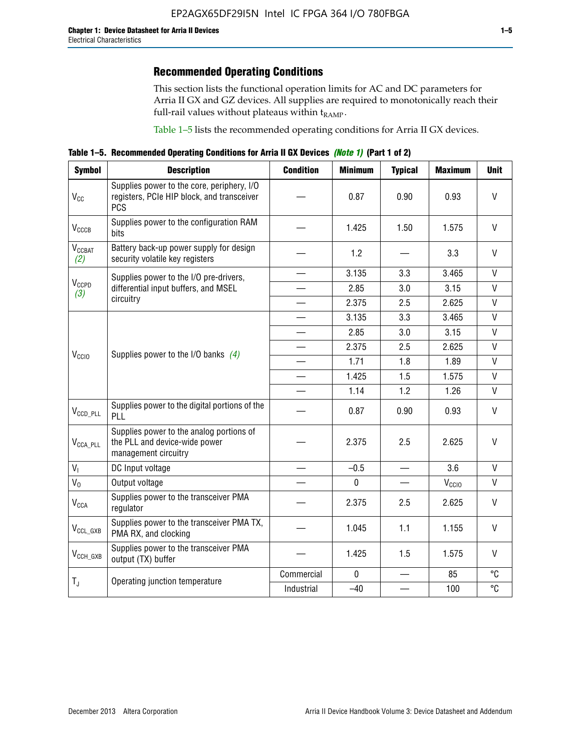This section lists the functional operation limits for AC and DC parameters for Arria II GX and GZ devices. All supplies are required to monotonically reach their full-rail values without plateaus within  $t_{RAMP}$ .

Table 1–5 lists the recommended operating conditions for Arria II GX devices.

**Table 1–5. Recommended Operating Conditions for Arria II GX Devices** *(Note 1)* **(Part 1 of 2)**

| <b>Symbol</b>             | <b>Description</b>                                                                                     | <b>Condition</b>         | <b>Minimum</b> | <b>Typical</b> | <b>Maximum</b>    | <b>Unit</b>  |
|---------------------------|--------------------------------------------------------------------------------------------------------|--------------------------|----------------|----------------|-------------------|--------------|
| $V_{CC}$                  | Supplies power to the core, periphery, I/O<br>registers, PCIe HIP block, and transceiver<br><b>PCS</b> |                          | 0.87           | 0.90           | 0.93              | V            |
| V <sub>CCCB</sub>         | Supplies power to the configuration RAM<br>bits                                                        |                          | 1.425          | 1.50           | 1.575             | $\mathsf{V}$ |
| $V_{\text{CGBAT}}$<br>(2) | Battery back-up power supply for design<br>security volatile key registers                             |                          | 1.2            |                | 3.3               | V            |
|                           | Supplies power to the I/O pre-drivers,                                                                 |                          | 3.135          | 3.3            | 3.465             | V            |
| V <sub>CCPD</sub><br>(3)  | differential input buffers, and MSEL                                                                   |                          | 2.85           | 3.0            | 3.15              | $\mathsf{V}$ |
|                           | circuitry                                                                                              | $\overline{\phantom{a}}$ | 2.375          | 2.5            | 2.625             | $\mathsf{V}$ |
|                           |                                                                                                        |                          | 3.135          | 3.3            | 3.465             | $\vee$       |
|                           | Supplies power to the I/O banks $(4)$                                                                  |                          | 2.85           | 3.0            | 3.15              | $\mathsf{V}$ |
|                           |                                                                                                        |                          | 2.375          | 2.5            | 2.625             | $\mathsf{V}$ |
| V <sub>CCIO</sub>         |                                                                                                        |                          | 1.71           | 1.8            | 1.89              | $\mathsf{V}$ |
|                           |                                                                                                        |                          | 1.425          | 1.5            | 1.575             | V            |
|                           |                                                                                                        |                          | 1.14           | 1.2            | 1.26              | $\mathsf{V}$ |
| $V_{CCD\_PLL}$            | Supplies power to the digital portions of the<br>PLL                                                   |                          | 0.87           | 0.90           | 0.93              | V            |
| $V_{\text{CCA\_PLL}}$     | Supplies power to the analog portions of<br>the PLL and device-wide power<br>management circuitry      |                          | 2.375          | 2.5            | 2.625             | $\mathsf{V}$ |
| $V_{I}$                   | DC Input voltage                                                                                       |                          | $-0.5$         |                | 3.6               | $\mathsf{V}$ |
| $V_0$                     | Output voltage                                                                                         |                          | $\mathbf 0$    |                | V <sub>CCIO</sub> | V            |
| <b>V<sub>CCA</sub></b>    | Supplies power to the transceiver PMA<br>regulator                                                     |                          | 2.375          | 2.5            | 2.625             | $\mathsf{V}$ |
| $\rm V_{CCL_GXB}$         | Supplies power to the transceiver PMA TX,<br>PMA RX, and clocking                                      |                          | 1.045          | 1.1            | 1.155             | V            |
| $V_{CCH_GXB}$             | Supplies power to the transceiver PMA<br>output (TX) buffer                                            |                          | 1.425          | 1.5            | 1.575             | V            |
| $T_{\rm J}$               |                                                                                                        | Commercial               | $\mathbf 0$    |                | 85                | °C           |
|                           | Operating junction temperature                                                                         | Industrial               | $-40$          |                | 100               | °C           |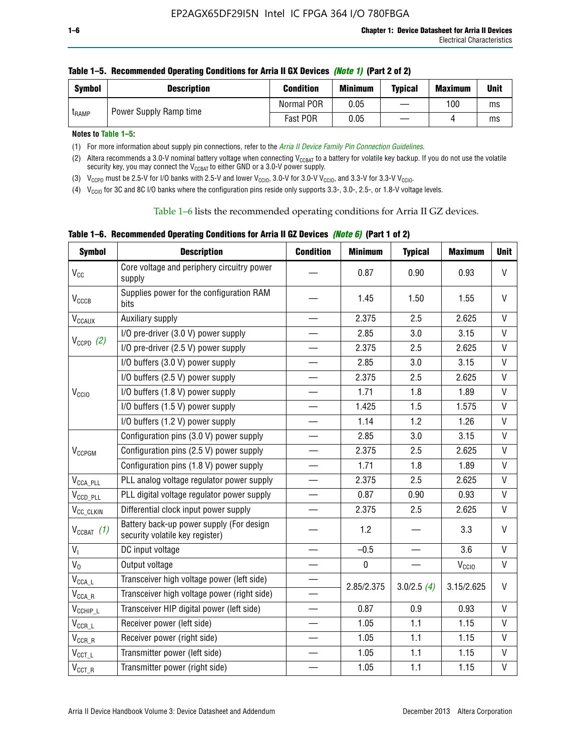| <b>Symbol</b> | <b>Description</b>     | <b>Condition</b> | <b>Minimum</b> | <b>Typical</b> | <b>Maximum</b> | <b>Unit</b> |
|---------------|------------------------|------------------|----------------|----------------|----------------|-------------|
| <b>LRAMP</b>  | Power Supply Ramp time | Normal POR       | 0.05           | —              | 100            | ms          |
|               |                        | Fast POR         | 0.05           |                |                | ms          |

| Table 1–5. Recommended Operating Conditions for Arria II GX Devices (Note 1) (Part 2 of 2) |  |  |  |
|--------------------------------------------------------------------------------------------|--|--|--|
|                                                                                            |  |  |  |

**Notes to Table 1–5:** 

(1) For more information about supply pin connections, refer to the *[Arria II Device Family Pin Connection Guidelines](http://www.altera.com/literature/dp/arria-ii-gx/PCG-01007.pdf)*.

(2) Altera recommends a 3.0-V nominal battery voltage when connecting V<sub>CCBAT</sub> to a battery for volatile key backup. If you do not use the volatile security key, you may connect the V<sub>CCBAT</sub> to either GND or a 3.0-V power supply.

(3)  $V_{CCPD}$  must be 2.5-V for I/O banks with 2.5-V and lower  $V_{CCIO}$ , 3.0-V for 3.0-V  $V_{CCIO}$ , and 3.3-V for 3.3-V  $V_{CCIO}$ .

(4)  $V_{\text{CCIO}}$  for 3C and 8C I/O banks where the configuration pins reside only supports 3.3-, 3.0-, 2.5-, or 1.8-V voltage levels.

Table 1–6 lists the recommended operating conditions for Arria II GZ devices.

**Table 1–6. Recommended Operating Conditions for Arria II GZ Devices** *(Note 6)* **(Part 1 of 2)**

| <b>Symbol</b>                  | <b>Description</b>                                                          | <b>Condition</b>         | <b>Minimum</b> | <b>Typical</b> | <b>Maximum</b>    | <b>Unit</b>  |
|--------------------------------|-----------------------------------------------------------------------------|--------------------------|----------------|----------------|-------------------|--------------|
| $V_{CC}$                       | Core voltage and periphery circuitry power<br>supply                        |                          | 0.87           | 0.90           | 0.93              | V            |
| V <sub>CCCB</sub>              | Supplies power for the configuration RAM<br>bits                            |                          | 1.45           | 1.50           | 1.55              | $\vee$       |
| $\mathsf{V}_{\texttt{CCAUX}}$  | Auxiliary supply                                                            |                          | 2.375          | 2.5            | 2.625             | V            |
|                                | I/O pre-driver (3.0 V) power supply                                         |                          | 2.85           | 3.0            | 3.15              | $\mathsf{V}$ |
| $V_{CCPD}$ (2)                 | I/O pre-driver (2.5 V) power supply                                         |                          | 2.375          | 2.5            | 2.625             | $\mathsf{V}$ |
|                                | I/O buffers (3.0 V) power supply                                            |                          | 2.85           | 3.0            | 3.15              | V            |
|                                | I/O buffers (2.5 V) power supply                                            |                          | 2.375          | 2.5            | 2.625             | V            |
| V <sub>CCIO</sub>              | I/O buffers (1.8 V) power supply                                            |                          | 1.71           | 1.8            | 1.89              | V            |
|                                | I/O buffers (1.5 V) power supply                                            |                          | 1.425          | 1.5            | 1.575             | V            |
|                                | I/O buffers (1.2 V) power supply                                            |                          | 1.14           | 1.2            | 1.26              | $\mathsf{V}$ |
|                                | Configuration pins (3.0 V) power supply                                     |                          | 2.85           | 3.0            | 3.15              | V            |
| V <sub>CCPGM</sub>             | Configuration pins (2.5 V) power supply                                     |                          | 2.375          | 2.5            | 2.625             | $\vee$       |
|                                | Configuration pins (1.8 V) power supply                                     | $\qquad \qquad$          | 1.71           | 1.8            | 1.89              | $\mathsf{V}$ |
| $V_{\text{CCA\_PLL}}$          | PLL analog voltage regulator power supply                                   |                          | 2.375          | 2.5            | 2.625             | $\vee$       |
| $V_{CCD\_PLL}$                 | PLL digital voltage regulator power supply                                  |                          | 0.87           | 0.90           | 0.93              | $\mathsf{V}$ |
| V <sub>CC_CLKIN</sub>          | Differential clock input power supply                                       |                          | 2.375          | 2.5            | 2.625             | V            |
| $V_{CCBAT}$ (1)                | Battery back-up power supply (For design<br>security volatile key register) |                          | 1.2            |                | 3.3               | V            |
| $V_{I}$                        | DC input voltage                                                            |                          | $-0.5$         |                | 3.6               | $\mathsf{V}$ |
| $V_0$                          | Output voltage                                                              |                          | $\pmb{0}$      |                | V <sub>CCIO</sub> | $\mathsf{V}$ |
| $\mathsf{V}_\mathsf{CCA\_L}$   | Transceiver high voltage power (left side)                                  | $\overline{\phantom{0}}$ | 2.85/2.375     | 3.0/2.5(4)     | 3.15/2.625        | V            |
| $\mathsf{V}_{\mathsf{CCA\_R}}$ | Transceiver high voltage power (right side)                                 |                          |                |                |                   |              |
| $V_{CCHIP\_L}$                 | Transceiver HIP digital power (left side)                                   |                          | 0.87           | 0.9            | 0.93              | V            |
| $\mathsf{V}_{\texttt{CCR\_L}}$ | Receiver power (left side)                                                  |                          | 1.05           | 1.1            | 1.15              | V            |
| $\mathsf{V}_{\mathsf{CCR\_R}}$ | Receiver power (right side)                                                 |                          | 1.05           | 1.1            | 1.15              | V            |
| $V_{CCT\_L}$                   | Transmitter power (left side)                                               |                          | 1.05           | 1.1            | 1.15              | $\mathsf{V}$ |
| $\mathsf{V}_{\mathsf{CCT\_R}}$ | Transmitter power (right side)                                              |                          | 1.05           | 1.1            | 1.15              | $\mathsf{V}$ |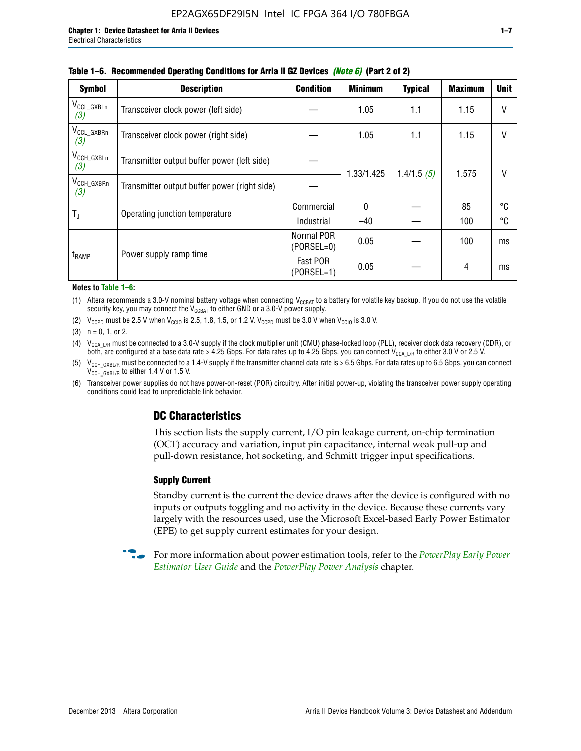| <b>Symbol</b>                 | <b>Description</b>                           | <b>Condition</b>           | <b>Minimum</b> | <b>Typical</b> | <b>Maximum</b> | <b>Unit</b> |
|-------------------------------|----------------------------------------------|----------------------------|----------------|----------------|----------------|-------------|
| $V_{CCL_GXBLn}$<br>(3)        | Transceiver clock power (left side)          |                            | 1.05           | 1.1            | 1.15           | $\vee$      |
| V <sub>CCL_GXBRn</sub><br>(3) | Transceiver clock power (right side)         |                            | 1.05           | 1.1            | 1.15           | $\vee$      |
| $V_{\text{CCH_GXBLn}}$<br>(3) | Transmitter output buffer power (left side)  |                            | 1.33/1.425     | 1.4/1.5(5)     | 1.575          | V           |
| $V_{CCH_GXBRn}$<br>(3)        | Transmitter output buffer power (right side) |                            |                |                |                |             |
| T,                            | Operating junction temperature               | Commercial                 | $\mathbf{0}$   |                | 85             | °C          |
|                               |                                              | Industrial                 | $-40$          |                | 100            | °C          |
| t <sub>RAMP</sub>             | Power supply ramp time                       | Normal POR<br>$(PORSEL=0)$ | 0.05           |                | 100            | ms          |
|                               |                                              | Fast POR<br>$(PORSEL=1)$   | 0.05           |                | 4              | ms          |

#### **Table 1–6. Recommended Operating Conditions for Arria II GZ Devices** *(Note 6)* **(Part 2 of 2)**

#### **Notes to Table 1–6:**

(1) Altera recommends a 3.0-V nominal battery voltage when connecting  $V_{CCBAT}$  to a battery for volatile key backup. If you do not use the volatile security key, you may connect the  $V_{\text{CCBAT}}$  to either GND or a 3.0-V power supply.

(2)  $V_{CCPD}$  must be 2.5 V when  $V_{CCIO}$  is 2.5, 1.8, 1.5, or 1.2 V.  $V_{CCPD}$  must be 3.0 V when  $V_{CCIO}$  is 3.0 V.

(3)  $n = 0, 1, or 2$ .

(4)  $V_{CCA~LR}$  must be connected to a 3.0-V supply if the clock multiplier unit (CMU) phase-locked loop (PLL), receiver clock data recovery (CDR), or both, are configured at a base data rate > 4.25 Gbps. For data rates up to 4.25 Gbps, you can connect V<sub>CCA L/R</sub> to either 3.0 V or 2.5 V.

(5)  $V_{\text{CCH\_GXBL/R}}$  must be connected to a 1.4-V supply if the transmitter channel data rate is > 6.5 Gbps. For data rates up to 6.5 Gbps, you can connect V<sub>CCH\_GXBL/R</sub> to either 1.4 V or 1.5 V.

(6) Transceiver power supplies do not have power-on-reset (POR) circuitry. After initial power-up, violating the transceiver power supply operating conditions could lead to unpredictable link behavior.

# **DC Characteristics**

This section lists the supply current, I/O pin leakage current, on-chip termination (OCT) accuracy and variation, input pin capacitance, internal weak pull-up and pull-down resistance, hot socketing, and Schmitt trigger input specifications.

### **Supply Current**

Standby current is the current the device draws after the device is configured with no inputs or outputs toggling and no activity in the device. Because these currents vary largely with the resources used, use the Microsoft Excel-based Early Power Estimator (EPE) to get supply current estimates for your design.

**For more information about power estimation tools, refer to the** *PowerPlay Early Power* **<b>Formation** *[Estimator User Guide](http://www.altera.com/literature/ug/ug_epe.pdf
)* and the *[PowerPlay Power Analysis](http://www.altera.com/literature/hb/qts/qts_qii53013.pdf)* chapter.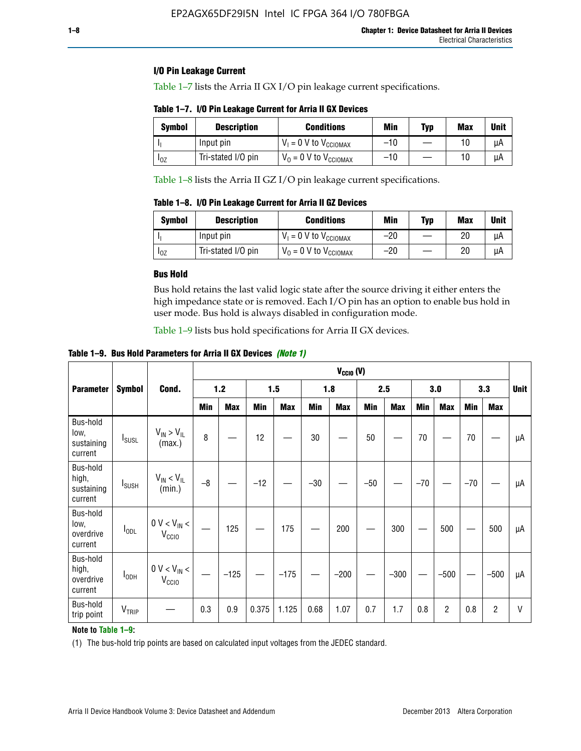# **I/O Pin Leakage Current**

Table 1–7 lists the Arria II GX I/O pin leakage current specifications.

**Table 1–7. I/O Pin Leakage Current for Arria II GX Devices**

| <b>Symbol</b>          | <b>Description</b> | <b>Conditions</b>                   | Min   | Typ | Max | <b>Unit</b> |
|------------------------|--------------------|-------------------------------------|-------|-----|-----|-------------|
|                        | Input pin          | $V_1 = 0$ V to $V_{\text{CCIOMAX}}$ | $-10$ |     |     | uА          |
| <b>I</b> <sub>OZ</sub> | Tri-stated I/O pin | $V_0 = 0$ V to $V_{\text{CCIOMAX}}$ | $-10$ |     |     | uА          |

Table 1–8 lists the Arria II GZ I/O pin leakage current specifications.

**Table 1–8. I/O Pin Leakage Current for Arria II GZ Devices**

| Symbol | <b>Description</b> | <b>Conditions</b>                   | Min   | Typ | Max | Unit |
|--------|--------------------|-------------------------------------|-------|-----|-----|------|
|        | Input pin          | $V_1 = 0$ V to $V_{\text{CCIOMAX}}$ | $-20$ |     | 20  | uА   |
| 10Z    | Tri-stated I/O pin | $V_0 = 0$ V to $V_{\text{CCIOMAX}}$ | $-20$ |     | 20  | μA   |

# **Bus Hold**

Bus hold retains the last valid logic state after the source driving it either enters the high impedance state or is removed. Each I/O pin has an option to enable bus hold in user mode. Bus hold is always disabled in configuration mode.

Table 1–9 lists bus hold specifications for Arria II GX devices.

**Table 1–9. Bus Hold Parameters for Arria II GX Devices** *(Note 1)*

| $V_{CClO}$ (V)                             |                          |                                                  |      |            |       |            |       |            |       |            |       |                |       |            |    |
|--------------------------------------------|--------------------------|--------------------------------------------------|------|------------|-------|------------|-------|------------|-------|------------|-------|----------------|-------|------------|----|
| <b>Parameter</b>                           | <b>Symbol</b>            | Cond.                                            |      | $1.2$      |       | 1.5        |       | 1.8        |       | 2.5        |       | 3.0            |       | 3.3        |    |
|                                            |                          |                                                  | Min  | <b>Max</b> | Min   | <b>Max</b> | Min   | <b>Max</b> | Min   | <b>Max</b> | Min   | <b>Max</b>     | Min   | <b>Max</b> |    |
| Bus-hold<br>low,<br>sustaining<br>current  | <b>I</b> <sub>SUSL</sub> | $V_{IN}$ > $V_{IL}$<br>(max.)                    | 8    |            | 12    |            | 30    |            | 50    |            | 70    |                | 70    |            | μA |
| Bus-hold<br>high,<br>sustaining<br>current | I <sub>SUSH</sub>        | $V_{IN}$ < $V_{IL}$<br>(min.)                    | $-8$ |            | $-12$ |            | $-30$ |            | $-50$ |            | $-70$ |                | $-70$ |            | μA |
| Bus-hold<br>low,<br>overdrive<br>current   | $I_{ODL}$                | $0 V < V_{IN} <$<br>V <sub>CCIO</sub>            |      | 125        |       | 175        |       | 200        |       | 300        |       | 500            |       | 500        | μA |
| Bus-hold<br>high,<br>overdrive<br>current  | $I_{ODH}$                | $0$ V $<$ V $_{\rm IN}$ $<$<br>V <sub>CCIO</sub> |      | $-125$     |       | $-175$     |       | $-200$     |       | $-300$     |       | $-500$         |       | $-500$     | μA |
| Bus-hold<br>trip point                     | VTRIP                    |                                                  | 0.3  | 0.9        | 0.375 | 1.125      | 0.68  | 1.07       | 0.7   | 1.7        | 0.8   | $\overline{c}$ | 0.8   | 2          | V  |

## **Note to Table 1–9:**

(1) The bus-hold trip points are based on calculated input voltages from the JEDEC standard.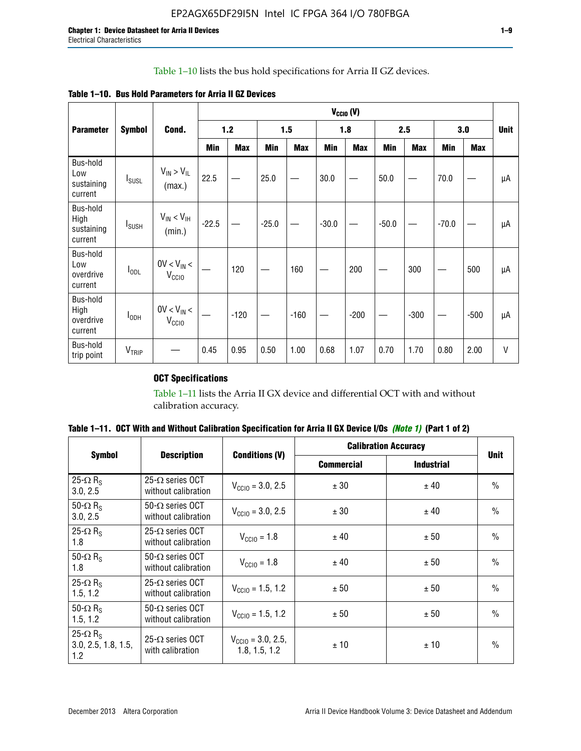# Table 1–10 lists the bus hold specifications for Arria II GZ devices.

**Table 1–10. Bus Hold Parameters for Arria II GZ Devices**

|                                           | $V_{CClO}$ (V)    |                                      |            |            |            |            |         |            |         |            |         |            |              |
|-------------------------------------------|-------------------|--------------------------------------|------------|------------|------------|------------|---------|------------|---------|------------|---------|------------|--------------|
| <b>Parameter</b>                          | <b>Symbol</b>     | Cond.                                |            | 1.2        |            | 1.5        |         | 1.8        |         | 2.5        |         | 3.0        | <b>Unit</b>  |
|                                           |                   |                                      | <b>Min</b> | <b>Max</b> | <b>Min</b> | <b>Max</b> | Min     | <b>Max</b> | Min     | <b>Max</b> | Min     | <b>Max</b> |              |
| Bus-hold<br>Low<br>sustaining<br>current  | $I_{SUSL}$        | $V_{IN} > V_{IL}$<br>(max.)          | 22.5       |            | 25.0       |            | 30.0    |            | 50.0    |            | 70.0    |            | μA           |
| Bus-hold<br>High<br>sustaining<br>current | $I_{\text{SUSH}}$ | $V_{IN}$ < $V_{IH}$<br>(min.)        | $-22.5$    |            | $-25.0$    |            | $-30.0$ |            | $-50.0$ |            | $-70.0$ |            | μA           |
| Bus-hold<br>Low<br>overdrive<br>current   | $I_{ODL}$         | $0V < V_{IN}$ <<br>V <sub>CCIO</sub> |            | 120        |            | 160        |         | 200        |         | 300        |         | 500        | μA           |
| Bus-hold<br>High<br>overdrive<br>current  | $I_{ODH}$         | $0V < V_{IN} <$<br>V <sub>CCIO</sub> |            | $-120$     |            | $-160$     |         | $-200$     |         | $-300$     |         | $-500$     | μA           |
| Bus-hold<br>trip point                    | $V_{TRIP}$        |                                      | 0.45       | 0.95       | 0.50       | 1.00       | 0.68    | 1.07       | 0.70    | 1.70       | 0.80    | 2.00       | $\mathsf{V}$ |

# **OCT Specifications**

Table 1–11 lists the Arria II GX device and differential OCT with and without calibration accuracy.

| Table 1–11. OCT With and Without Calibration Specification for Arria II GX Device I/Os (Note 1) (Part 1 of 2) |  |  |  |  |  |
|---------------------------------------------------------------------------------------------------------------|--|--|--|--|--|
|---------------------------------------------------------------------------------------------------------------|--|--|--|--|--|

|                                                           | <b>Description</b>                              |                                                |                   | <b>Calibration Accuracy</b> | <b>Unit</b>   |  |
|-----------------------------------------------------------|-------------------------------------------------|------------------------------------------------|-------------------|-----------------------------|---------------|--|
| <b>Symbol</b>                                             |                                                 | <b>Conditions (V)</b>                          | <b>Commercial</b> | <b>Industrial</b>           |               |  |
| 25- $\Omega$ R <sub>s</sub><br>3.0, 2.5                   | 25- $\Omega$ series OCT<br>without calibration  | $V_{\text{CC10}} = 3.0, 2.5$                   | ± 30              | ± 40                        | $\frac{0}{0}$ |  |
| 50- $\Omega$ R <sub>s</sub><br>3.0, 2.5                   | $50-\Omega$ series OCT<br>without calibration   | $V_{\text{CC10}} = 3.0, 2.5$                   | ± 30              | ± 40                        | $\frac{0}{0}$ |  |
| 25- $\Omega$ R <sub>S</sub><br>1.8                        | 25- $\Omega$ series OCT<br>without calibration  | $V_{\text{CCI0}} = 1.8$                        | ± 40              | ± 50                        | $\frac{0}{0}$ |  |
| 50- $\Omega$ R <sub>s</sub><br>1.8                        | $50-\Omega$ series OCT<br>without calibration   | $V_{\text{CC10}} = 1.8$                        | ± 40              | ± 50                        | $\frac{0}{0}$ |  |
| 25- $\Omega$ R <sub>s</sub><br>1.5, 1.2                   | 25- $\Omega$ series OCT<br>without calibration  | $V_{CCD} = 1.5, 1.2$                           | ± 50              | ± 50                        | $\frac{0}{0}$ |  |
| 50- $\Omega$ R <sub>s</sub><br>1.5, 1.2                   | $50 - \Omega$ series OCT<br>without calibration | $V_{\text{CC10}} = 1.5, 1.2$                   | ± 50              | ± 50                        | $\frac{0}{0}$ |  |
| 25- $\Omega$ R <sub>S</sub><br>3.0, 2.5, 1.8, 1.5,<br>1.2 | 25- $\Omega$ series OCT<br>with calibration     | $V_{\text{CC10}} = 3.0, 2.5,$<br>1.8, 1.5, 1.2 | ±10               | ±10                         | $\frac{0}{0}$ |  |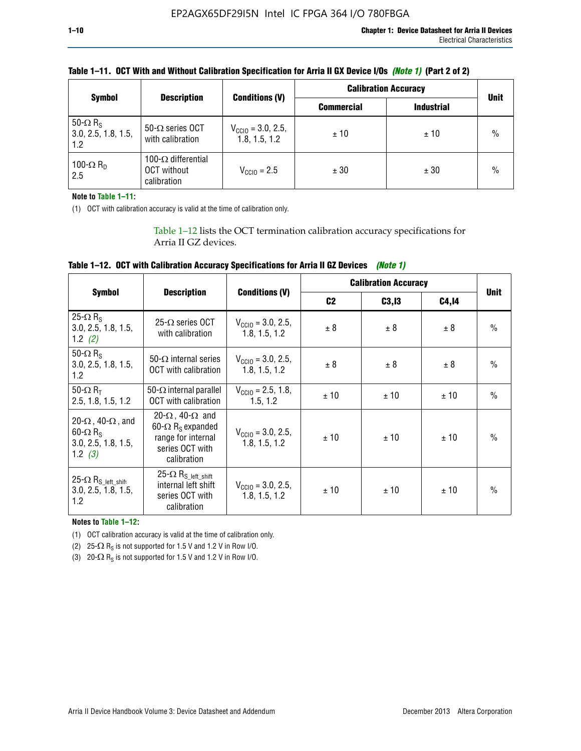| <b>Symbol</b>                                             | <b>Description</b>                                              | <b>Conditions (V)</b>                          | <b>Calibration Accuracy</b> |                   |             |
|-----------------------------------------------------------|-----------------------------------------------------------------|------------------------------------------------|-----------------------------|-------------------|-------------|
|                                                           |                                                                 |                                                | <b>Commercial</b>           | <b>Industrial</b> | <b>Unit</b> |
| 50- $\Omega$ R <sub>S</sub><br>3.0, 2.5, 1.8, 1.5,<br>1.2 | 50- $\Omega$ series OCT<br>with calibration                     | $V_{\text{CC10}} = 3.0, 2.5,$<br>1.8, 1.5, 1.2 | ±10                         | ±10               | $\%$        |
| 100- $\Omega$ R <sub>D</sub><br>2.5                       | 100- $\Omega$ differential<br><b>OCT</b> without<br>calibration | $V_{\text{CCIQ}} = 2.5$                        | ± 30                        | ± 30              | $\%$        |

# **Table 1–11. OCT With and Without Calibration Specification for Arria II GX Device I/Os** *(Note 1)* **(Part 2 of 2)**

**Note to Table 1–11:**

(1) OCT with calibration accuracy is valid at the time of calibration only.

Table 1–12 lists the OCT termination calibration accuracy specifications for Arria II GZ devices.

| Table 1–12. OCT with Calibration Accuracy Specifications for Arria II GZ Devices (Note 1) |  |  |  |  |
|-------------------------------------------------------------------------------------------|--|--|--|--|
|-------------------------------------------------------------------------------------------|--|--|--|--|

|                                                                                                       | <b>Description</b>                                                                                                              |                                                | <b>Calibration Accuracy</b> |        | <b>Unit</b> |               |
|-------------------------------------------------------------------------------------------------------|---------------------------------------------------------------------------------------------------------------------------------|------------------------------------------------|-----------------------------|--------|-------------|---------------|
| <b>Symbol</b>                                                                                         |                                                                                                                                 | <b>Conditions (V)</b>                          | C <sub>2</sub>              | C3, I3 | C4,14       |               |
| 25- $\Omega$ R <sub>s</sub><br>3.0, 2.5, 1.8, 1.5,<br>1.2 $(2)$                                       | $25-\Omega$ series OCT<br>with calibration                                                                                      | $V_{CGI0} = 3.0, 2.5,$<br>1.8, 1.5, 1.2        | ± 8                         | ± 8    | ± 8         | $\frac{0}{0}$ |
| 50- $\Omega$ R <sub>s</sub><br>3.0, 2.5, 1.8, 1.5,<br>1.2                                             | 50- $\Omega$ internal series<br>OCT with calibration                                                                            | $V_{\text{CC10}} = 3.0, 2.5,$<br>1.8, 1.5, 1.2 | ± 8                         | ± 8    | ± 8         | $\frac{0}{0}$ |
| 50- $\Omega$ R <sub>T</sub><br>2.5, 1.8, 1.5, 1.2                                                     | 50- $\Omega$ internal parallel<br><b>OCT</b> with calibration                                                                   | $V_{\text{CC10}} = 2.5, 1.8,$<br>1.5.1.2       | ± 10                        | ± 10   | ± 10        | $\frac{0}{0}$ |
| 20- $\Omega$ , 40- $\Omega$ , and<br>$60 - \Omega$ R <sub>S</sub><br>3.0, 2.5, 1.8, 1.5,<br>1.2 $(3)$ | 20- $\Omega$ , 40- $\Omega$ and<br>60- $\Omega$ R <sub>s</sub> expanded<br>range for internal<br>series OCT with<br>calibration | $V_{\text{CC10}} = 3.0, 2.5,$<br>1.8, 1.5, 1.2 | ± 10                        | ± 10   | ± 10        | $\frac{0}{0}$ |
| 25- $\Omega$ R <sub>S</sub> left_shift<br>3.0, 2.5, 1.8, 1.5,<br>1.2                                  | $25-\Omega R_{S\_left\_shift}$<br>internal left shift<br>series OCT with<br>calibration                                         | $V_{\text{CC10}} = 3.0, 2.5,$<br>1.8, 1.5, 1.2 | ± 10                        | ± 10   | ± 10        | $\frac{0}{0}$ |

**Notes to Table 1–12:**

(1) OCT calibration accuracy is valid at the time of calibration only.

(2) 25- $\Omega$  R<sub>S</sub> is not supported for 1.5 V and 1.2 V in Row I/O.

(3)  $20-\Omega$  R<sub>S</sub> is not supported for 1.5 V and 1.2 V in Row I/O.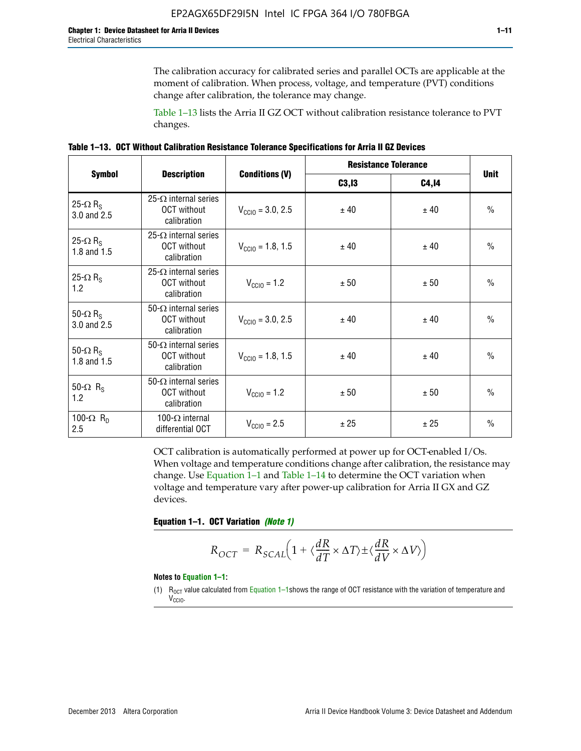The calibration accuracy for calibrated series and parallel OCTs are applicable at the moment of calibration. When process, voltage, and temperature (PVT) conditions change after calibration, the tolerance may change.

Table 1–13 lists the Arria II GZ OCT without calibration resistance tolerance to PVT changes.

|  | Table 1–13. OCT Without Calibration Resistance Tolerance Specifications for Arria II GZ Devices |  |  |  |
|--|-------------------------------------------------------------------------------------------------|--|--|--|
|--|-------------------------------------------------------------------------------------------------|--|--|--|

|                                            |                                                                   |                              | <b>Resistance Tolerance</b> |              | <b>Unit</b>   |  |
|--------------------------------------------|-------------------------------------------------------------------|------------------------------|-----------------------------|--------------|---------------|--|
| <b>Symbol</b>                              | <b>Description</b>                                                | <b>Conditions (V)</b>        | C3, I3                      | <b>C4,14</b> |               |  |
| 25- $\Omega$ R <sub>S</sub><br>3.0 and 2.5 | $25-\Omega$ internal series<br><b>OCT</b> without<br>calibration  | $V_{\text{CC10}} = 3.0, 2.5$ | ± 40                        | ± 40         | $\frac{0}{0}$ |  |
| 25- $\Omega$ R <sub>S</sub><br>1.8 and 1.5 | 25- $\Omega$ internal series<br><b>OCT</b> without<br>calibration | $V_{CGI0} = 1.8, 1.5$        | ± 40                        | ± 40         | $\frac{0}{0}$ |  |
| 25- $\Omega$ R <sub>S</sub><br>1.2         | 25- $\Omega$ internal series<br><b>OCT</b> without<br>calibration | $V_{\text{CC10}} = 1.2$      | ± 50                        | ± 50         | $\frac{0}{0}$ |  |
| 50- $\Omega$ R <sub>S</sub><br>3.0 and 2.5 | $50-\Omega$ internal series<br><b>OCT</b> without<br>calibration  | $V_{\text{CC10}} = 3.0, 2.5$ | ± 40                        | ± 40         | $\frac{0}{0}$ |  |
| 50- $\Omega$ R <sub>S</sub><br>1.8 and 1.5 | 50- $\Omega$ internal series<br><b>OCT</b> without<br>calibration | $V_{\text{CC10}} = 1.8, 1.5$ | ± 40                        | ± 40         | $\frac{0}{0}$ |  |
| 50- $\Omega$ R <sub>s</sub><br>1.2         | 50- $\Omega$ internal series<br><b>OCT</b> without<br>calibration | $V_{\text{CC10}} = 1.2$      | ± 50                        | ± 50         | $\frac{0}{0}$ |  |
| 100- $\Omega$ R <sub>D</sub><br>2.5        | 100- $\Omega$ internal<br>differential OCT                        | $V_{\text{CC10}} = 2.5$      | ± 25                        | ± 25         | $\frac{0}{0}$ |  |

OCT calibration is automatically performed at power up for OCT-enabled I/Os. When voltage and temperature conditions change after calibration, the resistance may change. Use Equation 1–1 and Table 1–14 to determine the OCT variation when voltage and temperature vary after power-up calibration for Arria II GX and GZ devices.

**Equation 1–1. OCT Variation** *(Note 1)*

$$
R_{OCT} = R_{SCAL} \Big( 1 + \langle \frac{dR}{dT} \times \Delta T \rangle \pm \langle \frac{dR}{dV} \times \Delta V \rangle \Big)
$$

#### **Notes to Equation 1–1:**

(1)  $R_{OCT}$  value calculated from Equation 1–1shows the range of OCT resistance with the variation of temperature and V<sub>CCIO</sub>.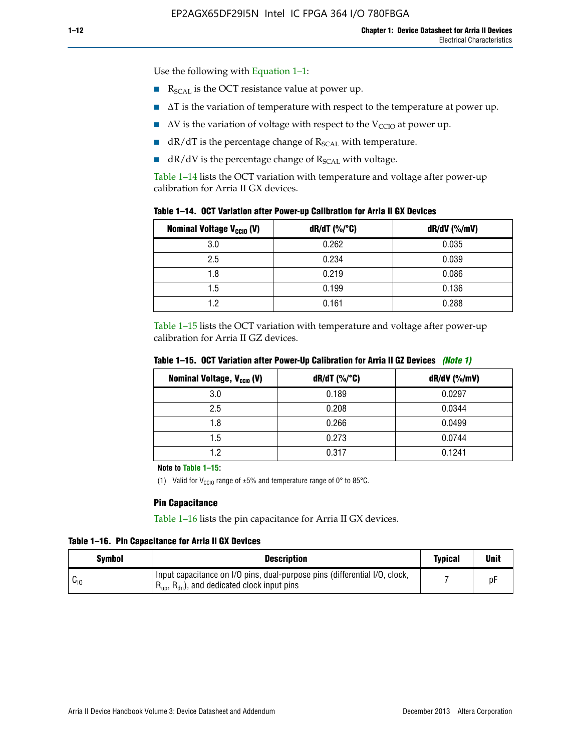Use the following with Equation 1–1:

- $\blacksquare$  R<sub>SCAL</sub> is the OCT resistance value at power up.
- $\blacksquare$   $\Delta T$  is the variation of temperature with respect to the temperature at power up.
- $\blacksquare$   $\Delta V$  is the variation of voltage with respect to the V<sub>CCIO</sub> at power up.
- $\blacksquare$  dR/dT is the percentage change of  $R_{\text{SCAL}}$  with temperature.
- $\blacksquare$  dR/dV is the percentage change of R<sub>SCAL</sub> with voltage.

Table 1–14 lists the OCT variation with temperature and voltage after power-up calibration for Arria II GX devices.

| <b>Nominal Voltage V<sub>CCIO</sub> (V)</b> | $dR/dT$ (%/°C) | dR/dV (%/mV) |
|---------------------------------------------|----------------|--------------|
| 3.0                                         | 0.262          | 0.035        |
| 2.5                                         | 0.234          | 0.039        |
| 1.8                                         | 0.219          | 0.086        |
| 1.5                                         | 0.199          | 0.136        |
| 1.2                                         | 0.161          | 0.288        |

Table 1–15 lists the OCT variation with temperature and voltage after power-up calibration for Arria II GZ devices.

| <b>Nominal Voltage, V<sub>ccio</sub> (V)</b> | $dR/dT$ (%/°C) | dR/dV (%/mV) |
|----------------------------------------------|----------------|--------------|
| 3.0                                          | 0.189          | 0.0297       |
| 2.5                                          | 0.208          | 0.0344       |
| 1.8                                          | 0.266          | 0.0499       |
| 1.5                                          | 0.273          | 0.0744       |
| 19                                           | 0.317          | 0.1241       |

**Table 1–15. OCT Variation after Power-Up Calibration for Arria II GZ Devices** *(Note 1)*

**Note to Table 1–15:**

(1) Valid for V<sub>CCIO</sub> range of  $\pm 5\%$  and temperature range of 0° to 85°C.

### **Pin Capacitance**

Table 1–16 lists the pin capacitance for Arria II GX devices.

**Table 1–16. Pin Capacitance for Arria II GX Devices**

| Symbol   | <b>Description</b>                                                                                                                               | <b>Typical</b> | <b>Unit</b> |
|----------|--------------------------------------------------------------------------------------------------------------------------------------------------|----------------|-------------|
| $v_{10}$ | Input capacitance on I/O pins, dual-purpose pins (differential I/O, clock,<br>$R_{\text{up}}$ , $R_{\text{dn}}$ , and dedicated clock input pins |                | D۲          |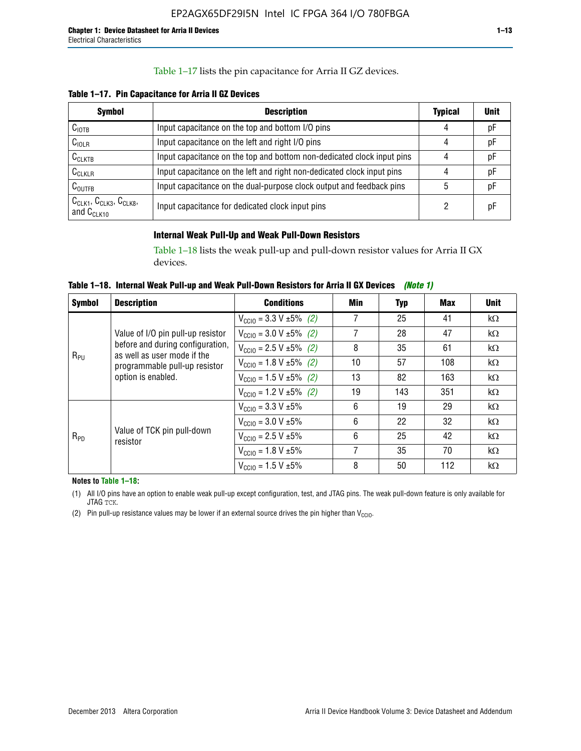# Table 1–17 lists the pin capacitance for Arria II GZ devices.

**Table 1–17. Pin Capacitance for Arria II GZ Devices** 

| <b>Symbol</b>                                    | <b>Description</b>                                                     | <b>Typical</b> | <b>Unit</b> |
|--------------------------------------------------|------------------------------------------------------------------------|----------------|-------------|
| $C_{\text{IOTB}}$                                | Input capacitance on the top and bottom I/O pins                       | 4              | pF          |
| C <sub>IOLR</sub>                                | Input capacitance on the left and right I/O pins                       | 4              | pF          |
| $C_{CLKTB}$                                      | Input capacitance on the top and bottom non-dedicated clock input pins |                | рF          |
| $C_{CLKLR}$                                      | Input capacitance on the left and right non-dedicated clock input pins |                | pF          |
| $C_{\text{OUTFB}}$                               | Input capacitance on the dual-purpose clock output and feedback pins   | 5              | pF          |
| $CCLK1$ , $CCLK3$ , $CCLK8$ ,<br>and $C_{CLK10}$ | Input capacitance for dedicated clock input pins                       |                | рF          |

# **Internal Weak Pull-Up and Weak Pull-Down Resistors**

Table 1–18 lists the weak pull-up and pull-down resistor values for Arria II GX devices.

**Table 1–18. Internal Weak Pull-up and Weak Pull-Down Resistors for Arria II GX Devices** *(Note 1)* 

| <b>Symbol</b> | <b>Description</b>                                                                                                     | <b>Conditions</b>                             | Min | Typ | Max | <b>Unit</b> |
|---------------|------------------------------------------------------------------------------------------------------------------------|-----------------------------------------------|-----|-----|-----|-------------|
|               |                                                                                                                        | $V_{\text{CC10}} = 3.3 \text{ V} \pm 5\%$ (2) | 7   | 25  | 41  | $k\Omega$   |
| $R_{PU}$      | Value of I/O pin pull-up resistor                                                                                      | $V_{\text{CC10}} = 3.0 V \pm 5\%$ (2)         | 7   | 28  | 47  | $k\Omega$   |
|               | before and during configuration,<br>as well as user mode if the<br>programmable pull-up resistor<br>option is enabled. | $V_{\text{CC10}} = 2.5 V \pm 5\%$ (2)         | 8   | 35  | 61  | $k\Omega$   |
|               |                                                                                                                        | $V_{\text{CC10}} = 1.8 \text{ V} \pm 5\%$ (2) | 10  | 57  | 108 | $k\Omega$   |
|               |                                                                                                                        | $V_{\text{CC10}} = 1.5 \text{ V} \pm 5\%$ (2) | 13  | 82  | 163 | $k\Omega$   |
|               |                                                                                                                        | $V_{\text{CC10}} = 1.2 V \pm 5\%$ (2)         | 19  | 143 | 351 | $k\Omega$   |
| $R_{PD}$      |                                                                                                                        | $V_{\text{CC10}} = 3.3 \text{ V} \pm 5\%$     | 6   | 19  | 29  | $k\Omega$   |
|               |                                                                                                                        | $V_{\text{CC10}} = 3.0 V \pm 5\%$             | 6   | 22  | 32  | $k\Omega$   |
|               | Value of TCK pin pull-down<br>resistor                                                                                 | $V_{\text{CC10}} = 2.5 V \pm 5\%$             | 6   | 25  | 42  | $k\Omega$   |
|               |                                                                                                                        | $V_{\text{CC10}} = 1.8 V \pm 5\%$             | 7   | 35  | 70  | $k\Omega$   |
|               |                                                                                                                        | $V_{\text{CC10}} = 1.5 V \pm 5\%$             | 8   | 50  | 112 | $k\Omega$   |

**Notes to Table 1–18:**

(1) All I/O pins have an option to enable weak pull-up except configuration, test, and JTAG pins. The weak pull-down feature is only available for JTAG TCK.

(2) Pin pull-up resistance values may be lower if an external source drives the pin higher than  $V_{\text{CCIO}}$ .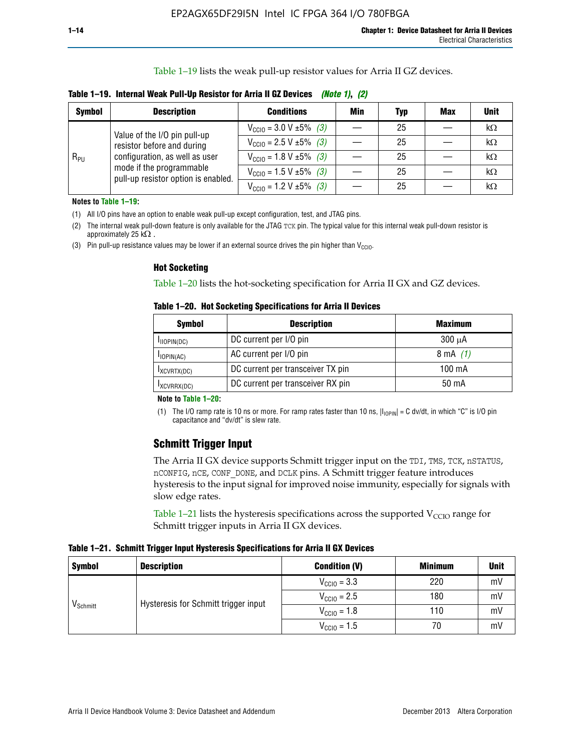Table 1–19 lists the weak pull-up resistor values for Arria II GZ devices.

|  |  | Table 1–19. Internal Weak Pull-Up Resistor for Arria II GZ Devices <i>(Note 1), (2)</i> |  |
|--|--|-----------------------------------------------------------------------------------------|--|
|--|--|-----------------------------------------------------------------------------------------|--|

| <b>Symbol</b> | <b>Description</b>                                                                                                              | <b>Conditions</b>                              | Min | Typ | <b>Max</b> | <b>Unit</b> |
|---------------|---------------------------------------------------------------------------------------------------------------------------------|------------------------------------------------|-----|-----|------------|-------------|
|               | Value of the I/O pin pull-up                                                                                                    | $V_{\text{CC10}} = 3.0 \text{ V} \pm 5\%$ (3)  |     | 25  |            | kΩ          |
| $R_{PU}$      | resistor before and during<br>configuration, as well as user<br>mode if the programmable<br>pull-up resistor option is enabled. | $V_{\text{CC10}} = 2.5 V \pm 5\%$ (3)          |     | 25  |            | kΩ          |
|               |                                                                                                                                 | $V_{\text{CC10}} = 1.8 \text{ V} \pm 5\%$ (3)  |     | 25  |            | kΩ          |
|               |                                                                                                                                 | $V_{\text{CC10}} = 1.5 \text{ V} \pm 5\%$ (3)  |     | 25  |            | kΩ          |
|               |                                                                                                                                 | $V_{\text{CC10}} = 1.2 \text{ V } \pm 5\%$ (3) |     | 25  |            | $k\Omega$   |

**Notes to Table 1–19:**

(1) All I/O pins have an option to enable weak pull-up except configuration, test, and JTAG pins.

(2) The internal weak pull-down feature is only available for the JTAG TCK pin. The typical value for this internal weak pull-down resistor is approximately 25 k $\Omega$ .

(3) Pin pull-up resistance values may be lower if an external source drives the pin higher than  $V_{\text{CCIO}}$ .

#### **Hot Socketing**

Table 1–20 lists the hot-socketing specification for Arria II GX and GZ devices.

**Table 1–20. Hot Socketing Specifications for Arria II Devices** 

| <b>Symbol</b>    | <b>Description</b>                | <b>Maximum</b>     |
|------------------|-----------------------------------|--------------------|
| $I_{IIOPIN(DC)}$ | DC current per I/O pin            | $300 \mu A$        |
| $I$ IOPIN(AC)    | AC current per I/O pin            | $8 \text{ mA}$ (1) |
| IXCVRTX(DC)      | DC current per transceiver TX pin | 100 mA             |
| IXCVRRX(DC)      | DC current per transceiver RX pin | $50 \text{ mA}$    |

#### **Note to Table 1–20:**

(1) The I/O ramp rate is 10 ns or more. For ramp rates faster than 10 ns,  $|I_{10\text{PIN}}| = C$  dv/dt, in which "C" is I/O pin capacitance and "dv/dt" is slew rate.

# **Schmitt Trigger Input**

The Arria II GX device supports Schmitt trigger input on the TDI, TMS, TCK, nSTATUS, nCONFIG, nCE, CONF\_DONE, and DCLK pins. A Schmitt trigger feature introduces hysteresis to the input signal for improved noise immunity, especially for signals with slow edge rates.

Table 1–21 lists the hysteresis specifications across the supported  $V<sub>CCIO</sub>$  range for Schmitt trigger inputs in Arria II GX devices.

**Table 1–21. Schmitt Trigger Input Hysteresis Specifications for Arria II GX Devices**

| <b>Symbol</b>        | <b>Description</b>                   | <b>Condition (V)</b>    | <b>Minimum</b> | <b>Unit</b> |
|----------------------|--------------------------------------|-------------------------|----------------|-------------|
|                      |                                      | $V_{\text{CGI0}} = 3.3$ | 220            | mV          |
| V <sub>Schmitt</sub> | Hysteresis for Schmitt trigger input | $V_{\text{CCIO}} = 2.5$ | 180            | mV          |
|                      |                                      | $V_{\text{CCIO}} = 1.8$ | 110            | mV          |
|                      |                                      | $V_{\text{CCIO}} = 1.5$ | 70             | mV          |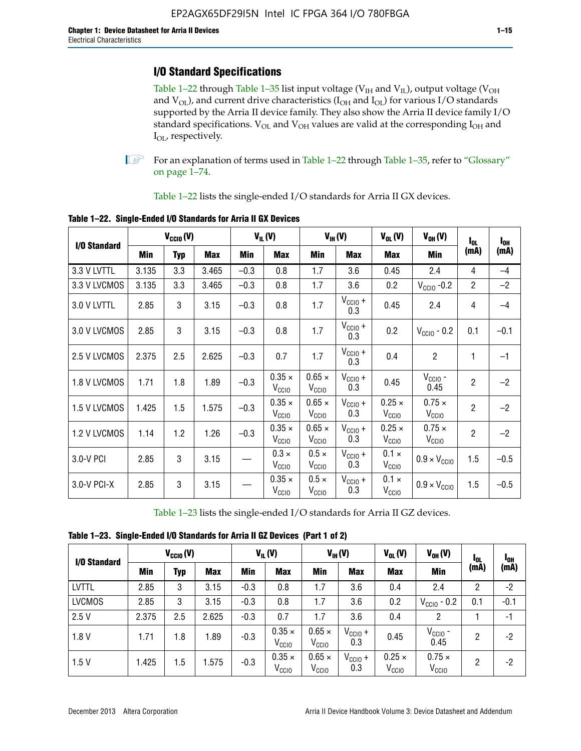# **I/O Standard Specifications**

Table 1–22 through Table 1–35 list input voltage ( $V_{IH}$  and  $V_{IL}$ ), output voltage ( $V_{OH}$ and  $V_{OL}$ ), and current drive characteristics ( $I_{OH}$  and  $I_{OL}$ ) for various I/O standards supported by the Arria II device family. They also show the Arria II device family I/O standard specifications.  $V_{OL}$  and  $V_{OH}$  values are valid at the corresponding  $I_{OH}$  and I<sub>OL</sub>, respectively.

**1.** For an explanation of terms used in Table 1–22 through Table 1–35, refer to "Glossary" on page 1–74.

Table 1–22 lists the single-ended I/O standards for Arria II GX devices.

| I/O Standard | $V_{CCl0} (V)$ |            |            | $V_{IL}(V)$ |                                    | $V_{\text{IH}}(V)$                 |                            | $V_{OH} (V)$                       | $I_{0L}$                           | $I_{0H}$       |        |
|--------------|----------------|------------|------------|-------------|------------------------------------|------------------------------------|----------------------------|------------------------------------|------------------------------------|----------------|--------|
|              | Min            | <b>Typ</b> | <b>Max</b> | Min         | <b>Max</b>                         | Min                                | <b>Max</b>                 | <b>Max</b>                         | Min                                | (mA)           | (mA)   |
| 3.3 V LVTTL  | 3.135          | 3.3        | 3.465      | $-0.3$      | 0.8                                | 1.7                                | 3.6                        | 0.45                               | 2.4                                | 4              | $-4$   |
| 3.3 V LVCMOS | 3.135          | 3.3        | 3.465      | $-0.3$      | 0.8                                | 1.7                                | 3.6                        | 0.2                                | $V_{\text{CCIO}}$ -0.2             | $\overline{2}$ | $-2$   |
| 3.0 V LVTTL  | 2.85           | 3          | 3.15       | $-0.3$      | 0.8                                | 1.7                                | $V_{\text{CCIO}} +$<br>0.3 | 0.45                               | 2.4                                | 4              | $-4$   |
| 3.0 V LVCMOS | 2.85           | 3          | 3.15       | $-0.3$      | 0.8                                | 1.7                                | $V_{\text{CCIO}} +$<br>0.3 | 0.2                                | $V_{\text{CCIO}}$ - 0.2            | 0.1            | $-0.1$ |
| 2.5 V LVCMOS | 2.375          | 2.5        | 2.625      | $-0.3$      | 0.7                                | 1.7                                | $V_{\text{CCIO}} +$<br>0.3 | 0.4                                | $\overline{c}$                     | 1              | $-1$   |
| 1.8 V LVCMOS | 1.71           | 1.8        | 1.89       | $-0.3$      | $0.35 \times$<br>V <sub>CCIO</sub> | $0.65 \times$<br>V <sub>CClO</sub> | $V_{CC10} +$<br>0.3        | 0.45                               | $V_{CGIO}$ -<br>0.45               | $\overline{2}$ | $-2$   |
| 1.5 V LVCMOS | 1.425          | 1.5        | 1.575      | $-0.3$      | $0.35 \times$<br>V <sub>CCIO</sub> | $0.65 \times$<br>V <sub>CClO</sub> | $V_{CClO}$ +<br>0.3        | $0.25 \times$<br>V <sub>CCIO</sub> | $0.75 \times$<br>V <sub>CCIO</sub> | $\overline{2}$ | $-2$   |
| 1.2 V LVCMOS | 1.14           | 1.2        | 1.26       | $-0.3$      | $0.35 \times$<br>V <sub>CCIO</sub> | $0.65 \times$<br>V <sub>CCIO</sub> | $V_{CC10} +$<br>0.3        | $0.25 \times$<br>V <sub>CCIO</sub> | $0.75 \times$<br>$V_{\text{CGIO}}$ | $\overline{2}$ | $-2$   |
| 3.0-V PCI    | 2.85           | 3          | 3.15       |             | $0.3 \times$<br>V <sub>CCIO</sub>  | $0.5 \times$<br>V <sub>CCIO</sub>  | $V_{CC10} +$<br>0.3        | $0.1 \times$<br>V <sub>CCIO</sub>  | $0.9 \times V_{\text{CC10}}$       | 1.5            | $-0.5$ |
| 3.0-V PCI-X  | 2.85           | 3          | 3.15       |             | $0.35 \times$<br>V <sub>CCIO</sub> | $0.5 \times$<br>$V_{\rm CClO}$     | $V_{CCIO} +$<br>0.3        | $0.1 \times$<br>V <sub>CCIO</sub>  | $0.9 \times V_{\text{CC10}}$       | 1.5            | $-0.5$ |

**Table 1–22. Single-Ended I/O Standards for Arria II GX Devices**

Table 1–23 lists the single-ended I/O standards for Arria II GZ devices.

|  |  |  | Table 1-23. Single-Ended I/O Standards for Arria II GZ Devices (Part 1 of 2) |  |
|--|--|--|------------------------------------------------------------------------------|--|
|--|--|--|------------------------------------------------------------------------------|--|

| I/O Standard  | $V_{CCl0}(V)$ |     | $V_{IL}(V)$ |            | $V_{IH} (V)$                       |                                    | $V_{OL}(V)$                | $V_{OH} (V)$                       | <b>I</b> OL                        | <sup>1</sup> OH |        |
|---------------|---------------|-----|-------------|------------|------------------------------------|------------------------------------|----------------------------|------------------------------------|------------------------------------|-----------------|--------|
|               | Min           | Typ | <b>Max</b>  | <b>Min</b> | <b>Max</b>                         | Min                                | <b>Max</b>                 | <b>Max</b>                         | Min                                | (mA)            | (mA)   |
| <b>LVTTL</b>  | 2.85          | 3   | 3.15        | $-0.3$     | 0.8                                | 1.7                                | 3.6                        | 0.4                                | 2.4                                | 2               | $-2$   |
| <b>LVCMOS</b> | 2.85          | 3   | 3.15        | $-0.3$     | 0.8                                | 1.7                                | 3.6                        | 0.2                                | $V_{\text{CCIO}}$ - 0.2            | 0.1             | $-0.1$ |
| 2.5V          | 2.375         | 2.5 | 2.625       | $-0.3$     | 0.7                                | 1.7                                | 3.6                        | 0.4                                | 2                                  |                 | $-1$   |
| 1.8V          | 1.71          | 1.8 | 1.89        | $-0.3$     | $0.35 \times$<br>V <sub>CCIO</sub> | $0.65 \times$<br>$V_{\rm CClO}$    | $V_{\text{CC1O}} +$<br>0.3 | 0.45                               | $V_{CGIO}$ -<br>0.45               | 2               | -2     |
| 1.5V          | 1.425         | 1.5 | .575        | $-0.3$     | $0.35 \times$<br>V <sub>CCIO</sub> | $0.65 \times$<br>V <sub>CCIO</sub> | $V_{\text{CC1O}} +$<br>0.3 | $0.25 \times$<br>V <sub>CCIO</sub> | $0.75 \times$<br>V <sub>CCIO</sub> | 2               | -2     |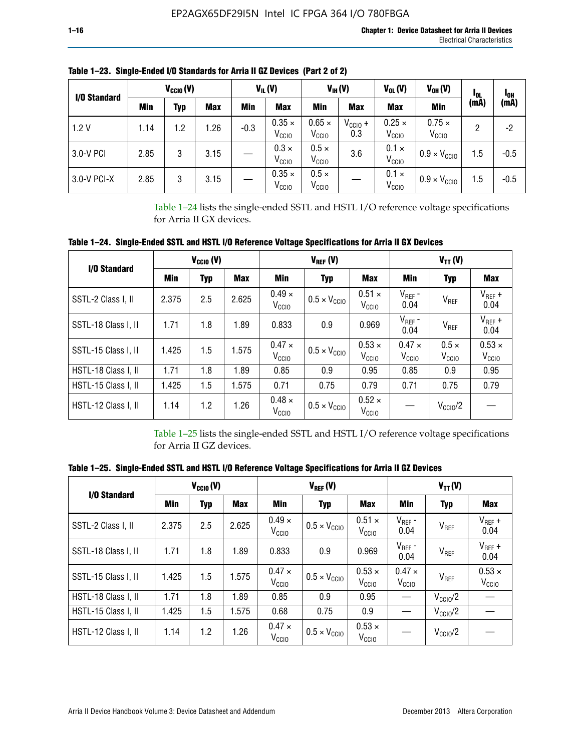| I/O Standard |      | $V_{\text{CCIO}}(V)$ |            |        | $V_{IL}(V)$                        |                                    | $V_{IH} (V)$               | $V_{OL}(V)$                        | V <sub>oh</sub> (V)                | 1 <sub>0L</sub> | l <sub>oh</sub> |
|--------------|------|----------------------|------------|--------|------------------------------------|------------------------------------|----------------------------|------------------------------------|------------------------------------|-----------------|-----------------|
|              | Min  | Typ                  | <b>Max</b> | Min    | <b>Max</b>                         | Min                                | <b>Max</b>                 | <b>Max</b>                         | Min                                | (mA)            | (mA)            |
| 1.2V         | 1.14 | 1.2                  | .26        | $-0.3$ | $0.35 \times$<br>V <sub>CCIO</sub> | $0.65 \times$<br>V <sub>CCIO</sub> | $V_{\text{CC1O}} +$<br>0.3 | $0.25 \times$<br>V <sub>CCIO</sub> | $0.75 \times$<br>V <sub>CCIO</sub> | 2               | -2              |
| 3.0-V PCI    | 2.85 | 3                    | 3.15       |        | $0.3 \times$<br>V <sub>CCIO</sub>  | $0.5 \times$<br>V <sub>CCIO</sub>  | 3.6                        | $0.1 \times$<br>V <sub>CCIO</sub>  | $0.9 \times V_{\text{CC10}}$       | 1.5             | $-0.5$          |
| 3.0-V PCI-X  | 2.85 | 3                    | 3.15       |        | $0.35 \times$<br>V <sub>CCIO</sub> | $0.5 \times$<br>V <sub>CCIO</sub>  |                            | $0.1 \times$<br>V <sub>CCIO</sub>  | $0.9 \times V_{\text{CC10}}$       | 1.5             | $-0.5$          |

**Table 1–23. Single-Ended I/O Standards for Arria II GZ Devices (Part 2 of 2)**

Table 1–24 lists the single-ended SSTL and HSTL I/O reference voltage specifications for Arria II GX devices.

**Table 1–24. Single-Ended SSTL and HSTL I/O Reference Voltage Specifications for Arria II GX Devices**

| I/O Standard        |       | $V_{CGI0} (V)$ |            |                                    | $V_{REF}(V)$                 |                                    |                                 | $V_{TT} (V)$                      |                                    |
|---------------------|-------|----------------|------------|------------------------------------|------------------------------|------------------------------------|---------------------------------|-----------------------------------|------------------------------------|
|                     | Min   | <b>Typ</b>     | <b>Max</b> | Min                                | Typ                          | Max                                | Min                             | <b>Typ</b>                        | <b>Max</b>                         |
| SSTL-2 Class I, II  | 2.375 | 2.5            | 2.625      | $0.49 \times$<br>V <sub>CCIO</sub> | $0.5 \times V_{\text{CCIO}}$ | $0.51 \times$<br>V <sub>CCIO</sub> | $V_{REF}$ -<br>0.04             | $V_{REF}$                         | $V_{REF}$ +<br>0.04                |
| SSTL-18 Class I, II | 1.71  | 1.8            | 1.89       | 0.833                              | 0.9                          | 0.969                              | $V_{REF}$ -<br>0.04             | V <sub>REF</sub>                  | $V_{REF}$ +<br>0.04                |
| SSTL-15 Class I, II | 1.425 | 1.5            | 1.575      | $0.47 \times$<br>V <sub>CCIO</sub> | $0.5 \times V_{\text{CC10}}$ | $0.53 \times$<br>V <sub>CCIO</sub> | $0.47 \times$<br>$V_{\rm CClO}$ | $0.5 \times$<br>V <sub>CCIO</sub> | $0.53 \times$<br>V <sub>CCIO</sub> |
| HSTL-18 Class I, II | 1.71  | 1.8            | 1.89       | 0.85                               | 0.9                          | 0.95                               | 0.85                            | 0.9                               | 0.95                               |
| HSTL-15 Class I, II | 1.425 | 1.5            | 1.575      | 0.71                               | 0.75                         | 0.79                               | 0.71                            | 0.75                              | 0.79                               |
| HSTL-12 Class I, II | 1.14  | 1.2            | 1.26       | $0.48 \times$<br>V <sub>CCIO</sub> | $0.5 \times V_{\text{CC10}}$ | $0.52 \times$<br>V <sub>CCIO</sub> |                                 | $V_{\text{CClO}}/2$               |                                    |

Table 1–25 lists the single-ended SSTL and HSTL I/O reference voltage specifications for Arria II GZ devices.

**Table 1–25. Single-Ended SSTL and HSTL I/O Reference Voltage Specifications for Arria II GZ Devices** 

| I/O Standard<br>SSTL-2 Class I, II<br>SSTL-18 Class I, II<br>SSTL-15 Class I, II<br>HSTL-18 Class I, II<br>HSTL-15 Class I, II |       | $V_{\text{CCIO}}(V)$ |            |                                    | $V_{REF}(V)$                 |                                    |                                   | $V_{TT}(V)$         |                                    |
|--------------------------------------------------------------------------------------------------------------------------------|-------|----------------------|------------|------------------------------------|------------------------------|------------------------------------|-----------------------------------|---------------------|------------------------------------|
|                                                                                                                                | Min   | <b>Typ</b>           | <b>Max</b> | Min                                | Typ                          | <b>Max</b>                         | Min                               | Typ                 | Max                                |
|                                                                                                                                | 2.375 | 2.5                  | 2.625      | $0.49 \times$<br>V <sub>CCIO</sub> | $0.5 \times V_{\text{CC10}}$ | $0.51 \times$<br>V <sub>CCIO</sub> | $V_{REF}$ -<br>0.04               | V <sub>REF</sub>    | $V_{REF}$ +<br>0.04                |
|                                                                                                                                | 1.71  | 1.8                  | 1.89       | 0.833                              | 0.9                          | 0.969                              | $V_{REF}$ -<br>0.04               | V <sub>REF</sub>    | $V_{REF}$ +<br>0.04                |
|                                                                                                                                | 1.425 | 1.5                  | 1.575      | $0.47 \times$<br>V <sub>CCIO</sub> | $0.5 \times V_{\text{CC10}}$ | $0.53 \times$<br>V <sub>CCIO</sub> | $0.47 \times$<br>V <sub>CCD</sub> | V <sub>REF</sub>    | $0.53 \times$<br>V <sub>CCIO</sub> |
|                                                                                                                                | 1.71  | 1.8                  | 1.89       | 0.85                               | 0.9                          | 0.95                               |                                   | $V_{\text{CC10}}/2$ |                                    |
|                                                                                                                                | 1.425 | 1.5                  | 1.575      | 0.68                               | 0.75                         | 0.9                                |                                   | $V_{\rm CC10}$ /2   |                                    |
| HSTL-12 Class I, II                                                                                                            | 1.14  | 1.2                  | 1.26       | $0.47 \times$<br>V <sub>CCIO</sub> | $0.5 \times V_{\text{CC10}}$ | $0.53 \times$<br>V <sub>CCIO</sub> |                                   | $V_{\text{CC10}}/2$ |                                    |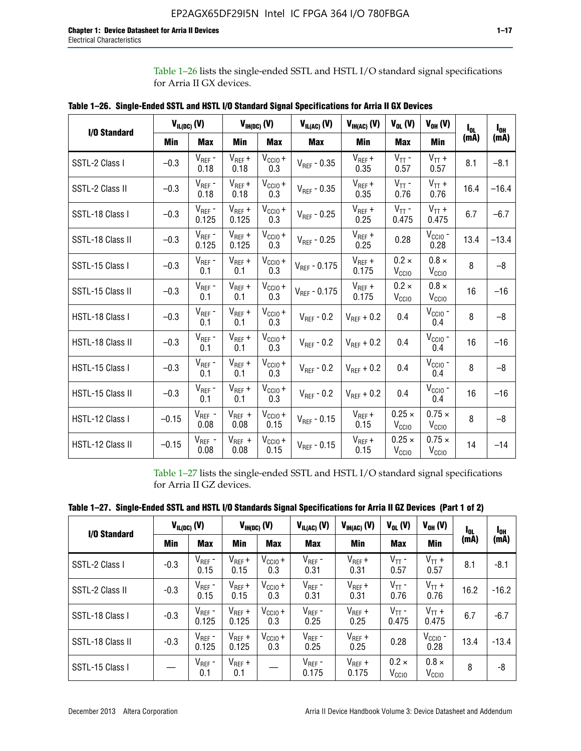Table 1–26 lists the single-ended SSTL and HSTL I/O standard signal specifications for Arria II GX devices.

|                     |         | $V_{IL(DC)}(V)$      |                      | $V_{IH(DC)}(V)$             | $V_{IL(AC)}$ (V)  | $V_{IH(AC)}(V)$      | $V_{OL}$ (V)                       | $V_{OH} (V)$                       | l <sub>ot</sub> | $I_{0H}$ |
|---------------------|---------|----------------------|----------------------|-----------------------------|-------------------|----------------------|------------------------------------|------------------------------------|-----------------|----------|
| <b>I/O Standard</b> | Min     | Max                  | Min                  | <b>Max</b>                  | Max               | Min                  | <b>Max</b>                         | Min                                | (mA)            | (mA)     |
| SSTL-2 Class I      | $-0.3$  | $V_{REF}$ -<br>0.18  | $V_{REF} +$<br>0.18  | $V_{\text{CCIO}} +$<br>0.3  | $V_{REF}$ - 0.35  | $V_{REF} +$<br>0.35  | $V_{TT}$ -<br>0.57                 | $V_{TT}$ +<br>0.57                 | 8.1             | $-8.1$   |
| SSTL-2 Class II     | $-0.3$  | $V_{REF}$ -<br>0.18  | $V_{REF} +$<br>0.18  | $V_{CCIO} +$<br>0.3         | $V_{REF}$ - 0.35  | $V_{REF} +$<br>0.35  | $V_{TT}$ -<br>0.76                 | $V_{TT}$ +<br>0.76                 | 16.4            | $-16.4$  |
| SSTL-18 Class I     | $-0.3$  | $V_{REF}$ -<br>0.125 | $V_{REF}$ +<br>0.125 | $V_{\text{CC1O}} +$<br>0.3  | $V_{REF}$ - 0.25  | $V_{REF}$ +<br>0.25  | $V_{TT}$ -<br>0.475                | $V_{TT}$ +<br>0.475                | 6.7             | $-6.7$   |
| SSTL-18 Class II    | $-0.3$  | $V_{REF}$ -<br>0.125 | $V_{REF}$ +<br>0.125 | $V_{\text{CC1O}} +$<br>0.3  | $V_{REF}$ - 0.25  | $V_{REF}$ +<br>0.25  | 0.28                               | $V_{\text{CCIO}}$ -<br>0.28        | 13.4            | $-13.4$  |
| SSTL-15 Class I     | $-0.3$  | $V_{REF}$ -<br>0.1   | $V_{REF}$ +<br>0.1   | $V_{\text{CCIO}} +$<br>0.3  | $V_{REF} - 0.175$ | $V_{REF}$ +<br>0.175 | $0.2 \times$<br>V <sub>CCIO</sub>  | $0.8 \times$<br>V <sub>CCIO</sub>  | 8               | $-8$     |
| SSTL-15 Class II    | $-0.3$  | $V_{REF}$ -<br>0.1   | $V_{REF}$ +<br>0.1   | $V_{\text{CCIO}} +$<br>0.3  | $V_{REF}$ - 0.175 | $V_{REF}$ +<br>0.175 | $0.2 \times$<br>V <sub>CCIO</sub>  | $0.8 \times$<br>V <sub>CCIO</sub>  | 16              | $-16$    |
| HSTL-18 Class I     | $-0.3$  | $V_{REF}$ -<br>0.1   | $V_{REF}$ +<br>0.1   | $V_{CCIO} +$<br>0.3         | $V_{REF}$ - 0.2   | $V_{REF}$ + 0.2      | 0.4                                | $V_{CCIO}$ -<br>0.4                | 8               | $-8$     |
| HSTL-18 Class II    | $-0.3$  | $V_{REF}$ -<br>0.1   | $V_{REF} +$<br>0.1   | $V_{\text{CCIO}} +$<br>0.3  | $V_{REF}$ - 0.2   | $V_{REF}$ + 0.2      | 0.4                                | $V_{\text{CCIO}}$ -<br>0.4         | 16              | $-16$    |
| HSTL-15 Class I     | $-0.3$  | $V_{REF}$ -<br>0.1   | $V_{REF}$ +<br>0.1   | $V_{\text{CCIO}} +$<br>0.3  | $V_{REF}$ - 0.2   | $V_{REF}$ + 0.2      | 0.4                                | $V_{\text{CCIO}}$ -<br>0.4         | 8               | $-8$     |
| HSTL-15 Class II    | $-0.3$  | $V_{REF}$ -<br>0.1   | $V_{REF}$ +<br>0.1   | $V_{\text{CCIO}} +$<br>0.3  | $V_{REF}$ - 0.2   | $V_{REF}$ + 0.2      | 0.4                                | $V_{CGIO}$ -<br>0.4                | 16              | $-16$    |
| HSTL-12 Class I     | $-0.15$ | $V_{REF}$ -<br>0.08  | $V_{REF}$ +<br>0.08  | $V_{\text{CCIO}} +$<br>0.15 | $V_{REF}$ - 0.15  | $V_{REF} +$<br>0.15  | $0.25 \times$<br>V <sub>CCIO</sub> | $0.75 \times$<br>V <sub>CCIO</sub> | 8               | $-8$     |
| HSTL-12 Class II    | $-0.15$ | $V_{REF}$ -<br>0.08  | $V_{REF}$ +<br>0.08  | $V_{\text{CC1O}} +$<br>0.15 | $V_{REF}$ - 0.15  | $V_{REF} +$<br>0.15  | $0.25 \times$<br>V <sub>CCIO</sub> | $0.75 \times$<br>V <sub>CCIO</sub> | 14              | $-14$    |

**Table 1–26. Single-Ended SSTL and HSTL I/O Standard Signal Specifications for Arria II GX Devices** 

Table 1–27 lists the single-ended SSTL and HSTL I/O standard signal specifications for Arria II GZ devices.

| Table 1–27. Single-Ended SSTL and HSTL I/O Standards Signal Specifications for Arria II GZ Devices (Part 1 of 2) |  |  |  |  |
|------------------------------------------------------------------------------------------------------------------|--|--|--|--|
|                                                                                                                  |  |  |  |  |

| I/O Standard     |        | $V_{IL(DC)}(V)$      |                      | $V_{IH(DC)}(V)$     | $V_{IL(AC)}(V)$      | $V_{IH(AC)}(V)$      | $V_{OL}$ (V)                      | $V_{OH} (V)$                   | $I_{0L}$ | l <sub>oh</sub> |
|------------------|--------|----------------------|----------------------|---------------------|----------------------|----------------------|-----------------------------------|--------------------------------|----------|-----------------|
|                  | Min    | <b>Max</b>           | <b>Min</b>           | <b>Max</b>          | <b>Max</b>           | Min                  | <b>Max</b>                        | Min                            | (mA)     | (mA)            |
| SSTL-2 Class I   | $-0.3$ | $V_{REF}$ -<br>0.15  | $V_{REF} +$<br>0.15  | $V_{CClO} +$<br>0.3 | $V_{REF}$ -<br>0.31  | $V_{REF} +$<br>0.31  | $V_{TT}$ -<br>0.57                | $V_{TT}$ +<br>0.57             | 8.1      | $-8.1$          |
| SSTL-2 Class II  | $-0.3$ | $V_{REF}$ -<br>0.15  | $V_{REF} +$<br>0.15  | $V_{CClO} +$<br>0.3 | $V_{REF}$ -<br>0.31  | $V_{REF} +$<br>0.31  | $V_{TT}$ -<br>0.76                | $V_{TT}$ +<br>0.76             | 16.2     | $-16.2$         |
| SSTL-18 Class I  | $-0.3$ | $V_{REF}$ -<br>0.125 | $V_{REF}$ +<br>0.125 | $V_{CClO} +$<br>0.3 | $V_{REF}$ -<br>0.25  | $V_{REF}$ +<br>0.25  | $V_{TT}$ -<br>0.475               | $V_{TT}$ +<br>0.475            | 6.7      | $-6.7$          |
| SSTL-18 Class II | $-0.3$ | $V_{REF}$ -<br>0.125 | $V_{REF}$ +<br>0.125 | $V_{CC10} +$<br>0.3 | $V_{REF}$ -<br>0.25  | $V_{REF}$ +<br>0.25  | 0.28                              | $V_{\rm CCIO}$ -<br>0.28       | 13.4     | $-13.4$         |
| SSTL-15 Class I  |        | $V_{REF}$ -<br>0.1   | $V_{REF}$ +<br>0.1   |                     | $V_{REF}$ -<br>0.175 | $V_{REF}$ +<br>0.175 | $0.2 \times$<br>V <sub>CCIO</sub> | $0.8 \times$<br>$V_{\rm CClO}$ | 8        | -8              |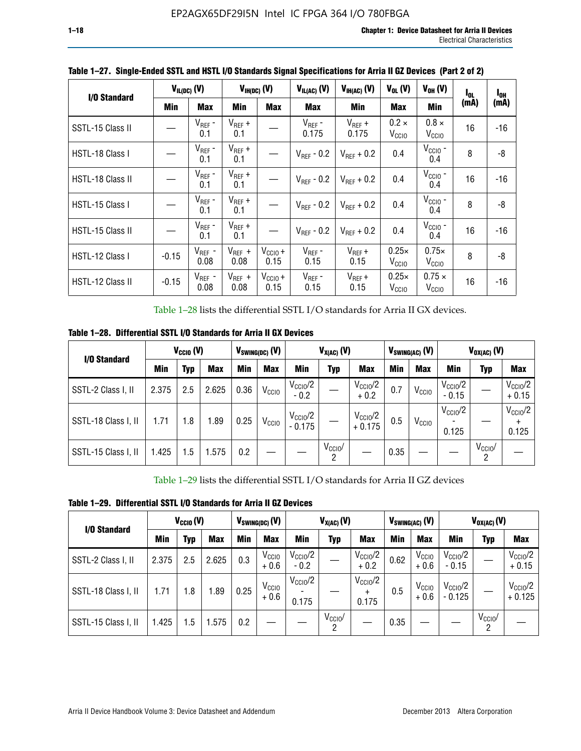| I/O Standard     |         | $V_{IL(DC)}$ (V)    |                     | $V_{IH(DC)}$ (V)            | $V_{IL(AC)}$ (V)       | $V_{IH(AC)}(V)$      | $V_{OL}$ (V)                      | $V_{OH} (V)$                       | I <sub>OL</sub> | $I_{0H}$ |
|------------------|---------|---------------------|---------------------|-----------------------------|------------------------|----------------------|-----------------------------------|------------------------------------|-----------------|----------|
|                  | Min     | Max                 | Min                 | <b>Max</b>                  | <b>Max</b>             | <b>Min</b>           | <b>Max</b>                        | Min                                | (mA)            | (mA)     |
| SSTL-15 Class II |         | $V_{REF}$ -<br>0.1  | $V_{REF}$ +<br>0.1  |                             | $V_{REF}$ -<br>0.175   | $V_{REF}$ +<br>0.175 | $0.2 \times$<br>V <sub>CCIO</sub> | $0.8 \times$<br>V <sub>CCIO</sub>  | 16              | -16      |
| HSTL-18 Class I  |         | $V_{REF}$ -<br>0.1  | $V_{REF}$ +<br>0.1  |                             | $V_{\text{RFF}}$ - 0.2 | $V_{RFF}$ + 0.2      | 0.4                               | $V_{\rm CCIO}$ -<br>0.4            | 8               | -8       |
| HSTL-18 Class II |         | $V_{REF}$ -<br>0.1  | $V_{REF}$ +<br>0.1  |                             | $V_{\text{RFF}}$ - 0.2 | $V_{RFF}$ + 0.2      | 0.4                               | $V_{\text{CCIO}}$ -<br>0.4         | 16              | $-16$    |
| HSTL-15 Class I  |         | $V_{REF}$ -<br>0.1  | $V_{REF}$ +<br>0.1  |                             | $V_{\text{RFF}}$ - 0.2 | $V_{RFF}$ + 0.2      | 0.4                               | $V_{CCIO}$ -<br>0.4                | 8               | -8       |
| HSTL-15 Class II |         | $V_{REF}$ -<br>0.1  | $V_{REF}$ +<br>0.1  |                             | $V_{REF}$ - 0.2        | $V_{RFF}$ + 0.2      | 0.4                               | $V_{CCIO}$ -<br>0.4                | 16              | $-16$    |
| HSTL-12 Class I  | $-0.15$ | $V_{REF}$ -<br>0.08 | $V_{REF}$ +<br>0.08 | $V_{CCIO} +$<br>0.15        | $V_{REF}$ -<br>0.15    | $V_{REF} +$<br>0.15  | $0.25\times$<br>V <sub>CCIO</sub> | $0.75\times$<br>V <sub>CCIO</sub>  | 8               | -8       |
| HSTL-12 Class II | $-0.15$ | $V_{REF}$ -<br>0.08 | $V_{REF}$ +<br>0.08 | $V_{\text{CC1O}} +$<br>0.15 | $V_{REF}$ -<br>0.15    | $V_{REF}$ +<br>0.15  | $0.25\times$<br>V <sub>CCIO</sub> | $0.75 \times$<br>V <sub>CCIO</sub> | 16              | -16      |

**Table 1–27. Single-Ended SSTL and HSTL I/O Standards Signal Specifications for Arria II GZ Devices (Part 2 of 2)**

Table 1–28 lists the differential SSTL I/O standards for Arria II GX devices.

**Table 1–28. Differential SSTL I/O Standards for Arria II GX Devices**

| I/O Standard        |       | $V_{\text{CCIO}}(V)$ |            | $V_{SWING(DC)}$ (V) |                   |                                 | $V_{X(AC)}(V)$  |                                 |      | $V_{SWING(AC)}$ (V) |                              | $V_{OX(AC)}$ (V) |                                |
|---------------------|-------|----------------------|------------|---------------------|-------------------|---------------------------------|-----------------|---------------------------------|------|---------------------|------------------------------|------------------|--------------------------------|
|                     | Min   | Typ                  | <b>Max</b> | <b>Min</b>          | <b>Max</b>        | Min                             | Typ             | <b>Max</b>                      | Min  | <b>Max</b>          | Min                          | Typ              | <b>Max</b>                     |
| SSTL-2 Class I, II  | 2.375 | 2.5                  | 2.625      | 0.36                | V <sub>CCIO</sub> | $V_{\text{CC10}}/2$<br>$-0.2$   |                 | $V_{\rm CC10}$ /2<br>$+0.2$     | 0.7  | V <sub>CCIO</sub>   | $V_{\rm CC10}$ /2<br>$-0.15$ |                  | $V_{\text{CCIO}}/2$<br>$+0.15$ |
| SSTL-18 Class I, II | 1.71  | 1.8                  | l.89       | 0.25                | V <sub>CCIO</sub> | $V_{\text{CCIO}}/2$<br>$-0.175$ |                 | $V_{\text{CC10}}/2$<br>$+0.175$ | 0.5  | V <sub>CCIO</sub>   | $V_{\text{CC10}}/2$<br>0.125 |                  | $V_{\text{CCIO}}/2$<br>0.125   |
| SSTL-15 Class I, II | 1.425 | 1.5                  | .575       | 0.2                 |                   |                                 | $V_{CCIO}$<br>2 |                                 | 0.35 |                     |                              | $V_{CCIO}$<br>റ  |                                |

Table 1–29 lists the differential SSTL I/O standards for Arria II GZ devices

**Table 1–29. Differential SSTL I/O Standards for Arria II GZ Devices**

| I/O Standard        |       | $V_{\text{CCIO}}(V)$ |            |      | $V_{SWING(DC)}(V)$          |                            | $V_{X(AC)}(V)$               |                                           |      | V <sub>swing(ac)</sub> (V)  |                                | $V_{OX(AC)}(V)$ |                                 |
|---------------------|-------|----------------------|------------|------|-----------------------------|----------------------------|------------------------------|-------------------------------------------|------|-----------------------------|--------------------------------|-----------------|---------------------------------|
|                     | Min   | Typ                  | <b>Max</b> | Min  | <b>Max</b>                  | Min                        | <b>Typ</b>                   | <b>Max</b>                                | Min  | <b>Max</b>                  | Min                            | Typ             | <b>Max</b>                      |
| SSTL-2 Class I, II  | 2.375 | 2.5                  | 2.625      | 0.3  | V <sub>CCIO</sub><br>$+0.6$ | $V_{\rm CClO}/2$<br>$-0.2$ |                              | $V_{\text{CC10}}/2$<br>$+0.2$             | 0.62 | V <sub>CCIO</sub><br>$+0.6$ | $V_{\text{CC10}}/2$<br>$-0.15$ |                 | $V_{\text{CC10}}/2$<br>$+0.15$  |
| SSTL-18 Class I, II | 1.71  | 1.8                  | 1.89       | 0.25 | V <sub>CCIO</sub><br>$+0.6$ | $V_{\rm CClO}/2$<br>0.175  |                              | $V_{\text{CCIO}}/2$<br>$\ddot{}$<br>0.175 | 0.5  | V <sub>CCIO</sub><br>$+0.6$ | $V_{\text{CC10}}/2$<br>- 0.125 |                 | $V_{\text{CC10}}/2$<br>$+0.125$ |
| SSTL-15 Class I, II | 1.425 | 1.5                  | .575       | 0.2  |                             |                            | $V_{CCIO}$<br>$\overline{2}$ |                                           | 0.35 |                             |                                | $V_{CClO}$<br>2 |                                 |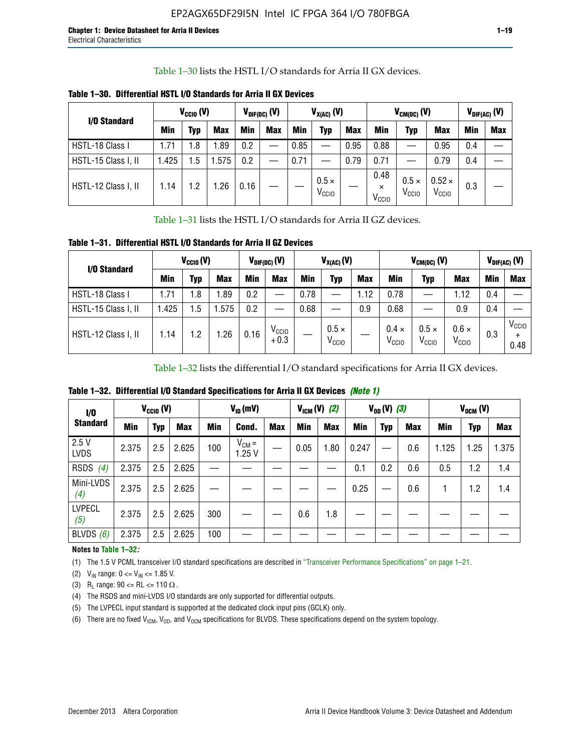Table 1–30 lists the HSTL I/O standards for Arria II GX devices.

| I/O Standard        | $V_{CGI0} (V)$ |            |            | $V_{\text{DIF(DC)}}$ (V) |            |      | $V_{X(AC)}(V)$                    |            |                                       | $V_{CM(DC)}(V)$                   |                                    |     | $V_{DIF(AC)}(V)$ |
|---------------------|----------------|------------|------------|--------------------------|------------|------|-----------------------------------|------------|---------------------------------------|-----------------------------------|------------------------------------|-----|------------------|
|                     | <b>Min</b>     | Typ        | <b>Max</b> | Min                      | <b>Max</b> | Min  | Typ                               | <b>Max</b> | Min                                   | Typ                               | <b>Max</b>                         | Min | <b>Max</b>       |
| HSTL-18 Class I     | 1.71           | .8         | .89        | 0.2                      | __         | 0.85 |                                   | 0.95       | 0.88                                  |                                   | 0.95                               | 0.4 |                  |
| HSTL-15 Class I, II | 1.425          | .5         | .575       | 0.2                      | --         | 0.71 |                                   | 0.79       | 0.71                                  |                                   | 0.79                               | 0.4 |                  |
| HSTL-12 Class I, II | 1.14           | $\cdot$ .2 | .26        | 0.16                     |            |      | $0.5 \times$<br>V <sub>CCIO</sub> |            | 0.48<br>$\times$<br>V <sub>CCIO</sub> | $0.5 \times$<br>V <sub>CCIO</sub> | $0.52 \times$<br>V <sub>CCIO</sub> | 0.3 |                  |

**Table 1–30. Differential HSTL I/O Standards for Arria II GX Devices**

Table 1–31 lists the HSTL I/O standards for Arria II GZ devices.

**Table 1–31. Differential HSTL I/O Standards for Arria II GZ Devices**

| I/O Standard        | $V_{\text{CCIO}}(V)$ |         |            | $V_{\text{DIF(DC)}}(V)$ |                             |      | $V_{X(AC)}(V)$                    |            |                                   | $V_{CM(DC)}$ (V)                  |                                   |     | $V_{DIF(AC)}$ (V)         |
|---------------------|----------------------|---------|------------|-------------------------|-----------------------------|------|-----------------------------------|------------|-----------------------------------|-----------------------------------|-----------------------------------|-----|---------------------------|
|                     | Min                  | Typ     | <b>Max</b> | <b>Min</b>              | <b>Max</b>                  | Min  | Typ                               | <b>Max</b> | <b>Min</b>                        | Typ                               | <b>Max</b>                        | Min | <b>Max</b>                |
| HSTL-18 Class I     | 71، ،                | 1.8     | .89        | 0.2                     | —                           | 0.78 |                                   | 1.12       | 0.78                              |                                   | 1.12                              | 0.4 |                           |
| HSTL-15 Class I, II | .425                 | $1.5\,$ | .575       | 0.2                     | —                           | 0.68 |                                   | 0.9        | 0.68                              |                                   | 0.9                               | 0.4 |                           |
| HSTL-12 Class I, II | l.14                 | 1.2     | .26        | 0.16                    | V <sub>CCIO</sub><br>$+0.3$ |      | $0.5 \times$<br>V <sub>CCIO</sub> |            | $0.4 \times$<br>V <sub>CCIO</sub> | $0.5 \times$<br>V <sub>CCIO</sub> | $0.6 \times$<br>V <sub>CCIO</sub> | 0.3 | V <sub>CCIO</sub><br>0.48 |

Table 1–32 lists the differential I/O standard specifications for Arria II GX devices.

**Table 1–32. Differential I/O Standard Specifications for Arria II GX Devices** *(Note 1)*

| 1/0<br><b>Standard</b> | $V_{CGI0} (V)$ |     |            | $V_{ID}$ (mV) |                     |            |      | $V_{IGM} (V)$ (2) |       | $V_{OD} (V)$ (3) |            |       | $V_{OCM}$ (V) |            |
|------------------------|----------------|-----|------------|---------------|---------------------|------------|------|-------------------|-------|------------------|------------|-------|---------------|------------|
|                        | Min            | Typ | <b>Max</b> | Min           | Cond.               | <b>Max</b> | Min  | <b>Max</b>        | Min   | <b>Typ</b>       | <b>Max</b> | Min   | Typ           | <b>Max</b> |
| 2.5V<br><b>LVDS</b>    | 2.375          | 2.5 | 2.625      | 100           | $V_{CM} =$<br>1.25V |            | 0.05 | 1.80              | 0.247 |                  | 0.6        | 1.125 | 1.25          | 1.375      |
| <b>RSDS</b><br>(4)     | 2.375          | 2.5 | 2.625      |               |                     |            |      |                   | 0.1   | 0.2              | 0.6        | 0.5   | 1.2           | 1.4        |
| Mini-LVDS<br>(4)       | 2.375          | 2.5 | 2.625      |               |                     |            |      |                   | 0.25  |                  | 0.6        |       | 1.2           | 1.4        |
| <b>LVPECL</b><br>(5)   | 2.375          | 2.5 | 2.625      | 300           |                     |            | 0.6  | 1.8               |       |                  |            |       |               |            |
| BLVDS $(6)$            | 2.375          | 2.5 | 2.625      | 100           |                     |            |      |                   |       |                  |            |       |               |            |

### **Notes to Table 1–32***:*

(1) The 1.5 V PCML transceiver I/O standard specifications are described in "Transceiver Performance Specifications" on page 1–21.

(2)  $V_{IN}$  range:  $0 \le V_{IN} \le 1.85$  V.

(3) R<sub>L</sub> range:  $90 \leq R$ L  $\leq 110 \Omega$ .

- (4) The RSDS and mini-LVDS I/O standards are only supported for differential outputs.
- (5) The LVPECL input standard is supported at the dedicated clock input pins (GCLK) only.
- (6) There are no fixed  $V_{ICM}$ ,  $V_{OD}$ , and  $V_{OCM}$  specifications for BLVDS. These specifications depend on the system topology.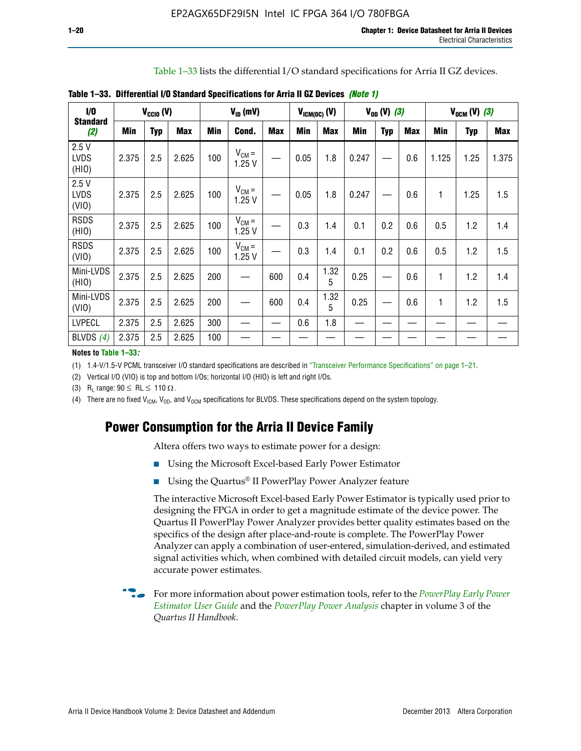Table 1–33 lists the differential I/O standard specifications for Arria II GZ devices.

| $\dot{v}$                    |       | $V_{CClO}$ (V) |            |     | $V_{ID}$ (mV)       |            |      | $V_{ICM(DC)}$ (V) |            | $V_{OD} (V) (3)$ |            |       | $V_{OCM} (V) (3)$ |            |
|------------------------------|-------|----------------|------------|-----|---------------------|------------|------|-------------------|------------|------------------|------------|-------|-------------------|------------|
| <b>Standard</b><br>(2)       | Min   | <b>Typ</b>     | <b>Max</b> | Min | Cond.               | <b>Max</b> | Min  | <b>Max</b>        | <b>Min</b> | <b>Typ</b>       | <b>Max</b> | Min   | Typ               | <b>Max</b> |
| 2.5V<br><b>LVDS</b><br>(HIO) | 2.375 | 2.5            | 2.625      | 100 | $V_{CM} =$<br>1.25V |            | 0.05 | 1.8               | 0.247      |                  | 0.6        | 1.125 | 1.25              | 1.375      |
| 2.5V<br><b>LVDS</b><br>(VIO) | 2.375 | 2.5            | 2.625      | 100 | $V_{CM} =$<br>1.25V |            | 0.05 | 1.8               | 0.247      |                  | 0.6        | 1     | 1.25              | 1.5        |
| <b>RSDS</b><br>(HIO)         | 2.375 | 2.5            | 2.625      | 100 | $V_{CM} =$<br>1.25V |            | 0.3  | 1.4               | 0.1        | 0.2              | 0.6        | 0.5   | 1.2               | 1.4        |
| <b>RSDS</b><br>(VIO)         | 2.375 | 2.5            | 2.625      | 100 | $V_{CM} =$<br>1.25V |            | 0.3  | 1.4               | 0.1        | 0.2              | 0.6        | 0.5   | 1.2               | 1.5        |
| Mini-LVDS<br>(HIO)           | 2.375 | 2.5            | 2.625      | 200 | —                   | 600        | 0.4  | 1.32<br>5         | 0.25       |                  | 0.6        | 1     | 1.2               | 1.4        |
| Mini-LVDS<br>(VIO)           | 2.375 | 2.5            | 2.625      | 200 |                     | 600        | 0.4  | 1.32<br>5         | 0.25       |                  | 0.6        | 1     | 1.2               | 1.5        |
| <b>LVPECL</b>                | 2.375 | 2.5            | 2.625      | 300 |                     |            | 0.6  | 1.8               |            |                  |            |       |                   |            |
| BLVDS $(4)$                  | 2.375 | 2.5            | 2.625      | 100 |                     |            |      |                   |            |                  |            |       |                   |            |

**Table 1–33. Differential I/O Standard Specifications for Arria II GZ Devices** *(Note 1)*

#### **Notes to Table 1–33***:*

(1) 1.4-V/1.5-V PCML transceiver I/O standard specifications are described in "Transceiver Performance Specifications" on page 1–21.

(2) Vertical I/O (VIO) is top and bottom I/Os; horizontal I/O (HIO) is left and right I/Os.

(3) R<sub>l</sub> range:  $90 \leq R L \leq 110 \Omega$ .

(4) There are no fixed  $V_{ICM}$ ,  $V_{OD}$ , and  $V_{OCM}$  specifications for BLVDS. These specifications depend on the system topology.

# **Power Consumption for the Arria II Device Family**

Altera offers two ways to estimate power for a design:

- Using the Microsoft Excel-based Early Power Estimator
- Using the Quartus<sup>®</sup> II PowerPlay Power Analyzer feature

The interactive Microsoft Excel-based Early Power Estimator is typically used prior to designing the FPGA in order to get a magnitude estimate of the device power. The Quartus II PowerPlay Power Analyzer provides better quality estimates based on the specifics of the design after place-and-route is complete. The PowerPlay Power Analyzer can apply a combination of user-entered, simulation-derived, and estimated signal activities which, when combined with detailed circuit models, can yield very accurate power estimates.

f For more information about power estimation tools, refer to the *[PowerPlay Early Power](http://www.altera.com/literature/ug/ug_epe.pdf?GSA_pos=5&WT.oss_r=1&WT.oss=powerplay early power estimator)  [Estimator User Guide](http://www.altera.com/literature/ug/ug_epe.pdf?GSA_pos=5&WT.oss_r=1&WT.oss=powerplay early power estimator)* and the *[PowerPlay Power Analysis](http://www.altera.com/literature/hb/qts/qts_qii53013.pdf)* chapter in volume 3 of the *Quartus II Handbook*.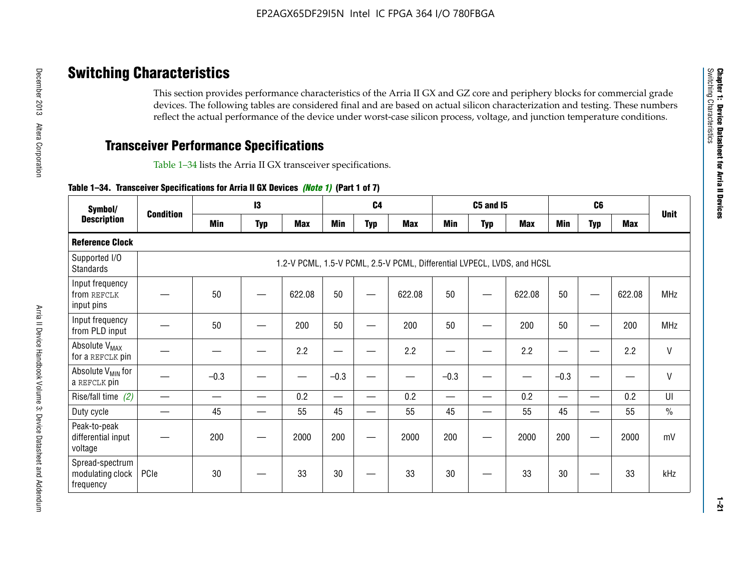# **Switching Characteristics**

This section provides performance characteristics of the Arria II GX and GZ core and periphery blocks for commercial grade devices. The following tables are considered final and are based on actual silicon characterization and testing. These numbers reflect the actual performance of the device under worst-case silicon process, voltage, and junction temperature conditions.

# **Transceiver Performance Specifications**

Table 1–34 lists the Arria II GX transceiver specifications.

### **Table 1–34. Transceiver Specifications for Arria II GX Devices** *(Note 1)* **(Part 1 of 7)**

| Symbol/                                          |                  |            | 13         |            |            | C <sub>4</sub> |                                                                         |            | <b>C5 and 15</b> |            |            | C <sub>6</sub>           |            |               |
|--------------------------------------------------|------------------|------------|------------|------------|------------|----------------|-------------------------------------------------------------------------|------------|------------------|------------|------------|--------------------------|------------|---------------|
| <b>Description</b>                               | <b>Condition</b> | <b>Min</b> | <b>Typ</b> | <b>Max</b> | <b>Min</b> | <b>Typ</b>     | <b>Max</b>                                                              | <b>Min</b> | <b>Typ</b>       | <b>Max</b> | <b>Min</b> | <b>Typ</b>               | <b>Max</b> | <b>Unit</b>   |
| <b>Reference Clock</b>                           |                  |            |            |            |            |                |                                                                         |            |                  |            |            |                          |            |               |
| Supported I/O<br><b>Standards</b>                |                  |            |            |            |            |                | 1.2-V PCML, 1.5-V PCML, 2.5-V PCML, Differential LVPECL, LVDS, and HCSL |            |                  |            |            |                          |            |               |
| Input frequency<br>from REFCLK<br>input pins     |                  | 50         |            | 622.08     | 50         |                | 622.08                                                                  | 50         | —                | 622.08     | 50         |                          | 622.08     | <b>MHz</b>    |
| Input frequency<br>from PLD input                |                  | 50         |            | 200        | 50         |                | 200                                                                     | 50         |                  | 200        | 50         |                          | 200        | MHz           |
| Absolute V <sub>MAX</sub><br>for a REFCLK pin    |                  |            |            | 2.2        |            |                | 2.2                                                                     | —          |                  | 2.2        |            |                          | 2.2        | $\mathsf{V}$  |
| Absolute V <sub>MIN</sub> for<br>a REFCLK pin    |                  | $-0.3$     |            |            | $-0.3$     |                |                                                                         | $-0.3$     | -                |            | $-0.3$     |                          | —          | $\mathsf{V}$  |
| Rise/fall time (2)                               |                  |            | —          | 0.2        | —          | —              | 0.2                                                                     |            | —                | 0.2        | —          | $\overline{\phantom{0}}$ | 0.2        | UI            |
| Duty cycle                                       |                  | 45         |            | 55         | 45         |                | 55                                                                      | 45         | —                | 55         | 45         |                          | 55         | $\frac{0}{0}$ |
| Peak-to-peak<br>differential input<br>voltage    |                  | 200        |            | 2000       | 200        |                | 2000                                                                    | 200        | —                | 2000       | 200        |                          | 2000       | mV            |
| Spread-spectrum<br>modulating clock<br>frequency | PCIe             | 30         |            | 33         | 30         |                | 33                                                                      | 30         |                  | 33         | 30         |                          | 33         | kHz           |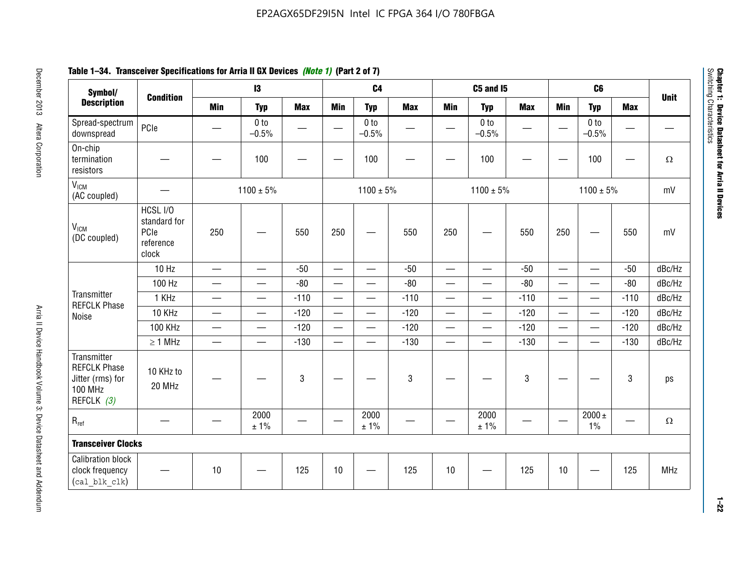# **Table 1–34. Transceiver Specifications for Arria II GX Devices** *(Note 1)* **(Part 2 of 7)**

| Symbol/                                                                                |                                                        |                               | $\mathbf{13}$              |                          |                          | C <sub>4</sub>             |            |                          | C5 and I5                  |            |                          | C <sub>6</sub>             |            |             |
|----------------------------------------------------------------------------------------|--------------------------------------------------------|-------------------------------|----------------------------|--------------------------|--------------------------|----------------------------|------------|--------------------------|----------------------------|------------|--------------------------|----------------------------|------------|-------------|
| <b>Description</b>                                                                     | <b>Condition</b>                                       | <b>Min</b>                    | <b>Typ</b>                 | <b>Max</b>               | <b>Min</b>               | <b>Typ</b>                 | <b>Max</b> | <b>Min</b>               | <b>Typ</b>                 | <b>Max</b> | <b>Min</b>               | <b>Typ</b>                 | <b>Max</b> | <b>Unit</b> |
| Spread-spectrum<br>downspread                                                          | PCIe                                                   |                               | 0 <sub>to</sub><br>$-0.5%$ | $\overline{\phantom{0}}$ |                          | 0 <sub>to</sub><br>$-0.5%$ |            |                          | 0 <sub>to</sub><br>$-0.5%$ |            |                          | 0 <sub>to</sub><br>$-0.5%$ |            |             |
| On-chip<br>termination<br>resistors                                                    |                                                        |                               | 100                        | —                        |                          | 100                        |            |                          | 100                        |            |                          | 100                        | —          | $\Omega$    |
| V <sub>ICM</sub><br>(AC coupled)                                                       |                                                        |                               | $1100 \pm 5\%$             |                          |                          | $1100 \pm 5\%$             |            |                          | $1100 \pm 5\%$             |            |                          | $1100 \pm 5\%$             |            | mV          |
| V <sub>ICM</sub><br>(DC coupled)                                                       | HCSL I/O<br>standard for<br>PCIe<br>reference<br>clock | 250                           |                            | 550                      | 250                      | $\hspace{0.05cm}$          | 550        | 250                      | —                          | 550        | 250                      | —                          | 550        | mV          |
|                                                                                        | 10 Hz                                                  | $\overline{\phantom{0}}$      | $\overline{\phantom{0}}$   | $-50$                    | $\equiv$                 |                            | $-50$      | $\qquad \qquad$          | $\equiv$                   | $-50$      | $\overline{\phantom{0}}$ |                            | $-50$      | dBc/Hz      |
|                                                                                        | 100 Hz                                                 | $\overline{\phantom{0}}$      | $\overline{\phantom{0}}$   | $-80$                    | $\overline{\phantom{0}}$ | $\overline{\phantom{0}}$   | $-80$      | $\overline{\phantom{0}}$ |                            | $-80$      | $\overline{\phantom{0}}$ | $\overline{\phantom{0}}$   | $-80$      | dBc/Hz      |
| Transmitter<br><b>REFCLK Phase</b>                                                     | 1 KHz                                                  | —                             | $\overline{\phantom{0}}$   | $-110$                   |                          | $\hspace{0.05cm}$          | $-110$     | $\overline{\phantom{0}}$ | $\qquad \qquad \qquad$     | $-110$     |                          | $\overline{\phantom{0}}$   | $-110$     | dBc/Hz      |
| Noise                                                                                  | 10 KHz                                                 | $\overbrace{\phantom{aaaaa}}$ | $\overline{\phantom{0}}$   | $-120$                   | $\overline{\phantom{m}}$ |                            | $-120$     | $\qquad \qquad$          |                            | $-120$     |                          |                            | $-120$     | dBc/Hz      |
|                                                                                        | <b>100 KHz</b>                                         | $\overline{\phantom{0}}$      | $\equiv$                   | $-120$                   |                          | $\equiv$                   | $-120$     | $\overline{\phantom{0}}$ | $\overline{\phantom{0}}$   | $-120$     | $\equiv$                 | $\overline{\phantom{0}}$   | $-120$     | dBc/Hz      |
|                                                                                        | $\geq 1$ MHz                                           | $\overline{\phantom{0}}$      | $\overline{\phantom{0}}$   | $-130$                   |                          | $\overline{\phantom{m}}$   | $-130$     | $\overline{\phantom{0}}$ | $\qquad \qquad$            | $-130$     | $\overline{\phantom{0}}$ | $\equiv$                   | $-130$     | dBc/Hz      |
| Transmitter<br><b>REFCLK Phase</b><br>Jitter (rms) for<br><b>100 MHz</b><br>REFCLK (3) | 10 KHz to<br>20 MHz                                    |                               |                            | $\mathbf 3$              |                          |                            | 3          |                          |                            | 3          |                          |                            | 3          | ps          |
| $R_{ref}$                                                                              |                                                        |                               | 2000<br>± 1%               |                          | $\hspace{0.05cm}$        | 2000<br>± 1%               |            |                          | 2000<br>± 1%               |            |                          | $2000 \pm$<br>$1\%$        |            | $\Omega$    |
| <b>Transceiver Clocks</b>                                                              |                                                        |                               |                            |                          |                          |                            |            |                          |                            |            |                          |                            |            |             |
| <b>Calibration block</b><br>clock frequency<br>(cal blk clk)                           |                                                        | 10                            |                            | 125                      | 10                       |                            | 125        | 10                       |                            | 125        | 10                       |                            | 125        | <b>MHz</b>  |

December 2013 Altera Corporation

**1–22**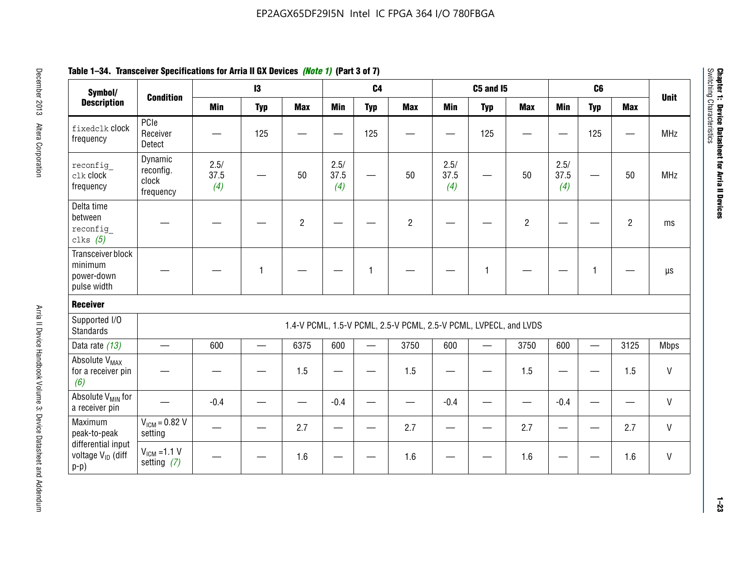| Symbol/                                                       |                                            |                     | 13         |                |                     | C <sub>4</sub> |                                                                  |                          | <b>C5 and 15</b> |                |                     | C6           |                |              |
|---------------------------------------------------------------|--------------------------------------------|---------------------|------------|----------------|---------------------|----------------|------------------------------------------------------------------|--------------------------|------------------|----------------|---------------------|--------------|----------------|--------------|
| <b>Description</b>                                            | <b>Condition</b>                           | <b>Min</b>          | <b>Typ</b> | <b>Max</b>     | <b>Min</b>          | <b>Typ</b>     | <b>Max</b>                                                       | <b>Min</b>               | <b>Typ</b>       | <b>Max</b>     | <b>Min</b>          | <b>Typ</b>   | <b>Max</b>     | <b>Unit</b>  |
| fixedclk Clock<br>frequency                                   | PCIe<br>Receiver<br>Detect                 |                     | 125        |                |                     | 125            |                                                                  |                          | 125              |                |                     | 125          |                | <b>MHz</b>   |
| reconfig<br>clk clock<br>frequency                            | Dynamic<br>reconfig.<br>clock<br>frequency | 2.5/<br>37.5<br>(4) |            | 50             | 2.5/<br>37.5<br>(4) | <u>—</u>       | 50                                                               | 2.5/<br>37.5<br>(4)      | —                | 50             | 2.5/<br>37.5<br>(4) |              | 50             | <b>MHz</b>   |
| Delta time<br>between<br>reconfig<br>clks $(5)$               |                                            |                     |            | $\overline{c}$ |                     |                | $\overline{2}$                                                   |                          |                  | $\overline{2}$ |                     |              | $\overline{2}$ | ms           |
| Transceiver block<br>minimum<br>power-down<br>pulse width     |                                            |                     | 1          |                |                     | 1              |                                                                  |                          | $\mathbf{1}$     |                |                     | $\mathbf{1}$ |                | $\mu s$      |
| <b>Receiver</b>                                               |                                            |                     |            |                |                     |                |                                                                  |                          |                  |                |                     |              |                |              |
| Supported I/O<br><b>Standards</b>                             |                                            |                     |            |                |                     |                | 1.4-V PCML, 1.5-V PCML, 2.5-V PCML, 2.5-V PCML, LVPECL, and LVDS |                          |                  |                |                     |              |                |              |
| Data rate (13)                                                | $\qquad \qquad$                            | 600                 |            | 6375           | 600                 |                | 3750                                                             | 600                      |                  | 3750           | 600                 | $\equiv$     | 3125           | <b>Mbps</b>  |
| Absolute V <sub>MAX</sub><br>for a receiver pin<br>(6)        |                                            |                     |            | 1.5            | e e                 |                | 1.5                                                              | $\overline{\phantom{0}}$ |                  | 1.5            | —                   |              | 1.5            | V            |
| Absolute V <sub>MIN</sub> for<br>a receiver pin               |                                            | $-0.4$              |            |                | $-0.4$              |                |                                                                  | $-0.4$                   |                  |                | $-0.4$              |              |                | $\mathsf{V}$ |
| Maximum<br>peak-to-peak                                       | $VICM = 0.82 V$<br>setting                 |                     |            | 2.7            |                     |                | 2.7                                                              |                          |                  | 2.7            |                     |              | 2.7            | V            |
| differential input<br>voltage V <sub>ID</sub> (diff<br>$p-p)$ | $V_{IGM} = 1.1 V$<br>setting $(7)$         |                     |            | 1.6            |                     |                | 1.6                                                              |                          |                  | 1.6            |                     |              | 1.6            | V            |

**Chapter 1: Device Datasheet for Arria II Devices**

Chapter 1: Device Datasheet for Arria II Devices<br>Switching Characteristics

Switching Characteristics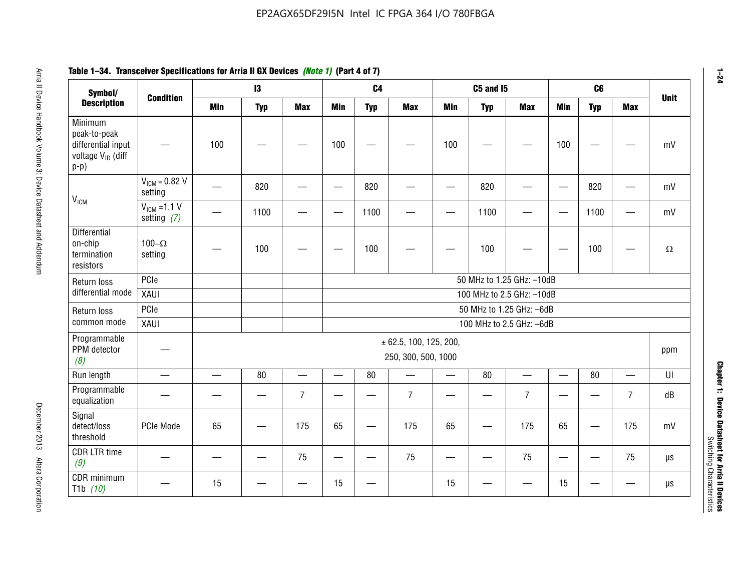| Symbol/                                                                                  | <b>Condition</b>                  |                           | $\mathbf{I}3$             |                          |                          | C <sub>4</sub> |                                                   |                          | C5 and I5  |                          |                          | C6         |                | <b>Unit</b> |
|------------------------------------------------------------------------------------------|-----------------------------------|---------------------------|---------------------------|--------------------------|--------------------------|----------------|---------------------------------------------------|--------------------------|------------|--------------------------|--------------------------|------------|----------------|-------------|
| <b>Description</b>                                                                       |                                   | <b>Min</b>                | <b>Typ</b>                | <b>Max</b>               | <b>Min</b>               | <b>Typ</b>     | <b>Max</b>                                        | <b>Min</b>               | <b>Typ</b> | <b>Max</b>               | Min                      | <b>Typ</b> | <b>Max</b>     |             |
| Minimum<br>peak-to-peak<br>differential input<br>voltage V <sub>ID</sub> (diff<br>$p-p)$ |                                   | 100                       |                           |                          | 100                      |                |                                                   | 100                      |            |                          | 100                      |            |                | mV          |
| <b>V<sub>ICM</sub></b>                                                                   | $VICM = 0.82 V$<br>setting        |                           | 820                       |                          |                          | 820            |                                                   |                          | 820        |                          |                          | 820        |                | mV          |
|                                                                                          | $V_{ICM}$ =1.1 V<br>setting $(7)$ |                           | 1100                      |                          |                          | 1100           |                                                   |                          | 1100       |                          | $\overline{\phantom{0}}$ | 1100       |                | mV          |
| Differential<br>on-chip<br>termination<br>resistors                                      | 100 $-\Omega$<br>setting          |                           | 100                       |                          |                          | 100            |                                                   |                          | 100        |                          |                          | 100        |                | $\Omega$    |
| Return loss                                                                              | PCIe                              |                           | 50 MHz to 1.25 GHz: -10dB |                          |                          |                |                                                   |                          |            |                          |                          |            |                |             |
| differential mode                                                                        | XAUI                              | 100 MHz to 2.5 GHz: -10dB |                           |                          |                          |                |                                                   |                          |            |                          |                          |            |                |             |
| Return loss                                                                              | PCIe                              |                           |                           |                          |                          |                |                                                   |                          |            | 50 MHz to 1.25 GHz: -6dB |                          |            |                |             |
| common mode                                                                              | XAUI                              |                           |                           |                          |                          |                |                                                   |                          |            | 100 MHz to 2.5 GHz: -6dB |                          |            |                |             |
| Programmable<br>PPM detector<br>(8)                                                      |                                   |                           |                           |                          |                          |                | $\pm$ 62.5, 100, 125, 200,<br>250, 300, 500, 1000 |                          |            |                          |                          |            |                | ppm         |
| Run length                                                                               | $\overline{\phantom{0}}$          | $\overline{\phantom{0}}$  | 80                        | $\overline{\phantom{0}}$ | $\overline{\phantom{0}}$ | 80             | $\equiv$                                          | $\overline{\phantom{0}}$ | 80         |                          | $\overline{\phantom{0}}$ | 80         |                | UI          |
| Programmable<br>equalization                                                             |                                   |                           |                           | $\overline{7}$           |                          |                | $\overline{7}$                                    |                          |            | $\overline{7}$           |                          |            | $\overline{7}$ | dB          |
| Signal<br>detect/loss<br>threshold                                                       | PCIe Mode                         | 65                        |                           | 175                      | 65                       |                | 175                                               | 65                       |            | 175                      | 65                       |            | 175            | mV          |
| <b>CDR LTR time</b><br>(9)                                                               |                                   |                           |                           | 75                       |                          |                | 75                                                |                          |            | 75                       | —                        |            | 75             | $\mu s$     |
| CDR minimum<br>T1b $(10)$                                                                |                                   | 15                        |                           |                          | 15                       |                |                                                   | 15                       |            |                          | 15                       |            |                | $\mu s$     |

# **Table 1–34. Transceiver Specifications for Arria II GX Devices** *(Note 1)* **(Part 4 of 7)**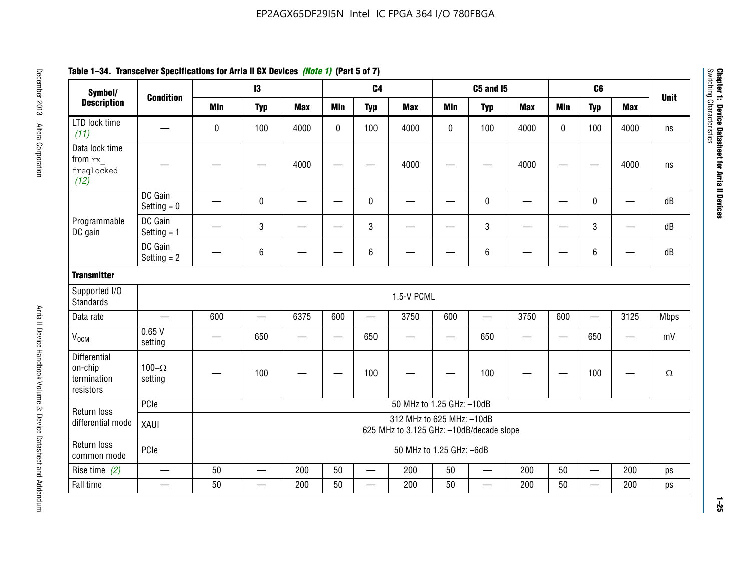| Symbol/                                                    |                           |                                                                       | 13              |            |                        | C <sub>4</sub>           |                           |            | <b>C5 and 15</b>         |            |             | C <sub>6</sub>  |                               |             |
|------------------------------------------------------------|---------------------------|-----------------------------------------------------------------------|-----------------|------------|------------------------|--------------------------|---------------------------|------------|--------------------------|------------|-------------|-----------------|-------------------------------|-------------|
| <b>Description</b>                                         | <b>Condition</b>          | <b>Min</b>                                                            | <b>Typ</b>      | <b>Max</b> | <b>Min</b>             | <b>Typ</b>               | <b>Max</b>                | <b>Min</b> | <b>Typ</b>               | <b>Max</b> | <b>Min</b>  | <b>Typ</b>      | <b>Max</b>                    | <b>Unit</b> |
| LTD lock time<br>(11)                                      |                           | 0                                                                     | 100             | 4000       | $\mathbf 0$            | 100                      | 4000                      | $\pmb{0}$  | 100                      | 4000       | $\mathbf 0$ | 100             | 4000                          | ns          |
| Data lock time<br>from rx<br>freqlocked<br>(12)            |                           |                                                                       |                 | 4000       |                        |                          | 4000                      |            |                          | 4000       |             |                 | 4000                          | ns          |
|                                                            | DC Gain<br>Setting $= 0$  |                                                                       | $\pmb{0}$       |            |                        | $\pmb{0}$                |                           |            | 0                        |            |             | $\mathbf 0$     |                               | dB          |
| Programmable<br>DC gain                                    | DC Gain<br>Setting $= 1$  |                                                                       | 3               |            |                        | $\mathbf{3}$             |                           |            | 3                        |            |             | 3               |                               | dB          |
|                                                            | DC Gain<br>Setting $= 2$  |                                                                       | 6               |            |                        | $6\phantom{.}6$          |                           |            | 6                        |            |             | 6               |                               | dB          |
| <b>Transmitter</b>                                         |                           |                                                                       |                 |            |                        |                          |                           |            |                          |            |             |                 |                               |             |
| Supported I/O<br><b>Standards</b>                          |                           |                                                                       |                 |            |                        |                          | 1.5-V PCML                |            |                          |            |             |                 |                               |             |
| Data rate                                                  | $\equiv$                  | 600                                                                   | $\equiv$        | 6375       | 600                    | $\overline{\phantom{0}}$ | 3750                      | 600        |                          | 3750       | 600         | $\equiv$        | 3125                          | <b>Mbps</b> |
| $V_{OCM}$                                                  | 0.65V<br>setting          | $\overline{\phantom{0}}$                                              | 650             | —          | $\qquad \qquad \qquad$ | 650                      |                           |            | 650                      | —          |             | 650             | $\overbrace{\phantom{13333}}$ | mV          |
| <b>Differential</b><br>on-chip<br>termination<br>resistors | $100 - \Omega$<br>setting |                                                                       | 100             |            |                        | 100                      |                           |            | 100                      |            |             | 100             |                               | $\Omega$    |
| Return loss                                                | PCIe                      |                                                                       |                 |            |                        |                          | 50 MHz to 1.25 GHz: -10dB |            |                          |            |             |                 |                               |             |
| differential mode                                          | XAUI                      | 312 MHz to 625 MHz: -10dB<br>625 MHz to 3.125 GHz: -10dB/decade slope |                 |            |                        |                          |                           |            |                          |            |             |                 |                               |             |
| Return loss<br>common mode                                 | PCle                      |                                                                       |                 |            |                        |                          | 50 MHz to 1.25 GHz: -6dB  |            |                          |            |             |                 |                               |             |
| Rise time $(2)$                                            | $\overline{\phantom{m}}$  | 50                                                                    | $\qquad \qquad$ | 200        | 50                     | $\overline{\phantom{0}}$ | 200                       | 50         | $\overline{\phantom{0}}$ | 200        | 50          | $\qquad \qquad$ | 200                           | ps          |
| Fall time                                                  |                           | 50                                                                    |                 | 200        | 50                     |                          | 200                       | 50         | —                        | 200        | 50          | —               | 200                           | ps          |

# **Table 1–34. Transceiver Specifications for Arria II GX Devices** *(Note 1)* **(Part 5 of 7)**

**1–25**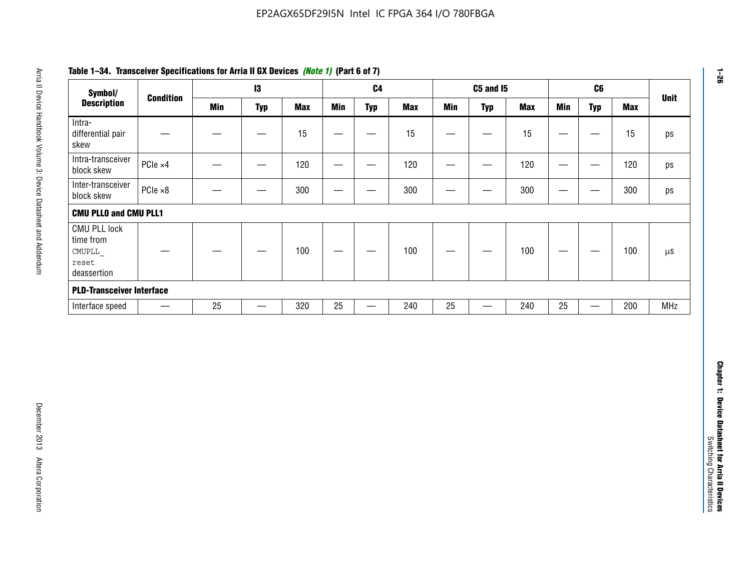| Symbol/                                                            |                          |            | $\mathbf{I}3$            |            |                                | C <sub>4</sub>    |            |                          | <b>C5 and 15</b>         |            |                                   | C6                            |            | <b>Unit</b> |
|--------------------------------------------------------------------|--------------------------|------------|--------------------------|------------|--------------------------------|-------------------|------------|--------------------------|--------------------------|------------|-----------------------------------|-------------------------------|------------|-------------|
| <b>Description</b>                                                 | <b>Condition</b>         | <b>Min</b> | <b>Typ</b>               | <b>Max</b> | <b>Min</b>                     | <b>Typ</b>        | <b>Max</b> | <b>Min</b>               | <b>Typ</b>               | <b>Max</b> | <b>Min</b>                        | <b>Typ</b>                    | <b>Max</b> |             |
| Intra-<br>differential pair<br>skew                                |                          |            | $\overline{\phantom{0}}$ | 15         |                                | —                 | 15         | $\overline{\phantom{0}}$ | $\overline{\phantom{m}}$ | 15         | $\overbrace{\phantom{123221111}}$ | $\overbrace{\phantom{13333}}$ | 15         |             |
| Intra-transceiver<br>block skew                                    | PCle ×4                  |            | $\hspace{0.05cm}$        | 120        |                                | $\hspace{0.05cm}$ | 120        | $\qquad \qquad$          | $\qquad \qquad -$        | 120        | $\overbrace{\phantom{133221111}}$ | $\hspace{0.05cm}$             | 120        |             |
| Inter-transceiver<br>block skew                                    | $PCle \times 8$          |            | —                        | 300        | $\qquad \qquad \longleftarrow$ | —                 | 300        | —                        | $\hspace{0.05cm}$        | 300        |                                   | $\hspace{0.05cm}$             | 300        |             |
| <b>CMU PLLO and CMU PLL1</b>                                       |                          |            |                          |            |                                |                   |            |                          |                          |            |                                   |                               |            |             |
| <b>CMU PLL lock</b><br>time from<br>CMUPLL<br>reset<br>deassertion |                          |            |                          | 100        |                                |                   | 100        |                          |                          | 100        | $\qquad \qquad \longleftarrow$    | —                             | 100        |             |
| <b>PLD-Transceiver Interface</b>                                   |                          |            |                          |            |                                |                   |            |                          |                          |            |                                   |                               |            |             |
| Interface speed                                                    | $\overline{\phantom{m}}$ | 25         | $\qquad \qquad -$        | 320        | $25\,$                         |                   | 240        | 25                       | $\overline{\phantom{0}}$ | 240        | 25                                | $\qquad \qquad$               | 200        | MHz         |
|                                                                    |                          |            |                          |            |                                |                   |            |                          |                          |            |                                   |                               |            |             |
|                                                                    |                          |            |                          |            |                                |                   |            |                          |                          |            |                                   |                               |            |             |
|                                                                    |                          |            |                          |            |                                |                   |            |                          |                          |            |                                   |                               |            |             |

# **Table 1–34. Transceiver Specifications for Arria II GX Devices** *(Note 1)* **(Part 6 of 7)**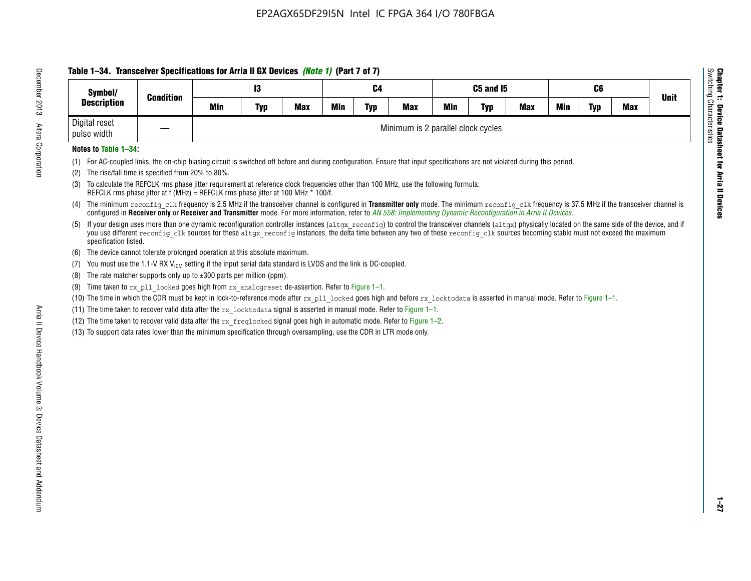# **Table 1–34. Transceiver Specifications for Arria II GX Devices** *(Note 1)* **(Part 7 of 7)**

| Symbol/                      | <b>Condition</b> |     | C4         |     |            | C5 and I5  |                                    |            | C6         |            |            | <b>Unit</b> |            |  |
|------------------------------|------------------|-----|------------|-----|------------|------------|------------------------------------|------------|------------|------------|------------|-------------|------------|--|
| <b>Description</b>           |                  | Min | <b>Typ</b> | Max | <b>Min</b> | <b>Typ</b> | <b>Max</b>                         | <b>Min</b> | <b>Typ</b> | <b>Max</b> | <b>Min</b> | Typ         | <b>Max</b> |  |
| Digital reset<br>pulse width |                  |     |            |     |            |            | Minimum is 2 parallel clock cycles |            |            |            |            |             |            |  |

### **Notes to Table 1–34:**

- (1) For AC-coupled links, the on-chip biasing circuit is switched off before and during configuration. Ensure that input specifications are not violated during this period.
- (2) The rise/fall time is specified from 20% to 80%.
- (3) To calculate the REFCLK rms phase jitter requirement at reference clock frequencies other than 100 MHz, use the following formula: REFCLK rms phase jitter at f (MHz) = REFCLK rms phase jitter at 100 MHz \* 100/f.
- (4) The minimum reconfig clk frequency is 2.5 MHz if the transceiver channel is configured in **Transmitter only** mode. The minimum reconfig clk frequency is 37.5 MHz if the transceiver channel is configured in **Receiver only** or **Receiver and Transmitter** mode. For more information, refer to *AN [558: Implementing Dynamic Reconfiguration in Arria II Devices](www.altera.com/literature/hb/arria-ii-gx/an558.pdf)*.
- (5) If your design uses more than one dynamic reconfiguration controller instances (altgx reconfig) to control the transceiver channels (altgx) physically located on the same side of the device, and if you use different reconfig clk sources for these altgx reconfig instances, the delta time between any two of these reconfig clk sources becoming stable must not exceed the maximum specification listed.
- (6) The device cannot tolerate prolonged operation at this absolute maximum.
- (7) You must use the 1.1-V RX  $V_{ICM}$  setting if the input serial data standard is LVDS and the link is DC-coupled.
- (8) The rate matcher supports only up to  $\pm 300$  parts per million (ppm).
- (9) Time taken to rx\_pll\_locked goes high from rx\_analogreset de-assertion. Refer to Figure 1–1.
- (10) The time in which the CDR must be kept in lock-to-reference mode after rx pll locked goes high and before rx locktodata is asserted in manual mode. Refer to Figure 1-1.
- (11) The time taken to recover valid data after the  $rx$  locktodata signal is asserted in manual mode. Refer to Figure 1–1.
- (12) The time taken to recover valid data after the  $rx$  freqlocked signal goes high in automatic mode. Refer to Figure 1–2.
- (13) To support data rates lower than the minimum specification through oversampling, use the CDR in LTR mode only.

**Chapter 1: Device Datasheet for Arria II Devices**

**Device Datasheet for Arria II Devices** 

Switching Characteristics

Chapter 1: Device Datas<br>Switching Characteristics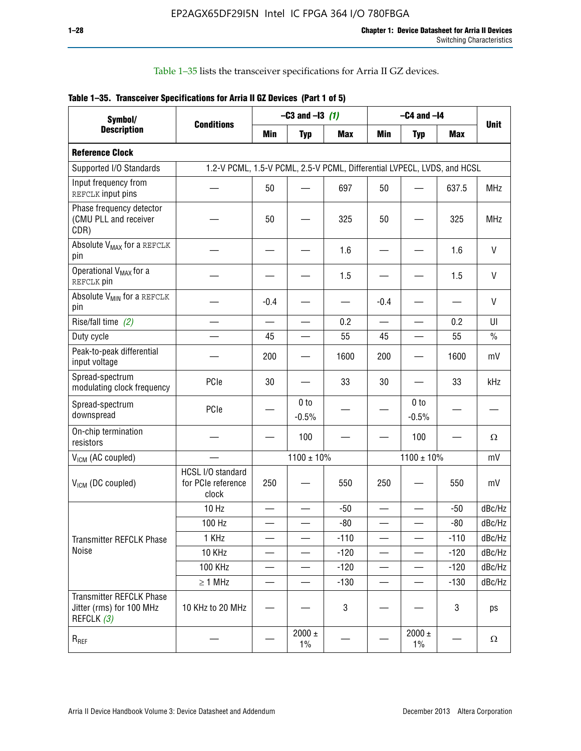Table 1–35 lists the transceiver specifications for Arria II GZ devices.

|  | Table 1-35. Transceiver Specifications for Arria II GZ Devices (Part 1 of 5) |  |
|--|------------------------------------------------------------------------------|--|
|  |                                                                              |  |

| Symbol/                                                                   |                                                                         |            | $-C3$ and $-13$ (1)        |            |            | $-C4$ and $-I4$            |            |             |
|---------------------------------------------------------------------------|-------------------------------------------------------------------------|------------|----------------------------|------------|------------|----------------------------|------------|-------------|
| <b>Description</b>                                                        | <b>Conditions</b>                                                       | <b>Min</b> | <b>Typ</b>                 | <b>Max</b> | <b>Min</b> | <b>Typ</b>                 | <b>Max</b> | <b>Unit</b> |
| <b>Reference Clock</b>                                                    |                                                                         |            |                            |            |            |                            |            |             |
| Supported I/O Standards                                                   | 1.2-V PCML, 1.5-V PCML, 2.5-V PCML, Differential LVPECL, LVDS, and HCSL |            |                            |            |            |                            |            |             |
| Input frequency from<br>REFCLK input pins                                 |                                                                         | 50         |                            | 697        | 50         |                            | 637.5      | <b>MHz</b>  |
| Phase frequency detector<br>(CMU PLL and receiver<br>CDR)                 |                                                                         | 50         |                            | 325        | 50         |                            | 325        | <b>MHz</b>  |
| Absolute V <sub>MAX</sub> for a REFCLK<br>pin                             |                                                                         |            |                            | 1.6        |            |                            | 1.6        | V           |
| Operational V <sub>MAX</sub> for a<br>REFCLK pin                          |                                                                         |            |                            | 1.5        |            |                            | 1.5        | V           |
| Absolute V <sub>MIN</sub> for a REFCLK<br>pin                             |                                                                         | $-0.4$     |                            |            | $-0.4$     |                            |            | V           |
| Rise/fall time (2)                                                        |                                                                         |            |                            | 0.2        |            |                            | 0.2        | UI          |
| Duty cycle                                                                |                                                                         | 45         |                            | 55         | 45         |                            | 55         | $\%$        |
| Peak-to-peak differential<br>input voltage                                |                                                                         | 200        |                            | 1600       | 200        |                            | 1600       | mV          |
| Spread-spectrum<br>modulating clock frequency                             | PCIe                                                                    | 30         |                            | 33         | 30         |                            | 33         | kHz         |
| Spread-spectrum<br>downspread                                             | PCIe                                                                    |            | 0 <sub>to</sub><br>$-0.5%$ |            |            | 0 <sub>to</sub><br>$-0.5%$ |            |             |
| On-chip termination<br>resistors                                          |                                                                         |            | 100                        |            |            | 100                        |            | Ω           |
| $V_{IGM}$ (AC coupled)                                                    |                                                                         |            | $1100 \pm 10\%$            |            |            | $1100 \pm 10\%$            |            | mV          |
| $V_{ICM}$ (DC coupled)                                                    | HCSL I/O standard<br>for PCIe reference<br>clock                        | 250        |                            | 550        | 250        |                            | 550        | mV          |
|                                                                           | 10 Hz                                                                   |            |                            | $-50$      |            |                            | $-50$      | dBc/Hz      |
|                                                                           | 100 Hz                                                                  |            |                            | $-80$      |            |                            | $-80$      | dBc/Hz      |
| Transmitter REFCLK Phase                                                  | 1 KHz                                                                   |            |                            | $-110$     |            |                            | $-110$     | dBc/Hz      |
| Noise                                                                     | 10 KHz                                                                  |            |                            | $-120$     |            |                            | $-120$     | dBc/Hz      |
|                                                                           | 100 KHz                                                                 |            |                            | $-120$     |            |                            | $-120$     | dBc/Hz      |
|                                                                           | $\geq 1$ MHz                                                            |            |                            | $-130$     |            |                            | $-130$     | dBc/Hz      |
| <b>Transmitter REFCLK Phase</b><br>Jitter (rms) for 100 MHz<br>REFCLK (3) | 10 KHz to 20 MHz                                                        |            |                            | 3          |            |                            | 3          | ps          |
| $R_{REF}$                                                                 |                                                                         |            | $2000 \pm$<br>$1\%$        |            |            | 2000 $\pm$<br>$1\%$        |            | $\Omega$    |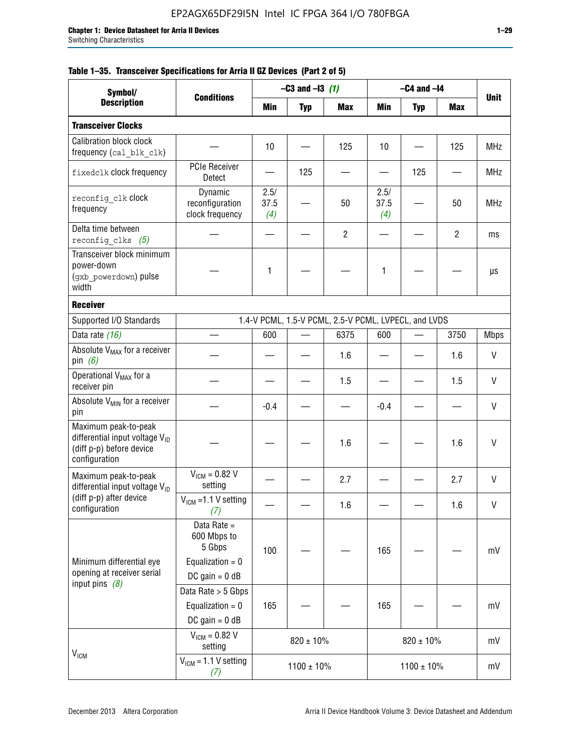|  |  | Table 1–35. Transceiver Specifications for Arria II GZ Devices (Part 2 of 5) |  |  |  |
|--|--|------------------------------------------------------------------------------|--|--|--|
|--|--|------------------------------------------------------------------------------|--|--|--|

| Symbol/                                                                                                         |                                                                                |                     | $-C3$ and $-I3$ (1) |                                                      |                     | $-C4$ and $-I4$ |                |             |
|-----------------------------------------------------------------------------------------------------------------|--------------------------------------------------------------------------------|---------------------|---------------------|------------------------------------------------------|---------------------|-----------------|----------------|-------------|
| <b>Description</b>                                                                                              | <b>Conditions</b>                                                              | Min                 | <b>Typ</b>          | <b>Max</b>                                           | Min                 | <b>Typ</b>      | Max            | <b>Unit</b> |
| <b>Transceiver Clocks</b>                                                                                       |                                                                                |                     |                     |                                                      |                     |                 |                |             |
| <b>Calibration block clock</b><br>frequency (cal_blk_clk)                                                       |                                                                                | 10                  |                     | 125                                                  | 10                  |                 | 125            | <b>MHz</b>  |
| fixedclk clock frequency                                                                                        | <b>PCIe Receiver</b><br>Detect                                                 |                     | 125                 |                                                      |                     | 125             |                | <b>MHz</b>  |
| reconfig clk clock<br>frequency                                                                                 | Dynamic<br>reconfiguration<br>clock frequency                                  | 2.5/<br>37.5<br>(4) |                     | 50                                                   | 2.5/<br>37.5<br>(4) |                 | 50             | <b>MHz</b>  |
| Delta time between<br>reconfig clks $(5)$                                                                       |                                                                                |                     |                     | $\overline{2}$                                       |                     |                 | $\overline{2}$ | ms          |
| Transceiver block minimum<br>power-down<br>(gxb powerdown) pulse<br>width                                       |                                                                                | 1                   |                     |                                                      | 1                   |                 |                | μs          |
| <b>Receiver</b>                                                                                                 |                                                                                |                     |                     |                                                      |                     |                 |                |             |
| Supported I/O Standards                                                                                         |                                                                                |                     |                     | 1.4-V PCML, 1.5-V PCML, 2.5-V PCML, LVPECL, and LVDS |                     |                 |                |             |
| Data rate (16)                                                                                                  |                                                                                | 600                 |                     | 6375                                                 | 600                 |                 | 3750           | <b>Mbps</b> |
| Absolute V <sub>MAX</sub> for a receiver<br>pin $(6)$                                                           |                                                                                |                     |                     | 1.6                                                  |                     |                 | 1.6            | V           |
| Operational V <sub>MAX</sub> for a<br>receiver pin                                                              |                                                                                |                     |                     | 1.5                                                  |                     |                 | 1.5            | V           |
| Absolute V <sub>MIN</sub> for a receiver<br>pin                                                                 |                                                                                | $-0.4$              |                     |                                                      | $-0.4$              |                 |                | V           |
| Maximum peak-to-peak<br>differential input voltage $V_{\text{ID}}$<br>(diff p-p) before device<br>configuration |                                                                                |                     |                     | 1.6                                                  |                     |                 | 1.6            | V           |
| Maximum peak-to-peak<br>differential input voltage V <sub>ID</sub>                                              | $V_{ICM} = 0.82 V$<br>setting                                                  |                     |                     | 2.7                                                  |                     |                 | 2.7            | V           |
| (diff p-p) after device<br>configuration                                                                        | $V_{ICM}$ =1.1 V setting<br>(7)                                                |                     |                     | 1.6                                                  |                     |                 | 1.6            | V           |
| Minimum differential eye<br>opening at receiver serial                                                          | Data Rate =<br>600 Mbps to<br>5 Gbps<br>Equalization = $0$<br>DC gain = $0$ dB | 100                 |                     |                                                      | 165                 |                 |                | mV          |
| input pins $(8)$                                                                                                | Data Rate > 5 Gbps<br>Equalization = $0$<br>DC gain = $0$ dB                   | 165                 |                     |                                                      | 165                 |                 |                | mV          |
| $V_{IGM}$                                                                                                       | $V_{ICM} = 0.82 V$<br>setting                                                  |                     | $820 \pm 10\%$      |                                                      |                     | $820 \pm 10\%$  |                | mV          |
|                                                                                                                 | $V_{IGM}$ = 1.1 V setting<br>(7)                                               |                     | $1100 \pm 10\%$     |                                                      |                     | $1100 \pm 10\%$ |                | mV          |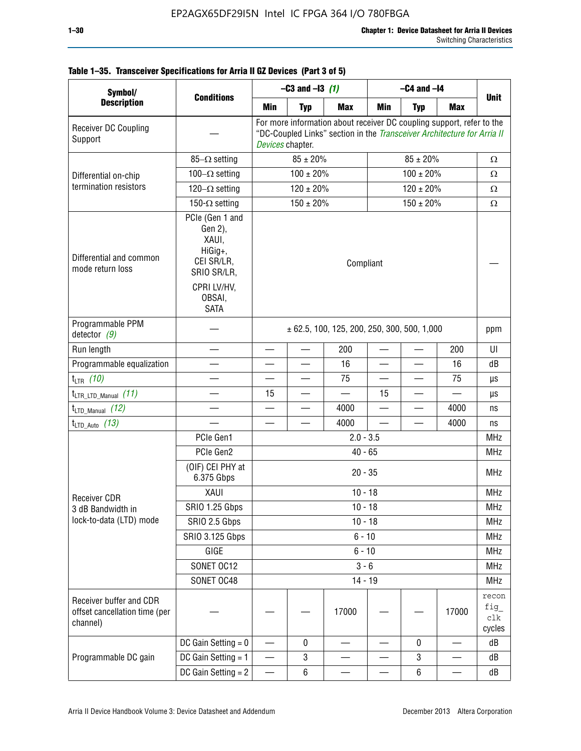| Table 1-35. Transceiver Specifications for Arria II GZ Devices (Part 3 of 5) |  |  |
|------------------------------------------------------------------------------|--|--|
|                                                                              |  |  |

| Symbol/                                                              |                                                                                                              | $-C3$ and $-13$ (1)                             |                                                                                                                                                                      |            | $-C4$ and $-I4$          |                |                                                                                                         |                               |  |
|----------------------------------------------------------------------|--------------------------------------------------------------------------------------------------------------|-------------------------------------------------|----------------------------------------------------------------------------------------------------------------------------------------------------------------------|------------|--------------------------|----------------|---------------------------------------------------------------------------------------------------------|-------------------------------|--|
| <b>Description</b>                                                   | <b>Conditions</b>                                                                                            | Min                                             | <b>Typ</b>                                                                                                                                                           | <b>Max</b> | Min                      | <b>Typ</b>     | <b>Max</b>                                                                                              | <b>Unit</b>                   |  |
| Receiver DC Coupling<br>Support                                      |                                                                                                              |                                                 | For more information about receiver DC coupling support, refer to the<br>"DC-Coupled Links" section in the Transceiver Architecture for Arria II<br>Devices chapter. |            |                          |                |                                                                                                         |                               |  |
|                                                                      | $85-\Omega$ setting                                                                                          |                                                 | $85 \pm 20\%$                                                                                                                                                        |            |                          | $\Omega$       |                                                                                                         |                               |  |
| Differential on-chip                                                 | 100 $-\Omega$ setting                                                                                        |                                                 | $100 \pm 20\%$                                                                                                                                                       |            |                          | Ω              |                                                                                                         |                               |  |
| termination resistors                                                | $120-\Omega$ setting                                                                                         |                                                 | $120 \pm 20\%$                                                                                                                                                       |            |                          | $120 \pm 20\%$ | $85 \pm 20\%$<br>$100 \pm 20\%$<br>200<br>16<br>75<br>4000<br>4000<br>17000<br>$\overline{\phantom{0}}$ | Ω                             |  |
|                                                                      | 150- $\Omega$ setting                                                                                        |                                                 | $150 \pm 20\%$                                                                                                                                                       |            |                          | $150 \pm 20\%$ |                                                                                                         | $\Omega$                      |  |
| Differential and common<br>mode return loss                          | PCIe (Gen 1 and<br>Gen 2),<br>XAUI,<br>HiGig+,<br>CEI SR/LR,<br>SRIO SR/LR,<br>CPRI LV/HV,<br>OBSAI,<br>SATA | Compliant                                       |                                                                                                                                                                      |            |                          |                |                                                                                                         |                               |  |
| Programmable PPM<br>detector $(9)$                                   |                                                                                                              | $\pm$ 62.5, 100, 125, 200, 250, 300, 500, 1,000 |                                                                                                                                                                      |            |                          |                |                                                                                                         | ppm                           |  |
| Run length                                                           |                                                                                                              |                                                 | $\equiv$                                                                                                                                                             | 200        |                          |                |                                                                                                         | UI                            |  |
| Programmable equalization                                            |                                                                                                              |                                                 |                                                                                                                                                                      | 16         | $\overline{\phantom{0}}$ |                |                                                                                                         | dB                            |  |
| $t_{LTR}$ (10)                                                       |                                                                                                              |                                                 |                                                                                                                                                                      | 75         |                          |                |                                                                                                         | μs                            |  |
| $t_{\text{LTR\_LTD\_Manual}}$ (11)                                   |                                                                                                              | 15                                              |                                                                                                                                                                      |            | 15                       |                |                                                                                                         | μs                            |  |
| $t_{\text{LTD\_Manual}}$ (12)                                        |                                                                                                              |                                                 |                                                                                                                                                                      | 4000       | $\overline{\phantom{0}}$ |                |                                                                                                         | ns                            |  |
| $t_{LTD\_Auto}$ (13)                                                 |                                                                                                              |                                                 |                                                                                                                                                                      | 4000       |                          |                |                                                                                                         | ns<br><b>MHz</b>              |  |
|                                                                      | PCIe Gen1                                                                                                    | $2.0 - 3.5$                                     |                                                                                                                                                                      |            |                          |                |                                                                                                         |                               |  |
|                                                                      | PCIe Gen2                                                                                                    | $40 - 65$                                       |                                                                                                                                                                      |            |                          |                |                                                                                                         |                               |  |
|                                                                      | (OIF) CEI PHY at<br>6.375 Gbps                                                                               |                                                 |                                                                                                                                                                      | $20 - 35$  |                          |                |                                                                                                         | <b>MHz</b>                    |  |
| <b>Receiver CDR</b>                                                  | XAUI                                                                                                         |                                                 |                                                                                                                                                                      | $10 - 18$  |                          |                |                                                                                                         | <b>MHz</b>                    |  |
| 3 dB Bandwidth in                                                    | <b>SRIO 1.25 Gbps</b>                                                                                        |                                                 |                                                                                                                                                                      | $10 - 18$  |                          |                |                                                                                                         | MHz                           |  |
| lock-to-data (LTD) mode                                              | SRIO 2.5 Gbps                                                                                                |                                                 |                                                                                                                                                                      | $10 - 18$  |                          |                |                                                                                                         | <b>MHz</b>                    |  |
|                                                                      | <b>SRIO 3.125 Gbps</b>                                                                                       |                                                 |                                                                                                                                                                      | $6 - 10$   |                          |                |                                                                                                         | <b>MHz</b>                    |  |
|                                                                      | GIGE                                                                                                         |                                                 |                                                                                                                                                                      | $6 - 10$   |                          |                |                                                                                                         | <b>MHz</b>                    |  |
|                                                                      | SONET OC12                                                                                                   |                                                 |                                                                                                                                                                      | $3 - 6$    |                          |                |                                                                                                         | <b>MHz</b>                    |  |
|                                                                      | SONET OC48                                                                                                   |                                                 |                                                                                                                                                                      | $14 - 19$  |                          |                |                                                                                                         | <b>MHz</b>                    |  |
| Receiver buffer and CDR<br>offset cancellation time (per<br>channel) |                                                                                                              |                                                 |                                                                                                                                                                      | 17000      |                          |                |                                                                                                         | recon<br>fig<br>clk<br>cycles |  |
|                                                                      | DC Gain Setting $= 0$                                                                                        | $\overline{\phantom{0}}$                        | 0                                                                                                                                                                    |            |                          | 0              |                                                                                                         | dB                            |  |
| Programmable DC gain                                                 | DC Gain Setting = 1                                                                                          | $\hspace{0.05cm}$                               | 3                                                                                                                                                                    |            |                          | 3              | —                                                                                                       | dB                            |  |
|                                                                      | DC Gain Setting $= 2$                                                                                        | —                                               | 6                                                                                                                                                                    |            |                          | 6              |                                                                                                         | dB                            |  |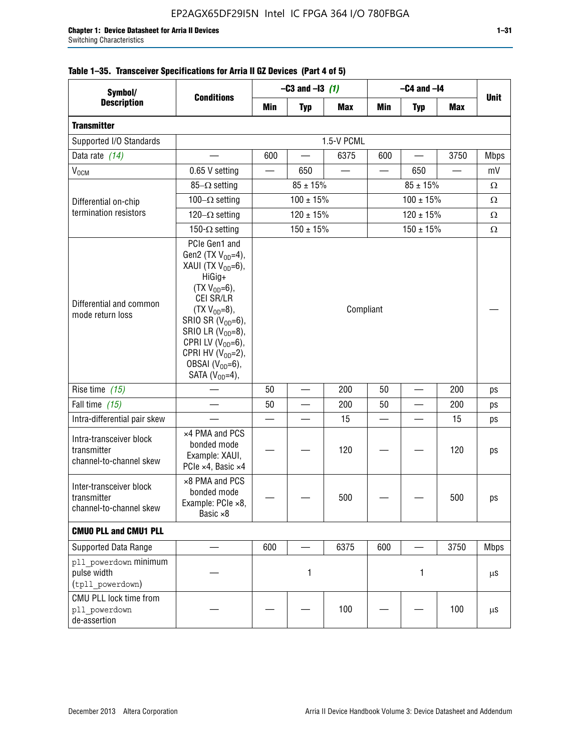| Symbol/                                                           | <b>Conditions</b>                                                                                                                                                                                                                                                                            |           | $-C3$ and $-13$ (1)      |            | $-C4$ and $-I4$ |                |                          |             |
|-------------------------------------------------------------------|----------------------------------------------------------------------------------------------------------------------------------------------------------------------------------------------------------------------------------------------------------------------------------------------|-----------|--------------------------|------------|-----------------|----------------|--------------------------|-------------|
| <b>Description</b>                                                |                                                                                                                                                                                                                                                                                              | Min       | <b>Typ</b>               | <b>Max</b> | Min             | <b>Typ</b>     | <b>Max</b>               | <b>Unit</b> |
| <b>Transmitter</b>                                                |                                                                                                                                                                                                                                                                                              |           |                          |            |                 |                |                          |             |
| Supported I/O Standards                                           |                                                                                                                                                                                                                                                                                              |           |                          | 1.5-V PCML |                 |                |                          |             |
| Data rate (14)                                                    |                                                                                                                                                                                                                                                                                              | 600       | $\overline{\phantom{0}}$ | 6375       | 600             |                | 3750                     | <b>Mbps</b> |
| V <sub>OCM</sub>                                                  | 0.65 V setting                                                                                                                                                                                                                                                                               |           | 650                      |            |                 | 650            | $\overline{\phantom{0}}$ | mV          |
|                                                                   | $85-\Omega$ setting                                                                                                                                                                                                                                                                          |           | $85 \pm 15\%$            |            |                 | $85 \pm 15\%$  |                          | Ω           |
| Differential on-chip                                              | 100 $-\Omega$ setting                                                                                                                                                                                                                                                                        |           | $100 \pm 15\%$           |            |                 | $100 \pm 15\%$ |                          | Ω           |
| termination resistors                                             | 120 $-\Omega$ setting                                                                                                                                                                                                                                                                        |           | $120 \pm 15\%$           |            |                 | $120 \pm 15\%$ |                          | Ω           |
|                                                                   | 150- $\Omega$ setting                                                                                                                                                                                                                                                                        |           | $150 \pm 15%$            |            |                 | $150 \pm 15%$  |                          | Ω           |
| Differential and common<br>mode return loss                       | PCIe Gen1 and<br>Gen2 (TX $V_{OD} = 4$ ),<br>XAUI (TX $V_{OD} = 6$ ),<br>HiGig+<br>$(TX V_{OD} = 6)$ ,<br>CEI SR/LR<br>$(TX V_{OD} = 8),$<br>SRIO SR $(V_{OD}=6)$ ,<br>SRIO LR $(V_{OD} = 8)$ ,<br>CPRI LV $(V_{OD}=6)$ ,<br>CPRI HV $(V_{OD}=2)$ ,<br>OBSAI $(VOD=6)$ ,<br>SATA $(VOD=4)$ , | Compliant |                          |            |                 |                |                          |             |
| Rise time $(15)$                                                  |                                                                                                                                                                                                                                                                                              | 50        |                          | 200        | 50              |                | 200                      | ps          |
| Fall time (15)                                                    |                                                                                                                                                                                                                                                                                              | 50        |                          | 200        | 50              |                | 200                      | ps          |
| Intra-differential pair skew                                      |                                                                                                                                                                                                                                                                                              |           |                          | 15         |                 |                | 15                       | ps          |
| Intra-transceiver block<br>transmitter<br>channel-to-channel skew | x4 PMA and PCS<br>bonded mode<br>Example: XAUI,<br>PCIe ×4, Basic ×4                                                                                                                                                                                                                         |           |                          | 120        |                 |                | 120                      | ps          |
| Inter-transceiver block<br>transmitter<br>channel-to-channel skew | ×8 PMA and PCS<br>bonded mode<br>Example: PCle ×8,<br>Basic ×8                                                                                                                                                                                                                               |           |                          | 500        |                 |                | 500                      | ps          |
| <b>CMUO PLL and CMU1 PLL</b>                                      |                                                                                                                                                                                                                                                                                              |           |                          |            |                 |                |                          |             |
| Supported Data Range                                              |                                                                                                                                                                                                                                                                                              | 600       |                          | 6375       | 600             |                | 3750                     | <b>Mbps</b> |
| pll powerdown minimum<br>pulse width<br>(tpll powerdown)          |                                                                                                                                                                                                                                                                                              |           | 1                        |            |                 | 1              |                          | μS          |
| CMU PLL lock time from<br>pll powerdown<br>de-assertion           |                                                                                                                                                                                                                                                                                              |           |                          | 100        |                 |                | 100                      | μS          |

# **Table 1–35. Transceiver Specifications for Arria II GZ Devices (Part 4 of 5)**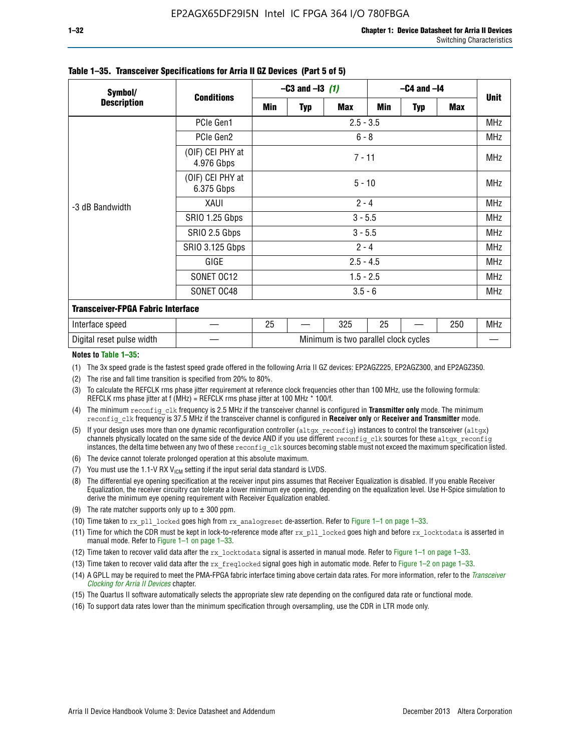| Symbol/                                  | <b>Conditions</b>              | $-C3$ and $-13$ (1) |          |                                      | $-C4$ and $-I4$ |            |     |             |  |  |
|------------------------------------------|--------------------------------|---------------------|----------|--------------------------------------|-----------------|------------|-----|-------------|--|--|
| <b>Description</b>                       |                                | Min                 | Typ      | <b>Max</b>                           | Min             | <b>Typ</b> | Max | <b>Unit</b> |  |  |
|                                          | PCIe Gen1                      |                     |          | $2.5 - 3.5$                          |                 |            |     | <b>MHz</b>  |  |  |
|                                          | PCIe Gen2                      | $6 - 8$             |          |                                      |                 |            |     |             |  |  |
| -3 dB Bandwidth                          | (OIF) CEI PHY at<br>4.976 Gbps | $7 - 11$            |          |                                      |                 |            |     |             |  |  |
|                                          | (OIF) CEI PHY at<br>6.375 Gbps |                     | $5 - 10$ |                                      |                 |            |     |             |  |  |
|                                          | XAUI                           | $2 - 4$             |          |                                      |                 |            |     |             |  |  |
|                                          | SRIO 1.25 Gbps                 | $3 - 5.5$           |          |                                      |                 |            |     |             |  |  |
|                                          | SRIO 2.5 Gbps                  | $3 - 5.5$           |          |                                      |                 |            |     |             |  |  |
|                                          | <b>SRIO 3.125 Gbps</b>         |                     |          | $2 - 4$                              |                 |            |     | <b>MHz</b>  |  |  |
|                                          | GIGE                           |                     |          | $2.5 - 4.5$                          |                 |            |     | <b>MHz</b>  |  |  |
|                                          | SONET OC12                     |                     |          | $1.5 - 2.5$                          |                 |            |     | <b>MHz</b>  |  |  |
|                                          | SONET OC48                     |                     |          | $3.5 - 6$                            |                 |            |     | <b>MHz</b>  |  |  |
| <b>Transceiver-FPGA Fabric Interface</b> |                                |                     |          |                                      |                 |            |     |             |  |  |
| Interface speed                          |                                | 25                  |          | 325                                  | 25              |            | 250 | <b>MHz</b>  |  |  |
| Digital reset pulse width                |                                |                     |          | Minimum is two parallel clock cycles |                 |            |     |             |  |  |

#### **Table 1–35. Transceiver Specifications for Arria II GZ Devices (Part 5 of 5)**

#### **Notes to Table 1–35:**

(1) The 3x speed grade is the fastest speed grade offered in the following Arria II GZ devices: EP2AGZ225, EP2AGZ300, and EP2AGZ350.

- (2) The rise and fall time transition is specified from 20% to 80%.
- (3) To calculate the REFCLK rms phase jitter requirement at reference clock frequencies other than 100 MHz, use the following formula: REFCLK rms phase jitter at f (MHz) = REFCLK rms phase jitter at 100 MHz  $*$  100/f.
- (4) The minimum reconfig clk frequency is 2.5 MHz if the transceiver channel is configured in **Transmitter only** mode. The minimum reconfig\_clk frequency is 37.5 MHz if the transceiver channel is configured in **Receiver only** or **Receiver and Transmitter** mode.
- (5) If your design uses more than one dynamic reconfiguration controller (altgx reconfig) instances to control the transceiver (altgx) channels physically located on the same side of the device AND if you use different reconfig clk sources for these altgx reconfig instances, the delta time between any two of these reconfig clk sources becoming stable must not exceed the maximum specification listed.
- (6) The device cannot tolerate prolonged operation at this absolute maximum.
- (7) You must use the 1.1-V RX  $V_{ICM}$  setting if the input serial data standard is LVDS.
- (8) The differential eye opening specification at the receiver input pins assumes that Receiver Equalization is disabled. If you enable Receiver Equalization, the receiver circuitry can tolerate a lower minimum eye opening, depending on the equalization level. Use H-Spice simulation to derive the minimum eye opening requirement with Receiver Equalization enabled.
- (9) The rate matcher supports only up to  $\pm$  300 ppm.
- (10) Time taken to rx\_pll\_locked goes high from rx\_analogreset de-assertion. Refer to Figure 1–1 on page 1–33.
- (11) Time for which the CDR must be kept in lock-to-reference mode after rx pll\_locked goes high and before rx\_locktodata is asserted in manual mode. Refer to Figure 1–1 on page 1–33.
- (12) Time taken to recover valid data after the rx locktodata signal is asserted in manual mode. Refer to Figure 1–1 on page 1–33.
- (13) Time taken to recover valid data after the rx\_freqlocked signal goes high in automatic mode. Refer to Figure 1–2 on page 1–33.
- (14) A GPLL may be required to meet the PMA-FPGA fabric interface timing above certain data rates. For more information, refer to the *[Transceiver](http://www.altera.com/literature/hb/arria-ii-gx/aiigx_52002.pdf)  [Clocking for Arria II Devices](http://www.altera.com/literature/hb/arria-ii-gx/aiigx_52002.pdf)* chapter.
- (15) The Quartus II software automatically selects the appropriate slew rate depending on the configured data rate or functional mode.
- (16) To support data rates lower than the minimum specification through oversampling, use the CDR in LTR mode only.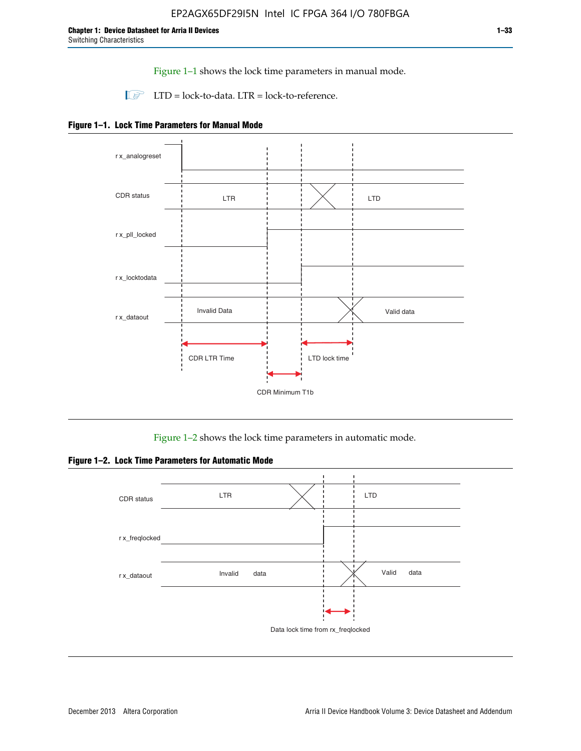Figure 1–1 shows the lock time parameters in manual mode.

 $\Box$  LTD = lock-to-data. LTR = lock-to-reference.





Figure 1–2 shows the lock time parameters in automatic mode.

**Figure 1–2. Lock Time Parameters for Automatic Mode**

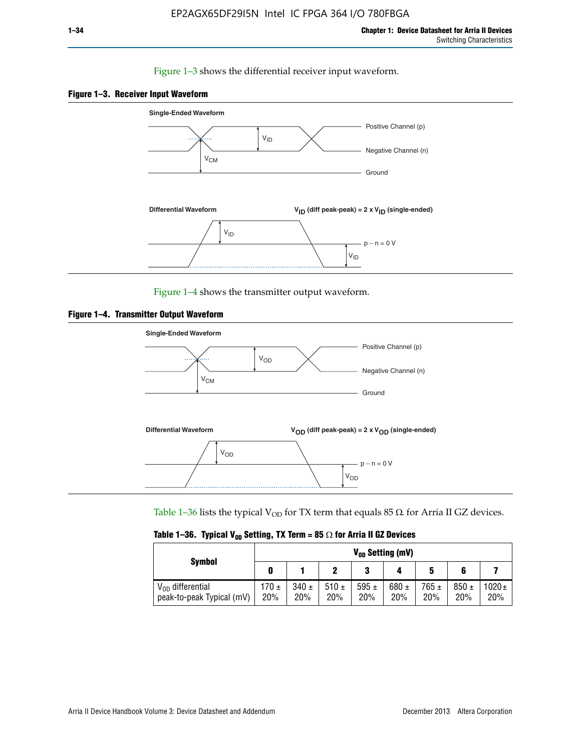### Figure 1–3 shows the differential receiver input waveform.





Figure 1–4 shows the transmitter output waveform.





Table 1–36 lists the typical V<sub>OD</sub> for TX term that equals 85  $\Omega$  for Arria II GZ devices.

|  |  |  | Table 1–36. Typical V <sub>op</sub> Setting, TX Term = 85 $\Omega$ for Arria II GZ Devices |
|--|--|--|--------------------------------------------------------------------------------------------|
|--|--|--|--------------------------------------------------------------------------------------------|

|                                                    | $V_{0D}$ Setting (mV) |                  |                  |                  |                  |                  |                  |                   |  |  |
|----------------------------------------------------|-----------------------|------------------|------------------|------------------|------------------|------------------|------------------|-------------------|--|--|
| <b>Symbol</b>                                      |                       |                  |                  | 2<br>J           |                  | 5                |                  |                   |  |  |
| $V_{OD}$ differential<br>peak-to-peak Typical (mV) | $170 \pm$<br>20%      | $340 \pm$<br>20% | 510 $\pm$<br>20% | 595 $\pm$<br>20% | 680 $\pm$<br>20% | $765 \pm$<br>20% | $850 \pm$<br>20% | $1020 \pm$<br>20% |  |  |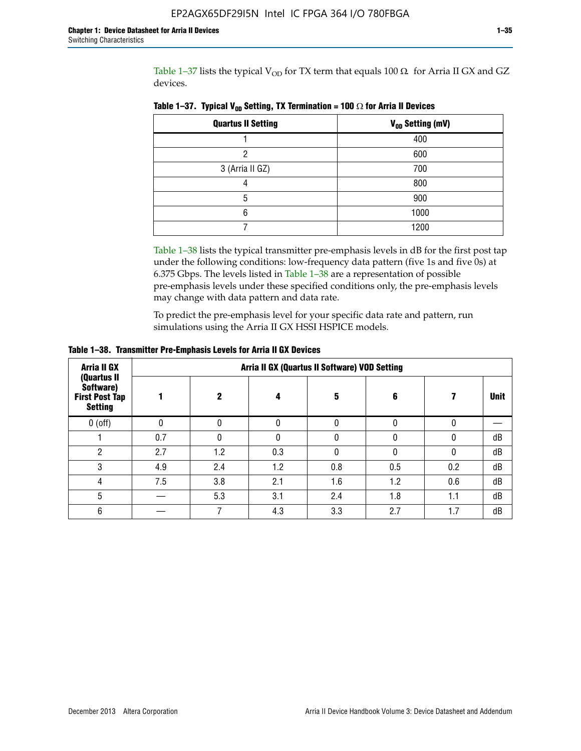Table 1–37 lists the typical  $V_{OD}$  for TX term that equals 100  $\Omega$  for Arria II GX and GZ devices.

| <b>Quartus II Setting</b> | V <sub>OD</sub> Setting (mV) |
|---------------------------|------------------------------|
|                           | 400                          |
| ŋ                         | 600                          |
| 3 (Arria II GZ)           | 700                          |
|                           | 800                          |
| 5                         | 900                          |
| 6                         | 1000                         |
|                           | 1200                         |

**Table 1–37. Typical V<sub>OD</sub> Setting, TX Termination = 100**  $\Omega$  for Arria II Devices

Table 1–38 lists the typical transmitter pre-emphasis levels in dB for the first post tap under the following conditions: low-frequency data pattern (five 1s and five 0s) at 6.375 Gbps. The levels listed in Table 1–38 are a representation of possible pre-emphasis levels under these specified conditions only, the pre-emphasis levels may change with data pattern and data rate.

To predict the pre-emphasis level for your specific data rate and pattern, run simulations using the Arria II GX HSSI HSPICE models.

| <b>Arria II GX</b>                                                  | Arria II GX (Quartus II Software) VOD Setting |     |     |     |     |     |             |  |  |  |
|---------------------------------------------------------------------|-----------------------------------------------|-----|-----|-----|-----|-----|-------------|--|--|--|
| (Quartus II<br>Software)<br><b>First Post Tap</b><br><b>Setting</b> |                                               | 2   | 4   | 5   | 6   |     | <b>Unit</b> |  |  |  |
| $0$ (off)                                                           | 0                                             |     | U   |     |     |     |             |  |  |  |
|                                                                     | 0.7                                           |     | U   |     |     |     | dB          |  |  |  |
| ŋ                                                                   | 2.7                                           | 1.2 | 0.3 |     |     |     | dB          |  |  |  |
| 3                                                                   | 4.9                                           | 2.4 | 1.2 | 0.8 | 0.5 | 0.2 | dB          |  |  |  |
| 4                                                                   | 7.5                                           | 3.8 | 2.1 | 1.6 | 1.2 | 0.6 | dB          |  |  |  |
| 5                                                                   |                                               | 5.3 | 3.1 | 2.4 | 1.8 | 1.1 | dB          |  |  |  |
| 6                                                                   |                                               |     | 4.3 | 3.3 | 2.7 | 1.7 | dB          |  |  |  |

**Table 1–38. Transmitter Pre-Emphasis Levels for Arria II GX Devices**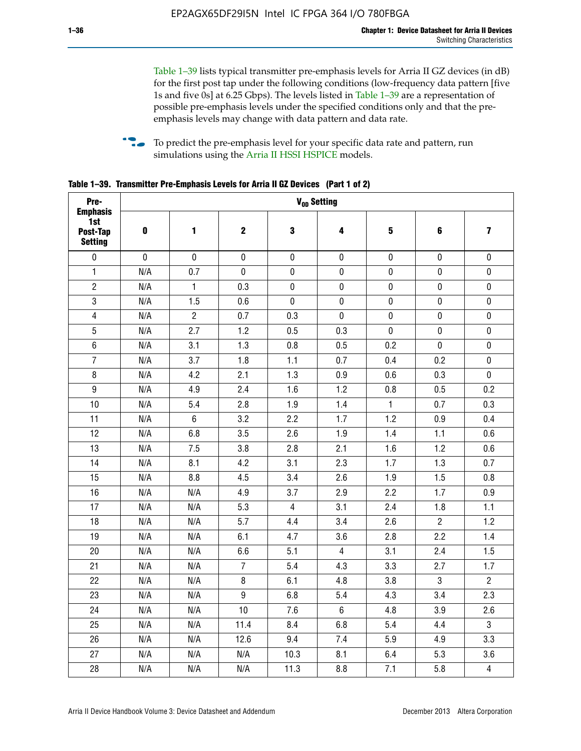Table 1–39 lists typical transmitter pre-emphasis levels for Arria II GZ devices (in dB) for the first post tap under the following conditions (low-frequency data pattern [five 1s and five 0s] at 6.25 Gbps). The levels listed in Table 1–39 are a representation of possible pre-emphasis levels under the specified conditions only and that the preemphasis levels may change with data pattern and data rate.

**follow** To predict the pre-emphasis level for your specific data rate and pattern, run simulations using the [Arria II HSSI HSPICE](http://www.altera.com/support/software/download/hspice/hsp-index.html) models.

| Pre-                                                 |           |                |                  |                | V <sub>OD</sub> Setting |              |                |                         |
|------------------------------------------------------|-----------|----------------|------------------|----------------|-------------------------|--------------|----------------|-------------------------|
| <b>Emphasis</b><br>1st<br>Post-Tap<br><b>Setting</b> | $\pmb{0}$ | 1              | $\mathbf 2$      | 3              | 4                       | 5            | 6              | $\overline{\mathbf{z}}$ |
| $\pmb{0}$                                            | $\pmb{0}$ | $\pmb{0}$      | $\pmb{0}$        | $\pmb{0}$      | $\pmb{0}$               | $\pmb{0}$    | $\pmb{0}$      | $\pmb{0}$               |
| $\mathbf{1}$                                         | N/A       | 0.7            | $\pmb{0}$        | $\pmb{0}$      | $\pmb{0}$               | $\pmb{0}$    | 0              | $\pmb{0}$               |
| $\overline{2}$                                       | N/A       | $\mathbf{1}$   | 0.3              | $\pmb{0}$      | $\pmb{0}$               | $\pmb{0}$    | $\pmb{0}$      | $\pmb{0}$               |
| $\sqrt{3}$                                           | N/A       | 1.5            | 0.6              | $\pmb{0}$      | $\pmb{0}$               | $\pmb{0}$    | $\pmb{0}$      | $\pmb{0}$               |
| $\overline{4}$                                       | N/A       | $\overline{c}$ | 0.7              | 0.3            | $\pmb{0}$               | $\pmb{0}$    | $\pmb{0}$      | $\pmb{0}$               |
| 5                                                    | N/A       | 2.7            | 1.2              | 0.5            | 0.3                     | $\mathbf 0$  | 0              | $\mathbf 0$             |
| $6\phantom{.}$                                       | N/A       | 3.1            | 1.3              | 0.8            | 0.5                     | 0.2          | $\mathbf 0$    | $\pmb{0}$               |
| $\overline{7}$                                       | N/A       | 3.7            | 1.8              | 1.1            | 0.7                     | 0.4          | 0.2            | $\pmb{0}$               |
| $\bf 8$                                              | N/A       | 4.2            | 2.1              | 1.3            | 0.9                     | 0.6          | 0.3            | $\pmb{0}$               |
| $\boldsymbol{9}$                                     | N/A       | 4.9            | 2.4              | 1.6            | 1.2                     | 0.8          | 0.5            | 0.2                     |
| 10                                                   | N/A       | 5.4            | 2.8              | 1.9            | 1.4                     | $\mathbf{1}$ | 0.7            | 0.3                     |
| 11                                                   | N/A       | $\,6\,$        | 3.2              | 2.2            | 1.7                     | 1.2          | 0.9            | 0.4                     |
| 12                                                   | N/A       | 6.8            | 3.5              | 2.6            | 1.9                     | 1.4          | 1.1            | 0.6                     |
| 13                                                   | N/A       | 7.5            | 3.8              | 2.8            | 2.1                     | 1.6          | 1.2            | 0.6                     |
| 14                                                   | N/A       | 8.1            | 4.2              | 3.1            | 2.3                     | 1.7          | 1.3            | 0.7                     |
| 15                                                   | N/A       | 8.8            | 4.5              | 3.4            | 2.6                     | 1.9          | 1.5            | 0.8                     |
| 16                                                   | N/A       | N/A            | 4.9              | 3.7            | 2.9                     | 2.2          | 1.7            | 0.9                     |
| 17                                                   | N/A       | N/A            | 5.3              | $\overline{4}$ | 3.1                     | 2.4          | 1.8            | 1.1                     |
| 18                                                   | N/A       | N/A            | 5.7              | 4.4            | 3.4                     | 2.6          | $\overline{2}$ | 1.2                     |
| 19                                                   | N/A       | N/A            | 6.1              | 4.7            | 3.6                     | 2.8          | 2.2            | 1.4                     |
| 20                                                   | N/A       | N/A            | 6.6              | 5.1            | $\overline{4}$          | 3.1          | 2.4            | 1.5                     |
| 21                                                   | N/A       | N/A            | $\overline{7}$   | 5.4            | 4.3                     | 3.3          | 2.7            | 1.7                     |
| 22                                                   | N/A       | N/A            | 8                | 6.1            | 4.8                     | 3.8          | 3              | $\overline{2}$          |
| 23                                                   | N/A       | N/A            | $\boldsymbol{9}$ | 6.8            | 5.4                     | 4.3          | 3.4            | 2.3                     |
| 24                                                   | N/A       | N/A            | 10               | 7.6            | $6\phantom{1}$          | 4.8          | 3.9            | 2.6                     |
| 25                                                   | N/A       | N/A            | 11.4             | 8.4            | 6.8                     | 5.4          | 4.4            | $\overline{3}$          |
| 26                                                   | N/A       | N/A            | 12.6             | 9.4            | 7.4                     | 5.9          | 4.9            | 3.3                     |
| 27                                                   | N/A       | N/A            | N/A              | 10.3           | 8.1                     | 6.4          | 5.3            | 3.6                     |
| 28                                                   | N/A       | N/A            | N/A              | 11.3           | 8.8                     | 7.1          | 5.8            | $\overline{\mathbf{4}}$ |

**Table 1–39. Transmitter Pre-Emphasis Levels for Arria II GZ Devices (Part 1 of 2)**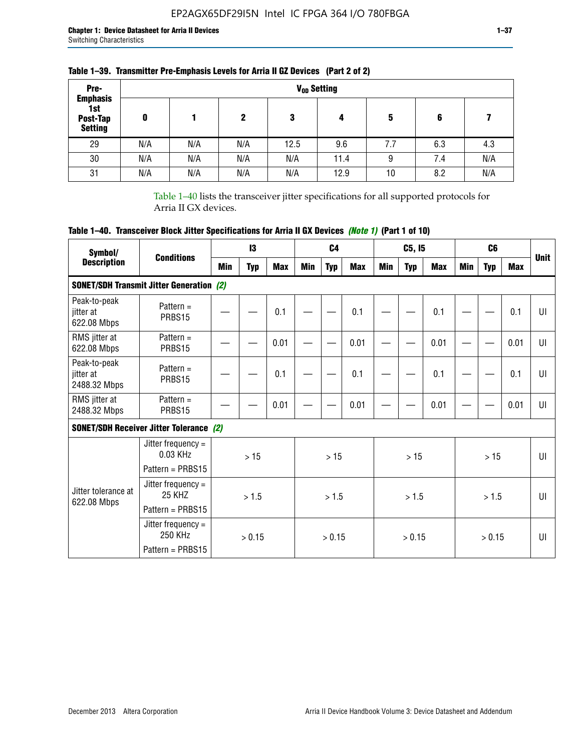| Pre-                                                 |     |     |     |      | V <sub>op</sub> Setting |     |     |     |
|------------------------------------------------------|-----|-----|-----|------|-------------------------|-----|-----|-----|
| <b>Emphasis</b><br>1st<br>Post-Tap<br><b>Setting</b> | 0   |     | 2   | 3    | 4                       | 5   | 6   |     |
| 29                                                   | N/A | N/A | N/A | 12.5 | 9.6                     | 7.7 | 6.3 | 4.3 |
| 30                                                   | N/A | N/A | N/A | N/A  | 11.4                    | 9   | 7.4 | N/A |
| 31                                                   | N/A | N/A | N/A | N/A  | 12.9                    | 10  | 8.2 | N/A |

### **Table 1–39. Transmitter Pre-Emphasis Levels for Arria II GZ Devices (Part 2 of 2)**

Table 1–40 lists the transceiver jitter specifications for all supported protocols for Arria II GX devices.

# **Table 1–40. Transceiver Block Jitter Specifications for Arria II GX Devices** *(Note 1)* **(Part 1 of 10)**

| Symbol/                                   | <b>Conditions</b>                                              |     | $\mathbf{13}$ |            |            | C <sub>4</sub> |            |     | C5, I5     |      |            | C <sub>6</sub> |            | <b>Unit</b>  |
|-------------------------------------------|----------------------------------------------------------------|-----|---------------|------------|------------|----------------|------------|-----|------------|------|------------|----------------|------------|--------------|
| <b>Description</b>                        |                                                                | Min | <b>Typ</b>    | <b>Max</b> | <b>Min</b> | <b>Typ</b>     | <b>Max</b> | Min | <b>Typ</b> | Max  | <b>Min</b> | <b>Typ</b>     | <b>Max</b> |              |
|                                           | <b>SONET/SDH Transmit Jitter Generation (2)</b>                |     |               |            |            |                |            |     |            |      |            |                |            |              |
| Peak-to-peak<br>jitter at<br>622.08 Mbps  | Pattern $=$<br>PRBS15                                          |     |               | 0.1        |            |                | 0.1        |     |            | 0.1  |            |                | 0.1        | UI           |
| RMS jitter at<br>622.08 Mbps              | Pattern $=$<br>PRBS15                                          |     |               | 0.01       |            |                | 0.01       |     |            | 0.01 |            |                | 0.01       | UI           |
| Peak-to-peak<br>iitter at<br>2488.32 Mbps | Pattern $=$<br>PRBS15                                          |     |               | 0.1        |            |                | 0.1        |     |            | 0.1  |            |                | 0.1        | U            |
| RMS jitter at<br>2488.32 Mbps             | Pattern $=$<br>PRBS15                                          |     |               | 0.01       |            |                | 0.01       |     |            | 0.01 |            |                | 0.01       | UI           |
|                                           | <b>SONET/SDH Receiver Jitter Tolerance (2)</b>                 |     |               |            |            |                |            |     |            |      |            |                |            |              |
|                                           | Jitter frequency $=$<br>$0.03$ KHz<br>Pattern = PRBS15         |     | >15           |            |            | >15            |            |     | >15        |      |            | >15            |            | $\mathbf{U}$ |
| Jitter tolerance at<br>622.08 Mbps        | Jitter frequency $=$<br>25 KH <sub>7</sub><br>Pattern = PRBS15 |     | > 1.5         |            |            | > 1.5          |            |     | > 1.5      |      |            | > 1.5          |            | $\mathbf{U}$ |
|                                           | Jitter frequency $=$<br>250 KHz<br>Pattern = PRBS15            |     | > 0.15        |            |            | > 0.15         |            |     | > 0.15     |      |            | > 0.15         |            | UI           |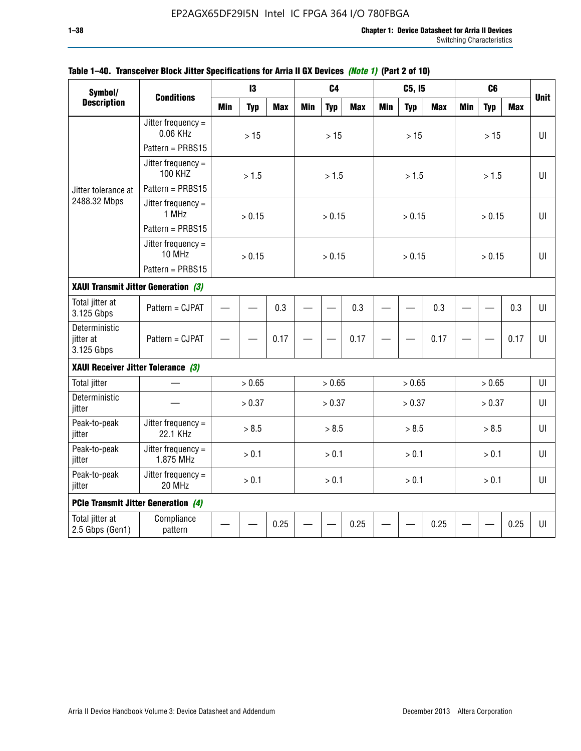| Symbol/                                  |                                                                        |            | 13         |            |            | C <sub>4</sub> |            |            | C5, I5     |            |            | C <sub>6</sub> |            |             |
|------------------------------------------|------------------------------------------------------------------------|------------|------------|------------|------------|----------------|------------|------------|------------|------------|------------|----------------|------------|-------------|
| <b>Description</b>                       | <b>Conditions</b>                                                      | <b>Min</b> | <b>Typ</b> | <b>Max</b> | <b>Min</b> | <b>Typ</b>     | <b>Max</b> | <b>Min</b> | <b>Typ</b> | <b>Max</b> | <b>Min</b> | <b>Typ</b>     | <b>Max</b> | <b>Unit</b> |
|                                          | Jitter frequency $=$<br>0.06 KHz<br>Pattern = PRBS15                   |            | $>15$      |            |            | $>15$          |            |            | $>15$      |            |            | >15            |            | UI          |
|                                          | Jitter frequency $=$<br><b>100 KHZ</b>                                 |            | > 1.5      |            |            | > 1.5          |            |            | > 1.5      |            |            | > 1.5          |            | UI          |
| Jitter tolerance at<br>2488.32 Mbps      | Pattern = PRBS15<br>Jitter frequency $=$<br>1 MHz                      |            | > 0.15     |            |            | > 0.15         |            |            | > 0.15     |            |            | > 0.15         |            | $U\Gamma$   |
|                                          | Pattern = PRBS15<br>Jitter frequency $=$<br>10 MHz<br>Pattern = PRBS15 |            | > 0.15     |            |            | > 0.15         |            |            | > 0.15     |            |            | > 0.15         |            | UI          |
| XAUI Transmit Jitter Generation (3)      |                                                                        |            |            |            |            |                |            |            |            |            |            |                |            |             |
| Total jitter at<br>3.125 Gbps            | Pattern = CJPAT                                                        | 0.3        |            |            |            | 0.3            |            |            | 0.3        |            |            | 0.3            | UI         |             |
| Deterministic<br>jitter at<br>3.125 Gbps | Pattern = CJPAT                                                        |            |            | 0.17       |            |                | 0.17       |            |            | 0.17       |            |                | 0.17       | U           |
| XAUI Receiver Jitter Tolerance (3)       |                                                                        |            |            |            |            |                |            |            |            |            |            |                |            |             |
| <b>Total jitter</b>                      |                                                                        |            | > 0.65     |            |            | > 0.65         |            |            | > 0.65     |            |            | > 0.65         |            | UI          |
| Deterministic<br>jitter                  |                                                                        |            | > 0.37     |            |            | > 0.37         |            |            | > 0.37     |            |            | > 0.37         |            | UI          |
| Peak-to-peak<br>jitter                   | Jitter frequency =<br>22.1 KHz                                         |            | > 8.5      |            |            | > 8.5          |            |            | > 8.5      |            |            | > 8.5          |            | UI          |
| Peak-to-peak<br>jitter                   | Jitter frequency $=$<br>1.875 MHz                                      |            | > 0.1      |            |            | > 0.1          |            |            | > 0.1      |            |            | > 0.1          |            | $U\Gamma$   |
| Peak-to-peak<br>jitter                   | Jitter frequency $=$<br>20 MHz                                         | > 0.1      |            |            |            | > 0.1          |            |            | > 0.1      |            |            | > 0.1          |            | UI          |
|                                          | <b>PCIe Transmit Jitter Generation (4)</b>                             |            |            |            |            |                |            |            |            |            |            |                |            |             |
| Total jitter at<br>2.5 Gbps (Gen1)       | Compliance<br>pattern                                                  |            |            | 0.25       |            |                | 0.25       |            |            | 0.25       |            |                | 0.25       | UI          |

#### **Table 1–40. Transceiver Block Jitter Specifications for Arria II GX Devices** *(Note 1)* **(Part 2 of 10)**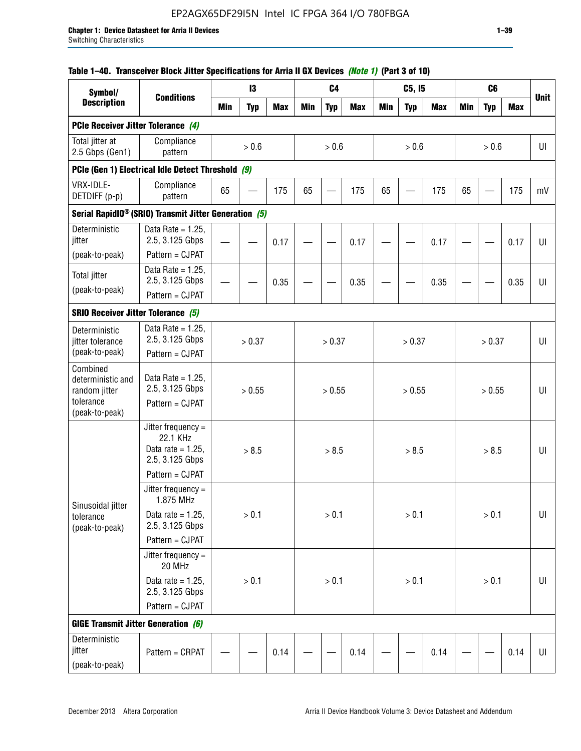| Table 1–40. Transceiver Block Jitter Specifications for Arria II GX Devices (Note 1) (Part 3 of 10) |  |  |
|-----------------------------------------------------------------------------------------------------|--|--|
|                                                                                                     |  |  |

| Symbol/                                                                       |                                                                                                |            | 13         |            |            | C <sub>4</sub> |            |            | C5, I5     |            |            | C <sub>6</sub> |            |             |
|-------------------------------------------------------------------------------|------------------------------------------------------------------------------------------------|------------|------------|------------|------------|----------------|------------|------------|------------|------------|------------|----------------|------------|-------------|
| <b>Description</b>                                                            | <b>Conditions</b>                                                                              | <b>Min</b> | <b>Typ</b> | <b>Max</b> | <b>Min</b> | <b>Typ</b>     | <b>Max</b> | <b>Min</b> | <b>Typ</b> | <b>Max</b> | <b>Min</b> | <b>Typ</b>     | <b>Max</b> | <b>Unit</b> |
| PCIe Receiver Jitter Tolerance (4)                                            |                                                                                                |            |            |            |            |                |            |            |            |            |            |                |            |             |
| Total jitter at<br>2.5 Gbps (Gen1)                                            | Compliance<br>pattern                                                                          |            | > 0.6      |            |            | > 0.6          |            |            | > 0.6      |            |            | > 0.6          |            | UI          |
|                                                                               | PCIe (Gen 1) Electrical Idle Detect Threshold (9)                                              |            |            |            |            |                |            |            |            |            |            |                |            |             |
| VRX-IDLE-<br>DETDIFF (p-p)                                                    | Compliance<br>pattern                                                                          | 65         |            | 175        | 65         |                | 175        | 65         |            | 175        | 65         |                | 175        | mV          |
|                                                                               | Serial RapidIO <sup>®</sup> (SRIO) Transmit Jitter Generation (5)                              |            |            |            |            |                |            |            |            |            |            |                |            |             |
| Deterministic<br>jitter<br>(peak-to-peak)                                     | Data Rate = $1.25$ ,<br>2.5, 3.125 Gbps<br>Pattern = CJPAT                                     |            |            | 0.17       |            |                | 0.17       |            |            | 0.17       |            |                | 0.17       | UI          |
| <b>Total jitter</b><br>(peak-to-peak)                                         | Data Rate = $1.25$ ,<br>2.5, 3.125 Gbps<br>Pattern = CJPAT                                     |            |            | 0.35       |            |                | 0.35       |            |            | 0.35       |            |                | 0.35       | UI          |
| <b>SRIO Receiver Jitter Tolerance (5)</b>                                     |                                                                                                |            |            |            |            |                |            |            |            |            |            |                |            |             |
| Deterministic<br>jitter tolerance<br>(peak-to-peak)                           | Data Rate = $1.25$ ,<br>2.5, 3.125 Gbps<br>Pattern = CJPAT                                     | > 0.37     |            |            |            | > 0.37         |            |            | > 0.37     |            |            | > 0.37         |            | UI          |
| Combined<br>deterministic and<br>random jitter<br>tolerance<br>(peak-to-peak) | Data Rate = $1.25$ ,<br>2.5, 3.125 Gbps<br>Pattern = CJPAT                                     | > 0.55     |            |            |            | > 0.55         |            |            | > 0.55     |            |            | > 0.55         |            | U           |
|                                                                               | Jitter frequency $=$<br>22.1 KHz<br>Data rate = $1.25$ ,<br>2.5, 3.125 Gbps<br>Pattern = CJPAT |            | > 8.5      |            |            | > 8.5          |            |            | > 8.5      |            |            | > 8.5          |            | UI          |
| Sinusoidal jitter<br>tolerance<br>(peak-to-peak)                              | Jitter frequency =<br>1.875 MHz<br>Data rate = $1.25$ .<br>2.5, 3.125 Gbps                     |            | > 0.1      |            |            | > 0.1          |            |            | > 0.1      |            |            | > 0.1          |            | UI          |
|                                                                               | Pattern = CJPAT<br>Jitter frequency $=$<br>20 MHz                                              |            |            |            |            |                |            |            |            |            |            |                |            |             |
|                                                                               | Data rate = $1.25$ ,<br>2.5, 3.125 Gbps<br>Pattern = CJPAT                                     |            | $> 0.1$    |            |            | $> 0.1$        |            |            | > 0.1      |            |            | > 0.1          |            | $U\vert$    |
| <b>GIGE Transmit Jitter Generation (6)</b>                                    |                                                                                                |            |            |            |            |                |            |            |            |            |            |                |            |             |
| Deterministic<br>jitter<br>(peak-to-peak)                                     | Pattern = CRPAT                                                                                | 0.14       |            |            |            | 0.14           |            |            | 0.14       |            |            | 0.14           | UI         |             |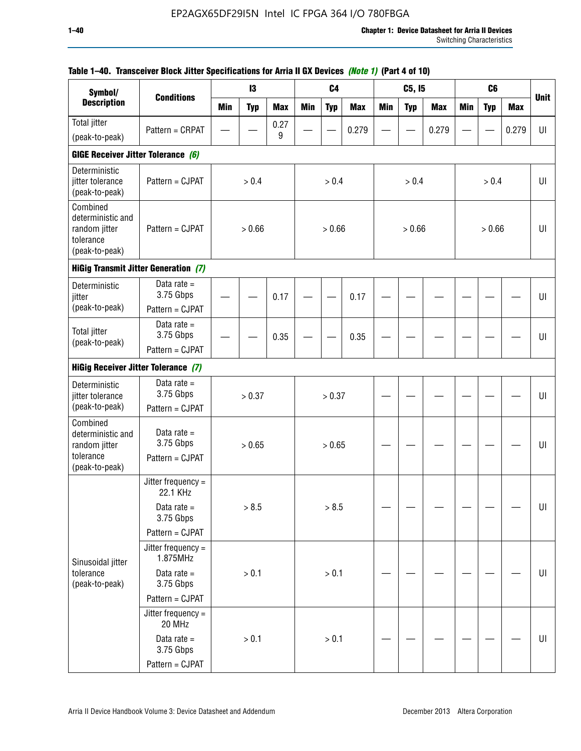| Symbol/                                                                       |                                               |            | 13         |            |            | C <sub>4</sub> |            |            | C5, I5     |            |            | C <sub>6</sub> |            |             |
|-------------------------------------------------------------------------------|-----------------------------------------------|------------|------------|------------|------------|----------------|------------|------------|------------|------------|------------|----------------|------------|-------------|
| <b>Description</b>                                                            | <b>Conditions</b>                             | <b>Min</b> | <b>Typ</b> | <b>Max</b> | <b>Min</b> | <b>Typ</b>     | <b>Max</b> | <b>Min</b> | <b>Typ</b> | <b>Max</b> | <b>Min</b> | <b>Typ</b>     | <b>Max</b> | <b>Unit</b> |
| Total jitter                                                                  | Pattern = CRPAT                               |            |            | 0.27       |            |                | 0.279      |            |            | 0.279      |            |                | 0.279      | UI          |
| (peak-to-peak)                                                                |                                               |            |            | 9          |            |                |            |            |            |            |            |                |            |             |
| GIGE Receiver Jitter Tolerance (6)                                            |                                               |            |            |            |            |                |            |            |            |            |            |                |            |             |
| Deterministic<br>jitter tolerance<br>(peak-to-peak)                           | Pattern = CJPAT                               |            | > 0.4      |            |            | > 0.4          |            |            | > 0.4      |            |            | > 0.4          |            | UI          |
| Combined<br>deterministic and<br>random jitter<br>tolerance<br>(peak-to-peak) | Pattern = CJPAT                               |            | > 0.66     |            |            | > 0.66         |            |            | > 0.66     |            |            | > 0.66         |            | UI          |
|                                                                               | <b>HiGig Transmit Jitter Generation (7)</b>   |            |            |            |            |                |            |            |            |            |            |                |            |             |
| Deterministic<br>jitter                                                       | Data rate $=$<br>3.75 Gbps                    |            |            | 0.17       |            |                | 0.17       |            |            |            |            |                |            | UI          |
| (peak-to-peak)                                                                | Pattern = CJPAT                               |            |            |            |            |                |            |            |            |            |            |                |            |             |
| <b>Total jitter</b><br>(peak-to-peak)                                         | Data rate $=$<br>3.75 Gbps<br>Pattern = CJPAT |            |            | 0.35       |            |                | 0.35       |            |            |            |            |                |            | UI          |
|                                                                               |                                               |            |            |            |            |                |            |            |            |            |            |                |            |             |
| <b>HiGig Receiver Jitter Tolerance (7)</b>                                    |                                               |            |            |            |            |                |            |            |            |            |            |                |            |             |
| Deterministic<br>jitter tolerance                                             | Data rate $=$<br>3.75 Gbps                    |            | > 0.37     |            |            | > 0.37         |            |            |            |            |            |                |            | UI          |
| (peak-to-peak)                                                                | Pattern = CJPAT                               |            |            |            |            |                |            |            |            |            |            |                |            |             |
| Combined<br>deterministic and<br>random jitter<br>tolerance                   | Data rate $=$<br>3.75 Gbps<br>Pattern = CJPAT |            | > 0.65     |            |            | > 0.65         |            |            |            |            |            |                |            | UI          |
| (peak-to-peak)                                                                |                                               |            |            |            |            |                |            |            |            |            |            |                |            |             |
|                                                                               | Jitter frequency =<br>22.1 KHz                |            |            |            |            |                |            |            |            |            |            |                |            |             |
|                                                                               | Data rate $=$<br>3.75 Gbps                    |            | > 8.5      |            |            | > 8.5          |            |            |            |            |            |                |            | UI          |
|                                                                               | Pattern = CJPAT                               |            |            |            |            |                |            |            |            |            |            |                |            |             |
| Sinusoidal jitter                                                             | Jitter frequency =<br>1.875MHz                |            |            |            |            |                |            |            |            |            |            |                |            |             |
| tolerance<br>(peak-to-peak)                                                   | Data rate $=$<br>3.75 Gbps                    |            | > 0.1      |            |            | $> 0.1$        |            |            |            |            |            |                |            | UI          |
|                                                                               | Pattern = CJPAT                               |            |            |            |            |                |            |            |            |            |            |                |            |             |
|                                                                               | Jitter frequency $=$<br>20 MHz                |            |            |            |            |                |            |            |            |            |            |                |            |             |
|                                                                               | Data rate $=$<br>3.75 Gbps                    |            | > 0.1      |            |            | > 0.1          |            |            |            |            |            |                |            | UI          |
|                                                                               | Pattern = CJPAT                               |            |            |            |            |                |            |            |            |            |            |                |            |             |

### **Table 1–40. Transceiver Block Jitter Specifications for Arria II GX Devices** *(Note 1)* **(Part 4 of 10)**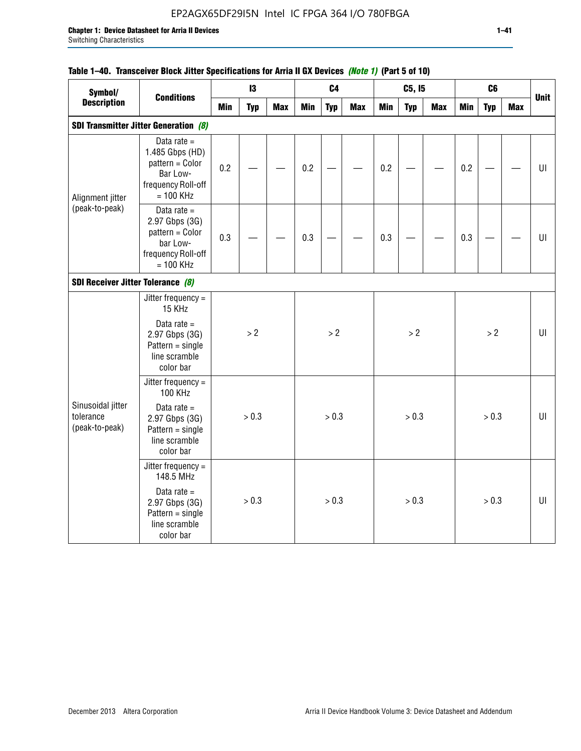## EP2AGX65DF29I5N Intel IC FPGA 364 I/O 780FBGA

#### **Table 1–40. Transceiver Block Jitter Specifications for Arria II GX Devices** *(Note 1)* **(Part 5 of 10)**

| Symbol/                                             |                                                                                                                             |            | 13         |            |            | C <sub>4</sub> |            |            | C5, I5     |            |            | C <sub>6</sub> |            |             |
|-----------------------------------------------------|-----------------------------------------------------------------------------------------------------------------------------|------------|------------|------------|------------|----------------|------------|------------|------------|------------|------------|----------------|------------|-------------|
| <b>Description</b>                                  | <b>Conditions</b>                                                                                                           | <b>Min</b> | <b>Typ</b> | <b>Max</b> | <b>Min</b> | <b>Typ</b>     | <b>Max</b> | <b>Min</b> | <b>Typ</b> | <b>Max</b> | <b>Min</b> | <b>Typ</b>     | <b>Max</b> | <b>Unit</b> |
|                                                     | <b>SDI Transmitter Jitter Generation (8)</b>                                                                                |            |            |            |            |                |            |            |            |            |            |                |            |             |
| Alignment jitter                                    | Data rate $=$<br>1.485 Gbps (HD)<br>pattern = Color<br>Bar Low-<br>frequency Roll-off<br>$= 100$ KHz                        | 0.2        |            |            | 0.2        |                |            | 0.2        |            |            | 0.2        |                |            | $U\vert$    |
| (peak-to-peak)<br>SDI Receiver Jitter Tolerance (8) | Data rate $=$<br>2.97 Gbps (3G)<br>pattern = Color<br>bar Low-<br>frequency Roll-off<br>$= 100$ KHz                         | 0.3        |            |            | 0.3        |                |            | 0.3        |            |            | 0.3        |                |            | $U\vert$    |
|                                                     |                                                                                                                             |            |            |            |            |                |            |            |            |            |            |                |            |             |
| Sinusoidal jitter<br>tolerance<br>(peak-to-peak)    | Jitter frequency =<br>15 KHz<br>Data rate $=$<br>2.97 Gbps (3G)<br>$Pattern = single$<br>line scramble<br>color bar         |            | > 2        |            |            | $>2$           |            |            | >2         |            |            | >2             |            | UI          |
|                                                     | Jitter frequency =<br><b>100 KHz</b><br>Data rate $=$<br>2.97 Gbps (3G)<br>$Pattern = single$<br>line scramble<br>color bar |            | > 0.3      |            |            | > 0.3          |            |            | > 0.3      |            |            | > 0.3          |            | U           |
|                                                     | Jitter frequency $=$<br>148.5 MHz<br>Data rate $=$<br>2.97 Gbps (3G)<br>$Pattern = single$<br>line scramble<br>color bar    |            | > 0.3      |            |            | > 0.3          |            |            | > 0.3      |            |            | > 0.3          |            | UI          |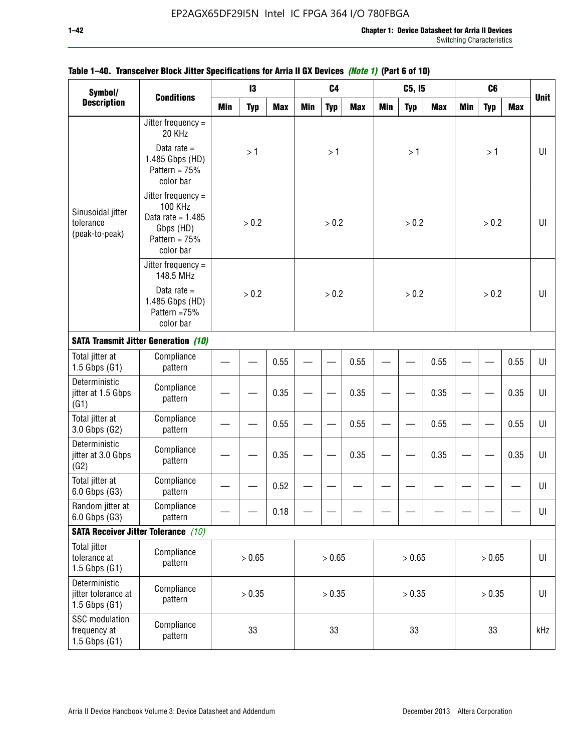| Symbol/                                                   |                                                                                                          |            | 13         |            |     | C <sub>4</sub> |            |     | C5, I5     |            |            | C <sub>6</sub> |            |             |
|-----------------------------------------------------------|----------------------------------------------------------------------------------------------------------|------------|------------|------------|-----|----------------|------------|-----|------------|------------|------------|----------------|------------|-------------|
| <b>Description</b>                                        | <b>Conditions</b>                                                                                        | <b>Min</b> | <b>Typ</b> | <b>Max</b> | Min | <b>Typ</b>     | <b>Max</b> | Min | <b>Typ</b> | <b>Max</b> | <b>Min</b> | <b>Typ</b>     | <b>Max</b> | <b>Unit</b> |
|                                                           | Jitter frequency $=$<br>20 KHz                                                                           |            |            |            |     |                |            |     |            |            |            |                |            |             |
|                                                           | Data rate $=$<br>1.485 Gbps (HD)<br>Pattern = $75%$<br>color bar                                         |            | >1         |            |     | >1             |            |     | >1         |            |            | >1             |            | UI          |
| Sinusoidal jitter<br>tolerance<br>(peak-to-peak)          | Jitter frequency =<br><b>100 KHz</b><br>Data rate = $1.485$<br>Gbps (HD)<br>Pattern = $75%$<br>color bar |            | > 0.2      |            |     | > 0.2          |            |     | > 0.2      |            |            | > 0.2          |            | UI          |
|                                                           | Jitter frequency $=$<br>148.5 MHz                                                                        |            |            |            |     |                |            |     |            |            |            |                |            |             |
|                                                           | Data rate $=$<br>1.485 Gbps (HD)<br>Pattern =75%<br>color bar                                            |            | > 0.2      |            |     | > 0.2          |            |     | > 0.2      |            |            | > 0.2          |            | UI          |
|                                                           | <b>SATA Transmit Jitter Generation (10)</b>                                                              |            |            |            |     |                |            |     |            |            |            |                |            |             |
| Total jitter at<br>$1.5$ Gbps $(G1)$                      | Compliance<br>pattern                                                                                    | 0.55       |            |            |     |                | 0.55       |     |            | 0.55       |            |                | 0.55       | UI          |
| Deterministic<br>jitter at 1.5 Gbps<br>(G1)               | Compliance<br>pattern                                                                                    |            |            | 0.35       |     |                | 0.35       |     |            | 0.35       |            |                | 0.35       | UI          |
| Total jitter at<br>3.0 Gbps (G2)                          | Compliance<br>pattern                                                                                    |            |            | 0.55       |     |                | 0.55       |     |            | 0.55       |            |                | 0.55       | UI          |
| Deterministic<br>jitter at 3.0 Gbps<br>(G2)               | Compliance<br>pattern                                                                                    |            |            | 0.35       |     |                | 0.35       |     |            | 0.35       |            |                | 0.35       | UI          |
| Total jitter at<br>6.0 Gbps (G3)                          | Compliance<br>pattern                                                                                    |            |            | 0.52       |     |                |            |     |            |            |            |                |            | UI          |
| Random jitter at<br>6.0 Gbps (G3)                         | Compliance<br>pattern                                                                                    |            |            | 0.18       |     |                |            |     |            |            |            |                |            | UI          |
|                                                           | <b>SATA Receiver Jitter Tolerance</b> (10)                                                               |            |            |            |     |                |            |     |            |            |            |                |            |             |
| <b>Total jitter</b><br>tolerance at<br>$1.5$ Gbps $(G1)$  | Compliance<br>pattern                                                                                    | > 0.65     |            |            |     | > 0.65         |            |     | > 0.65     |            |            | > 0.65         |            | $U\vert$    |
| Deterministic<br>jitter tolerance at<br>$1.5$ Gbps $(G1)$ | Compliance<br>pattern                                                                                    | > 0.35     |            |            |     | > 0.35         |            |     | > 0.35     |            |            | > 0.35         |            | $U\vert$    |
| SSC modulation<br>frequency at<br>$1.5$ Gbps $(G1)$       | Compliance<br>pattern                                                                                    | 33         |            |            |     | 33             |            |     | 33         |            |            | 33             |            | kHz         |

### **Table 1–40. Transceiver Block Jitter Specifications for Arria II GX Devices** *(Note 1)* **(Part 6 of 10)**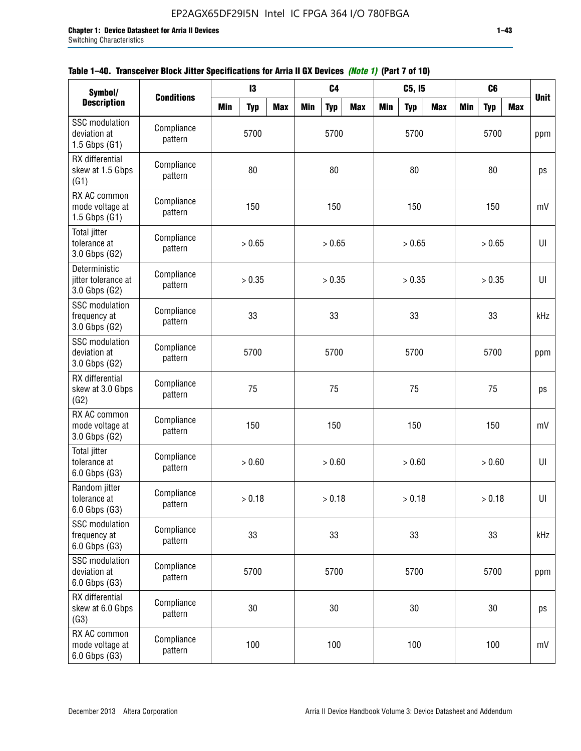|  | Table 1–40. Transceiver Block Jitter Specifications for Arria II GX Devices (Note 1) (Part 7 of 10) |  |
|--|-----------------------------------------------------------------------------------------------------|--|
|  |                                                                                                     |  |

| Symbol/                                                    |                       |            | 13         |            |     | C <sub>4</sub> |            |     | C5, I5     |            |            | C <sub>6</sub> |            |             |
|------------------------------------------------------------|-----------------------|------------|------------|------------|-----|----------------|------------|-----|------------|------------|------------|----------------|------------|-------------|
| <b>Description</b>                                         | <b>Conditions</b>     | <b>Min</b> | <b>Typ</b> | <b>Max</b> | Min | <b>Typ</b>     | <b>Max</b> | Min | <b>Typ</b> | <b>Max</b> | <b>Min</b> | <b>Typ</b>     | <b>Max</b> | <b>Unit</b> |
| <b>SSC</b> modulation<br>deviation at<br>$1.5$ Gbps $(G1)$ | Compliance<br>pattern |            | 5700       |            |     | 5700           |            |     | 5700       |            |            | 5700           |            | ppm         |
| RX differential<br>skew at 1.5 Gbps<br>(G1)                | Compliance<br>pattern |            | 80         |            |     | 80             |            |     | 80         |            |            | 80             |            | ps          |
| RX AC common<br>mode voltage at<br>$1.5$ Gbps $(G1)$       | Compliance<br>pattern |            | 150        |            |     | 150            |            |     | 150        |            |            | 150            |            | mV          |
| <b>Total jitter</b><br>tolerance at<br>3.0 Gbps (G2)       | Compliance<br>pattern |            | > 0.65     |            |     | > 0.65         |            |     | > 0.65     |            |            | > 0.65         |            | UI          |
| Deterministic<br>jitter tolerance at<br>3.0 Gbps (G2)      | Compliance<br>pattern |            | > 0.35     |            |     | > 0.35         |            |     | > 0.35     |            |            | > 0.35         |            | U           |
| <b>SSC</b> modulation<br>frequency at<br>3.0 Gbps (G2)     | Compliance<br>pattern |            | 33         |            |     | 33             |            |     | 33         |            |            | 33             |            | kHz         |
| <b>SSC</b> modulation<br>deviation at<br>3.0 Gbps (G2)     | Compliance<br>pattern |            | 5700       |            |     | 5700           |            |     | 5700       |            |            | 5700           |            | ppm         |
| RX differential<br>skew at 3.0 Gbps<br>(G2)                | Compliance<br>pattern |            | 75         |            |     | 75             |            |     | 75         |            |            | 75             |            | ps          |
| RX AC common<br>mode voltage at<br>3.0 Gbps (G2)           | Compliance<br>pattern |            | 150        |            |     | 150            |            |     | 150        |            |            | 150            |            | mV          |
| <b>Total jitter</b><br>tolerance at<br>$6.0$ Gbps $(G3)$   | Compliance<br>pattern |            | > 0.60     |            |     | > 0.60         |            |     | > 0.60     |            |            | > 0.60         |            | U           |
| Random jitter<br>tolerance at<br>$6.0$ Gbps $(G3)$         | Compliance<br>pattern |            | > 0.18     |            |     | > 0.18         |            |     | > 0.18     |            |            | > 0.18         |            | UI          |
| SSC modulation<br>frequency at<br>$6.0$ Gbps $(G3)$        | Compliance<br>pattern |            | 33         |            |     | 33             |            |     | 33         |            |            | 33             |            | kHz         |
| <b>SSC</b> modulation<br>deviation at<br>$6.0$ Gbps $(G3)$ | Compliance<br>pattern | 5700       |            |            |     | 5700           |            |     | 5700       |            |            | 5700           |            | ppm         |
| RX differential<br>skew at 6.0 Gbps<br>(G3)                | Compliance<br>pattern | 30         |            |            |     | 30             |            |     | 30         |            |            | 30             |            | ps          |
| RX AC common<br>mode voltage at<br>6.0 Gbps (G3)           | Compliance<br>pattern |            | 100        |            |     | 100            |            |     | 100        |            |            | 100            |            | mV          |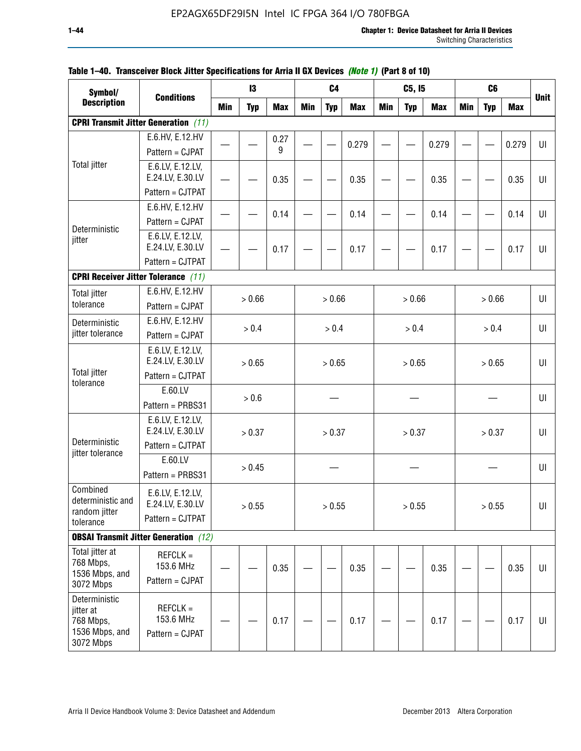| Symbol/                                  |                                              |            | 13         |            |            | C <sub>4</sub> |            |            | C5, I5     |            |            | C <sub>6</sub> |            |             |
|------------------------------------------|----------------------------------------------|------------|------------|------------|------------|----------------|------------|------------|------------|------------|------------|----------------|------------|-------------|
| <b>Description</b>                       | <b>Conditions</b>                            | <b>Min</b> | <b>Typ</b> | <b>Max</b> | <b>Min</b> | <b>Typ</b>     | <b>Max</b> | <b>Min</b> | <b>Typ</b> | <b>Max</b> | <b>Min</b> | <b>Typ</b>     | <b>Max</b> | <b>Unit</b> |
|                                          | <b>CPRI Transmit Jitter Generation</b> (11)  |            |            |            |            |                |            |            |            |            |            |                |            |             |
|                                          | E.6.HV, E.12.HV                              |            |            | 0.27       |            |                |            |            |            |            |            |                |            |             |
|                                          | Pattern = CJPAT                              |            |            | 9          |            |                | 0.279      |            |            | 0.279      |            |                | 0.279      | UI          |
| <b>Total jitter</b>                      | E.6.LV, E.12.LV,                             |            |            |            |            |                |            |            |            |            |            |                |            |             |
|                                          | E.24.LV, E.30.LV                             |            |            | 0.35       |            |                | 0.35       |            |            | 0.35       |            |                | 0.35       | UI          |
|                                          | Pattern = CJTPAT                             |            |            |            |            |                |            |            |            |            |            |                |            |             |
|                                          | E.6.HV, E.12.HV                              |            |            | 0.14       |            |                | 0.14       |            |            | 0.14       |            |                | 0.14       | UI          |
| Deterministic                            | Pattern = CJPAT                              |            |            |            |            |                |            |            |            |            |            |                |            |             |
| jitter                                   | E.6.LV, E.12.LV,                             |            |            |            |            |                |            |            |            |            |            |                |            |             |
|                                          | E.24.LV, E.30.LV                             |            |            | 0.17       |            |                | 0.17       |            |            | 0.17       |            |                | 0.17       | U           |
|                                          | Pattern = CJTPAT                             |            |            |            |            |                |            |            |            |            |            |                |            |             |
|                                          | <b>CPRI Receiver Jitter Tolerance (11)</b>   |            |            |            |            |                |            |            |            |            |            |                |            |             |
| <b>Total jitter</b>                      | E.6.HV, E.12.HV                              |            | > 0.66     |            |            | > 0.66         |            |            | > 0.66     |            |            | > 0.66         |            | UI          |
| tolerance                                | Pattern = CJPAT                              |            |            |            |            |                |            |            |            |            |            |                |            |             |
| Deterministic                            | E.6.HV, E.12.HV                              |            | > 0.4      |            |            | > 0.4          |            |            | > 0.4      |            |            | > 0.4          |            | UI          |
| jitter tolerance                         | Pattern = CJPAT                              |            |            |            |            |                |            |            |            |            |            |                |            |             |
|                                          | E.6.LV, E.12.LV,                             |            |            |            |            |                |            |            |            |            |            |                |            |             |
| <b>Total jitter</b>                      | E.24.LV, E.30.LV                             |            | > 0.65     |            |            | > 0.65         |            |            | > 0.65     |            |            | > 0.65         |            | UI          |
| tolerance                                | Pattern = CJTPAT                             |            |            |            |            |                |            |            |            |            |            |                |            |             |
|                                          | E.60.LV                                      |            | > 0.6      |            |            |                |            |            |            |            |            |                |            | UI          |
|                                          | Pattern = PRBS31                             |            |            |            |            |                |            |            |            |            |            |                |            |             |
|                                          | E.6.LV, E.12.LV,                             |            |            |            |            |                |            |            |            |            |            |                |            |             |
| Deterministic                            | E.24.LV, E.30.LV<br>Pattern = CJTPAT         |            | > 0.37     |            |            | > 0.37         |            |            | > 0.37     |            |            | > 0.37         |            | UI          |
| jitter tolerance                         |                                              |            |            |            |            |                |            |            |            |            |            |                |            |             |
|                                          | E.60.LV                                      |            | > 0.45     |            |            |                |            |            |            |            |            |                |            | UI          |
|                                          | Pattern = PRBS31                             |            |            |            |            |                |            |            |            |            |            |                |            |             |
| Combined<br>deterministic and            | E.6.LV, E.12.LV,                             |            |            |            |            |                |            |            |            |            |            |                |            |             |
| random jitter                            | E.24.LV, E.30.LV                             |            | > 0.55     |            |            | > 0.55         |            |            | > 0.55     |            |            | > 0.55         |            | UI          |
| tolerance                                | Pattern = CJTPAT                             |            |            |            |            |                |            |            |            |            |            |                |            |             |
|                                          | <b>OBSAI Transmit Jitter Generation</b> (12) |            |            |            |            |                |            |            |            |            |            |                |            |             |
| Total jitter at                          | $REFCLK =$                                   |            |            |            |            |                |            |            |            |            |            |                |            |             |
| 768 Mbps,<br>1536 Mbps, and              | 153.6 MHz                                    |            |            | 0.35       |            |                | 0.35       |            |            | 0.35       |            |                | 0.35       | UI          |
| 3072 Mbps                                | Pattern = CJPAT                              |            |            |            |            |                |            |            |            |            |            |                |            |             |
| Deterministic                            |                                              |            |            |            |            |                |            |            |            |            |            |                |            |             |
| jitter at                                | $REFCLK =$<br>153.6 MHz                      |            |            |            |            |                |            |            |            |            |            |                |            |             |
| 768 Mbps,<br>1536 Mbps, and<br>3072 Mbps | Pattern = CJPAT                              |            |            | 0.17       |            |                | 0.17       |            |            | 0.17       |            |                | 0.17       | UI          |
|                                          |                                              |            |            |            |            |                |            |            |            |            |            |                |            |             |

### **Table 1–40. Transceiver Block Jitter Specifications for Arria II GX Devices** *(Note 1)* **(Part 8 of 10)**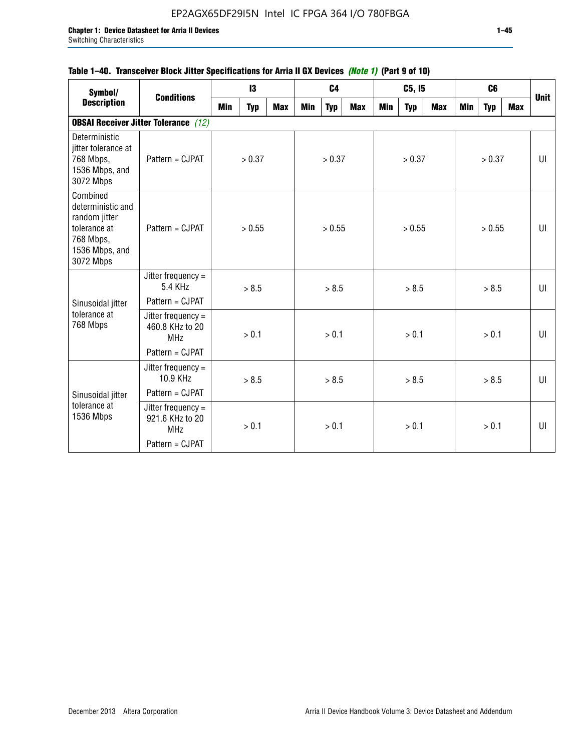### **Table 1–40. Transceiver Block Jitter Specifications for Arria II GX Devices** *(Note 1)* **(Part 9 of 10)**

| Symbol/                                                                                                    | <b>Conditions</b>                                     |     | 13     |            |                  | C <sub>4</sub> |            |     | C5, I5     |            |     | C <sub>6</sub> |     | <b>Unit</b>  |  |  |  |  |        |  |  |  |    |
|------------------------------------------------------------------------------------------------------------|-------------------------------------------------------|-----|--------|------------|------------------|----------------|------------|-----|------------|------------|-----|----------------|-----|--------------|--|--|--|--|--------|--|--|--|----|
| <b>Description</b>                                                                                         |                                                       | Min | Typ    | <b>Max</b> | Min              | <b>Typ</b>     | <b>Max</b> | Min | <b>Typ</b> | <b>Max</b> | Min | <b>Typ</b>     | Max |              |  |  |  |  |        |  |  |  |    |
|                                                                                                            | <b>OBSAI Receiver Jitter Tolerance</b> (12)           |     |        |            |                  |                |            |     |            |            |     |                |     |              |  |  |  |  |        |  |  |  |    |
| Deterministic<br>jitter tolerance at<br>768 Mbps,<br>1536 Mbps, and<br>3072 Mbps                           | Pattern = CJPAT                                       |     | > 0.37 |            |                  | > 0.37         |            |     | > 0.37     |            |     | > 0.37         |     | UI           |  |  |  |  |        |  |  |  |    |
| Combined<br>deterministic and<br>random jitter<br>tolerance at<br>768 Mbps,<br>1536 Mbps, and<br>3072 Mbps | Pattern = CJPAT                                       |     | > 0.55 |            | > 0.55<br>> 0.55 |                |            |     |            |            |     |                |     |              |  |  |  |  | > 0.55 |  |  |  | UI |
|                                                                                                            | Jitter frequency $=$<br>5.4 KHz                       |     | > 8.5  |            |                  | > 8.5          |            |     | > 8.5      |            |     | > 8.5          |     | $\mathbf{U}$ |  |  |  |  |        |  |  |  |    |
| Sinusoidal jitter                                                                                          | Pattern = CJPAT                                       |     |        |            |                  |                |            |     |            |            |     |                |     |              |  |  |  |  |        |  |  |  |    |
| tolerance at<br>768 Mbps                                                                                   | Jitter frequency $=$<br>460.8 KHz to 20<br><b>MHz</b> |     | > 0.1  |            |                  | > 0.1          |            |     | > 0.1      |            |     | > 0.1          |     | UI           |  |  |  |  |        |  |  |  |    |
|                                                                                                            | Pattern = CJPAT                                       |     |        |            |                  |                |            |     |            |            |     |                |     |              |  |  |  |  |        |  |  |  |    |
|                                                                                                            | Jitter frequency =<br>10.9 KHz                        |     | > 8.5  |            |                  | > 8.5          |            |     | > 8.5      |            |     | > 8.5          |     | UI           |  |  |  |  |        |  |  |  |    |
| Sinusoidal jitter                                                                                          | Pattern = CJPAT                                       |     |        |            |                  |                |            |     |            |            |     |                |     |              |  |  |  |  |        |  |  |  |    |
| tolerance at<br>1536 Mbps                                                                                  | Jitter frequency =<br>921.6 KHz to 20<br><b>MHz</b>   |     | > 0.1  |            |                  | > 0.1          |            |     | > 0.1      |            |     | > 0.1          |     | UI           |  |  |  |  |        |  |  |  |    |
|                                                                                                            | Pattern = CJPAT                                       |     |        |            |                  |                |            |     |            |            |     |                |     |              |  |  |  |  |        |  |  |  |    |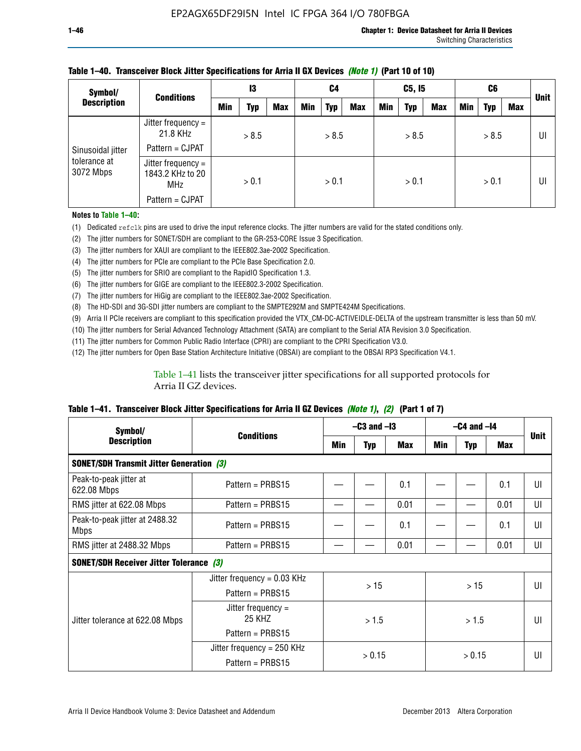| Symbol/                   | <b>Conditions</b>                                    | 13  |       | C4         |            | C5, I5 |                |     | C6         |            |     | <b>Unit</b> |     |    |
|---------------------------|------------------------------------------------------|-----|-------|------------|------------|--------|----------------|-----|------------|------------|-----|-------------|-----|----|
| <b>Description</b>        |                                                      | Min | Typ   | <b>Max</b> | <b>Min</b> | Typ    | <b>Max</b>     | Min | <b>Typ</b> | <b>Max</b> | Min | <b>Typ</b>  | Max |    |
|                           | Jitter frequency =<br>21.8 KHz                       |     | > 8.5 |            |            | > 8.5  |                |     | > 8.5      |            |     | > 8.5       |     | UI |
| Sinusoidal jitter         | Pattern = CJPAT                                      |     |       |            |            |        |                |     |            |            |     |             |     |    |
| tolerance at<br>3072 Mbps | Jitter frequency =<br>1843.2 KHz to 20<br><b>MHz</b> |     | > 0.1 |            | > 0.1      |        | > 0.1<br>> 0.1 |     |            |            |     | UI          |     |    |
|                           | Pattern = CJPAT                                      |     |       |            |            |        |                |     |            |            |     |             |     |    |

### **Table 1–40. Transceiver Block Jitter Specifications for Arria II GX Devices** *(Note 1)* **(Part 10 of 10)**

**Notes to Table 1–40:**

(1) Dedicated refclk pins are used to drive the input reference clocks. The jitter numbers are valid for the stated conditions only.

(2) The jitter numbers for SONET/SDH are compliant to the GR-253-CORE Issue 3 Specification.

(3) The jitter numbers for XAUI are compliant to the IEEE802.3ae-2002 Specification.

(4) The jitter numbers for PCIe are compliant to the PCIe Base Specification 2.0.

(5) The jitter numbers for SRIO are compliant to the RapidIO Specification 1.3.

(6) The jitter numbers for GIGE are compliant to the IEEE802.3-2002 Specification.

(7) The jitter numbers for HiGig are compliant to the IEEE802.3ae-2002 Specification.

(8) The HD-SDI and 3G-SDI jitter numbers are compliant to the SMPTE292M and SMPTE424M Specifications.

(9) Arria II PCIe receivers are compliant to this specification provided the VTX\_CM-DC-ACTIVEIDLE-DELTA of the upstream transmitter is less than 50 mV.

(10) The jitter numbers for Serial Advanced Technology Attachment (SATA) are compliant to the Serial ATA Revision 3.0 Specification.

(11) The jitter numbers for Common Public Radio Interface (CPRI) are compliant to the CPRI Specification V3.0.

(12) The jitter numbers for Open Base Station Architecture Initiative (OBSAI) are compliant to the OBSAI RP3 Specification V4.1.

Table 1–41 lists the transceiver jitter specifications for all supported protocols for Arria II GZ devices.

#### **Table 1–41. Transceiver Block Jitter Specifications for Arria II GZ Devices** *(Note 1)***,** *(2)* **(Part 1 of 7)**

| Symbol/                                         |                                |     | $-C3$ and $-I3$ |            | $-C4$ and $-I4$ |            |      |             |
|-------------------------------------------------|--------------------------------|-----|-----------------|------------|-----------------|------------|------|-------------|
| <b>Description</b>                              | <b>Conditions</b>              | Min | <b>Typ</b>      | <b>Max</b> | Min             | <b>Typ</b> | Max  | <b>Unit</b> |
| <b>SONET/SDH Transmit Jitter Generation (3)</b> |                                |     |                 |            |                 |            |      |             |
| Peak-to-peak jitter at<br>622.08 Mbps           | Pattern = $PRBS15$             |     |                 | 0.1        |                 |            | 0.1  | UI          |
| RMS jitter at 622.08 Mbps                       | Pattern = PRBS15               |     |                 | 0.01       |                 |            | 0.01 | UI          |
| Peak-to-peak jitter at 2488.32<br><b>Mbps</b>   | Pattern = $PRBS15$             |     |                 | 0.1        |                 |            | 0.1  | UI          |
| RMS jitter at 2488.32 Mbps                      | Pattern = PRBS15               |     |                 | 0.01       |                 |            | 0.01 | UI          |
| <b>SONET/SDH Receiver Jitter Tolerance (3)</b>  |                                |     |                 |            |                 |            |      |             |
|                                                 | Jitter frequency = $0.03$ KHz  |     | >15             |            |                 | >15        |      | UI          |
|                                                 | Pattern = $PRBS15$             |     |                 |            |                 |            |      |             |
| Jitter tolerance at 622.08 Mbps                 | Jitter frequency $=$<br>25 KHZ |     | >1.5            |            | > 1.5           |            |      | UI          |
|                                                 | Pattern = $PRBS15$             |     |                 |            |                 |            |      |             |
|                                                 | Jitter frequency = 250 KHz     |     | > 0.15          |            |                 | > 0.15     |      | UI          |
|                                                 | Pattern = PRBS15               |     |                 |            |                 |            |      |             |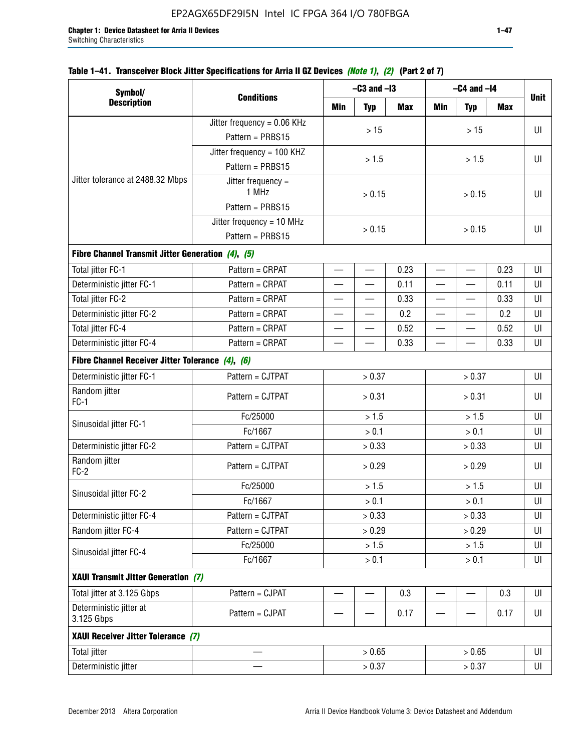### **Table 1–41. Transceiver Block Jitter Specifications for Arria II GZ Devices** *(Note 1)***,** *(2)* **(Part 2 of 7)**

| Symbol/                                           |                                                  |                          | $-C3$ and $-I3$          |      | $-C4$ and $-I4$          |            |            |             |
|---------------------------------------------------|--------------------------------------------------|--------------------------|--------------------------|------|--------------------------|------------|------------|-------------|
| <b>Description</b>                                | <b>Conditions</b>                                | Min                      | <b>Typ</b>               | Max  | Min                      | <b>Typ</b> | <b>Max</b> | <b>Unit</b> |
|                                                   | Jitter frequency = 0.06 KHz                      |                          | $>15$                    |      |                          |            |            | UI          |
|                                                   | Pattern = PRBS15                                 |                          |                          |      |                          | >15        |            |             |
|                                                   | Jitter frequency = 100 KHZ                       |                          |                          |      |                          |            |            |             |
|                                                   | Pattern = PRBS15                                 |                          | > 1.5                    |      |                          | > 1.5      |            | UI          |
| Jitter tolerance at 2488.32 Mbps                  | Jitter frequency $=$<br>1 MHz                    |                          | > 0.15                   |      |                          | > 0.15     |            | UI          |
|                                                   | Pattern = PRBS15                                 |                          |                          |      |                          |            |            |             |
|                                                   | Jitter frequency = $10$ MHz                      |                          | > 0.15                   |      | > 0.15                   |            |            | UI          |
|                                                   | Pattern = PRBS15                                 |                          |                          |      |                          |            |            |             |
| Fibre Channel Transmit Jitter Generation (4), (5) |                                                  |                          |                          |      |                          |            |            |             |
| Total jitter FC-1                                 | Pattern = CRPAT                                  | $\overline{\phantom{0}}$ | $\qquad \qquad$          | 0.23 | $\overline{\phantom{0}}$ |            | 0.23       | UI          |
| Deterministic jitter FC-1                         | Pattern = CRPAT                                  | $\overline{\phantom{0}}$ | $\qquad \qquad$          | 0.11 | $\overline{\phantom{0}}$ |            | 0.11       | UI          |
| Total jitter FC-2                                 | Pattern = CRPAT                                  |                          |                          | 0.33 | $\overline{\phantom{0}}$ | —          | 0.33       | UI          |
| Deterministic jitter FC-2                         | Pattern = CRPAT                                  |                          |                          | 0.2  | $\overline{\phantom{0}}$ |            | 0.2        | UI          |
| Total jitter FC-4                                 | Pattern = CRPAT                                  |                          |                          | 0.52 |                          |            | 0.52       | UI          |
| Deterministic jitter FC-4                         | Pattern = CRPAT                                  |                          |                          | 0.33 |                          |            | 0.33       | UI          |
|                                                   | Fibre Channel Receiver Jitter Tolerance (4), (6) |                          |                          |      |                          |            |            |             |
| Deterministic jitter FC-1                         | Pattern = CJTPAT                                 | > 0.37                   |                          |      | > 0.37                   |            | UI         |             |
| Random jitter<br>$FC-1$                           | Pattern = CJTPAT                                 |                          | > 0.31                   |      | > 0.31                   |            |            | UI          |
| Sinusoidal jitter FC-1                            | Fc/25000                                         |                          | > 1.5                    |      | > 1.5                    |            |            | UI          |
|                                                   | Fc/1667                                          |                          | > 0.1                    |      | > 0.1                    |            |            | UI          |
| Deterministic jitter FC-2                         | Pattern = CJTPAT                                 |                          | > 0.33                   |      |                          | > 0.33     |            | UI          |
| Random jitter<br>$FC-2$                           | Pattern = CJTPAT                                 |                          | > 0.29                   |      |                          | > 0.29     |            | UI          |
| Sinusoidal jitter FC-2                            | Fc/25000                                         |                          | > 1.5                    |      |                          | > 1.5      |            | UI          |
|                                                   | Fc/1667                                          |                          | > 0.1                    |      |                          | > 0.1      |            | UI          |
| Deterministic jitter FC-4                         | Pattern = CJTPAT                                 |                          | > 0.33                   |      |                          | > 0.33     |            | UI          |
| Random jitter FC-4                                | Pattern = CJTPAT                                 |                          | > 0.29                   |      |                          | > 0.29     |            | UI          |
| Sinusoidal jitter FC-4                            | Fc/25000                                         |                          | > 1.5                    |      |                          | > 1.5      |            | UI          |
|                                                   | Fc/1667                                          |                          | > 0.1                    |      |                          | > 0.1      |            | UI          |
| XAUI Transmit Jitter Generation (7)               |                                                  |                          |                          |      |                          |            |            |             |
| Total jitter at 3.125 Gbps                        | Pattern = CJPAT                                  | $\overline{\phantom{0}}$ | $\overline{\phantom{0}}$ | 0.3  | $\overline{\phantom{0}}$ |            | 0.3        | UI          |
| Deterministic jitter at<br>3.125 Gbps             | Pattern = CJPAT                                  |                          |                          | 0.17 |                          |            | 0.17       | UI          |
| XAUI Receiver Jitter Tolerance (7)                |                                                  |                          |                          |      |                          |            |            |             |
| <b>Total jitter</b>                               |                                                  |                          | > 0.65                   |      |                          | > 0.65     |            | UI          |
| Deterministic jitter                              |                                                  |                          | > 0.37                   |      |                          | UI         |            |             |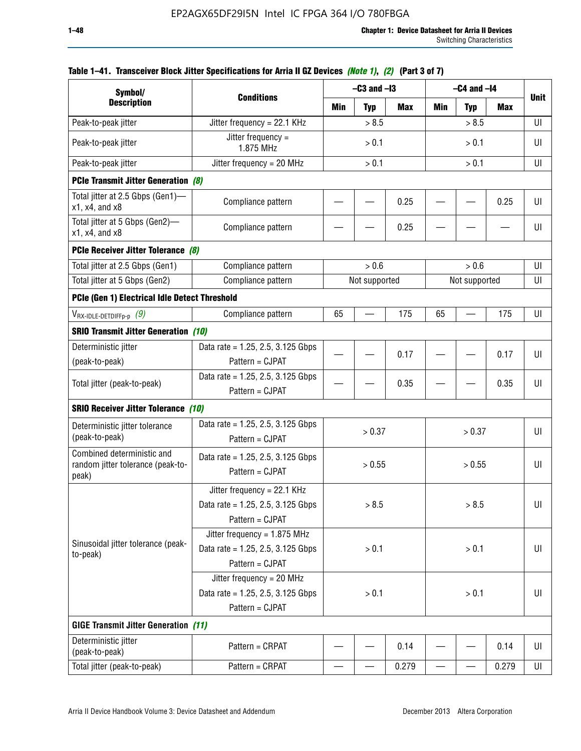| Symbol/                                                                  |                                                                                           |       | $-C3$ and $-I3$ |            | $-C4$ and $-I4$          |               |       |             |
|--------------------------------------------------------------------------|-------------------------------------------------------------------------------------------|-------|-----------------|------------|--------------------------|---------------|-------|-------------|
| <b>Description</b>                                                       | <b>Conditions</b>                                                                         | Min   | <b>Typ</b>      | <b>Max</b> | Min                      | <b>Typ</b>    | Max   | <b>Unit</b> |
| Peak-to-peak jitter                                                      | Jitter frequency = 22.1 KHz                                                               |       | > 8.5           |            |                          | > 8.5         |       | UI          |
| Peak-to-peak jitter                                                      | Jitter frequency =<br>1.875 MHz                                                           |       | > 0.1           |            |                          | > 0.1         |       | UI          |
| Peak-to-peak jitter                                                      | Jitter frequency = $20$ MHz                                                               |       | > 0.1           |            | > 0.1                    |               |       | UI          |
| <b>PCIe Transmit Jitter Generation (8)</b>                               |                                                                                           |       |                 |            |                          |               |       |             |
| Total jitter at 2.5 Gbps (Gen1)-<br>$x1$ , $x4$ , and $x8$               | Compliance pattern                                                                        |       |                 | 0.25       |                          |               | 0.25  | UI          |
| Total jitter at 5 Gbps (Gen2)-<br>$x1$ , $x4$ , and $x8$                 | Compliance pattern                                                                        |       |                 | 0.25       |                          |               |       | UI          |
| PCIe Receiver Jitter Tolerance (8)                                       |                                                                                           |       |                 |            |                          |               |       |             |
| Total jitter at 2.5 Gbps (Gen1)                                          | Compliance pattern                                                                        |       | > 0.6           |            |                          | > 0.6         |       | UI          |
| Total jitter at 5 Gbps (Gen2)                                            | Compliance pattern                                                                        |       | Not supported   |            |                          | Not supported |       | UI          |
| PCIe (Gen 1) Electrical Idle Detect Threshold                            |                                                                                           |       |                 |            |                          |               |       |             |
| $V_{\mathsf{RX}\text{-IDLE-DEFp-p}}(9)$                                  | Compliance pattern                                                                        | 65    |                 | 175        | 65                       |               | 175   | UI          |
| <b>SRIO Transmit Jitter Generation (10)</b>                              |                                                                                           |       |                 |            |                          |               |       |             |
| Deterministic jitter                                                     | Data rate = 1.25, 2.5, 3.125 Gbps                                                         |       |                 | 0.17       |                          |               | 0.17  | UI          |
| (peak-to-peak)                                                           | Pattern = CJPAT                                                                           |       |                 |            |                          |               |       |             |
| Total jitter (peak-to-peak)                                              | Data rate = 1.25, 2.5, 3.125 Gbps<br>Pattern = CJPAT                                      |       |                 | 0.35       |                          |               | 0.35  | UI          |
| <b>SRIO Receiver Jitter Tolerance (10)</b>                               |                                                                                           |       |                 |            |                          |               |       |             |
| Deterministic jitter tolerance<br>(peak-to-peak)                         | Data rate = $1.25$ , 2.5, 3.125 Gbps<br>Pattern = CJPAT                                   |       | > 0.37          |            |                          | > 0.37        |       | UI          |
| Combined deterministic and<br>random jitter tolerance (peak-to-<br>peak) | Data rate = $1.25$ , 2.5, 3.125 Gbps<br>Pattern = CJPAT                                   |       | > 0.55          |            |                          | > 0.55        |       | UI          |
|                                                                          | Jitter frequency = 22.1 KHz<br>Data rate = 1.25, 2.5, 3.125 Gbps<br>Pattern = CJPAT       |       | > 8.5           |            |                          | > 8.5         |       | UI          |
| Sinusoidal jitter tolerance (peak-<br>to-peak)                           | Jitter frequency = $1.875$ MHz<br>Data rate = $1.25$ , 2.5, 3.125 Gbps<br>Pattern = CJPAT |       | > 0.1           |            |                          | > 0.1         |       | UI          |
|                                                                          | Jitter frequency = 20 MHz<br>Data rate = $1.25$ , 2.5, 3.125 Gbps<br>Pattern = CJPAT      | > 0.1 |                 |            | > 0.1                    |               |       | UI          |
| <b>GIGE Transmit Jitter Generation (11)</b>                              |                                                                                           |       |                 |            |                          |               |       |             |
| Deterministic jitter<br>(peak-to-peak)                                   | Pattern = CRPAT                                                                           |       |                 | 0.14       |                          |               | 0.14  | UI          |
| Total jitter (peak-to-peak)                                              | Pattern = CRPAT                                                                           | —     |                 | 0.279      | $\overline{\phantom{0}}$ | —             | 0.279 | UI          |

## **Table 1–41. Transceiver Block Jitter Specifications for Arria II GZ Devices** *(Note 1)***,** *(2)* **(Part 3 of 7)**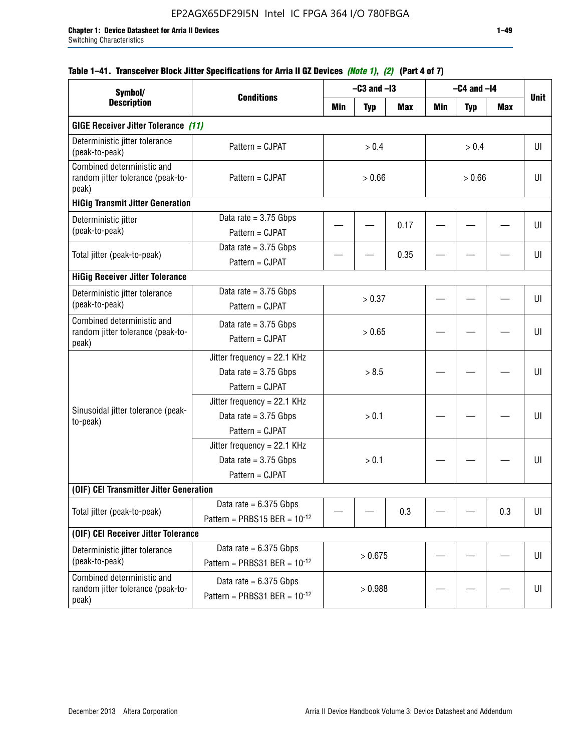## **Table 1–41. Transceiver Block Jitter Specifications for Arria II GZ Devices** *(Note 1)***,** *(2)* **(Part 4 of 7)**

| Symbol/                                                                  |                                                                             |         | $-C3$ and $-I3$ |            |        | $-C4$ and $-I4$ |     |             |
|--------------------------------------------------------------------------|-----------------------------------------------------------------------------|---------|-----------------|------------|--------|-----------------|-----|-------------|
| <b>Description</b>                                                       | <b>Conditions</b>                                                           | Min     | <b>Typ</b>      | <b>Max</b> | Min    | <b>Typ</b>      | Max | <b>Unit</b> |
| <b>GIGE Receiver Jitter Tolerance (11)</b>                               |                                                                             |         |                 |            |        |                 |     |             |
| Deterministic jitter tolerance<br>(peak-to-peak)                         | Pattern = CJPAT                                                             |         | > 0.4           |            |        | > 0.4           |     | UI          |
| Combined deterministic and<br>random jitter tolerance (peak-to-<br>peak) | Pattern = CJPAT                                                             | > 0.66  |                 |            | > 0.66 |                 |     | UI          |
| <b>HiGig Transmit Jitter Generation</b>                                  |                                                                             |         |                 |            |        |                 |     |             |
| Deterministic jitter<br>(peak-to-peak)                                   | Data rate = $3.75$ Gbps<br>Pattern = CJPAT                                  |         |                 | 0.17       |        |                 |     | UI          |
| Total jitter (peak-to-peak)                                              | Data rate = $3.75$ Gbps<br>Pattern = CJPAT                                  |         |                 | 0.35       |        |                 |     | UI          |
| <b>HiGig Receiver Jitter Tolerance</b>                                   |                                                                             |         |                 |            |        |                 |     |             |
| Deterministic jitter tolerance<br>(peak-to-peak)                         | Data rate = $3.75$ Gbps<br>Pattern = CJPAT                                  | > 0.37  |                 |            |        |                 | UI  |             |
| Combined deterministic and<br>random jitter tolerance (peak-to-<br>peak) | Data rate = $3.75$ Gbps<br>Pattern = CJPAT                                  | > 0.65  |                 |            |        |                 |     | UI          |
|                                                                          | Jitter frequency = 22.1 KHz<br>Data rate = $3.75$ Gbps<br>Pattern = CJPAT   | > 8.5   |                 |            |        |                 |     | UI          |
| Sinusoidal jitter tolerance (peak-<br>to-peak)                           | Jitter frequency = $22.1$ KHz<br>Data rate = $3.75$ Gbps<br>Pattern = CJPAT |         | > 0.1           |            |        |                 |     | UI          |
|                                                                          | Jitter frequency = 22.1 KHz<br>Data rate = $3.75$ Gbps<br>Pattern = CJPAT   |         | > 0.1           |            |        |                 |     | UI          |
| (OIF) CEI Transmitter Jitter Generation                                  |                                                                             |         |                 |            |        |                 |     |             |
| Total jitter (peak-to-peak)                                              | Data rate $= 6.375$ Gbps<br>Pattern = PRBS15 BER = $10^{-12}$               |         |                 | 0.3        |        |                 | 0.3 | UI          |
| (OIF) CEI Receiver Jitter Tolerance                                      |                                                                             |         |                 |            |        |                 |     |             |
| Deterministic jitter tolerance<br>(peak-to-peak)                         | Data rate = $6.375$ Gbps<br>Pattern = PRBS31 BER = $10^{-12}$               | > 0.675 |                 |            |        |                 | U   |             |
| Combined deterministic and<br>random jitter tolerance (peak-to-<br>peak) | Data rate = $6.375$ Gbps<br>Pattern = PRBS31 BER = $10^{-12}$               |         | > 0.988         |            |        |                 |     | U           |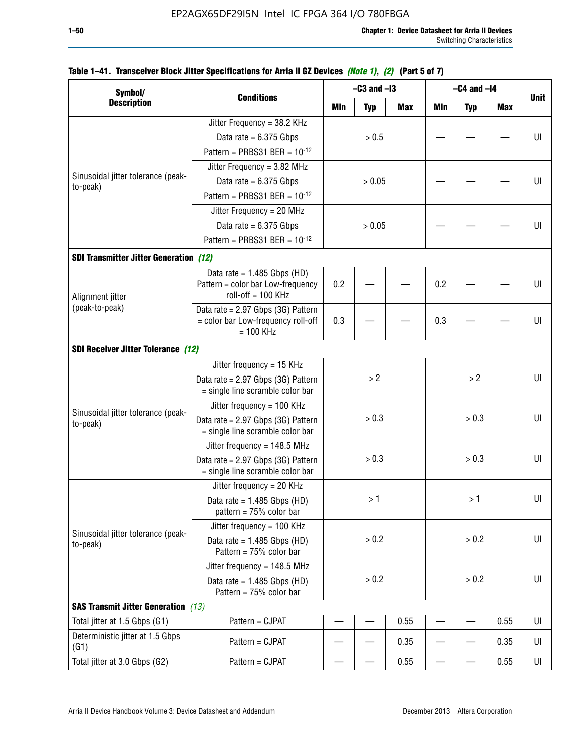| Symbol/                                        |                                                                        |     | $-C3$ and $-I3$ |            | $-C4$ and $-I4$ |            |            |             |
|------------------------------------------------|------------------------------------------------------------------------|-----|-----------------|------------|-----------------|------------|------------|-------------|
| <b>Description</b>                             | <b>Conditions</b>                                                      | Min | <b>Typ</b>      | <b>Max</b> | <b>Min</b>      | <b>Typ</b> | <b>Max</b> | <b>Unit</b> |
|                                                | Jitter Frequency = 38.2 KHz                                            |     |                 |            |                 |            |            |             |
|                                                | Data rate = $6.375$ Gbps                                               |     | > 0.5           |            |                 |            |            | UI          |
|                                                | Pattern = PRBS31 BER = $10^{-12}$                                      |     |                 |            |                 |            |            |             |
|                                                | Jitter Frequency = $3.82$ MHz                                          |     |                 |            |                 |            |            |             |
| Sinusoidal jitter tolerance (peak-<br>to-peak) | Data rate = $6.375$ Gbps                                               |     | > 0.05          |            |                 |            |            | U           |
|                                                | Pattern = PRBS31 BER = $10^{-12}$                                      |     |                 |            |                 |            |            |             |
|                                                | Jitter Frequency = 20 MHz                                              |     |                 |            |                 |            |            |             |
|                                                | Data rate = $6.375$ Gbps                                               |     | > 0.05          |            |                 |            |            | UI          |
|                                                | Pattern = PRBS31 BER = $10^{-12}$                                      |     |                 |            |                 |            |            |             |
| <b>SDI Transmitter Jitter Generation (12)</b>  |                                                                        |     |                 |            |                 |            |            |             |
|                                                | Data rate = $1.485$ Gbps (HD)                                          |     |                 |            |                 |            |            |             |
|                                                | Pattern = color bar Low-frequency<br>$roll-off = 100 KHz$              | 0.2 |                 |            | 0.2             |            |            | U           |
| Alignment jitter<br>(peak-to-peak)             | Data rate = 2.97 Gbps (3G) Pattern                                     |     |                 |            |                 |            |            |             |
|                                                | = color bar Low-frequency roll-off<br>$= 100$ KHz                      | 0.3 |                 |            | 0.3             |            |            | UI          |
| <b>SDI Receiver Jitter Tolerance (12)</b>      |                                                                        |     |                 |            |                 |            |            |             |
|                                                | Jitter frequency = $15$ KHz                                            |     |                 |            |                 |            |            |             |
|                                                | Data rate = 2.97 Gbps (3G) Pattern<br>= single line scramble color bar | > 2 |                 |            |                 | >2         |            | UI          |
|                                                | Jitter frequency = $100$ KHz                                           |     |                 |            |                 |            |            |             |
| Sinusoidal jitter tolerance (peak-<br>to-peak) | Data rate = 2.97 Gbps (3G) Pattern<br>= single line scramble color bar |     | > 0.3           |            |                 | > 0.3      |            | UI          |
|                                                | Jitter frequency = $148.5$ MHz                                         |     |                 |            |                 |            |            |             |
|                                                | Data rate = 2.97 Gbps (3G) Pattern<br>= single line scramble color bar |     | > 0.3           |            |                 | > 0.3      |            | UI          |
|                                                | Jitter frequency = $20$ KHz                                            |     |                 |            |                 |            |            |             |
|                                                | Data rate = $1.485$ Gbps (HD)<br>pattern = $75%$ color bar             |     | >1              |            |                 | > 1⊣       |            | UI          |
|                                                | Jitter frequency = 100 KHz                                             |     |                 |            |                 |            |            |             |
| Sinusoidal jitter tolerance (peak-<br>to-peak) | Data rate = $1.485$ Gbps (HD)<br>Pattern = 75% color bar               |     | > 0.2           |            |                 | > 0.2      |            | UI          |
|                                                | Jitter frequency = $148.5$ MHz                                         |     |                 |            |                 |            |            |             |
|                                                | Data rate = $1.485$ Gbps (HD)<br>Pattern = 75% color bar               |     | > 0.2           |            |                 | $> 0.2$    |            | UI          |
| <b>SAS Transmit Jitter Generation</b> (13)     |                                                                        |     |                 |            |                 |            |            |             |
| Total jitter at 1.5 Gbps (G1)                  | Pattern = CJPAT                                                        |     |                 | 0.55       |                 |            | 0.55       | UI          |
| Deterministic jitter at 1.5 Gbps<br>(G1)       | Pattern = CJPAT                                                        |     |                 | 0.35       |                 |            | 0.35       | UI          |
| Total jitter at 3.0 Gbps (G2)                  | Pattern = CJPAT                                                        |     |                 | 0.55       |                 |            | 0.55       | UI          |

### **Table 1–41. Transceiver Block Jitter Specifications for Arria II GZ Devices** *(Note 1)***,** *(2)* **(Part 5 of 7)**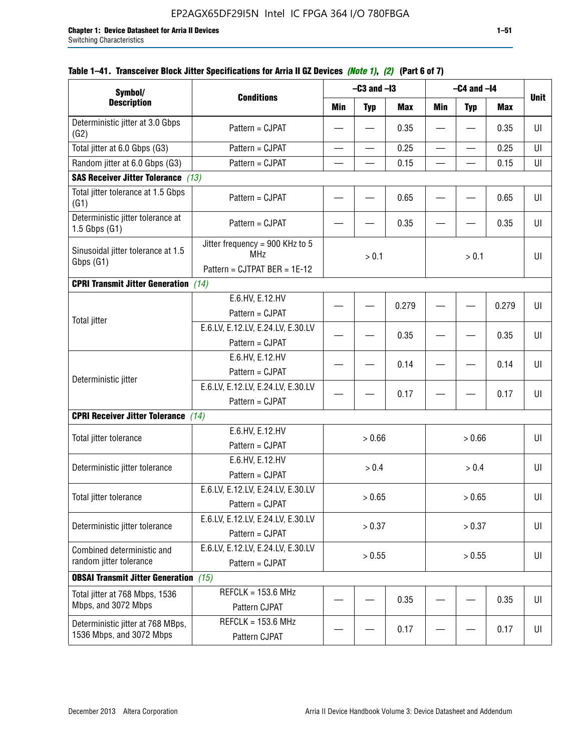| Symbol/                                                       |                                                                               |                          | $-C3$ and $-I3$          |            |                          | $-C4$ and $-I4$          |            |             |
|---------------------------------------------------------------|-------------------------------------------------------------------------------|--------------------------|--------------------------|------------|--------------------------|--------------------------|------------|-------------|
| <b>Description</b>                                            | <b>Conditions</b>                                                             | <b>Min</b>               | <b>Typ</b>               | <b>Max</b> | <b>Min</b>               | <b>Typ</b>               | <b>Max</b> | <b>Unit</b> |
| Deterministic jitter at 3.0 Gbps<br>(G2)                      | Pattern = CJPAT                                                               |                          |                          | 0.35       |                          |                          | 0.35       | UI          |
| Total jitter at 6.0 Gbps (G3)                                 | Pattern = CJPAT                                                               | $\overline{\phantom{0}}$ | $\overline{\phantom{0}}$ | 0.25       | $\overline{\phantom{0}}$ | $\overline{\phantom{0}}$ | 0.25       | UI          |
| Random jitter at 6.0 Gbps (G3)                                | Pattern = CJPAT                                                               |                          |                          | 0.15       |                          |                          | 0.15       | UI          |
| <b>SAS Receiver Jitter Tolerance</b> (13)                     |                                                                               |                          |                          |            |                          |                          |            |             |
| Total jitter tolerance at 1.5 Gbps<br>(G1)                    | Pattern = CJPAT                                                               |                          |                          | 0.65       |                          |                          | 0.65       | UI          |
| Deterministic jitter tolerance at<br>$1.5$ Gbps $(G1)$        | Pattern = CJPAT                                                               |                          |                          | 0.35       |                          |                          | 0.35       | UI          |
| Sinusoidal jitter tolerance at 1.5<br>Gbps (G1)               | Jitter frequency = 900 KHz to 5<br><b>MHz</b><br>Pattern = CJTPAT BER = 1E-12 |                          | > 0.1                    |            | > 0.1                    |                          |            | UI          |
| <b>CPRI Transmit Jitter Generation</b> (14)                   |                                                                               |                          |                          |            |                          |                          |            |             |
|                                                               | E.6.HV, E.12.HV                                                               |                          |                          |            |                          |                          |            |             |
|                                                               | Pattern = CJPAT                                                               |                          |                          | 0.279      |                          |                          | 0.279      | UI          |
| <b>Total jitter</b>                                           | E.6.LV, E.12.LV, E.24.LV, E.30.LV                                             |                          |                          |            |                          |                          |            |             |
|                                                               | Pattern = CJPAT                                                               |                          |                          | 0.35       |                          |                          | 0.35       | UI          |
|                                                               | E.6.HV, E.12.HV                                                               |                          |                          | 0.14       |                          |                          | 0.14       | UI          |
| Deterministic jitter                                          | Pattern = CJPAT                                                               |                          |                          |            |                          |                          |            |             |
|                                                               | E.6.LV, E.12.LV, E.24.LV, E.30.LV                                             |                          |                          | 0.17       |                          |                          | 0.17       | UI          |
|                                                               | Pattern = CJPAT                                                               |                          |                          |            |                          |                          |            |             |
| <b>CPRI Receiver Jitter Tolerance</b>                         | (14)                                                                          |                          |                          |            |                          |                          |            |             |
| Total jitter tolerance                                        | E.6.HV, E.12.HV                                                               |                          | > 0.66                   |            |                          | > 0.66                   |            | UI          |
|                                                               | Pattern = CJPAT                                                               |                          |                          |            |                          |                          |            |             |
| Deterministic jitter tolerance                                | E.6.HV, E.12.HV                                                               |                          | > 0.4                    |            |                          | > 0.4                    |            | UI          |
|                                                               | Pattern = CJPAT                                                               |                          |                          |            |                          |                          |            |             |
| Total jitter tolerance                                        | E.6.LV, E.12.LV, E.24.LV, E.30.LV<br>Pattern = CJPAT                          |                          | > 0.65                   |            |                          | > 0.65                   |            | UI          |
|                                                               | E.6.LV, E.12.LV, E.24.LV, E.30.LV                                             |                          |                          |            |                          |                          |            |             |
| Deterministic jitter tolerance                                | Pattern = CJPAT                                                               |                          | > 0.37                   |            |                          | > 0.37                   |            | UI          |
| Combined deterministic and                                    | E.6.LV, E.12.LV, E.24.LV, E.30.LV                                             |                          |                          |            |                          |                          |            |             |
| random jitter tolerance                                       | Pattern = CJPAT                                                               |                          | > 0.55                   |            |                          | > 0.55                   |            | UI          |
| <b>OBSAI Transmit Jitter Generation</b> (15)                  |                                                                               |                          |                          |            |                          |                          |            |             |
| Total jitter at 768 Mbps, 1536                                | $REFCLK = 153.6 MHz$                                                          |                          |                          |            |                          |                          |            |             |
| Mbps, and 3072 Mbps                                           | Pattern CJPAT                                                                 |                          |                          | 0.35       |                          |                          | 0.35       | UI          |
| Deterministic jitter at 768 MBps,<br>1536 Mbps, and 3072 Mbps | $REFCLK = 153.6 MHz$<br>Pattern CJPAT                                         |                          |                          | 0.17       |                          |                          | 0.17       | UI          |

### **Table 1–41. Transceiver Block Jitter Specifications for Arria II GZ Devices** *(Note 1)***,** *(2)* **(Part 6 of 7)**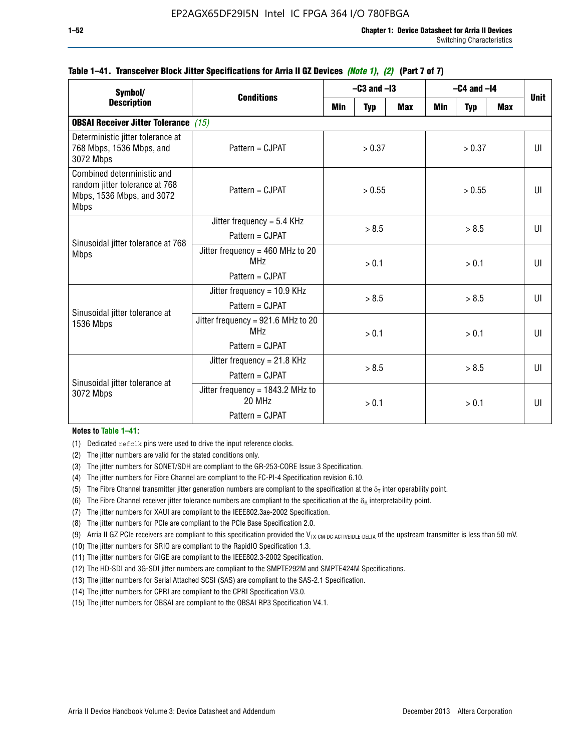| Symbol/                                                                                                  | <b>Conditions</b>                                                        |                  | $-C3$ and $-I3$ |            |       | $-C4$ and $-I4$ |              | <b>Unit</b>  |
|----------------------------------------------------------------------------------------------------------|--------------------------------------------------------------------------|------------------|-----------------|------------|-------|-----------------|--------------|--------------|
| <b>Description</b>                                                                                       |                                                                          | Min              | <b>Typ</b>      | <b>Max</b> | Min   | <b>Typ</b>      | <b>Max</b>   |              |
| <b>OBSAI Receiver Jitter Tolerance (15)</b>                                                              |                                                                          |                  |                 |            |       |                 |              |              |
| Deterministic jitter tolerance at<br>768 Mbps, 1536 Mbps, and<br>3072 Mbps                               | Pattern = CJPAT                                                          | > 0.37<br>> 0.37 |                 |            |       |                 | $\mathbf{U}$ |              |
| Combined deterministic and<br>random jitter tolerance at 768<br>Mbps, 1536 Mbps, and 3072<br><b>Mbps</b> | Pattern = CJPAT                                                          | > 0.55<br>> 0.55 |                 |            |       | Ш               |              |              |
|                                                                                                          | Jitter frequency = $5.4$ KHz<br>Pattern = CJPAT                          | > 8.5            |                 | > 8.5      |       |                 | UI           |              |
| Sinusoidal jitter tolerance at 768<br><b>Mbps</b>                                                        | Jitter frequency = $460$ MHz to 20<br><b>MHz</b><br>Pattern = CJPAT      | > 0.1            |                 |            | > 0.1 |                 | UI           |              |
| Sinusoidal jitter tolerance at                                                                           | Jitter frequency = 10.9 KHz<br>Pattern = CJPAT                           |                  | > 8.5           |            |       | > 8.5           |              | $\mathbf{U}$ |
| 1536 Mbps                                                                                                | Jitter frequency = 921.6 MHz to 20<br>MH <sub>7</sub><br>Pattern = CJPAT |                  | > 0.1           |            |       | > 0.1           |              | UI           |
| Sinusoidal jitter tolerance at                                                                           | Jitter frequency = $21.8$ KHz<br>Pattern = CJPAT                         |                  | > 8.5           |            |       | > 8.5           |              | UI           |
| 3072 Mbps                                                                                                | Jitter frequency = $1843.2$ MHz to<br>20 MHz<br>Pattern = CJPAT          | > 0.1            |                 | > 0.1      |       | UI              |              |              |

#### **Table 1–41. Transceiver Block Jitter Specifications for Arria II GZ Devices** *(Note 1)***,** *(2)* **(Part 7 of 7)**

#### **Notes to Table 1–41:**

(1) Dedicated refclk pins were used to drive the input reference clocks.

- (2) The jitter numbers are valid for the stated conditions only.
- (3) The jitter numbers for SONET/SDH are compliant to the GR-253-CORE Issue 3 Specification.
- (4) The jitter numbers for Fibre Channel are compliant to the FC-PI-4 Specification revision 6.10.
- (5) The Fibre Channel transmitter jitter generation numbers are compliant to the specification at the  $\delta_T$  inter operability point.
- (6) The Fibre Channel receiver jitter tolerance numbers are compliant to the specification at the  $\delta_R$  interpretability point.
- (7) The jitter numbers for XAUI are compliant to the IEEE802.3ae-2002 Specification.
- (8) The jitter numbers for PCIe are compliant to the PCIe Base Specification 2.0.
- (9) Arria II GZ PCIe receivers are compliant to this specification provided the V<sub>TX-CM-DC-ACTIVEIDLE-DELTA</sub> of the upstream transmitter is less than 50 mV.
- (10) The jitter numbers for SRIO are compliant to the RapidIO Specification 1.3.
- (11) The jitter numbers for GIGE are compliant to the IEEE802.3-2002 Specification.
- (12) The HD-SDI and 3G-SDI jitter numbers are compliant to the SMPTE292M and SMPTE424M Specifications.
- (13) The jitter numbers for Serial Attached SCSI (SAS) are compliant to the SAS-2.1 Specification.
- (14) The jitter numbers for CPRI are compliant to the CPRI Specification V3.0.
- (15) The jitter numbers for OBSAI are compliant to the OBSAI RP3 Specification V4.1.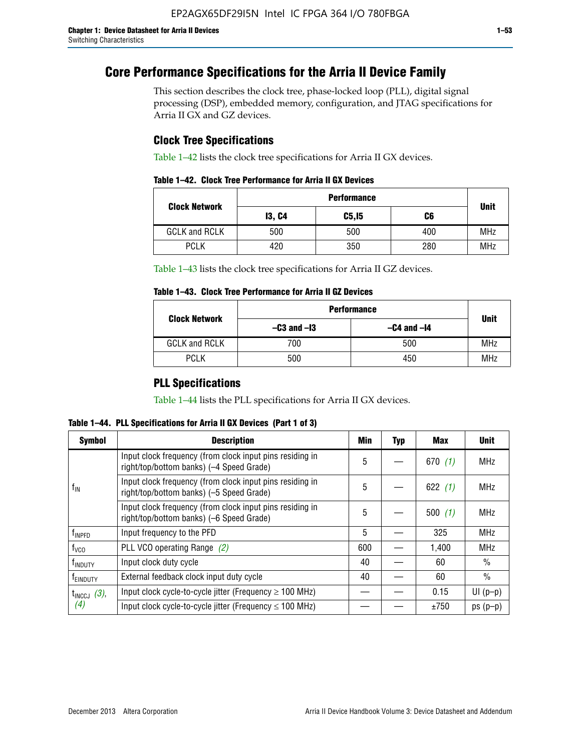# **Core Performance Specifications for the Arria II Device Family**

This section describes the clock tree, phase-locked loop (PLL), digital signal processing (DSP), embedded memory, configuration, and JTAG specifications for Arria II GX and GZ devices.

## **Clock Tree Specifications**

Table 1–42 lists the clock tree specifications for Arria II GX devices.

| Table 1–42. Clock Tree Performance for Arria II GX Devices |  |  |
|------------------------------------------------------------|--|--|
|------------------------------------------------------------|--|--|

|                      | <b>Performance</b> |        |     |             |  |  |  |
|----------------------|--------------------|--------|-----|-------------|--|--|--|
| <b>Clock Network</b> | <b>13, C4</b>      | C5, I5 | C6  | <b>Unit</b> |  |  |  |
| <b>GCLK and RCLK</b> | 500                | 500    | 400 | <b>MHz</b>  |  |  |  |
| <b>PCLK</b>          | 420                | 350    | 280 | <b>MHz</b>  |  |  |  |

Table 1–43 lists the clock tree specifications for Arria II GZ devices.

### **Table 1–43. Clock Tree Performance for Arria II GZ Devices**

| <b>Clock Network</b> | <b>Performance</b> |                 |             |  |  |  |
|----------------------|--------------------|-----------------|-------------|--|--|--|
|                      | $-C3$ and $-I3$    | $-C4$ and $-I4$ | <b>Unit</b> |  |  |  |
| <b>GCLK and RCLK</b> | 700                | 500             | <b>MHz</b>  |  |  |  |
| <b>PCLK</b>          | 500                | 450             | <b>MHz</b>  |  |  |  |

## **PLL Specifications**

Table 1–44 lists the PLL specifications for Arria II GX devices.

**Table 1–44. PLL Specifications for Arria II GX Devices (Part 1 of 3)**

| <b>Symbol</b>           | <b>Description</b>                                                                                   | Min | <b>Typ</b> | Max       | <b>Unit</b>   |
|-------------------------|------------------------------------------------------------------------------------------------------|-----|------------|-----------|---------------|
|                         | Input clock frequency (from clock input pins residing in<br>right/top/bottom banks) (-4 Speed Grade) | 5   |            | 670(1)    | <b>MHz</b>    |
| $f_{\text{IN}}$         | Input clock frequency (from clock input pins residing in<br>right/top/bottom banks) (-5 Speed Grade) | 5   |            | 622 $(1)$ | <b>MHz</b>    |
|                         | Input clock frequency (from clock input pins residing in<br>right/top/bottom banks) (-6 Speed Grade) | 5   |            | 500(1)    | <b>MHz</b>    |
| f <sub>INPFD</sub>      | Input frequency to the PFD                                                                           | 5   |            | 325       | <b>MHz</b>    |
| $f_{\rm VCO}$           | PLL VCO operating Range (2)                                                                          | 600 |            | 1,400     | <b>MHz</b>    |
| <sup>t</sup> INDUTY     | Input clock duty cycle                                                                               | 40  |            | 60        | $\frac{0}{0}$ |
| f <sub>EINDUTY</sub>    | External feedback clock input duty cycle                                                             |     |            | 60        | $\frac{0}{0}$ |
| $t_{\text{INCCJ}}$ (3), | Input clock cycle-to-cycle jitter (Frequency $\geq$ 100 MHz)                                         |     |            | 0.15      | $UI(p-p)$     |
| (4)                     | Input clock cycle-to-cycle jitter (Frequency $\leq 100$ MHz)                                         |     |            | ±750      | $ps(p-p)$     |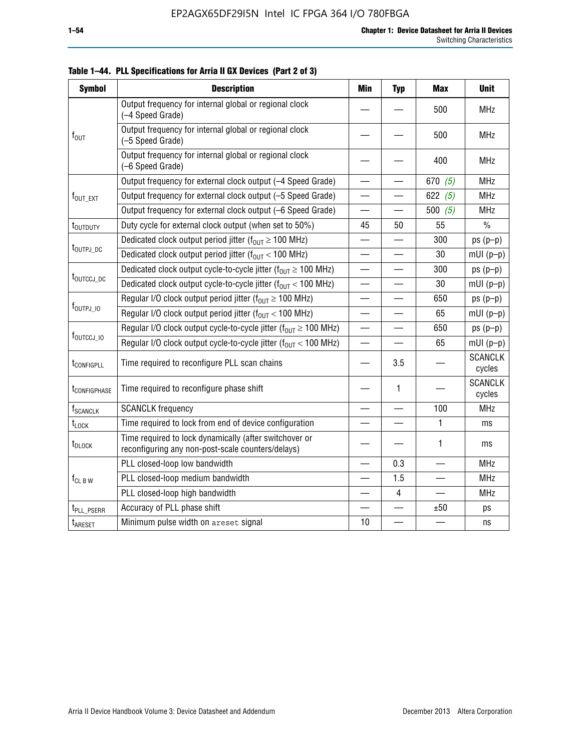| <b>Symbol</b>            | <b>Description</b>                                                                                          | Min                      | <b>Typ</b>               | <b>Max</b>               | <b>Unit</b>              |
|--------------------------|-------------------------------------------------------------------------------------------------------------|--------------------------|--------------------------|--------------------------|--------------------------|
|                          | Output frequency for internal global or regional clock<br>(-4 Speed Grade)                                  |                          |                          | 500                      | <b>MHz</b>               |
| $f_{\text{OUT}}$         | Output frequency for internal global or regional clock<br>(-5 Speed Grade)                                  |                          |                          | 500                      | <b>MHz</b>               |
|                          | Output frequency for internal global or regional clock<br>(-6 Speed Grade)                                  |                          |                          | 400                      | <b>MHz</b>               |
|                          | Output frequency for external clock output (-4 Speed Grade)                                                 | $\overline{\phantom{0}}$ |                          | 670 $(5)$                | <b>MHz</b>               |
| f <sub>out ext</sub>     | Output frequency for external clock output (-5 Speed Grade)                                                 |                          |                          | 622 $(5)$                | <b>MHz</b>               |
|                          | Output frequency for external clock output (-6 Speed Grade)                                                 | $\overline{\phantom{0}}$ |                          | 500(5)                   | <b>MHz</b>               |
| t <sub>outduty</sub>     | Duty cycle for external clock output (when set to 50%)                                                      | 45                       | 50                       | 55                       | $\frac{0}{0}$            |
|                          | Dedicated clock output period jitter ( $f_{OIII} \ge 100$ MHz)                                              |                          |                          | 300                      | $ps(p-p)$                |
| t <sub>outpj_dc</sub>    | Dedicated clock output period jitter ( $f_{OUT}$ < 100 MHz)                                                 |                          |                          | 30                       | $mUI(p-p)$               |
|                          | Dedicated clock output cycle-to-cycle jitter ( $f_{OIIT} \ge 100$ MHz)                                      | $\equiv$                 |                          | 300                      | $ps(p-p)$                |
|                          | t <sub>outccj_pc</sub><br>Dedicated clock output cycle-to-cycle jitter ( $f_{OUT}$ < 100 MHz)               |                          |                          | 30                       | $mUI(p-p)$               |
|                          | Regular I/O clock output period jitter ( $f_{OUT} \ge 100$ MHz)                                             |                          |                          | 650                      | $ps(p-p)$                |
| f <sub>outpj_io</sub>    | Regular I/O clock output period jitter ( $f_{OUT}$ < 100 MHz)                                               |                          | $\overline{\phantom{0}}$ | 65                       | $mUI(p-p)$               |
|                          | Regular I/O clock output cycle-to-cycle jitter ( $f_{OUT} \ge 100$ MHz)                                     |                          |                          | 650                      | $ps(p-p)$                |
| f <sub>outccj_io</sub>   | Regular I/O clock output cycle-to-cycle jitter ( $f_{OUT}$ < 100 MHz)                                       |                          |                          | 65                       | $mUI(p-p)$               |
| t <sub>configpll</sub>   | Time required to reconfigure PLL scan chains                                                                |                          | 3.5                      |                          | <b>SCANCLK</b><br>cycles |
| t <sub>configphase</sub> | Time required to reconfigure phase shift                                                                    |                          | 1                        |                          | <b>SCANCLK</b><br>cycles |
| <b>T</b> SCANCLK         | <b>SCANCLK</b> frequency                                                                                    | $\overline{\phantom{a}}$ | $\equiv$                 | 100                      | <b>MHz</b>               |
| $t_{\text{LOCK}}$        | Time required to lock from end of device configuration                                                      |                          |                          | 1                        | ms                       |
| t <sub>DLOCK</sub>       | Time required to lock dynamically (after switchover or<br>reconfiguring any non-post-scale counters/delays) |                          |                          | 1                        | ms                       |
|                          | PLL closed-loop low bandwidth                                                                               |                          | 0.3                      |                          | <b>MHz</b>               |
| $f_{CL\,B\,W}$           | PLL closed-loop medium bandwidth                                                                            | $\overline{\phantom{0}}$ | 1.5                      | $\overline{\phantom{0}}$ | <b>MHz</b>               |
|                          | PLL closed-loop high bandwidth                                                                              |                          | 4                        |                          | <b>MHz</b>               |
| t <sub>PLL_PSERR</sub>   | Accuracy of PLL phase shift                                                                                 |                          |                          | ±50                      | ps                       |
| t <sub>ARESET</sub>      | Minimum pulse width on areset signal                                                                        | 10                       |                          |                          | ns                       |

**Table 1–44. PLL Specifications for Arria II GX Devices (Part 2 of 3)**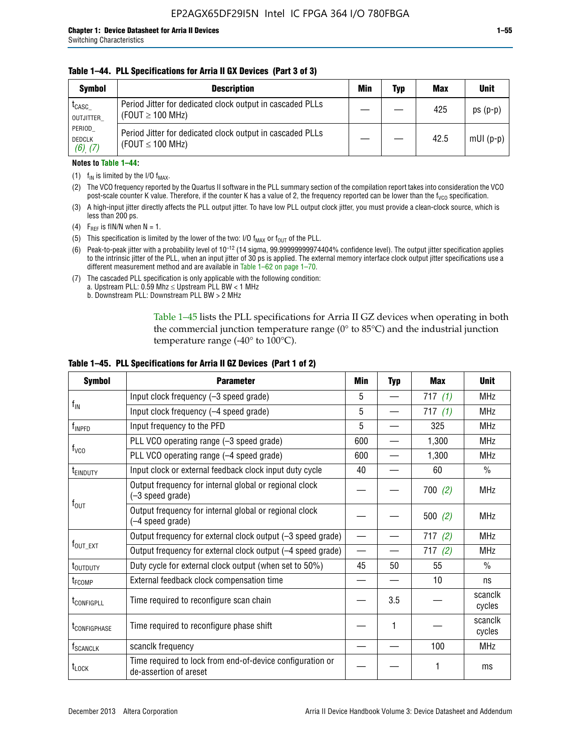#### **Table 1–44. PLL Specifications for Arria II GX Devices (Part 3 of 3)**

| <b>Symbol</b>                            | <b>Description</b>                                                                 | Min | Typ | <b>Max</b> | <b>Unit</b> |
|------------------------------------------|------------------------------------------------------------------------------------|-----|-----|------------|-------------|
| t <sub>CASC</sub><br>OUTJITTER           | Period Jitter for dedicated clock output in cascaded PLLs<br>(FOUT $\geq$ 100 MHz) |     |     | 425        | $ps(p-p)$   |
| PERIOD<br><b>DEDCLK</b><br>$(6)$ , $(7)$ | Period Jitter for dedicated clock output in cascaded PLLs<br>(FOUT $\leq$ 100 MHz) |     |     | 42.5       | $mUI(p-p)$  |

#### **Notes to Table 1–44:**

- (1)  $f_{IN}$  is limited by the I/O  $f_{MAX}$ .
- (2) The VCO frequency reported by the Quartus II software in the PLL summary section of the compilation report takes into consideration the VCO post-scale counter K value. Therefore, if the counter K has a value of 2, the frequency reported can be lower than the f<sub>VCO</sub> specification.
- (3) A high-input jitter directly affects the PLL output jitter. To have low PLL output clock jitter, you must provide a clean-clock source, which is less than 200 ps.
- (4) F<sub>REF</sub> is fIN/N when N = 1.
- (5) This specification is limited by the lower of the two: I/O  $f_{MAX}$  or  $f_{OUT}$  of the PLL.
- (6) Peak-to-peak jitter with a probability level of 10–12 (14 sigma, 99.99999999974404% confidence level). The output jitter specification applies to the intrinsic jitter of the PLL, when an input jitter of 30 ps is applied. The external memory interface clock output jitter specifications use a different measurement method and are available in Table 1–62 on page 1–70.
- (7) The cascaded PLL specification is only applicable with the following condition: a. Upstream PLL:  $0.59$  Mhz  $\leq$  Upstream PLL BW  $<$  1 MHz
	- b. Downstream PLL: Downstream PLL BW > 2 MHz

Table 1–45 lists the PLL specifications for Arria II GZ devices when operating in both the commercial junction temperature range (0° to 85°C) and the industrial junction temperature range (-40 $\degree$  to 100 $\degree$ C).

| <b>Symbol</b>                                                              | <b>Parameter</b>                                                                    | Min                      | <b>Typ</b> | <b>Max</b> | <b>Unit</b>       |
|----------------------------------------------------------------------------|-------------------------------------------------------------------------------------|--------------------------|------------|------------|-------------------|
|                                                                            | Input clock frequency (-3 speed grade)                                              | 5                        |            | 717(1)     | <b>MHz</b>        |
| $f_{\text{IN}}$                                                            | Input clock frequency (-4 speed grade)                                              | 5                        |            | 717(1)     | <b>MHz</b>        |
| $f_{\mathsf{INPPD}}$                                                       | Input frequency to the PFD                                                          | 5                        |            | 325        | <b>MHz</b>        |
|                                                                            | PLL VCO operating range (-3 speed grade)                                            | 600                      |            | 1,300      | <b>MHz</b>        |
| $f_{\rm VCO}$                                                              | PLL VCO operating range (-4 speed grade)                                            | 600                      |            | 1,300      | <b>MHz</b>        |
| <b>TEINDUTY</b>                                                            | Input clock or external feedback clock input duty cycle                             | 40                       |            | 60         | $\frac{0}{0}$     |
| Output frequency for internal global or regional clock<br>(-3 speed grade) |                                                                                     |                          |            | 700(2)     | <b>MHz</b>        |
| $f_{\text{OUT}}$                                                           | Output frequency for internal global or regional clock<br>(-4 speed grade)          |                          |            | 500(2)     | <b>MHz</b>        |
|                                                                            | Output frequency for external clock output (-3 speed grade)                         | $\overline{\phantom{0}}$ |            | 717(2)     | <b>MHz</b>        |
| $f_{\text{OUT\_EXT}}$                                                      | Output frequency for external clock output (-4 speed grade)                         | $\overline{\phantom{0}}$ |            | 717(2)     | <b>MHz</b>        |
| t <sub>outduty</sub>                                                       | Duty cycle for external clock output (when set to 50%)                              | 45                       | 50         | 55         | $\frac{0}{0}$     |
| t <sub>FCOMP</sub>                                                         | External feedback clock compensation time                                           |                          |            | 10         | ns                |
| t <sub>configpll</sub>                                                     | Time required to reconfigure scan chain                                             |                          | 3.5        |            | scanclk<br>cycles |
| <b><i>LCONFIGPHASE</i></b>                                                 | Time required to reconfigure phase shift                                            |                          | 1          |            | scanclk<br>cycles |
| f <sub>SCANCLK</sub>                                                       | scanclk frequency                                                                   |                          |            | 100        | <b>MHz</b>        |
| $t_{\text{LOCK}}$                                                          | Time required to lock from end-of-device configuration or<br>de-assertion of areset |                          |            |            | ms                |

#### **Table 1–45. PLL Specifications for Arria II GZ Devices (Part 1 of 2)**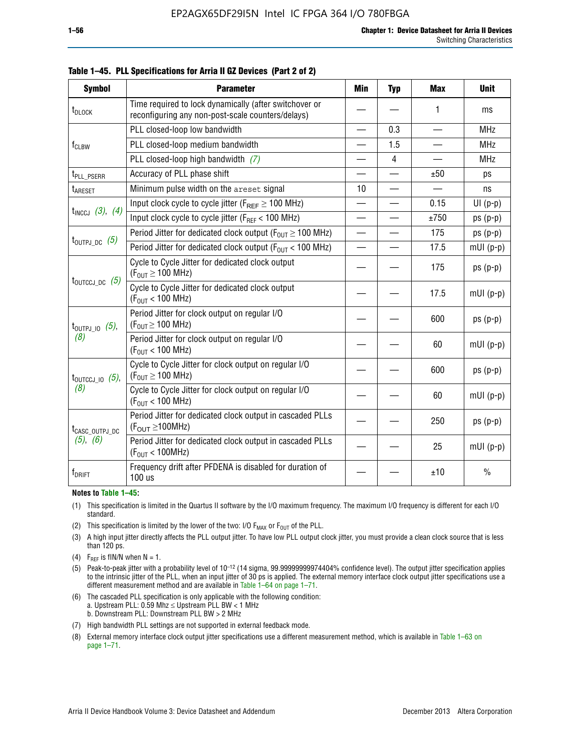| <b>Symbol</b>                                                                                 | <b>Parameter</b>                                                                                            | Min                      | <b>Typ</b>     | <b>Max</b>               | <b>Unit</b>   |
|-----------------------------------------------------------------------------------------------|-------------------------------------------------------------------------------------------------------------|--------------------------|----------------|--------------------------|---------------|
| t <sub>DLOCK</sub>                                                                            | Time required to lock dynamically (after switchover or<br>reconfiguring any non-post-scale counters/delays) |                          |                | 1                        | ms            |
|                                                                                               | PLL closed-loop low bandwidth                                                                               |                          | 0.3            |                          | <b>MHz</b>    |
| $f_{CLBW}$                                                                                    | PLL closed-loop medium bandwidth                                                                            | —                        | 1.5            | $\overline{\phantom{0}}$ | <b>MHz</b>    |
|                                                                                               | PLL closed-loop high bandwidth $(7)$                                                                        |                          | $\overline{4}$ |                          | <b>MHz</b>    |
| t <sub>PLL</sub> PSERR                                                                        | Accuracy of PLL phase shift                                                                                 |                          |                | ±50                      | ps            |
| t <sub>ARESET</sub>                                                                           | Minimum pulse width on the areset signal                                                                    | 10                       |                |                          | ns            |
|                                                                                               | Input clock cycle to cycle jitter ( $F_{REF} \geq 100$ MHz)                                                 |                          |                | 0.15                     | $UI(p-p)$     |
| $t_{INCCJ}$ (3), (4)                                                                          | Input clock cycle to cycle jitter (F <sub>REF</sub> < 100 MHz)                                              |                          |                | ±750                     | $ps(p-p)$     |
|                                                                                               | Period Jitter for dedicated clock output ( $F_{OIII} \ge 100$ MHz)                                          | $\equiv$                 |                | 175                      | $ps(p-p)$     |
| $t_{\text{OUTPJ\_DC}}$ (5)<br>Period Jitter for dedicated clock output ( $F_{OUT}$ < 100 MHz) |                                                                                                             | $\overline{\phantom{0}}$ |                | 17.5                     | $mUI(p-p)$    |
|                                                                                               | Cycle to Cycle Jitter for dedicated clock output<br>$(F_{OUT} \ge 100$ MHz)                                 |                          |                | 175                      | $ps(p-p)$     |
| $t_{\text{OUTCCJ\_DC}}$ (5)                                                                   | Cycle to Cycle Jitter for dedicated clock output<br>$(F_{OUT}$ < 100 MHz)                                   |                          |                | 17.5                     | $mUI(p-p)$    |
| $t_{\text{OUTPJ\_IO}}$ (5),                                                                   | Period Jitter for clock output on regular I/O<br>$(F_{OUT} \geq 100$ MHz)                                   |                          |                | 600                      | $ps(p-p)$     |
| (8)                                                                                           | Period Jitter for clock output on regular I/O<br>$(F_{OIII} < 100$ MHz)                                     |                          |                | 60                       | $mUI(p-p)$    |
| $t_{\text{OUTCCJ\_IO}}$ (5),                                                                  | Cycle to Cycle Jitter for clock output on regular I/O<br>$(F_{OUT} \ge 100$ MHz)                            |                          |                | 600                      | $ps(p-p)$     |
| (8)                                                                                           | Cycle to Cycle Jitter for clock output on regular I/O<br>$(F_{OUT} < 100$ MHz)                              |                          |                | 60                       | $mUI(p-p)$    |
| t <sub>CASC_OUTPJ_DC</sub>                                                                    | Period Jitter for dedicated clock output in cascaded PLLs<br>$(F_{OUT} \ge 100MHz)$                         |                          |                | 250                      | $ps(p-p)$     |
| (5), (6)                                                                                      | Period Jitter for dedicated clock output in cascaded PLLs<br>(F <sub>OUT</sub> < 100MHz)                    |                          |                | 25                       | $mUI(p-p)$    |
| f <sub>DRIFT</sub>                                                                            | Frequency drift after PFDENA is disabled for duration of<br>100 us                                          |                          |                | ±10                      | $\frac{0}{0}$ |

**Table 1–45. PLL Specifications for Arria II GZ Devices (Part 2 of 2)**

#### **Notes to Table 1–45:**

- (1) This specification is limited in the Quartus II software by the I/O maximum frequency. The maximum I/O frequency is different for each I/O standard.
- (2) This specification is limited by the lower of the two: I/O  $F_{MAX}$  or  $F_{OUT}$  of the PLL.
- (3) A high input jitter directly affects the PLL output jitter. To have low PLL output clock jitter, you must provide a clean clock source that is less than 120 ps.
- (4) F<sub>REF</sub> is fIN/N when  $N = 1$ .
- (5) Peak-to-peak jitter with a probability level of 10–12 (14 sigma, 99.99999999974404% confidence level). The output jitter specification applies to the intrinsic jitter of the PLL, when an input jitter of 30 ps is applied. The external memory interface clock output jitter specifications use a different measurement method and are available in Table 1–64 on page 1–71.
- (6) The cascaded PLL specification is only applicable with the following condition: a. Upstream PLL: 0.59 Mhz  $\leq$  Upstream PLL BW  $<$  1 MHz b. Downstream PLL: Downstream PLL BW > 2 MHz
- (7) High bandwidth PLL settings are not supported in external feedback mode.
- (8) External memory interface clock output jitter specifications use a different measurement method, which is available in Table 1–63 on page 1–71.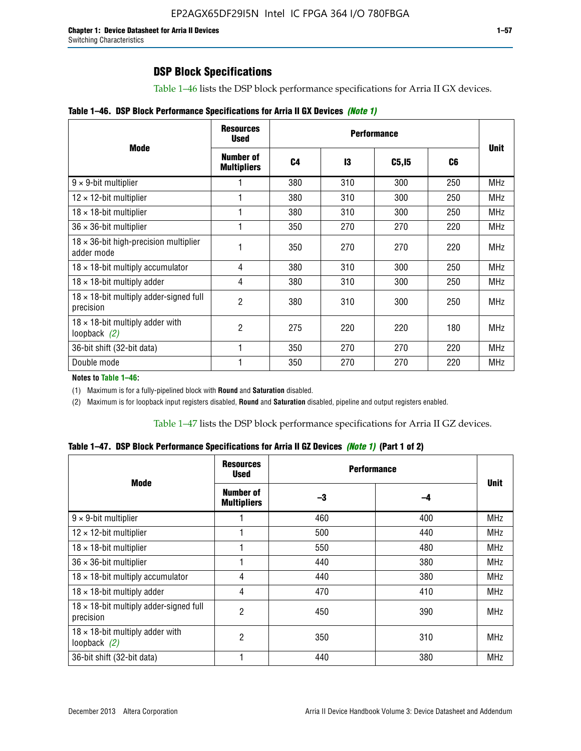Table 1–46 lists the DSP block performance specifications for Arria II GX devices.

|  |  | Table 1–46. DSP Block Performance Specifications for Arria II GX Devices (Note 1) |  |  |  |  |  |
|--|--|-----------------------------------------------------------------------------------|--|--|--|--|--|
|--|--|-----------------------------------------------------------------------------------|--|--|--|--|--|

| <b>Mode</b>                                                 | <b>Resources</b><br><b>Used</b> | <b>Performance</b> |     |        |     |             |  |
|-------------------------------------------------------------|---------------------------------|--------------------|-----|--------|-----|-------------|--|
|                                                             | Number of<br><b>Multipliers</b> | C <sub>4</sub>     | 13  | C5, I5 | C6  | <b>Unit</b> |  |
| $9 \times 9$ -bit multiplier                                |                                 | 380                | 310 | 300    | 250 | <b>MHz</b>  |  |
| $12 \times 12$ -bit multiplier                              |                                 | 380                | 310 | 300    | 250 | <b>MHz</b>  |  |
| $18 \times 18$ -bit multiplier                              |                                 | 380                | 310 | 300    | 250 | <b>MHz</b>  |  |
| $36 \times 36$ -bit multiplier                              |                                 | 350                | 270 | 270    | 220 | <b>MHz</b>  |  |
| $18 \times 36$ -bit high-precision multiplier<br>adder mode |                                 | 350                | 270 | 270    | 220 | <b>MHz</b>  |  |
| $18 \times 18$ -bit multiply accumulator                    | 4                               | 380                | 310 | 300    | 250 | <b>MHz</b>  |  |
| $18 \times 18$ -bit multiply adder                          | 4                               | 380                | 310 | 300    | 250 | <b>MHz</b>  |  |
| $18 \times 18$ -bit multiply adder-signed full<br>precision | 2                               | 380                | 310 | 300    | 250 | <b>MHz</b>  |  |
| $18 \times 18$ -bit multiply adder with<br>loopback $(2)$   | 2                               | 275                | 220 | 220    | 180 | <b>MHz</b>  |  |
| 36-bit shift (32-bit data)                                  |                                 | 350                | 270 | 270    | 220 | <b>MHz</b>  |  |
| Double mode                                                 |                                 | 350                | 270 | 270    | 220 | <b>MHz</b>  |  |

**Notes to Table 1–46:**

(1) Maximum is for a fully-pipelined block with **Round** and **Saturation** disabled.

(2) Maximum is for loopback input registers disabled, **Round** and **Saturation** disabled, pipeline and output registers enabled.

Table 1–47 lists the DSP block performance specifications for Arria II GZ devices.

**Table 1–47. DSP Block Performance Specifications for Arria II GZ Devices** *(Note 1)* **(Part 1 of 2)**

| <b>Mode</b>                                                 | <b>Resources</b><br><b>Used</b>        | <b>Performance</b> |     | <b>Unit</b> |
|-------------------------------------------------------------|----------------------------------------|--------------------|-----|-------------|
|                                                             | <b>Number of</b><br><b>Multipliers</b> | -3                 | -4  |             |
| $9 \times 9$ -bit multiplier                                |                                        | 460                | 400 | <b>MHz</b>  |
| $12 \times 12$ -bit multiplier                              |                                        | 500                | 440 | <b>MHz</b>  |
| $18 \times 18$ -bit multiplier                              |                                        | 550                | 480 | <b>MHz</b>  |
| $36 \times 36$ -bit multiplier                              |                                        | 440                | 380 | <b>MHz</b>  |
| $18 \times 18$ -bit multiply accumulator                    | 4                                      | 440                | 380 | <b>MHz</b>  |
| $18 \times 18$ -bit multiply adder                          | 4                                      | 470                | 410 | <b>MHz</b>  |
| $18 \times 18$ -bit multiply adder-signed full<br>precision | 2                                      | 450                | 390 | <b>MHz</b>  |
| $18 \times 18$ -bit multiply adder with<br>loopback $(2)$   | 2                                      | 350                | 310 | <b>MHz</b>  |
| 36-bit shift (32-bit data)                                  |                                        | 440                | 380 | <b>MHz</b>  |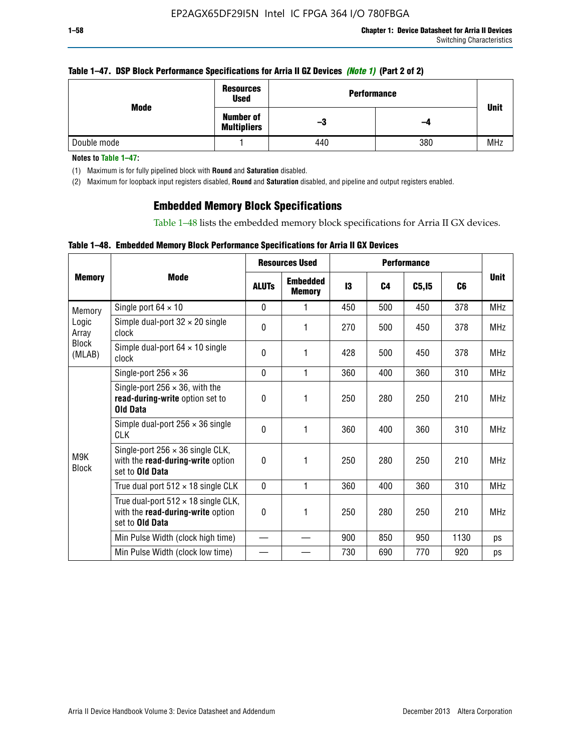#### **Table 1–47. DSP Block Performance Specifications for Arria II GZ Devices** *(Note 1)* **(Part 2 of 2)**

| Mode        | <b>Resources</b><br><b>Used</b>        | <b>Performance</b> | <b>Unit</b> |            |
|-------------|----------------------------------------|--------------------|-------------|------------|
|             | <b>Number of</b><br><b>Multipliers</b> | -3                 | -4          |            |
| Double mode |                                        | 440                | 380         | <b>MHz</b> |

**Notes to Table 1–47:**

(1) Maximum is for fully pipelined block with **Round** and **Saturation** disabled.

(2) Maximum for loopback input registers disabled, **Round** and **Saturation** disabled, and pipeline and output registers enabled.

## **Embedded Memory Block Specifications**

Table 1–48 lists the embedded memory block specifications for Arria II GX devices.

### **Table 1–48. Embedded Memory Block Performance Specifications for Arria II GX Devices**

|                        |                                                                                                           |              | <b>Resources Used</b>            |     |                | <b>Performance</b> |      |             |
|------------------------|-----------------------------------------------------------------------------------------------------------|--------------|----------------------------------|-----|----------------|--------------------|------|-------------|
| <b>Memory</b>          | <b>Mode</b>                                                                                               | <b>ALUTS</b> | <b>Embedded</b><br><b>Memory</b> | 13  | C <sub>4</sub> | C5, I5             | C6   | <b>Unit</b> |
| Memory                 | Single port $64 \times 10$                                                                                | $\Omega$     | 1                                | 450 | 500            | 450                | 378  | <b>MHz</b>  |
| Logic<br>Array         | Simple dual-port $32 \times 20$ single<br>clock                                                           | 0            | 1                                | 270 | 500            | 450                | 378  | <b>MHz</b>  |
| <b>Block</b><br>(MLAB) | Simple dual-port $64 \times 10$ single<br>clock                                                           | $\theta$     | 1                                | 428 | 500            | 450                | 378  | <b>MHz</b>  |
|                        | Single-port $256 \times 36$                                                                               | $\mathbf{0}$ | 1                                | 360 | 400            | 360                | 310  | <b>MHz</b>  |
|                        | Single-port $256 \times 36$ , with the<br>read-during-write option set to<br><b>Old Data</b>              | $\theta$     | 1                                | 250 | 280            | 250                | 210  | <b>MHz</b>  |
|                        | Simple dual-port $256 \times 36$ single<br><b>CLK</b>                                                     | $\theta$     | 1                                | 360 | 400            | 360                | 310  | <b>MHz</b>  |
| M9K<br><b>Block</b>    | Single-port $256 \times 36$ single CLK,<br>with the read-during-write option<br>set to Old Data           | $\theta$     | 1                                | 250 | 280            | 250                | 210  | <b>MHz</b>  |
|                        | True dual port $512 \times 18$ single CLK                                                                 | $\mathbf{0}$ | 1                                | 360 | 400            | 360                | 310  | <b>MHz</b>  |
|                        | True dual-port $512 \times 18$ single CLK,<br>with the read-during-write option<br>set to <b>Old Data</b> | 0            | 1                                | 250 | 280            | 250                | 210  | <b>MHz</b>  |
|                        | Min Pulse Width (clock high time)                                                                         |              |                                  | 900 | 850            | 950                | 1130 | ps          |
|                        | Min Pulse Width (clock low time)                                                                          |              |                                  | 730 | 690            | 770                | 920  | ps          |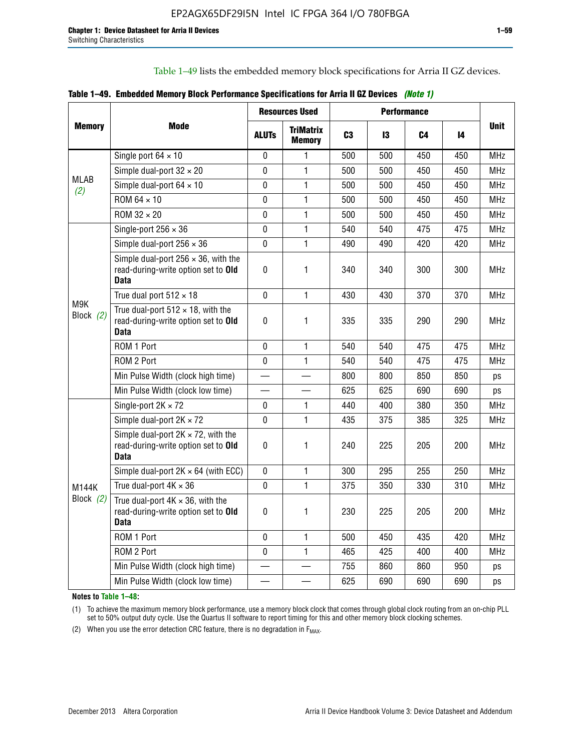Table 1–49 lists the embedded memory block specifications for Arria II GZ devices.

|  |  | Table 1–49. Embedded Memory Block Performance Specifications for Arria II GZ Devices (Note 1) |  |  |  |
|--|--|-----------------------------------------------------------------------------------------------|--|--|--|
|--|--|-----------------------------------------------------------------------------------------------|--|--|--|

|                    |                                                                                                   |              | <b>Resources Used</b>             |                |     | <b>Performance</b> |     |             |
|--------------------|---------------------------------------------------------------------------------------------------|--------------|-----------------------------------|----------------|-----|--------------------|-----|-------------|
| <b>Memory</b>      | Mode                                                                                              | <b>ALUTs</b> | <b>TriMatrix</b><br><b>Memory</b> | C <sub>3</sub> | 13  | C <sub>4</sub>     | 14  | <b>Unit</b> |
|                    | Single port $64 \times 10$                                                                        | $\mathbf 0$  | 1                                 | 500            | 500 | 450                | 450 | <b>MHz</b>  |
|                    | Simple dual-port $32 \times 20$                                                                   | $\mathbf 0$  | $\mathbf{1}$                      | 500            | 500 | 450                | 450 | <b>MHz</b>  |
| <b>MLAB</b><br>(2) | Simple dual-port $64 \times 10$                                                                   | $\pmb{0}$    | 1                                 | 500            | 500 | 450                | 450 | <b>MHz</b>  |
|                    | ROM 64 × 10                                                                                       | $\mathbf 0$  | 1                                 | 500            | 500 | 450                | 450 | <b>MHz</b>  |
|                    | $ROM 32 \times 20$                                                                                | $\mathbf 0$  | $\mathbf{1}$                      | 500            | 500 | 450                | 450 | <b>MHz</b>  |
|                    | Single-port $256 \times 36$                                                                       | $\mathbf{0}$ | $\mathbf{1}$                      | 540            | 540 | 475                | 475 | <b>MHz</b>  |
|                    | Simple dual-port $256 \times 36$                                                                  | 0            | $\mathbf{1}$                      | 490            | 490 | 420                | 420 | <b>MHz</b>  |
| M9K<br>Block (2)   | Simple dual-port $256 \times 36$ , with the<br>read-during-write option set to Old<br><b>Data</b> | $\pmb{0}$    | 1                                 | 340            | 340 | 300                | 300 | <b>MHz</b>  |
|                    | True dual port $512 \times 18$                                                                    | $\mathbf 0$  | 1                                 | 430            | 430 | 370                | 370 | <b>MHz</b>  |
|                    | True dual-port $512 \times 18$ , with the<br>read-during-write option set to Old<br><b>Data</b>   | $\pmb{0}$    | 1                                 | 335            | 335 | 290                | 290 | <b>MHz</b>  |
|                    | ROM 1 Port                                                                                        | 0            | 1                                 | 540            | 540 | 475                | 475 | <b>MHz</b>  |
|                    | ROM 2 Port                                                                                        | $\Omega$     | 1                                 | 540            | 540 | 475                | 475 | <b>MHz</b>  |
|                    | Min Pulse Width (clock high time)                                                                 |              |                                   | 800            | 800 | 850                | 850 | ps          |
|                    | Min Pulse Width (clock low time)                                                                  |              |                                   | 625            | 625 | 690                | 690 | ps          |
|                    | Single-port $2K \times 72$                                                                        | 0            | 1                                 | 440            | 400 | 380                | 350 | <b>MHz</b>  |
|                    | Simple dual-port $2K \times 72$                                                                   | $\Omega$     | 1                                 | 435            | 375 | 385                | 325 | <b>MHz</b>  |
|                    | Simple dual-port $2K \times 72$ , with the<br>read-during-write option set to Old<br><b>Data</b>  | $\pmb{0}$    | 1.                                | 240            | 225 | 205                | 200 | <b>MHz</b>  |
|                    | Simple dual-port $2K \times 64$ (with ECC)                                                        | $\mathbf 0$  | 1                                 | 300            | 295 | 255                | 250 | <b>MHz</b>  |
| M144K              | True dual-port $4K \times 36$                                                                     | $\mathbf 0$  | $\mathbf{1}$                      | 375            | 350 | 330                | 310 | <b>MHz</b>  |
| Block $(2)$        | True dual-port $4K \times 36$ , with the<br>read-during-write option set to Old<br><b>Data</b>    | $\pmb{0}$    | 1                                 | 230            | 225 | 205                | 200 | <b>MHz</b>  |
|                    | ROM 1 Port                                                                                        | $\mathbf 0$  | $\mathbf{1}$                      | 500            | 450 | 435                | 420 | <b>MHz</b>  |
|                    | ROM 2 Port                                                                                        | 0            | $\mathbf{1}$                      | 465            | 425 | 400                | 400 | <b>MHz</b>  |
|                    | Min Pulse Width (clock high time)                                                                 |              |                                   | 755            | 860 | 860                | 950 | ps          |
|                    | Min Pulse Width (clock low time)                                                                  |              |                                   | 625            | 690 | 690                | 690 | ps          |

**Notes to Table 1–48:**

(1) To achieve the maximum memory block performance, use a memory block clock that comes through global clock routing from an on-chip PLL set to 50% output duty cycle. Use the Quartus II software to report timing for this and other memory block clocking schemes.

(2) When you use the error detection CRC feature, there is no degradation in  $F_{MAX}$ .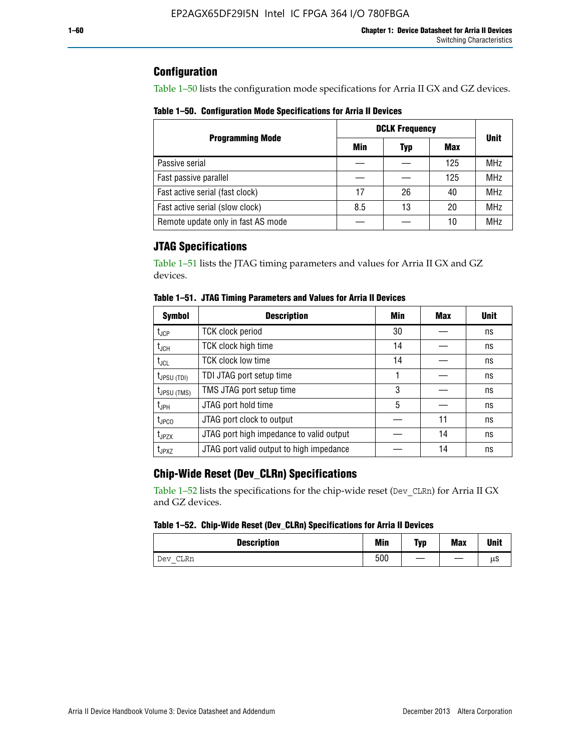## **Configuration**

Table 1–50 lists the configuration mode specifications for Arria II GX and GZ devices.

**Table 1–50. Configuration Mode Specifications for Arria II Devices**

|                                    | <b>DCLK Frequency</b> | <b>Unit</b> |     |            |  |
|------------------------------------|-----------------------|-------------|-----|------------|--|
| <b>Programming Mode</b>            | Min                   | Typ         | Max |            |  |
| Passive serial                     |                       |             | 125 | <b>MHz</b> |  |
| Fast passive parallel              |                       |             | 125 | <b>MHz</b> |  |
| Fast active serial (fast clock)    | 17                    | 26          | 40  | <b>MHz</b> |  |
| Fast active serial (slow clock)    | 8.5                   | 13          | 20  | <b>MHz</b> |  |
| Remote update only in fast AS mode |                       |             | 10  | <b>MHz</b> |  |

## **JTAG Specifications**

Table 1–51 lists the JTAG timing parameters and values for Arria II GX and GZ devices.

| <b>Symbol</b>     | <b>Description</b>                       | Min | Max | <b>Unit</b> |
|-------------------|------------------------------------------|-----|-----|-------------|
| $t_{\rm JCP}$     | <b>TCK clock period</b>                  | 30  |     | ns          |
| t <sub>JCH</sub>  | TCK clock high time                      | 14  |     | ns          |
| $t_{\sf JCL}$     | <b>TCK clock low time</b>                | 14  |     | ns          |
| $t_{JPSU(TDI)}$   | TDI JTAG port setup time                 |     |     | ns          |
| $t_{JPSU\,(TMS)}$ | TMS JTAG port setup time                 | 3   |     | ns          |
| $t_{JPH}$         | JTAG port hold time                      | 5   |     | ns          |
| t <sub>JPCO</sub> | JTAG port clock to output                |     | 11  | ns          |
| $t_{JPZX}$        | JTAG port high impedance to valid output |     | 14  | ns          |
| t <sub>JPXZ</sub> | JTAG port valid output to high impedance |     | 14  | ns          |

**Table 1–51. JTAG Timing Parameters and Values for Arria II Devices**

## **Chip-Wide Reset (Dev\_CLRn) Specifications**

Table 1–52 lists the specifications for the chip-wide reset (Dev\_CLRn) for Arria II GX and GZ devices.

#### **Table 1–52. Chip-Wide Reset (Dev\_CLRn) Specifications for Arria II Devices**

| <b>Description</b> | <b>Min</b> | Typ | <b>Max</b> | <b>Unit</b> |
|--------------------|------------|-----|------------|-------------|
| CLRn<br>Dev<br>$-$ | 500        |     |            | μS          |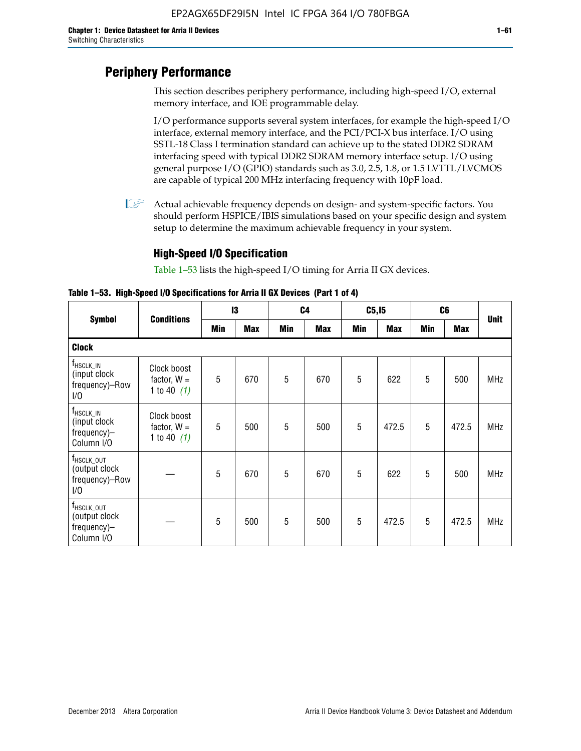# **Periphery Performance**

This section describes periphery performance, including high-speed I/O, external memory interface, and IOE programmable delay.

I/O performance supports several system interfaces, for example the high-speed I/O interface, external memory interface, and the PCI/PCI-X bus interface. I/O using SSTL-18 Class I termination standard can achieve up to the stated DDR2 SDRAM interfacing speed with typical DDR2 SDRAM memory interface setup. I/O using general purpose I/O (GPIO) standards such as 3.0, 2.5, 1.8, or 1.5 LVTTL/LVCMOS are capable of typical 200 MHz interfacing frequency with 10pF load.

 $\mathbb{I}$  Actual achievable frequency depends on design- and system-specific factors. You should perform HSPICE/IBIS simulations based on your specific design and system setup to determine the maximum achievable frequency in your system.

## **High-Speed I/O Specification**

Table 1–53 lists the high-speed I/O timing for Arria II GX devices.

**Table 1–53. High-Speed I/O Specifications for Arria II GX Devices (Part 1 of 4)**

| <b>Symbol</b>                                                        |                                               | 13  |            |            | C <sub>4</sub> |            | C5, I5     | C6         |            |             |
|----------------------------------------------------------------------|-----------------------------------------------|-----|------------|------------|----------------|------------|------------|------------|------------|-------------|
|                                                                      | <b>Conditions</b>                             | Min | <b>Max</b> | <b>Min</b> | <b>Max</b>     | <b>Min</b> | <b>Max</b> | <b>Min</b> | <b>Max</b> | <b>Unit</b> |
| <b>Clock</b>                                                         |                                               |     |            |            |                |            |            |            |            |             |
| $f_{HSCLK\_IN}$<br>(input clock<br>frequency)-Row<br>1/0             | Clock boost<br>factor, $W =$<br>1 to 40 $(1)$ | 5   | 670        | 5          | 670            | 5          | 622        | 5          | 500        | <b>MHz</b>  |
| $f_{HSCLK\_IN}$<br>(input clock<br>frequency)-<br>Column I/O         | Clock boost<br>factor, $W =$<br>1 to 40 $(1)$ | 5   | 500        | 5          | 500            | 5          | 472.5      | 5          | 472.5      | <b>MHz</b>  |
| T <sub>HSCLK_OUT</sub><br>(output clock<br>frequency)-Row<br>1/0     |                                               | 5   | 670        | 5          | 670            | 5          | 622        | 5          | 500        | <b>MHz</b>  |
| f <sub>HSCLK_OUT</sub><br>(output clock<br>frequency)-<br>Column I/O |                                               | 5   | 500        | 5          | 500            | 5          | 472.5      | 5          | 472.5      | <b>MHz</b>  |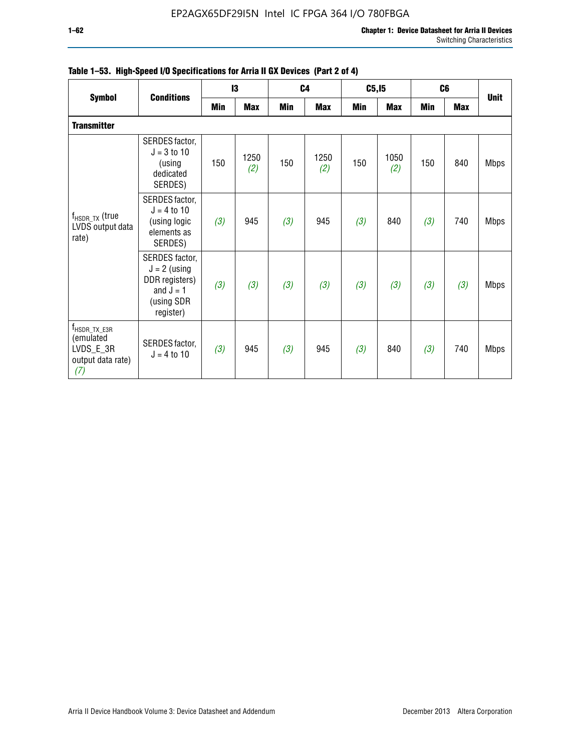#### **1–62 Chapter 1: Device Datasheet for Arria II Devices** Switching Characteristics

|                                                                                  | <b>Conditions</b>                                                                            |     | 13          |     | C <sub>4</sub> |     | C5, I5      | C <sub>6</sub> |            |             |
|----------------------------------------------------------------------------------|----------------------------------------------------------------------------------------------|-----|-------------|-----|----------------|-----|-------------|----------------|------------|-------------|
| <b>Symbol</b>                                                                    |                                                                                              | Min | <b>Max</b>  | Min | <b>Max</b>     | Min | <b>Max</b>  | <b>Min</b>     | <b>Max</b> | <b>Unit</b> |
| <b>Transmitter</b>                                                               |                                                                                              |     |             |     |                |     |             |                |            |             |
|                                                                                  | SERDES factor,<br>$J = 3 to 10$<br>(using<br>dedicated<br>SERDES)                            | 150 | 1250<br>(2) | 150 | 1250<br>(2)    | 150 | 1050<br>(2) | 150            | 840        | <b>Mbps</b> |
| $f_{HSDR, TX}$ (true<br>LVDS output data<br>rate)                                | SERDES factor,<br>$J = 4$ to 10<br>(using logic<br>elements as<br>SERDES)                    | (3) | 945         | (3) | 945            | (3) | 840         | (3)            | 740        | <b>Mbps</b> |
|                                                                                  | SERDES factor,<br>$J = 2$ (using<br>DDR registers)<br>and $J = 1$<br>(using SDR<br>register) | (3) | (3)         | (3) | (3)            | (3) | (3)         | (3)            | (3)        | <b>Mbps</b> |
| $f_{\text{HSDR\_TX\_E3R}}$<br>(emulated<br>LVDS_E_3R<br>output data rate)<br>(7) | SERDES factor,<br>$J = 4$ to 10                                                              | (3) | 945         | (3) | 945            | (3) | 840         | (3)            | 740        | <b>Mbps</b> |

## **Table 1–53. High-Speed I/O Specifications for Arria II GX Devices (Part 2 of 4)**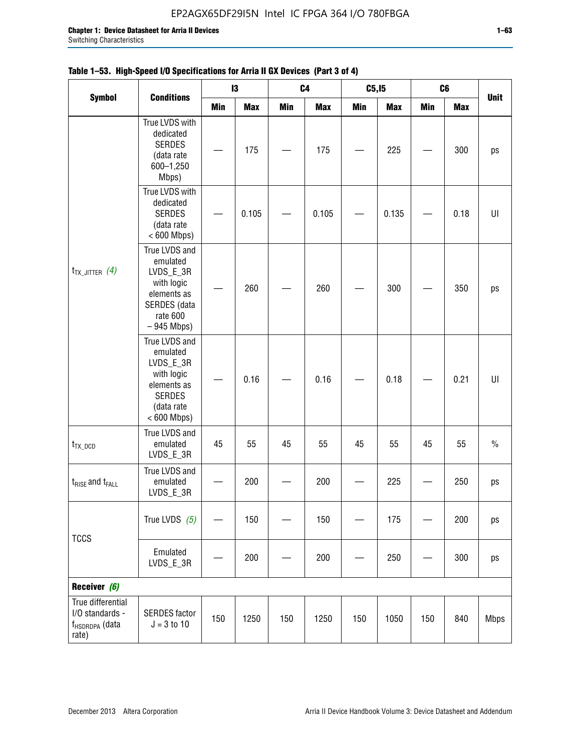| <b>Symbol</b>                                                               |                                                                                                                     |            | $\mathsf{I}3$ | C <sub>4</sub> |            | C5, I5     |            | C6         |            |             |
|-----------------------------------------------------------------------------|---------------------------------------------------------------------------------------------------------------------|------------|---------------|----------------|------------|------------|------------|------------|------------|-------------|
|                                                                             | <b>Conditions</b>                                                                                                   | <b>Min</b> | <b>Max</b>    | Min            | <b>Max</b> | <b>Min</b> | <b>Max</b> | <b>Min</b> | <b>Max</b> | <b>Unit</b> |
|                                                                             | True LVDS with<br>dedicated<br><b>SERDES</b><br>(data rate<br>600-1,250<br>Mbps)                                    |            | 175           |                | 175        |            | 225        |            | 300        | ps          |
|                                                                             | True LVDS with<br>dedicated<br><b>SERDES</b><br>(data rate<br>$< 600$ Mbps)                                         |            | 0.105         |                | 0.105      |            | 0.135      |            | 0.18       | UI          |
| $t_{TX\_JITTER}$ (4)                                                        | True LVDS and<br>emulated<br>LVDS_E_3R<br>with logic<br>elements as<br>SERDES (data<br>rate 600<br>$-945$ Mbps)     |            | 260           |                | 260        |            | 300        |            | 350        | ps          |
|                                                                             | True LVDS and<br>emulated<br>LVDS_E_3R<br>with logic<br>elements as<br><b>SERDES</b><br>(data rate<br>$< 600$ Mbps) |            | 0.16          |                | 0.16       |            | 0.18       |            | 0.21       | U           |
| $t_{TX\_DCD}$                                                               | True LVDS and<br>emulated<br>LVDS_E_3R                                                                              | 45         | 55            | 45             | 55         | 45         | 55         | 45         | 55         | $\%$        |
| $t_{\text{RISE}}$ and $t_{\text{FALL}}$                                     | True LVDS and<br>emulated<br>LVDS_E_3R                                                                              |            | 200           |                | 200        |            | 225        |            | 250        | ps          |
| <b>TCCS</b>                                                                 | True LVDS $(5)$                                                                                                     |            | 150           |                | 150        |            | 175        |            | 200        | ps          |
|                                                                             | Emulated<br>LVDS_E_3R                                                                                               |            | 200           |                | 200        |            | 250        |            | 300        | ps          |
| Receiver (6)                                                                |                                                                                                                     |            |               |                |            |            |            |            |            |             |
| True differential<br>I/O standards -<br>f <sub>HSDRDPA</sub> (data<br>rate) | <b>SERDES</b> factor<br>$J = 3 to 10$                                                                               | 150        | 1250          | 150            | 1250       | 150        | 1050       | 150        | 840        | <b>Mbps</b> |

|  | Table 1–53. High-Speed I/O Specifications for Arria II GX Devices (Part 3 of 4) |  |
|--|---------------------------------------------------------------------------------|--|
|--|---------------------------------------------------------------------------------|--|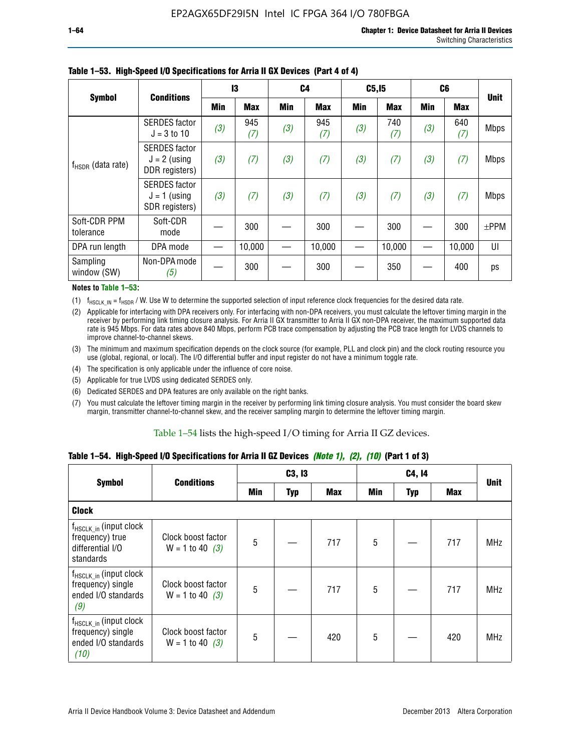|                           | <b>Conditions</b>                                        | 13  |            | C4  |            | C5, I5 |            | C <sub>6</sub> |            | <b>Unit</b> |
|---------------------------|----------------------------------------------------------|-----|------------|-----|------------|--------|------------|----------------|------------|-------------|
| <b>Symbol</b>             |                                                          | Min | <b>Max</b> | Min | <b>Max</b> | Min    | <b>Max</b> | <b>Min</b>     | <b>Max</b> |             |
|                           | <b>SERDES</b> factor<br>$J = 3$ to 10                    | (3) | 945<br>(7) | (3) | 945<br>(7) | (3)    | 740<br>(7) | (3)            | 640<br>(7) | <b>Mbps</b> |
| $f_{HSDR}$ (data rate)    | <b>SERDES</b> factor<br>$J = 2$ (using<br>DDR registers) | (3) | (7)        | (3) | (7)        | (3)    | (7)        | (3)            | (7)        | <b>Mbps</b> |
|                           | <b>SERDES</b> factor<br>$J = 1$ (using<br>SDR registers) | (3) | (7)        | (3) | (7)        | (3)    | (7)        | (3)            | (7)        | <b>Mbps</b> |
| Soft-CDR PPM<br>tolerance | Soft-CDR<br>mode                                         |     | 300        |     | 300        |        | 300        |                | 300        | $±$ PPM     |
| DPA run length            | DPA mode                                                 |     | 10,000     |     | 10,000     |        | 10,000     |                | 10,000     | UI          |
| Sampling<br>window (SW)   | Non-DPA mode<br>(5)                                      |     | 300        |     | 300        |        | 350        |                | 400        | ps          |

### **Table 1–53. High-Speed I/O Specifications for Arria II GX Devices (Part 4 of 4)**

#### **Notes to Table 1–53:**

(1)  $f_{HSCLK\_IN} = f_{HSDR}$  / W. Use W to determine the supported selection of input reference clock frequencies for the desired data rate.

(2) Applicable for interfacing with DPA receivers only. For interfacing with non-DPA receivers, you must calculate the leftover timing margin in the receiver by performing link timing closure analysis. For Arria II GX transmitter to Arria II GX non-DPA receiver, the maximum supported data rate is 945 Mbps. For data rates above 840 Mbps, perform PCB trace compensation by adjusting the PCB trace length for LVDS channels to improve channel-to-channel skews.

- (3) The minimum and maximum specification depends on the clock source (for example, PLL and clock pin) and the clock routing resource you use (global, regional, or local). The I/O differential buffer and input register do not have a minimum toggle rate.
- (4) The specification is only applicable under the influence of core noise.
- (5) Applicable for true LVDS using dedicated SERDES only.
- (6) Dedicated SERDES and DPA features are only available on the right banks.
- (7) You must calculate the leftover timing margin in the receiver by performing link timing closure analysis. You must consider the board skew margin, transmitter channel-to-channel skew, and the receiver sampling margin to determine the leftover timing margin.

#### Table 1–54 lists the high-speed I/O timing for Arria II GZ devices.

### **Table 1–54. High-Speed I/O Specifications for Arria II GZ Devices** *(Note 1), (2), (10)* **(Part 1 of 3)**

| <b>Symbol</b>                                                                   | <b>Conditions</b>                       |     | C3, I3     |            |     | C4, 14     |            |             |  |
|---------------------------------------------------------------------------------|-----------------------------------------|-----|------------|------------|-----|------------|------------|-------------|--|
|                                                                                 |                                         | Min | <b>Typ</b> | <b>Max</b> | Min | <b>Typ</b> | <b>Max</b> | <b>Unit</b> |  |
| <b>Clock</b>                                                                    |                                         |     |            |            |     |            |            |             |  |
| $f_{HSCLK_in}$ (input clock<br>frequency) true<br>differential I/O<br>standards | Clock boost factor<br>$W = 1$ to 40 (3) | 5   |            | 717        | 5   |            | 717        | <b>MHz</b>  |  |
| $f_{HSCLK_in}$ (input clock<br>frequency) single<br>ended I/O standards<br>(9)  | Clock boost factor<br>$W = 1$ to 40 (3) | 5   |            | 717        | 5   |            | 717        | <b>MHz</b>  |  |
| $f_{HSCLK_in}$ (input clock<br>frequency) single<br>ended I/O standards<br>(10) | Clock boost factor<br>$W = 1$ to 40 (3) | 5   |            | 420        | 5   |            | 420        | <b>MHz</b>  |  |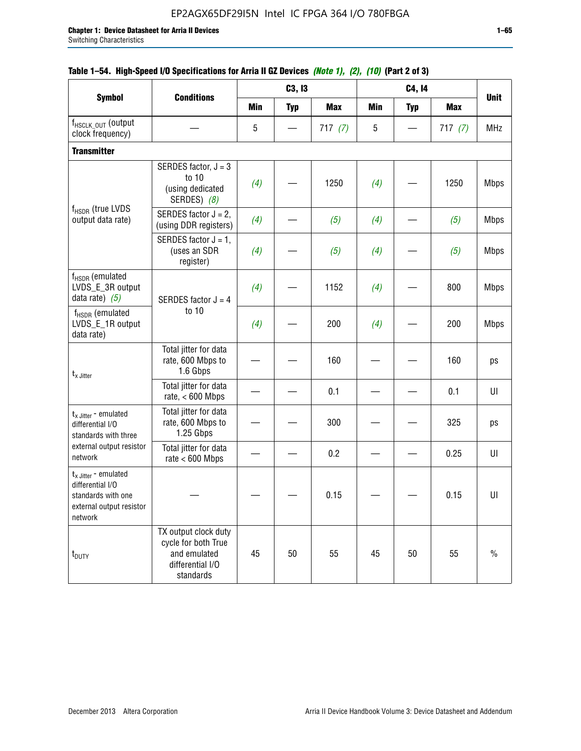|                                                                                                          |                                                                                              |            | C3, I3     |            |            | C4, 14     |            | <b>Unit</b> |
|----------------------------------------------------------------------------------------------------------|----------------------------------------------------------------------------------------------|------------|------------|------------|------------|------------|------------|-------------|
| <b>Symbol</b>                                                                                            | <b>Conditions</b>                                                                            | <b>Min</b> | <b>Typ</b> | <b>Max</b> | <b>Min</b> | <b>Typ</b> | <b>Max</b> |             |
| f <sub>HSCLK_OUT</sub> (output<br>clock frequency)                                                       |                                                                                              | 5          |            | 717(7)     | 5          |            | 717(7)     | <b>MHz</b>  |
| <b>Transmitter</b>                                                                                       |                                                                                              |            |            |            |            |            |            |             |
|                                                                                                          | SERDES factor, $J = 3$<br>to 10<br>(using dedicated<br>SERDES) (8)                           | (4)        |            | 1250       | (4)        |            | 1250       | <b>Mbps</b> |
| f <sub>HSDR</sub> (true LVDS<br>output data rate)                                                        | SERDES factor $J = 2$ ,<br>(using DDR registers)                                             | (4)        |            | (5)        | (4)        |            | (5)        | <b>Mbps</b> |
|                                                                                                          | SERDES factor $J = 1$ ,<br>(uses an SDR<br>register)                                         | (4)        |            | (5)        | (4)        |            | (5)        | <b>Mbps</b> |
| f <sub>HSDR</sub> (emulated<br>LVDS_E_3R output<br>data rate) $(5)$                                      | SERDES factor $J = 4$                                                                        | (4)        |            | 1152       | (4)        |            | 800        | <b>Mbps</b> |
| $f_{\rm HSDR}$ (emulated<br>LVDS_E_1R output<br>data rate)                                               | to 10                                                                                        | (4)        |            | 200        | (4)        |            | 200        | <b>Mbps</b> |
| $t_{x}$ Jitter                                                                                           | Total jitter for data<br>rate, 600 Mbps to<br>1.6 Gbps                                       |            |            | 160        |            |            | 160        | ps          |
|                                                                                                          | Total jitter for data<br>rate, $< 600$ Mbps                                                  |            |            | 0.1        |            |            | 0.1        | U           |
| $t_x$ Jitter - emulated<br>differential I/O<br>standards with three                                      | Total jitter for data<br>rate, 600 Mbps to<br>1.25 Gbps                                      |            |            | 300        |            |            | 325        | ps          |
| external output resistor<br>network                                                                      | Total jitter for data<br>rate $< 600$ Mbps                                                   |            |            | 0.2        |            |            | 0.25       | U           |
| $t_x$ Jitter - emulated<br>differential I/O<br>standards with one<br>external output resistor<br>network |                                                                                              |            |            | 0.15       |            |            | 0.15       | UI          |
| t <sub>DUTY</sub>                                                                                        | TX output clock duty<br>cycle for both True<br>and emulated<br>differential I/O<br>standards | 45         | 50         | 55         | 45         | 50         | 55         | $\%$        |

## **Table 1–54. High-Speed I/O Specifications for Arria II GZ Devices** *(Note 1), (2), (10)* **(Part 2 of 3)**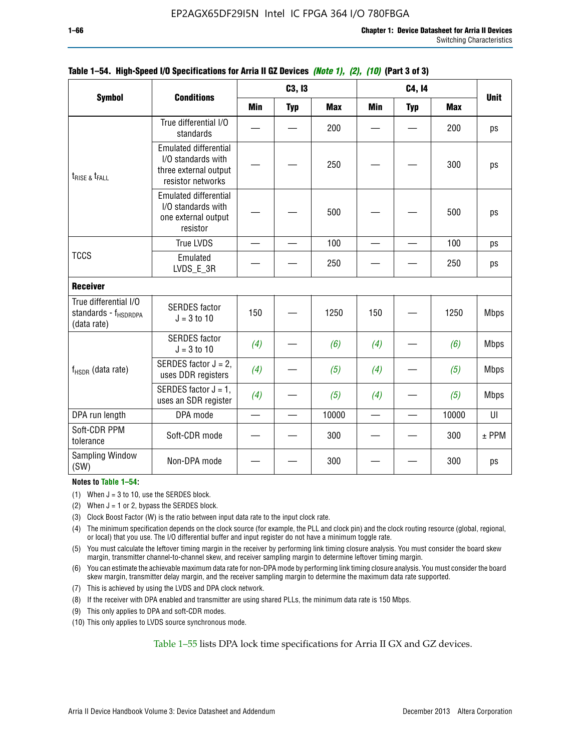|                                                                          |                                                                                                  |            | C3, I3     |            |     | C4, 14     |            | <b>Unit</b> |
|--------------------------------------------------------------------------|--------------------------------------------------------------------------------------------------|------------|------------|------------|-----|------------|------------|-------------|
| <b>Symbol</b>                                                            | <b>Conditions</b>                                                                                | <b>Min</b> | <b>Typ</b> | <b>Max</b> | Min | <b>Typ</b> | <b>Max</b> |             |
|                                                                          | True differential I/O<br>standards                                                               |            |            | 200        |     |            | 200        | ps          |
| $t_{RISE}$ & $t_{FALL}$                                                  | <b>Emulated differential</b><br>I/O standards with<br>three external output<br>resistor networks |            |            | 250        |     |            | 300        | ps          |
|                                                                          | <b>Emulated differential</b><br>I/O standards with<br>one external output<br>resistor            |            |            | 500        |     |            | 500        | ps          |
|                                                                          | <b>True LVDS</b>                                                                                 |            |            | 100        |     |            | 100        | ps          |
| <b>TCCS</b>                                                              | Emulated<br>LVDS_E_3R                                                                            |            |            | 250        |     |            | 250        | ps          |
| <b>Receiver</b>                                                          |                                                                                                  |            |            |            |     |            |            |             |
| True differential I/O<br>standards - f <sub>HSDRDPA</sub><br>(data rate) | <b>SERDES</b> factor<br>$J = 3$ to 10                                                            | 150        |            | 1250       | 150 |            | 1250       | <b>Mbps</b> |
|                                                                          | <b>SERDES</b> factor<br>$J = 3$ to 10                                                            | (4)        |            | (6)        | (4) |            | (6)        | <b>Mbps</b> |
| $f_{HSDR}$ (data rate)                                                   | SERDES factor $J = 2$ ,<br>uses DDR registers                                                    | (4)        |            | (5)        | (4) |            | (5)        | <b>Mbps</b> |
|                                                                          | SERDES factor $J = 1$ ,<br>uses an SDR register                                                  | (4)        |            | (5)        | (4) |            | (5)        | <b>Mbps</b> |
| DPA run length                                                           | DPA mode                                                                                         |            |            | 10000      |     |            | 10000      | UI          |
| Soft-CDR PPM<br>tolerance                                                | Soft-CDR mode                                                                                    |            |            | 300        |     |            | 300        | $±$ PPM     |
| <b>Sampling Window</b><br>(SW)                                           | Non-DPA mode                                                                                     |            |            | 300        |     |            | 300        | ps          |

### **Table 1–54. High-Speed I/O Specifications for Arria II GZ Devices** *(Note 1), (2), (10)* **(Part 3 of 3)**

#### **Notes to Table 1–54:**

(1) When  $J = 3$  to 10, use the SERDES block.

- (2) When  $J = 1$  or 2, bypass the SERDES block.
- (3) Clock Boost Factor (W) is the ratio between input data rate to the input clock rate.
- (4) The minimum specification depends on the clock source (for example, the PLL and clock pin) and the clock routing resource (global, regional, or local) that you use. The I/O differential buffer and input register do not have a minimum toggle rate.
- (5) You must calculate the leftover timing margin in the receiver by performing link timing closure analysis. You must consider the board skew margin, transmitter channel-to-channel skew, and receiver sampling margin to determine leftover timing margin.
- (6) You can estimate the achievable maximum data rate for non-DPA mode by performing link timing closure analysis. You must consider the board skew margin, transmitter delay margin, and the receiver sampling margin to determine the maximum data rate supported.
- (7) This is achieved by using the LVDS and DPA clock network.
- (8) If the receiver with DPA enabled and transmitter are using shared PLLs, the minimum data rate is 150 Mbps.
- (9) This only applies to DPA and soft-CDR modes.
- (10) This only applies to LVDS source synchronous mode.

Table 1–55 lists DPA lock time specifications for Arria II GX and GZ devices.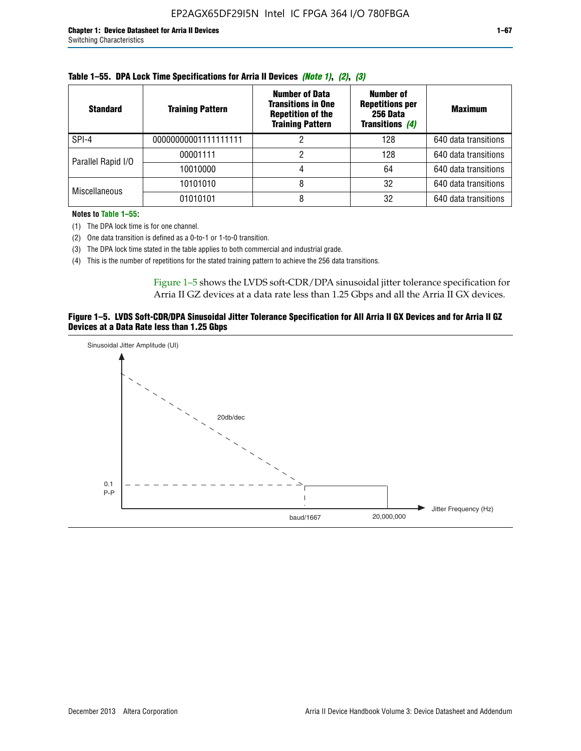| <b>Standard</b>      | <b>Training Pattern</b> | <b>Number of Data</b><br><b>Transitions in One</b><br><b>Repetition of the</b><br><b>Training Pattern</b> | Number of<br><b>Repetitions per</b><br>256 Data<br><b>Transitions (4)</b> | <b>Maximum</b>       |
|----------------------|-------------------------|-----------------------------------------------------------------------------------------------------------|---------------------------------------------------------------------------|----------------------|
| SPI-4                | 00000000001111111111    |                                                                                                           | 128                                                                       | 640 data transitions |
| Parallel Rapid I/O   | 00001111                |                                                                                                           | 128                                                                       | 640 data transitions |
|                      | 10010000                |                                                                                                           | 64                                                                        | 640 data transitions |
| <b>Miscellaneous</b> | 10101010                |                                                                                                           | 32                                                                        | 640 data transitions |
|                      | 01010101                |                                                                                                           | 32                                                                        | 640 data transitions |

|  | Table 1–55. DPA Lock Time Specifications for Arria II Devices (Note 1), (2), (3) |  |  |
|--|----------------------------------------------------------------------------------|--|--|
|  |                                                                                  |  |  |

**Notes to Table 1–55:**

- (1) The DPA lock time is for one channel.
- (2) One data transition is defined as a 0-to-1 or 1-to-0 transition.
- (3) The DPA lock time stated in the table applies to both commercial and industrial grade.
- (4) This is the number of repetitions for the stated training pattern to achieve the 256 data transitions.

Figure 1–5 shows the LVDS soft-CDR/DPA sinusoidal jitter tolerance specification for Arria II GZ devices at a data rate less than 1.25 Gbps and all the Arria II GX devices.

#### **Figure 1–5. LVDS Soft-CDR/DPA Sinusoidal Jitter Tolerance Specification for All Arria II GX Devices and for Arria II GZ Devices at a Data Rate less than 1.25 Gbps**

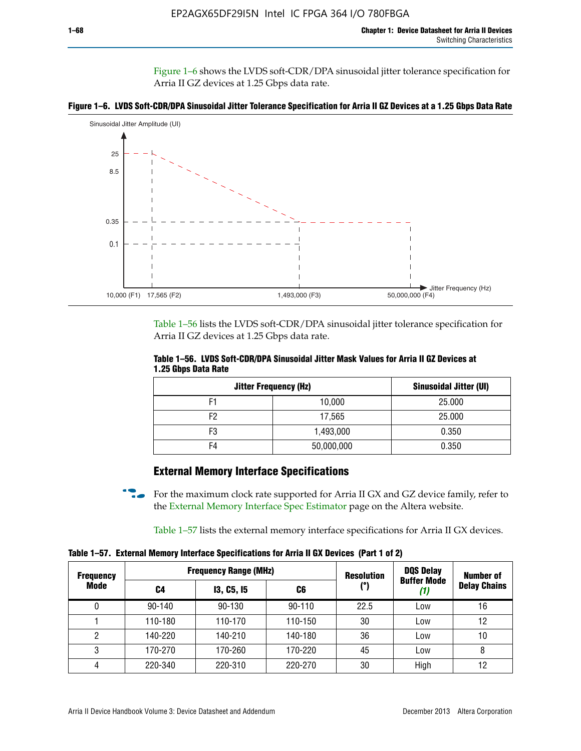Figure 1–6 shows the LVDS soft-CDR/DPA sinusoidal jitter tolerance specification for Arria II GZ devices at 1.25 Gbps data rate.





Table 1–56 lists the LVDS soft-CDR/DPA sinusoidal jitter tolerance specification for Arria II GZ devices at 1.25 Gbps data rate.

|                     | Table 1–56. LVDS Soft-CDR/DPA Sinusoidal Jitter Mask Values for Arria II GZ Devices at |  |  |
|---------------------|----------------------------------------------------------------------------------------|--|--|
| 1.25 Gbps Data Rate |                                                                                        |  |  |

| <b>Jitter Frequency (Hz)</b> | Sinusoidal Jitter (UI) |        |
|------------------------------|------------------------|--------|
| F1                           | 10,000                 | 25.000 |
| F <sub>2</sub>               | 17,565                 | 25.000 |
| F3                           | 1,493,000              | 0.350  |
| F4                           | 50,000,000             | 0.350  |

### **External Memory Interface Specifications**

For the maximum clock rate supported for Arria II GX and GZ device family, refer to the [External Memory Interface Spec Estimator](http://www.altera.com/technology/memory/estimator/mem-emif-index.html) page on the Altera website.

Table 1–57 lists the external memory interface specifications for Arria II GX devices.

**Table 1–57. External Memory Interface Specifications for Arria II GX Devices (Part 1 of 2)**

| <b>Frequency</b> | <b>Frequency Range (MHz)</b> |                   |            | <b>Resolution</b> | <b>DQS Delay</b>   | <b>Number of</b>    |  |
|------------------|------------------------------|-------------------|------------|-------------------|--------------------|---------------------|--|
| Mode             | C4                           | <b>13, C5, 15</b> | C6         | (°)               | <b>Buffer Mode</b> | <b>Delay Chains</b> |  |
| 0                | $90 - 140$                   | 90-130            | $90 - 110$ | 22.5              | Low                | 16                  |  |
|                  | 110-180                      | 110-170           | 110-150    | 30                | Low                | 12                  |  |
| 2                | 140-220                      | 140-210           | 140-180    | 36                | Low                | 10                  |  |
| 3                | 170-270                      | 170-260           | 170-220    | 45                | Low                | 8                   |  |
| 4                | 220-340                      | 220-310           | 220-270    | 30                | High               | 12                  |  |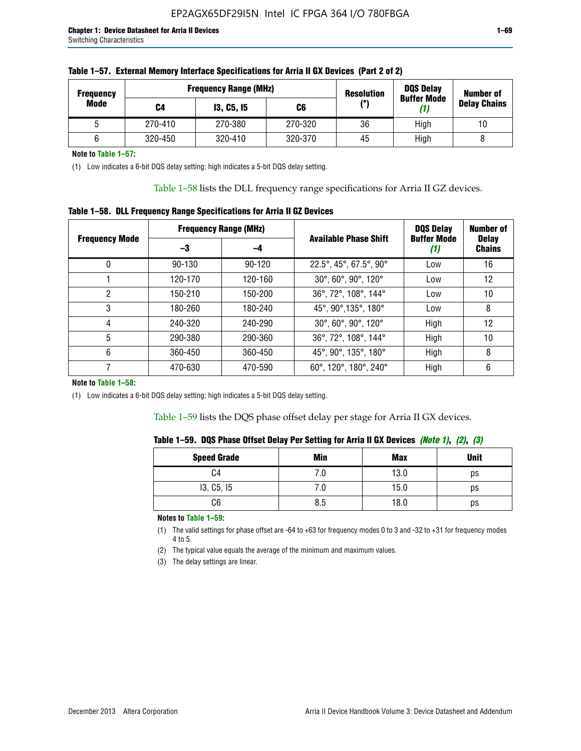| <b>Frequency</b> | <b>Frequency Range (MHz)</b> |                   |         | <b>Resolution</b> | <b>DQS Delay</b><br><b>Buffer Mode</b> | <b>Number of</b>    |  |
|------------------|------------------------------|-------------------|---------|-------------------|----------------------------------------|---------------------|--|
| Mode             | C4                           | <b>13, C5, 15</b> | C6      | (°)               | (1)                                    | <b>Delay Chains</b> |  |
|                  | 270-410                      | 270-380           | 270-320 | 36                | High                                   | 10                  |  |
|                  | 320-450                      | 320-410           | 320-370 | 45                | High                                   |                     |  |

| Table 1–57. External Memory Interface Specifications for Arria II GX Devices (Part 2 of 2) |  |  |  |
|--------------------------------------------------------------------------------------------|--|--|--|
|                                                                                            |  |  |  |

**Note to Table 1–57:**

(1) Low indicates a 6-bit DQS delay setting; high indicates a 5-bit DQS delay setting.

Table 1–58 lists the DLL frequency range specifications for Arria II GZ devices.

### **Table 1–58. DLL Frequency Range Specifications for Arria II GZ Devices**

|                       | <b>Frequency Range (MHz)</b> |         |                              | <b>DQS Delay</b>   | <b>Number of</b>              |
|-----------------------|------------------------------|---------|------------------------------|--------------------|-------------------------------|
| <b>Frequency Mode</b> | -3                           | -4      | <b>Available Phase Shift</b> | <b>Buffer Mode</b> | <b>Delay</b><br><b>Chains</b> |
| 0                     | $90 - 130$                   | 90-120  | 22.5°, 45°, 67.5°, 90°       | Low                | 16                            |
|                       | 120-170                      | 120-160 | 30°, 60°, 90°, 120°          | Low                | 12                            |
| 2                     | 150-210                      | 150-200 | 36°, 72°, 108°, 144°         | Low                | 10                            |
| 3                     | 180-260                      | 180-240 | 45°, 90°, 135°, 180°         | Low                | 8                             |
| 4                     | 240-320                      | 240-290 | 30°, 60°, 90°, 120°          | High               | 12                            |
| 5                     | 290-380                      | 290-360 | 36°, 72°, 108°, 144°         | High               | 10                            |
| 6                     | 360-450                      | 360-450 | 45°, 90°, 135°, 180°         | High               | 8                             |
|                       | 470-630                      | 470-590 | 60°, 120°, 180°, 240°        | High               | 6                             |

#### **Note to Table 1–58:**

(1) Low indicates a 6-bit DQS delay setting; high indicates a 5-bit DQS delay setting.

Table 1–59 lists the DQS phase offset delay per stage for Arria II GX devices.

|  | Table 1–59.  DQS Phase Offset Delay Per Setting for Arria II GX Devices <i>(Note 1), (2), (3)</i> |  |  |
|--|---------------------------------------------------------------------------------------------------|--|--|
|  |                                                                                                   |  |  |

| <b>Speed Grade</b> | Min  | <b>Max</b> | <b>Unit</b> |
|--------------------|------|------------|-------------|
| C4                 | ن. ا | 13.0       | ps          |
| 13, C5, I5         | 7.U  | 15.0       | ps          |
| C6                 | 8.5  | 18.0       | ps          |

**Notes to Table 1–59:**

(1) The valid settings for phase offset are -64 to +63 for frequency modes 0 to 3 and -32 to +31 for frequency modes 4 to 5.

(2) The typical value equals the average of the minimum and maximum values.

(3) The delay settings are linear.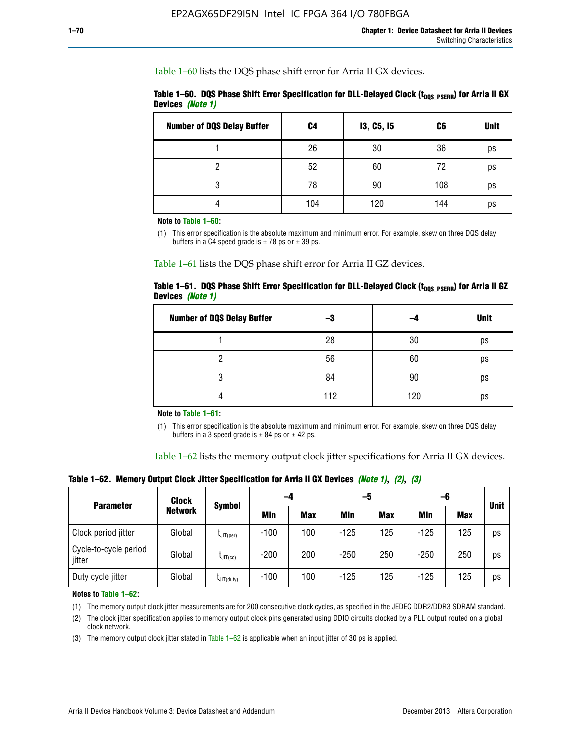Table 1–60 lists the DQS phase shift error for Arria II GX devices.

|                  | Table 1–60. DQS Phase Shift Error Specification for DLL-Delayed Clock ( $t_{\text{DOS PSERR}}$ ) for Arria II GX |  |
|------------------|------------------------------------------------------------------------------------------------------------------|--|
| Devices (Note 1) |                                                                                                                  |  |

| <b>Number of DQS Delay Buffer</b> | C4  | <b>13, C5, 15</b> | C6  | <b>Unit</b> |
|-----------------------------------|-----|-------------------|-----|-------------|
|                                   | 26  | 30                | 36  | ps          |
| າ                                 | 52  | 60                | 72  | ps          |
| 3                                 | 78  | 90                | 108 | ps          |
|                                   | 104 | 120               | 144 | ps          |

**Note to Table 1–60:**

(1) This error specification is the absolute maximum and minimum error. For example, skew on three DQS delay buffers in a C4 speed grade is  $\pm$  78 ps or  $\pm$  39 ps.

Table 1–61 lists the DQS phase shift error for Arria II GZ devices.

|                         |  | Table 1–61.DQS Phase Shift Error Specification for DLL-Delayed Clock (t <sub>oos PsERR</sub> ) for Arria II GZ |
|-------------------------|--|----------------------------------------------------------------------------------------------------------------|
| Devices <i>(Note 1)</i> |  |                                                                                                                |

| <b>Number of DQS Delay Buffer</b> | -3  |     | <b>Unit</b> |
|-----------------------------------|-----|-----|-------------|
|                                   | 28  | 30  | ps          |
|                                   | 56  | 60  | ps          |
| O                                 | 84  | 90  | ps          |
|                                   | 112 | 120 | ps          |

**Note to Table 1–61:**

(1) This error specification is the absolute maximum and minimum error. For example, skew on three DQS delay buffers in a 3 speed grade is  $\pm$  84 ps or  $\pm$  42 ps.

Table 1–62 lists the memory output clock jitter specifications for Arria II GX devices.

**Table 1–62. Memory Output Clock Jitter Specification for Arria II GX Devices** *(Note 1)***,** *(2)***,** *(3)*

| <b>Parameter</b>                | Clock          |                  |        | -5<br>-4   |            |            | -6         |            | <b>Unit</b> |
|---------------------------------|----------------|------------------|--------|------------|------------|------------|------------|------------|-------------|
|                                 | <b>Network</b> | Symbol           | Min    | <b>Max</b> | <b>Min</b> | <b>Max</b> | <b>Min</b> | <b>Max</b> |             |
| Clock period jitter             | Global         | $L$ JIT(per)     | $-100$ | 100        | $-125$     | 125        | $-125$     | 125        | ps          |
| Cycle-to-cycle period<br>jitter | Global         | $L$ JIT $(cc)$   | $-200$ | 200        | $-250$     | 250        | $-250$     | 250        | ps          |
| Duty cycle jitter               | Global         | $L$ JIT $(duty)$ | $-100$ | 100        | $-125$     | 125        | $-125$     | 125        | ps          |

**Notes to Table 1–62:**

(1) The memory output clock jitter measurements are for 200 consecutive clock cycles, as specified in the JEDEC DDR2/DDR3 SDRAM standard.

(2) The clock jitter specification applies to memory output clock pins generated using DDIO circuits clocked by a PLL output routed on a global clock network.

(3) The memory output clock jitter stated in Table  $1-62$  is applicable when an input jitter of 30 ps is applied.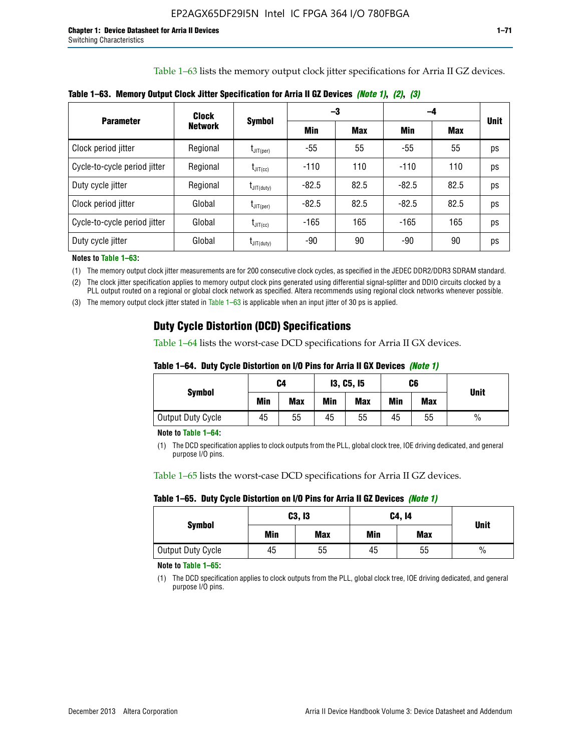Table 1–63 lists the memory output clock jitter specifications for Arria II GZ devices.

|                              | <b>Clock</b>   | <b>Symbol</b>          |         | -3         | -4      |            |             |
|------------------------------|----------------|------------------------|---------|------------|---------|------------|-------------|
| <b>Parameter</b>             | <b>Network</b> |                        | Min     | <b>Max</b> | Min     | <b>Max</b> | <b>Unit</b> |
| Clock period jitter          | Regional       | $I_{JIT(per)}$         | $-55$   | 55         | $-55$   | 55         | ps          |
| Cycle-to-cycle period jitter | Regional       | $t_{\text{JIT(cc)}}$   | $-110$  | 110        | $-110$  | 110        | ps          |
| Duty cycle jitter            | Regional       | $t_{\text{JIT(duty)}}$ | $-82.5$ | 82.5       | $-82.5$ | 82.5       | ps          |
| Clock period jitter          | Global         | $I_{JIT(per)}$         | $-82.5$ | 82.5       | $-82.5$ | 82.5       | ps          |
| Cycle-to-cycle period jitter | Global         | $t_{\text{JIT(cc)}}$   | $-165$  | 165        | -165    | 165        | ps          |
| Duty cycle jitter            | Global         | $t_{\text{JIT(duty)}}$ | -90     | 90         | -90     | 90         | ps          |

**Table 1–63. Memory Output Clock Jitter Specification for Arria II GZ Devices** *(Note 1)***,** *(2)***,** *(3)*

**Notes to Table 1–63:**

(1) The memory output clock jitter measurements are for 200 consecutive clock cycles, as specified in the JEDEC DDR2/DDR3 SDRAM standard.

(2) The clock jitter specification applies to memory output clock pins generated using differential signal-splitter and DDIO circuits clocked by a PLL output routed on a regional or global clock network as specified. Altera recommends using regional clock networks whenever possible.

(3) The memory output clock jitter stated in Table 1–63 is applicable when an input jitter of 30 ps is applied.

## **Duty Cycle Distortion (DCD) Specifications**

Table 1–64 lists the worst-case DCD specifications for Arria II GX devices.

| Table 1–64.  Duty Cycle Distortion on I/O Pins for Arria II GX Devices <i>(Note 1)</i> |  |  |
|----------------------------------------------------------------------------------------|--|--|
|----------------------------------------------------------------------------------------|--|--|

| <b>Symbol</b>     | C4  |            | <b>13, C5, 15</b> |            | C6  |            | <b>Unit</b>   |  |
|-------------------|-----|------------|-------------------|------------|-----|------------|---------------|--|
|                   | Min | <b>Max</b> | Min               | <b>Max</b> | Min | <b>Max</b> |               |  |
| Output Duty Cycle | 45  | 55         | 45                | 55         | 45  | 55         | $\frac{0}{0}$ |  |

**Note to Table 1–64:**

(1) The DCD specification applies to clock outputs from the PLL, global clock tree, IOE driving dedicated, and general purpose I/O pins.

Table 1–65 lists the worst-case DCD specifications for Arria II GZ devices.

**Table 1–65. Duty Cycle Distortion on I/O Pins for Arria II GZ Devices** *(Note 1)*

| <b>Symbol</b>     |     | C3, I3     | C4, 14 | <b>Unit</b> |      |  |
|-------------------|-----|------------|--------|-------------|------|--|
|                   | Min | <b>Max</b> | Min    | <b>Max</b>  |      |  |
| Output Duty Cycle | 45  | 55         | 45     | 55          | $\%$ |  |

**Note to Table 1–65:**

(1) The DCD specification applies to clock outputs from the PLL, global clock tree, IOE driving dedicated, and general purpose I/O pins.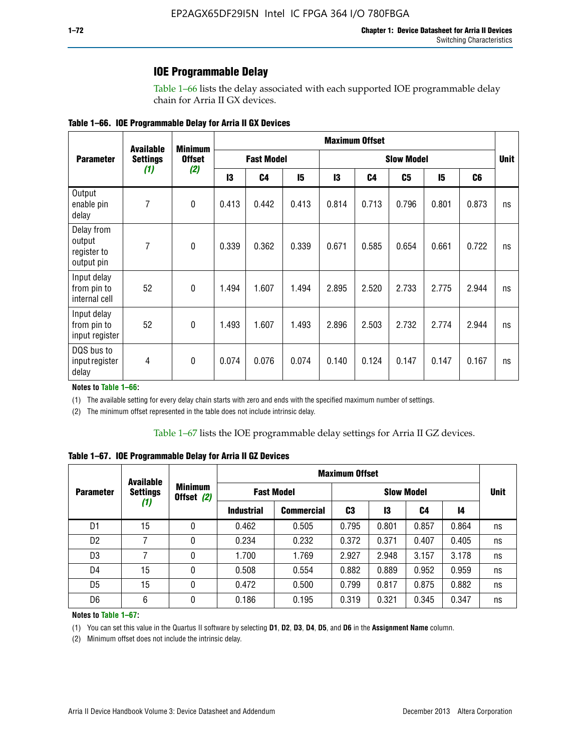### **IOE Programmable Delay**

Table 1–66 lists the delay associated with each supported IOE programmable delay chain for Arria II GX devices.

|  |  |  | Table 1–66. IOE Programmable Delay for Arria II GX Devices |
|--|--|--|------------------------------------------------------------|
|--|--|--|------------------------------------------------------------|

|                                                   | <b>Available</b> | <b>Minimum</b> |                   | <b>Maximum Offset</b> |                   |       |                |                |             |                |    |
|---------------------------------------------------|------------------|----------------|-------------------|-----------------------|-------------------|-------|----------------|----------------|-------------|----------------|----|
| <b>Parameter</b>                                  | <b>Settings</b>  | <b>Offset</b>  | <b>Fast Model</b> |                       | <b>Slow Model</b> |       |                |                | <b>Unit</b> |                |    |
|                                                   | (1)              | (2)            | 13                | C4                    | 15                | 13    | C <sub>4</sub> | C <sub>5</sub> | 15          | C <sub>6</sub> |    |
| Output<br>enable pin<br>delay                     | 7                | $\mathbf 0$    | 0.413             | 0.442                 | 0.413             | 0.814 | 0.713          | 0.796          | 0.801       | 0.873          | ns |
| Delay from<br>output<br>register to<br>output pin | 7                | $\mathbf 0$    | 0.339             | 0.362                 | 0.339             | 0.671 | 0.585          | 0.654          | 0.661       | 0.722          | ns |
| Input delay<br>from pin to<br>internal cell       | 52               | $\mathbf{0}$   | 1.494             | 1.607                 | 1.494             | 2.895 | 2.520          | 2.733          | 2.775       | 2.944          | ns |
| Input delay<br>from pin to<br>input register      | 52               | $\mathbf{0}$   | 1.493             | 1.607                 | 1.493             | 2.896 | 2.503          | 2.732          | 2.774       | 2.944          | ns |
| DQS bus to<br>input register<br>delay             | 4                | $\pmb{0}$      | 0.074             | 0.076                 | 0.074             | 0.140 | 0.124          | 0.147          | 0.147       | 0.167          | ns |

**Notes to Table 1–66:**

(1) The available setting for every delay chain starts with zero and ends with the specified maximum number of settings.

(2) The minimum offset represented in the table does not include intrinsic delay.

**Table 1–67. IOE Programmable Delay for Arria II GZ Devices**

|                  | <b>Available</b>       |   | <b>Maximum Offset</b>        |                   |       |                   |       |       |    |             |
|------------------|------------------------|---|------------------------------|-------------------|-------|-------------------|-------|-------|----|-------------|
| <b>Parameter</b> | <b>Settings</b><br>(1) |   | <b>Minimum</b><br>Offset (2) | <b>Fast Model</b> |       | <b>Slow Model</b> |       |       |    | <b>Unit</b> |
|                  |                        |   | <b>Industrial</b>            | <b>Commercial</b> | C3    | 13                | C4    | 14    |    |             |
| D1               | 15                     | 0 | 0.462                        | 0.505             | 0.795 | 0.801             | 0.857 | 0.864 | ns |             |
| D <sub>2</sub>   | 7                      | 0 | 0.234                        | 0.232             | 0.372 | 0.371             | 0.407 | 0.405 | ns |             |
| D <sub>3</sub>   | 7                      | 0 | 1.700                        | 1.769             | 2.927 | 2.948             | 3.157 | 3.178 | ns |             |
| D4               | 15                     | 0 | 0.508                        | 0.554             | 0.882 | 0.889             | 0.952 | 0.959 | ns |             |
| D <sub>5</sub>   | 15                     | 0 | 0.472                        | 0.500             | 0.799 | 0.817             | 0.875 | 0.882 | ns |             |
| D <sub>6</sub>   | 6                      | 0 | 0.186                        | 0.195             | 0.319 | 0.321             | 0.345 | 0.347 | ns |             |

#### **Notes to Table 1–67:**

(1) You can set this value in the Quartus II software by selecting **D1**, **D2**, **D3**, **D4**, **D5**, and **D6** in the **Assignment Name** column.

(2) Minimum offset does not include the intrinsic delay.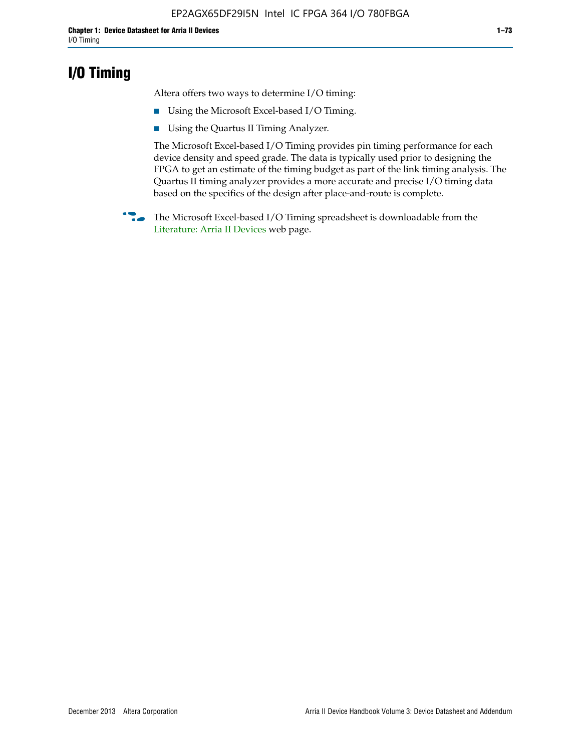## **I/O Timing**

Altera offers two ways to determine I/O timing:

- Using the Microsoft Excel-based I/O Timing.
- Using the Quartus II Timing Analyzer.

The Microsoft Excel-based I/O Timing provides pin timing performance for each device density and speed grade. The data is typically used prior to designing the FPGA to get an estimate of the timing budget as part of the link timing analysis. The Quartus II timing analyzer provides a more accurate and precise I/O timing data based on the specifics of the design after place-and-route is complete.

**f The Microsoft Excel-based I/O Timing spreadsheet is downloadable from the** [Literature: Arria II Devices](http://www.altera.com/literature/lit-arria-ii-gx.jsp) web page.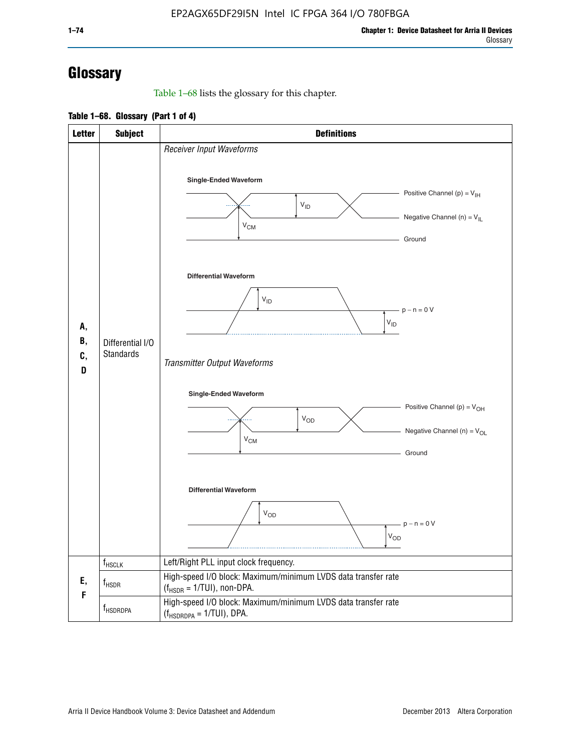# **Glossary**

Table 1–68 lists the glossary for this chapter.

**Table 1–68. Glossary (Part 1 of 4)**

| <b>Letter</b>       | <b>Subject</b>                       | <b>Definitions</b>                                                                                                                         |
|---------------------|--------------------------------------|--------------------------------------------------------------------------------------------------------------------------------------------|
| А,<br>В,<br>C,<br>D |                                      | Receiver Input Waveforms<br>Single-Ended Waveform<br>Positive Channel (p) = $V_{\text{IH}}$<br>$V_{ID}$<br>Negative Channel (n) = $V_{IL}$ |
|                     |                                      | $V_{CM}$<br>Ground<br><b>Differential Waveform</b><br>$V_{ID}$<br>$-p - n = 0 V$                                                           |
|                     | Differential I/O<br><b>Standards</b> | $\rm V_{ID}$<br>Transmitter Output Waveforms                                                                                               |
|                     |                                      | Single-Ended Waveform<br>Positive Channel (p) = $V_{OH}$<br>$V_{OD}$<br>Negative Channel (n) = $V_{OL}$<br>$V_{CM}$<br>Ground              |
|                     |                                      | <b>Differential Waveform</b><br><b>V<sub>OD</sub></b><br>$p - n = 0 V$<br>$\mathsf{V}_{\mathsf{OD}}$                                       |
|                     | f <sub>HSCLK</sub>                   | Left/Right PLL input clock frequency.                                                                                                      |
| Ε,<br>F             | $f_{HSDR}$                           | High-speed I/O block: Maximum/minimum LVDS data transfer rate<br>$(f_{\text{HSDR}} = 1/\text{TUI})$ , non-DPA.                             |
|                     | f <sub>HSDRDPA</sub>                 | High-speed I/O block: Maximum/minimum LVDS data transfer rate<br>$(f_{HSDRDPA} = 1/TUI)$ , DPA.                                            |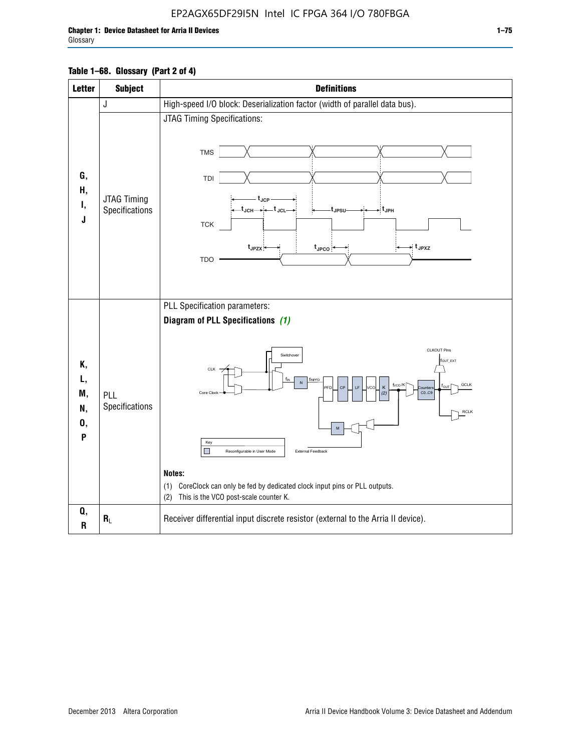| <b>Letter</b>                   | <b>Subject</b>                | <b>Definitions</b>                                                                                                                                                                                                                                                                                                                                                                                                                                                             |
|---------------------------------|-------------------------------|--------------------------------------------------------------------------------------------------------------------------------------------------------------------------------------------------------------------------------------------------------------------------------------------------------------------------------------------------------------------------------------------------------------------------------------------------------------------------------|
|                                 | J                             | High-speed I/O block: Deserialization factor (width of parallel data bus).                                                                                                                                                                                                                                                                                                                                                                                                     |
| G,<br>Н,<br>۱,<br>J             | JTAG Timing<br>Specifications | JTAG Timing Specifications:<br><b>TMS</b><br>TDI<br>t <sub>JCP</sub><br>-t <sub>JCH</sub> → ← t <sub>JCL</sub><br>→ t <sub>JPH</sub><br>t <sub>JPSU</sub><br><b>TCK</b><br>→ t <sub>JPXZ</sub><br>$t_{JPZX}$<br>$t_{\text{JPCO}}$<br><b>TDO</b>                                                                                                                                                                                                                                |
| К,<br>L,<br>M,<br>N,<br>0,<br>P | PLL<br>Specifications         | PLL Specification parameters:<br>Diagram of PLL Specifications (1)<br><b>CLKOUT Pins</b><br>Switchover<br>fout_ext<br>CLK<br>TINPFE<br>${\sf N}$<br>fvco/K<br>GCLK<br>CP<br><b>IF</b><br>n.C<br>Κ<br>PFD<br>ounters<br>CO.C9<br>Core Clock<br>12.<br><b>RCLK</b><br>M<br>Key<br>П<br>External Feedback<br>Reconfigurable in User Mode<br>Notes:<br>(1) CoreClock can only be fed by dedicated clock input pins or PLL outputs.<br>This is the VCO post-scale counter K.<br>(2) |
| Q,<br>$\mathbf R$               | $\bm{R}_L$                    | Receiver differential input discrete resistor (external to the Arria II device).                                                                                                                                                                                                                                                                                                                                                                                               |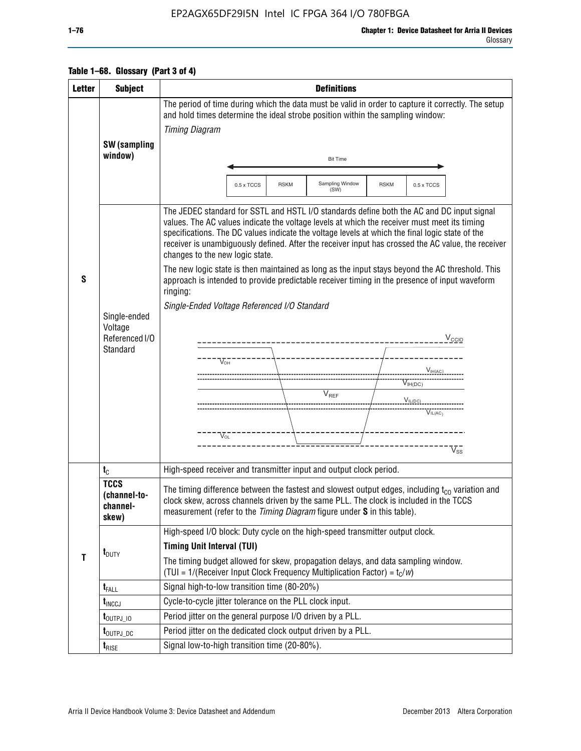### EP2AGX65DF29I5N Intel IC FPGA 364 I/O 780FBGA

### **Table 1–68. Glossary (Part 3 of 4)**

| <b>Letter</b> | <b>Subject</b>                                        | <b>Definitions</b>                                                                                                                                                                                                                                                                                                                                                                                                                                                                                                                                                                                                                                                                                                                                                                                                                                           |  |  |  |  |  |
|---------------|-------------------------------------------------------|--------------------------------------------------------------------------------------------------------------------------------------------------------------------------------------------------------------------------------------------------------------------------------------------------------------------------------------------------------------------------------------------------------------------------------------------------------------------------------------------------------------------------------------------------------------------------------------------------------------------------------------------------------------------------------------------------------------------------------------------------------------------------------------------------------------------------------------------------------------|--|--|--|--|--|
|               |                                                       | The period of time during which the data must be valid in order to capture it correctly. The setup                                                                                                                                                                                                                                                                                                                                                                                                                                                                                                                                                                                                                                                                                                                                                           |  |  |  |  |  |
|               |                                                       | and hold times determine the ideal strobe position within the sampling window:<br><b>Timing Diagram</b>                                                                                                                                                                                                                                                                                                                                                                                                                                                                                                                                                                                                                                                                                                                                                      |  |  |  |  |  |
|               | <b>SW</b> (sampling                                   |                                                                                                                                                                                                                                                                                                                                                                                                                                                                                                                                                                                                                                                                                                                                                                                                                                                              |  |  |  |  |  |
|               | window)                                               | <b>Bit Time</b>                                                                                                                                                                                                                                                                                                                                                                                                                                                                                                                                                                                                                                                                                                                                                                                                                                              |  |  |  |  |  |
|               |                                                       |                                                                                                                                                                                                                                                                                                                                                                                                                                                                                                                                                                                                                                                                                                                                                                                                                                                              |  |  |  |  |  |
|               |                                                       | Sampling Window<br><b>RSKM</b><br>0.5 x TCCS<br><b>RSKM</b><br>0.5 x TCCS<br>(SW)                                                                                                                                                                                                                                                                                                                                                                                                                                                                                                                                                                                                                                                                                                                                                                            |  |  |  |  |  |
| S             | Single-ended<br>Voltage<br>Referenced I/O<br>Standard | The JEDEC standard for SSTL and HSTL I/O standards define both the AC and DC input signal<br>values. The AC values indicate the voltage levels at which the receiver must meet its timing<br>specifications. The DC values indicate the voltage levels at which the final logic state of the<br>receiver is unambiguously defined. After the receiver input has crossed the AC value, the receiver<br>changes to the new logic state.<br>The new logic state is then maintained as long as the input stays beyond the AC threshold. This<br>approach is intended to provide predictable receiver timing in the presence of input waveform<br>ringing:<br>Single-Ended Voltage Referenced I/O Standard<br>$V_{\text{CCIQ}}$<br>$V_{\text{OH}}$<br>$V_{IH(AC)}$<br>$V_{IH(DC)}$<br>$\bar{V}_{REF}$<br>$V_{IL(DC)}$<br>$V_{IL(AC)}$<br>$V_{\Omega}$<br>$V_{ss}$ |  |  |  |  |  |
|               | $t_{\text{C}}$                                        | High-speed receiver and transmitter input and output clock period.                                                                                                                                                                                                                                                                                                                                                                                                                                                                                                                                                                                                                                                                                                                                                                                           |  |  |  |  |  |
|               | <b>TCCS</b><br>(channel-to-<br>channel-<br>skew)      | The timing difference between the fastest and slowest output edges, including $t_{c0}$ variation and<br>clock skew, across channels driven by the same PLL. The clock is included in the TCCS<br>measurement (refer to the Timing Diagram figure under S in this table).                                                                                                                                                                                                                                                                                                                                                                                                                                                                                                                                                                                     |  |  |  |  |  |
|               |                                                       | High-speed I/O block: Duty cycle on the high-speed transmitter output clock.                                                                                                                                                                                                                                                                                                                                                                                                                                                                                                                                                                                                                                                                                                                                                                                 |  |  |  |  |  |
|               | $t_{\text{DUTY}}$                                     | <b>Timing Unit Interval (TUI)</b>                                                                                                                                                                                                                                                                                                                                                                                                                                                                                                                                                                                                                                                                                                                                                                                                                            |  |  |  |  |  |
| T             |                                                       | The timing budget allowed for skew, propagation delays, and data sampling window.<br>(TUI = $1/($ Receiver Input Clock Frequency Multiplication Factor) = $t_c/w$ )                                                                                                                                                                                                                                                                                                                                                                                                                                                                                                                                                                                                                                                                                          |  |  |  |  |  |
|               | $t_{\text{FALL}}$                                     | Signal high-to-low transition time (80-20%)                                                                                                                                                                                                                                                                                                                                                                                                                                                                                                                                                                                                                                                                                                                                                                                                                  |  |  |  |  |  |
|               | $t_{\text{INCCJ}}$                                    | Cycle-to-cycle jitter tolerance on the PLL clock input.                                                                                                                                                                                                                                                                                                                                                                                                                                                                                                                                                                                                                                                                                                                                                                                                      |  |  |  |  |  |
|               | $t_{\text{OUTPJ\_10}}$                                | Period jitter on the general purpose I/O driven by a PLL.                                                                                                                                                                                                                                                                                                                                                                                                                                                                                                                                                                                                                                                                                                                                                                                                    |  |  |  |  |  |
|               | t <sub>outpj_dc</sub>                                 | Period jitter on the dedicated clock output driven by a PLL.                                                                                                                                                                                                                                                                                                                                                                                                                                                                                                                                                                                                                                                                                                                                                                                                 |  |  |  |  |  |
|               | $t_{\text{RISE}}$                                     | Signal low-to-high transition time (20-80%).                                                                                                                                                                                                                                                                                                                                                                                                                                                                                                                                                                                                                                                                                                                                                                                                                 |  |  |  |  |  |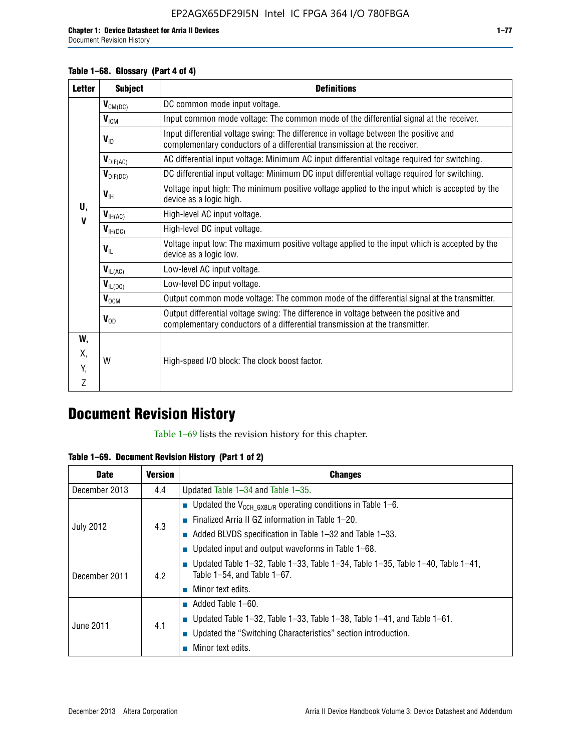Document Revision History

### **Table 1–68. Glossary (Part 4 of 4)**

| <b>Letter</b> | <b>Subject</b>       | <b>Definitions</b>                                                                                                                                                   |
|---------------|----------------------|----------------------------------------------------------------------------------------------------------------------------------------------------------------------|
|               | $V_{CM(DC)}$         | DC common mode input voltage.                                                                                                                                        |
|               | $V_{IGM}$            | Input common mode voltage: The common mode of the differential signal at the receiver.                                                                               |
|               | $V_{ID}$             | Input differential voltage swing: The difference in voltage between the positive and<br>complementary conductors of a differential transmission at the receiver.     |
|               | $V_{\text{DIF(AC)}}$ | AC differential input voltage: Minimum AC input differential voltage required for switching.                                                                         |
|               | $V_{\text{DIF(DC)}}$ | DC differential input voltage: Minimum DC input differential voltage required for switching.                                                                         |
| U,            | $V_{\text{IH}}$      | Voltage input high: The minimum positive voltage applied to the input which is accepted by the<br>device as a logic high.                                            |
| $\mathbf V$   | $V_{IH(AC)}$         | High-level AC input voltage.                                                                                                                                         |
|               | $V_{H(DC)}$          | High-level DC input voltage.                                                                                                                                         |
|               | $V_{\text{IL}}$      | Voltage input low: The maximum positive voltage applied to the input which is accepted by the<br>device as a logic low.                                              |
|               | $V_{IL(AC)}$         | Low-level AC input voltage.                                                                                                                                          |
|               | $V_{IL(DC)}$         | Low-level DC input voltage.                                                                                                                                          |
|               | $V_{OCM}$            | Output common mode voltage: The common mode of the differential signal at the transmitter.                                                                           |
|               | $V_{OD}$             | Output differential voltage swing: The difference in voltage between the positive and<br>complementary conductors of a differential transmission at the transmitter. |
| W,            |                      |                                                                                                                                                                      |
| Χ,            | W                    | High-speed I/O block: The clock boost factor.                                                                                                                        |
| Y.            |                      |                                                                                                                                                                      |
| Z             |                      |                                                                                                                                                                      |

## **Document Revision History**

Table 1–69 lists the revision history for this chapter.

**Table 1–69. Document Revision History (Part 1 of 2)**

| <b>Date</b>      | <b>Version</b> | <b>Changes</b>                                                                                                                      |
|------------------|----------------|-------------------------------------------------------------------------------------------------------------------------------------|
| December 2013    | 4.4            | Updated Table $1-34$ and Table $1-35$ .                                                                                             |
| <b>July 2012</b> | 4.3            | ■ Updated the $V_{CCH GXBL/R}$ operating conditions in Table 1–6.                                                                   |
|                  |                | <b>Example 1-20.</b> Finalized Arria II GZ information in Table 1-20.                                                               |
|                  |                | $\blacksquare$ Added BLVDS specification in Table 1-32 and Table 1-33.                                                              |
|                  |                | <b>Updated input and output waveforms in Table 1–68.</b>                                                                            |
| December 2011    | 4.2            | $\blacksquare$ Updated Table 1-32, Table 1-33, Table 1-34, Table 1-35, Table 1-40, Table 1-41,<br>Table $1-54$ , and Table $1-67$ . |
|                  |                | $\blacksquare$ Minor text edits.                                                                                                    |
|                  | 4.1            | $\blacksquare$ Added Table 1–60.                                                                                                    |
| June 2011        |                | <b>Updated Table 1–32, Table 1–33, Table 1–38, Table 1–41, and Table 1–61.</b>                                                      |
|                  |                | ■ Updated the "Switching Characteristics" section introduction.                                                                     |
|                  |                | Minor text edits.                                                                                                                   |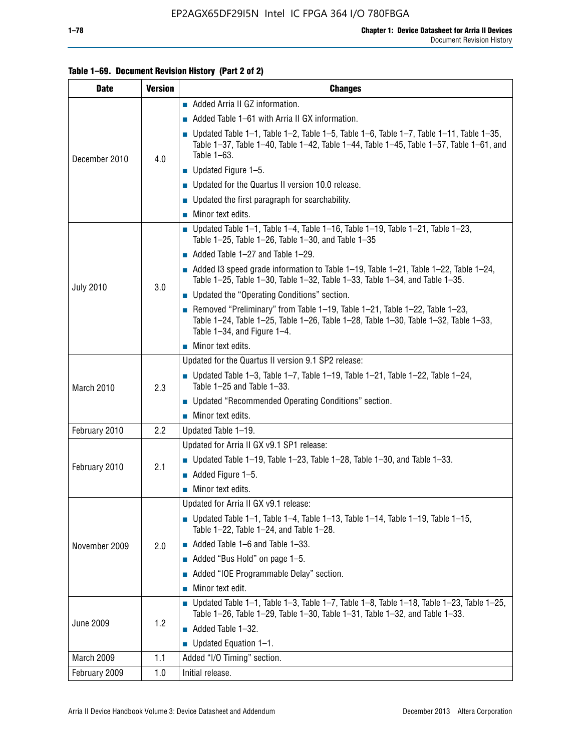### **Table 1–69. Document Revision History (Part 2 of 2)**

| <b>Date</b>      | <b>Version</b> | <b>Changes</b>                                                                                                                                                                                               |
|------------------|----------------|--------------------------------------------------------------------------------------------------------------------------------------------------------------------------------------------------------------|
|                  |                | Added Arria II GZ information.                                                                                                                                                                               |
| December 2010    |                | Added Table 1–61 with Arria II GX information.                                                                                                                                                               |
|                  | 4.0            | <b>Updated Table 1–1, Table 1–2, Table 1–5, Table 1–6, Table 1–7, Table 1–11, Table 1–35,</b><br>Table 1-37, Table 1-40, Table 1-42, Table 1-44, Table 1-45, Table 1-57, Table 1-61, and<br>Table 1-63.      |
|                  |                | $\blacksquare$ Updated Figure 1-5.                                                                                                                                                                           |
|                  |                | Updated for the Quartus II version 10.0 release.                                                                                                                                                             |
|                  |                | $\blacksquare$ Updated the first paragraph for searchability.                                                                                                                                                |
|                  |                | $\blacksquare$ Minor text edits.                                                                                                                                                                             |
|                  |                | Updated Table 1-1, Table 1-4, Table 1-16, Table 1-19, Table 1-21, Table 1-23,<br>Table 1-25, Table 1-26, Table 1-30, and Table 1-35                                                                          |
|                  |                | $\blacksquare$ Added Table 1-27 and Table 1-29.                                                                                                                                                              |
|                  |                | $\blacksquare$ Added I3 speed grade information to Table 1-19, Table 1-21, Table 1-22, Table 1-24,<br>Table 1-25, Table 1-30, Table 1-32, Table 1-33, Table 1-34, and Table 1-35.                            |
| <b>July 2010</b> | 3.0            | • Updated the "Operating Conditions" section.                                                                                                                                                                |
|                  |                | Removed "Preliminary" from Table $1-19$ , Table $1-21$ , Table $1-22$ , Table $1-23$ ,<br>Table 1-24, Table 1-25, Table 1-26, Table 1-28, Table 1-30, Table 1-32, Table 1-33,<br>Table 1-34, and Figure 1-4. |
|                  |                | Minor text edits.                                                                                                                                                                                            |
|                  | 2.3            | Updated for the Quartus II version 9.1 SP2 release:                                                                                                                                                          |
| March 2010       |                | Updated Table 1-3, Table 1-7, Table 1-19, Table 1-21, Table 1-22, Table 1-24,<br>Table 1-25 and Table 1-33.                                                                                                  |
|                  |                | • Updated "Recommended Operating Conditions" section.                                                                                                                                                        |
|                  |                | $\blacksquare$ Minor text edits.                                                                                                                                                                             |
| February 2010    | 2.2            | Updated Table 1-19.                                                                                                                                                                                          |
|                  |                | Updated for Arria II GX v9.1 SP1 release:                                                                                                                                                                    |
| February 2010    | 2.1            | <b>Updated Table 1–19, Table 1–23, Table 1–28, Table 1–30, and Table 1–33.</b>                                                                                                                               |
|                  |                | Added Figure 1-5.                                                                                                                                                                                            |
|                  |                | $\blacksquare$ Minor text edits.                                                                                                                                                                             |
|                  |                | Updated for Arria II GX v9.1 release:                                                                                                                                                                        |
|                  |                | Updated Table 1–1, Table 1–4, Table 1–13, Table 1–14, Table 1–19, Table 1–15,<br>Table 1-22, Table 1-24, and Table 1-28.                                                                                     |
| November 2009    | 2.0            | $\blacksquare$ Added Table 1-6 and Table 1-33.                                                                                                                                                               |
|                  |                | Added "Bus Hold" on page 1-5.                                                                                                                                                                                |
|                  |                | Added "IOE Programmable Delay" section.                                                                                                                                                                      |
|                  |                | Minor text edit.                                                                                                                                                                                             |
| June 2009        | 1.2            | <b>Updated Table 1–1, Table 1–3, Table 1–7, Table 1–8, Table 1–18, Table 1–23, Table 1–25,</b><br>Table 1-26, Table 1-29, Table 1-30, Table 1-31, Table 1-32, and Table 1-33.                                |
|                  |                | Added Table 1-32.                                                                                                                                                                                            |
|                  |                | $\blacksquare$ Updated Equation 1-1.                                                                                                                                                                         |
| March 2009       | 1.1            | Added "I/O Timing" section.                                                                                                                                                                                  |
| February 2009    | 1.0            | Initial release.                                                                                                                                                                                             |